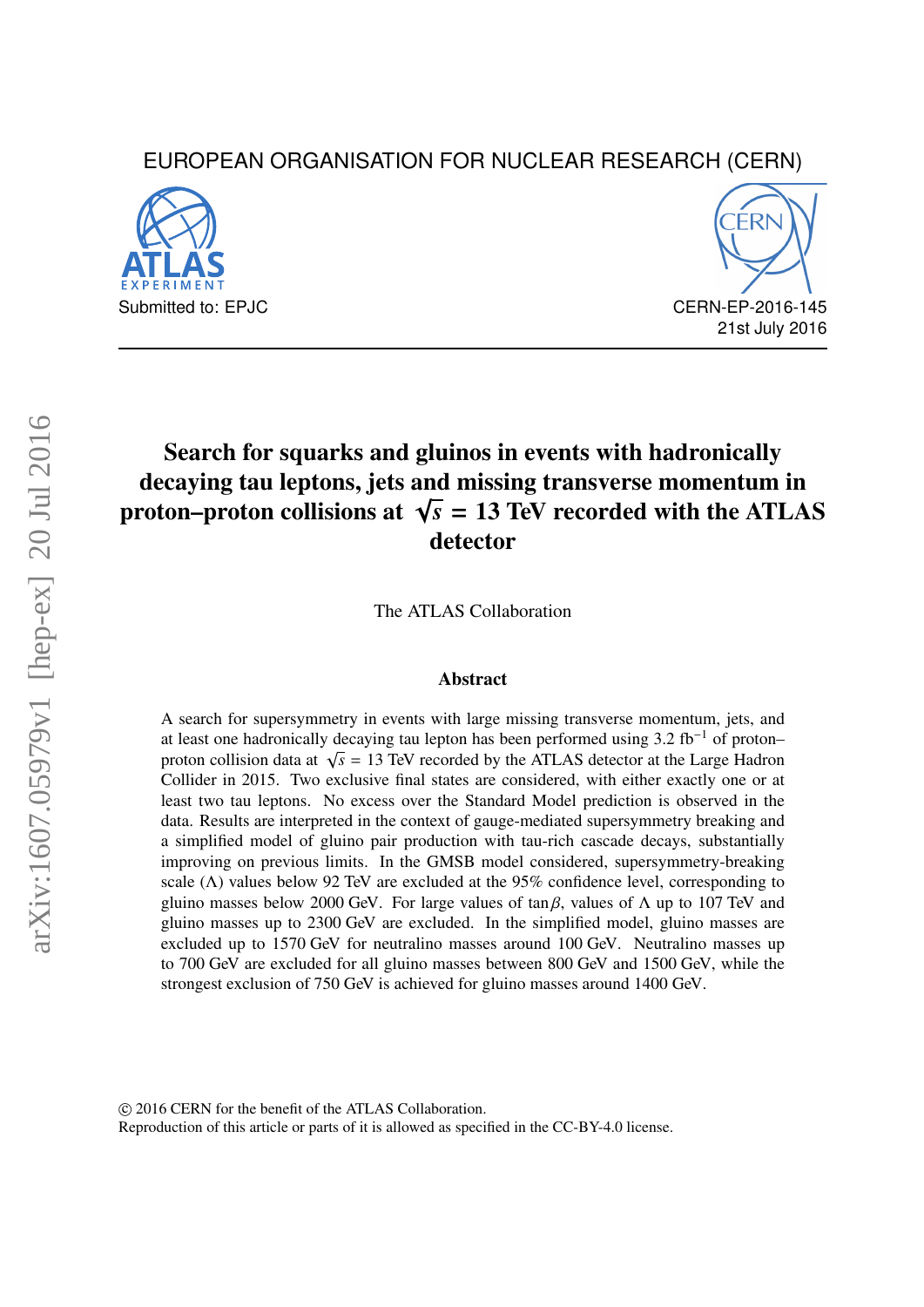# EUROPEAN ORGANISATION FOR NUCLEAR RESEARCH (CERN)





# Search for squarks and gluinos in events with hadronically decaying tau leptons, jets and missing transverse momentum in decaying tau reptons, jets and missing transverse momentum in<br>proton–proton collisions at  $\sqrt{s} = 13$  TeV recorded with the ATLAS detector

The ATLAS Collaboration

#### Abstract

A search for supersymmetry in events with large missing transverse momentum, jets, and at least one hadronically decaying tau lepton has been performed using 3.2 fb<sup>-1</sup> of proton– proton collision data at <sup>√</sup> *s* = 13 TeV recorded by the ATLAS detector at the Large Hadron Collider in 2015. Two exclusive final states are considered, with either exactly one or at least two tau leptons. No excess over the Standard Model prediction is observed in the data. Results are interpreted in the context of gauge-mediated supersymmetry breaking and a simplified model of gluino pair production with tau-rich cascade decays, substantially improving on previous limits. In the GMSB model considered, supersymmetry-breaking scale ( $\Lambda$ ) values below 92 TeV are excluded at the 95% confidence level, corresponding to gluino masses below 2000 GeV. For large values of tan β, values of  $\Lambda$  up to 107 TeV and gluino masses up to 2300 GeV are excluded. In the simplified model, gluino masses are excluded up to 1570 GeV for neutralino masses around 100 GeV. Neutralino masses up to 700 GeV are excluded for all gluino masses between 800 GeV and 1500 GeV, while the strongest exclusion of 750 GeV is achieved for gluino masses around 1400 GeV.

c 2016 CERN for the benefit of the ATLAS Collaboration.

Reproduction of this article or parts of it is allowed as specified in the CC-BY-4.0 license.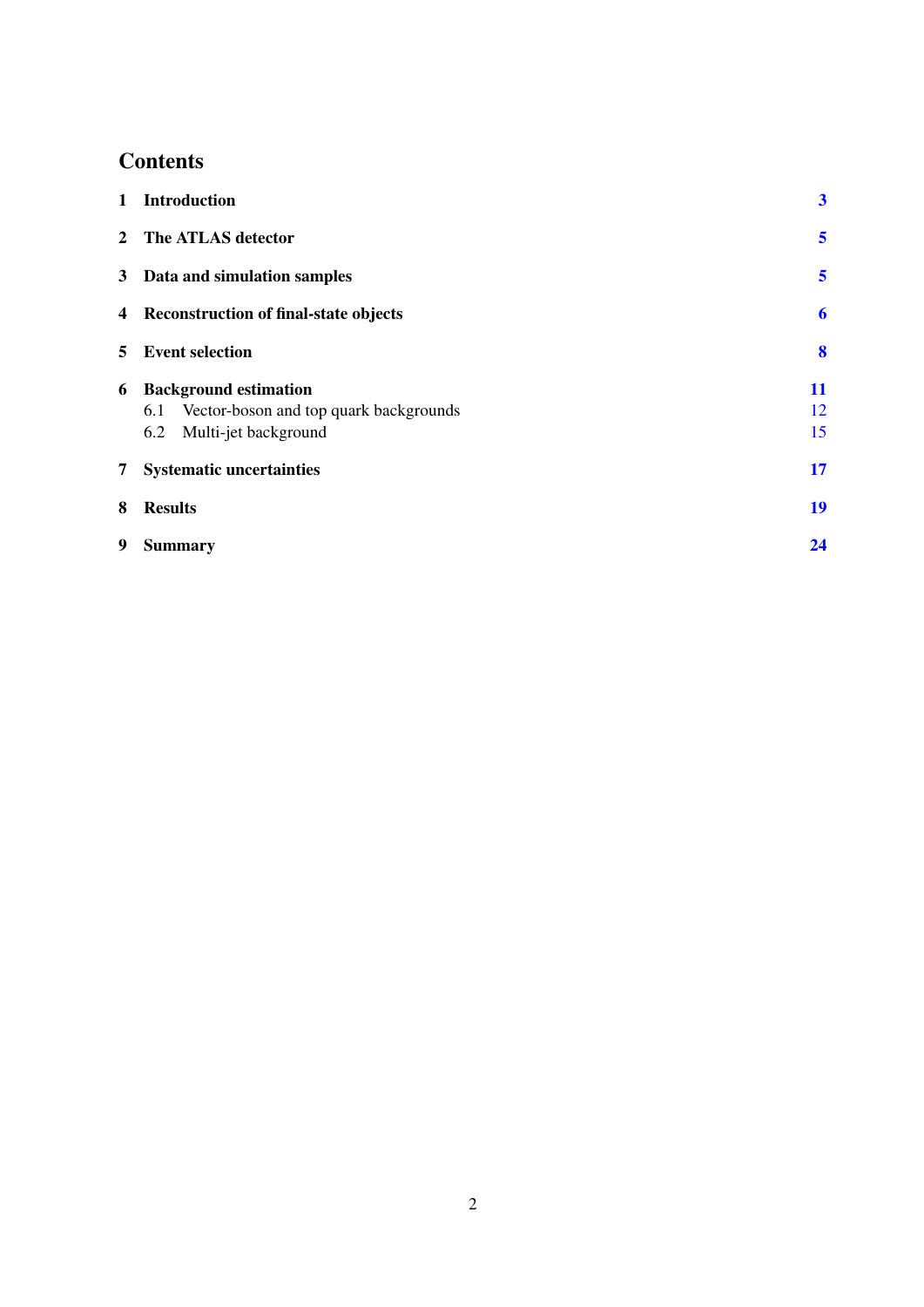# **Contents**

| $1 \quad$ | <b>Introduction</b>                                                                                       | $\boldsymbol{3}$ |
|-----------|-----------------------------------------------------------------------------------------------------------|------------------|
|           | 2 The ATLAS detector                                                                                      | 5                |
|           | 3 Data and simulation samples                                                                             | 5                |
|           | 4 Reconstruction of final-state objects                                                                   | 6                |
|           | 5 Event selection                                                                                         | 8                |
| 6         | <b>Background estimation</b><br>6.1 Vector-boson and top quark backgrounds<br>6.2<br>Multi-jet background | 11<br>12<br>15   |
|           | 7 Systematic uncertainties                                                                                | 17               |
| 8         | <b>Results</b>                                                                                            | 19               |
| 9         | <b>Summary</b>                                                                                            | 24               |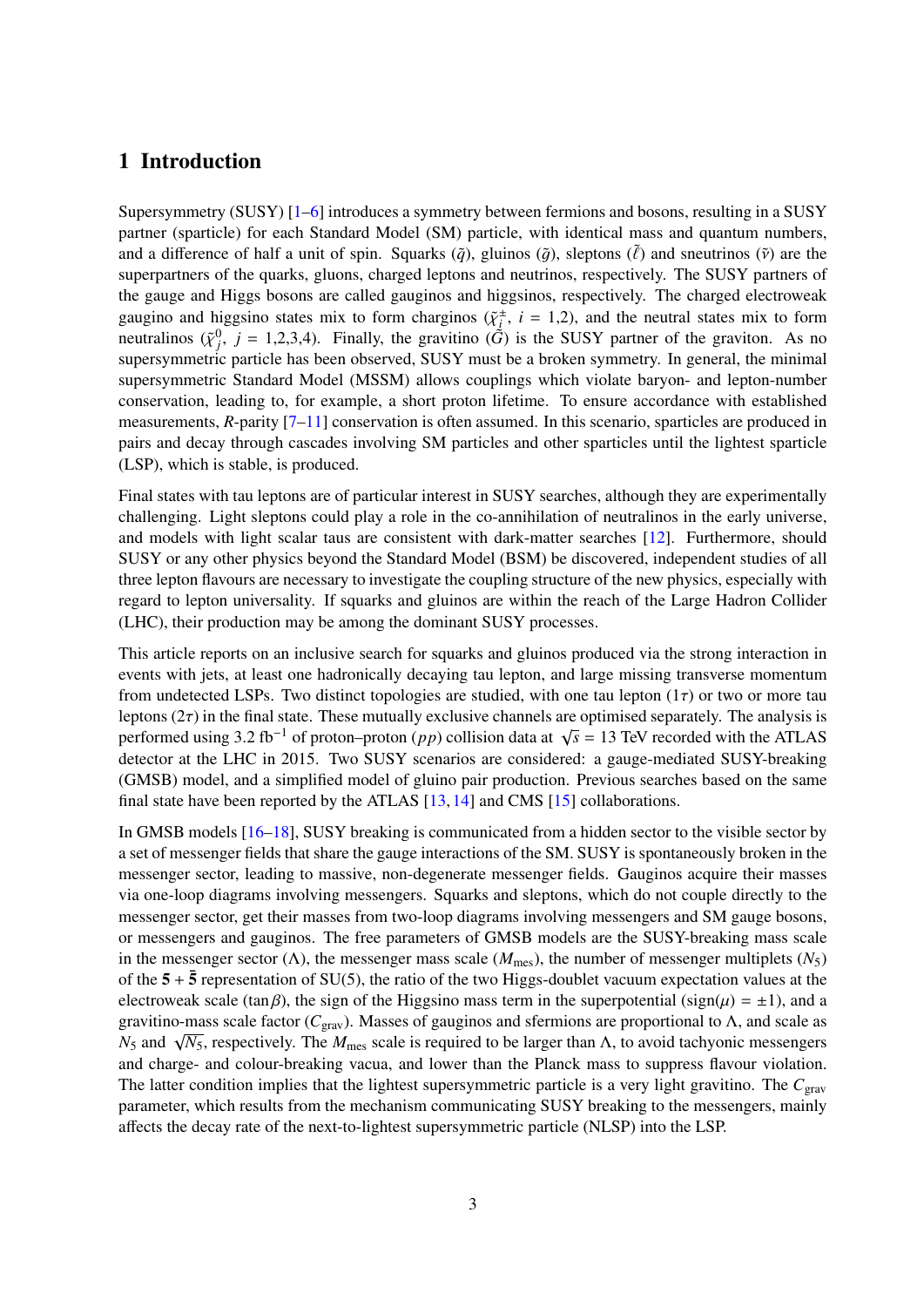## <span id="page-2-0"></span>1 Introduction

Supersymmetry (SUSY) [\[1–](#page-25-0)[6\]](#page-25-1) introduces a symmetry between fermions and bosons, resulting in a SUSY partner (sparticle) for each Standard Model (SM) particle, with identical mass and quantum numbers, and a difference of half a unit of spin. Squarks  $(\tilde{q})$ , gluinos  $(\tilde{q})$ , sleptons  $(\tilde{\ell})$  and sneutrinos  $(\tilde{v})$  are the superpartners of the quarks, gluons, charged leptons and neutrinos, respectively. The SUSY partners of the gauge and Higgs bosons are called gauginos and higgsinos, respectively. The charged electroweak gaugino and higgsino states mix to form charginos  $(\tilde{\chi}^{\pm}_{i})$ <br>neutralinos  $(\tilde{\chi}^{0}_{i}) = 1.23 \text{ A}$ ). Finally, the gravitino  $(\tilde{G})$  $i<sub>i</sub>$ , *i* = 1,2), and the neutral states mix to form neutralinos  $({\tilde{\chi}}^0_j, j = 1,2,3,4)$ . Finally, the gravitino  $({\tilde{G}})$  is the SUSY partner of the graviton. As no<br>supersymmetric particle has been observed. SUSY must be a broken symmetry. In general, the minimal supersymmetric particle has been observed, SUSY must be a broken symmetry. In general, the minimal supersymmetric Standard Model (MSSM) allows couplings which violate baryon- and lepton-number conservation, leading to, for example, a short proton lifetime. To ensure accordance with established measurements, *R*-parity [\[7](#page-25-2)[–11\]](#page-25-3) conservation is often assumed. In this scenario, sparticles are produced in pairs and decay through cascades involving SM particles and other sparticles until the lightest sparticle (LSP), which is stable, is produced.

Final states with tau leptons are of particular interest in SUSY searches, although they are experimentally challenging. Light sleptons could play a role in the co-annihilation of neutralinos in the early universe, and models with light scalar taus are consistent with dark-matter searches [\[12\]](#page-25-4). Furthermore, should SUSY or any other physics beyond the Standard Model (BSM) be discovered, independent studies of all three lepton flavours are necessary to investigate the coupling structure of the new physics, especially with regard to lepton universality. If squarks and gluinos are within the reach of the Large Hadron Collider (LHC), their production may be among the dominant SUSY processes.

This article reports on an inclusive search for squarks and gluinos produced via the strong interaction in events with jets, at least one hadronically decaying tau lepton, and large missing transverse momentum from undetected LSPs. Two distinct topologies are studied, with one tau lepton  $(1\tau)$  or two or more tau leptons  $(2\tau)$  in the final state. These mutually exclusive channels are optimised separately. The analysis is performed using  $3.2 \text{ fb}^{-1}$  of proton–proton (*pp*) collision data at  $\sqrt{\text{delta} \cdot \text{eff}}$  detector at the LHC in 2015. Two SUSV scenarios are considered  $\overline{s}$  = 13 TeV recorded with the ATLAS detector at the LHC in 2015. Two SUSY scenarios are considered: a gauge-mediated SUSY-breaking (GMSB) model, and a simplified model of gluino pair production. Previous searches based on the same final state have been reported by the ATLAS [\[13,](#page-25-5) [14\]](#page-25-6) and CMS [\[15\]](#page-25-7) collaborations.

In GMSB models [\[16–](#page-25-8)[18\]](#page-26-0), SUSY breaking is communicated from a hidden sector to the visible sector by a set of messenger fields that share the gauge interactions of the SM. SUSY is spontaneously broken in the messenger sector, leading to massive, non-degenerate messenger fields. Gauginos acquire their masses via one-loop diagrams involving messengers. Squarks and sleptons, which do not couple directly to the messenger sector, get their masses from two-loop diagrams involving messengers and SM gauge bosons, or messengers and gauginos. The free parameters of GMSB models are the SUSY-breaking mass scale in the messenger sector ( $\Lambda$ ), the messenger mass scale ( $M_{\text{mes}}$ ), the number of messenger multiplets ( $N_5$ ) of the  $5 + \overline{5}$  representation of SU(5), the ratio of the two Higgs-doublet vacuum expectation values at the electroweak scale (tan β), the sign of the Higgsino mass term in the superpotential (sign( $\mu$ ) =  $\pm$ 1), and a gravitino-mass scale factor (*C*grav). Masses of gauginos and sfermions are proportional to Λ, and scale as  $N_5$  and  $\sqrt{N_5}$ , respectively. The *M*<sub>mes</sub> scale is required to be larger than Λ, to avoid tachyonic messengers  $N_5$  and  $\sqrt{N_5}$ , respectively. The *M*<sub>mes</sub> scale is required to be larger than Λ, to avoid tachyon and charge- and colour-breaking vacua, and lower than the Planck mass to suppress flavour violation. The latter condition implies that the lightest supersymmetric particle is a very light gravitino. The *C*grav parameter, which results from the mechanism communicating SUSY breaking to the messengers, mainly affects the decay rate of the next-to-lightest supersymmetric particle (NLSP) into the LSP.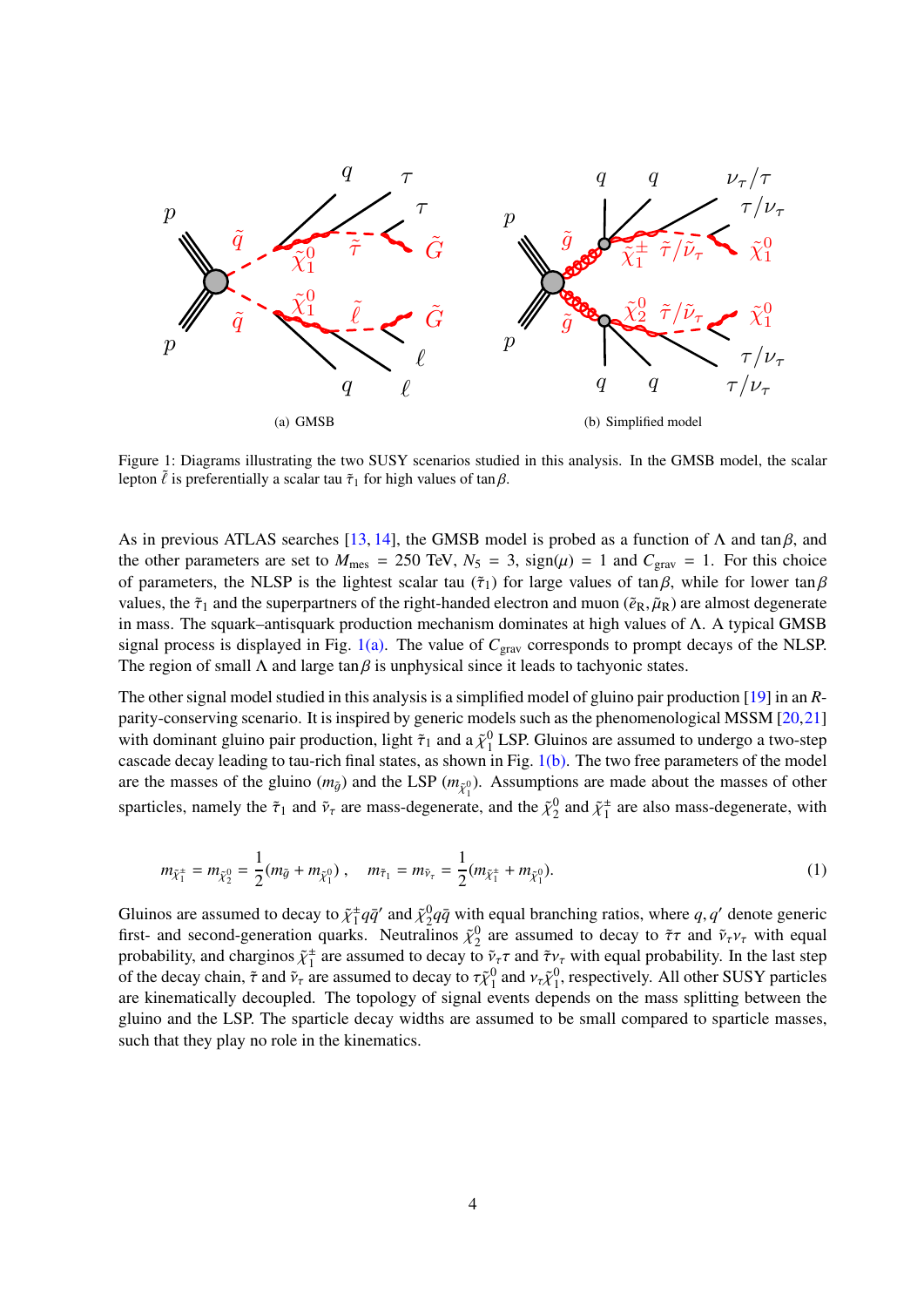<span id="page-3-0"></span>

<span id="page-3-1"></span>Figure 1: Diagrams illustrating the two SUSY scenarios studied in this analysis. In the GMSB model, the scalar lepton  $\tilde{l}$  is preferentially a scalar tau  $\tilde{\tau}_1$  for high values of tan  $\beta$ .

As in previous ATLAS searches [\[13,](#page-25-5) [14\]](#page-25-6), the GMSB model is probed as a function of  $\Lambda$  and tan  $\beta$ , and the other parameters are set to  $M_{\text{mes}} = 250 \text{ TeV}$ ,  $N_5 = 3$ ,  $sign(\mu) = 1$  and  $C_{\text{grav}} = 1$ . For this choice of parameters, the NLSP is the lightest scalar tau ( $\tilde{\tau}_1$ ) for large values of tan  $\beta$ , while for lower tan  $\beta$ values, the  $\tilde{\tau}_1$  and the superpartners of the right-handed electron and muon ( $\tilde{e}_R$ ,  $\tilde{\mu}_R$ ) are almost degenerate in mass. The squark–antisquark production mechanism dominates at high values of Λ. A typical GMSB signal process is displayed in Fig. [1\(a\).](#page-3-0) The value of *C*grav corresponds to prompt decays of the NLSP. The region of small  $\Lambda$  and large tan  $\beta$  is unphysical since it leads to tachyonic states.

The other signal model studied in this analysis is a simplified model of gluino pair production [\[19\]](#page-26-1) in an *R*parity-conserving scenario. It is inspired by generic models such as the phenomenological MSSM [\[20](#page-26-2)[,21\]](#page-26-3) with dominant gluino pair production, light  $\tilde{\tau}_1$  and a  $\tilde{\chi}_1^0$  LSP. Gluinos are assumed to undergo a two-step<br>cascade decay leading to tau-rich final states, as shown in Fig. 1(b). The two free parameters of the cascade decay leading to tau-rich final states, as shown in Fig. [1\(b\).](#page-3-1) The two free parameters of the model are the masses of the gluino  $(m_{\tilde{q}})$  and the LSP  $(m_{\tilde{\chi}_1^0})$ . Assumptions are made about the masses of other sparticles, namely the  $\tilde{\tau}_1$  and  $\tilde{\nu}_{\tau}$  are mass-degenerate, and the  $\tilde{\chi}_2^0$  and  $\tilde{\chi}_1^{\pm}$  $\frac{1}{1}$  are also mass-degenerate, with

$$
m_{\tilde{\chi}_1^{\pm}} = m_{\tilde{\chi}_2^0} = \frac{1}{2}(m_{\tilde{g}} + m_{\tilde{\chi}_1^0}), \quad m_{\tilde{\tau}_1} = m_{\tilde{\nu}_\tau} = \frac{1}{2}(m_{\tilde{\chi}_1^{\pm}} + m_{\tilde{\chi}_1^0}). \tag{1}
$$

Gluinos are assumed to decay to  $\tilde{\chi}_1^{\pm}$ <br>first- and second-generation quarks  $\frac{1}{4}q\bar{q}'$  and  $\tilde{\chi}^0_2q\bar{q}$  with equal branching ratios, where *q*, *q*' denote generic<br>  $\tilde{\chi}^0_2$  Neutralinos,  $\tilde{\chi}^0_2$  are assumed to decay to  $\tilde{\tau}\tau$  and  $\tilde{\chi}$  *y*, with equal first- and second-generation quarks. Neutralinos  $\tilde{\chi}^0$  are assumed to decay to  $\tilde{\tau}\tau$  and  $\tilde{\nu}_{\tau}v_{\tau}$  with equal probability and charginos  $\tilde{\nu}^{\pm}$  are assumed to decay to  $\tilde{\nu}\tau$  and  $\tilde{\tau}v$ , with eq probability, and charginos  $\tilde{\chi}^{\pm}$ <br>of the decay chain  $\tilde{\tau}$  and  $\tilde{\nu}$  $\frac{1}{1}$  are assumed to decay to  $\tilde{\nu}_{\tau} \tau$  and  $\tilde{\tau} \nu_{\tau}$  with equal probability. In the last step are assumed to decay to  $\tau \tilde{\nu}^0$  and  $\nu \tilde{\nu}^0$  respectively. All other SUSV particles of the decay chain,  $\tilde{\tau}$  and  $\tilde{\nu}_{\tau}$  are assumed to decay to  $\tau \tilde{\chi}^0_1$  and  $\nu_{\tau} \tilde{\chi}^0_1$ , respectively. All other SUSY particles are kinematically decoupled. The topology of signal events depends on the mass splitting between the gluino and the LSP. The sparticle decay widths are assumed to be small compared to sparticle masses, such that they play no role in the kinematics.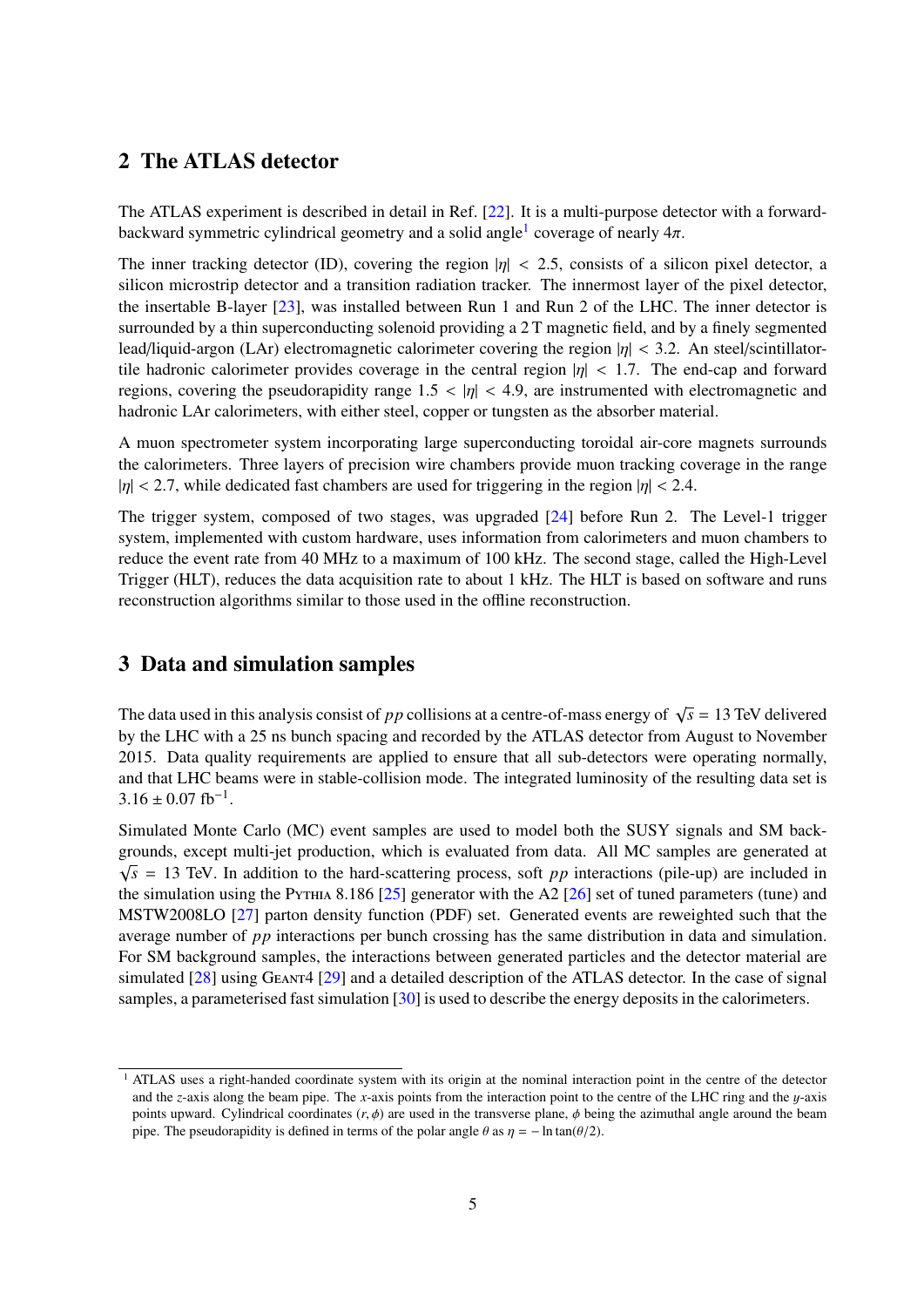## <span id="page-4-0"></span>2 The ATLAS detector

The ATLAS experiment is described in detail in Ref. [\[22\]](#page-26-4). It is a multi-purpose detector with a forward-backward symmetric cylindrical geometry and a solid angle<sup>[1](#page-4-2)</sup> coverage of nearly  $4\pi$ .

The inner tracking detector (ID), covering the region  $|\eta| < 2.5$ , consists of a silicon pixel detector, a silicon microstrip detector and a transition radiation tracker. The innermost layer of the pixel detector, the insertable B-layer [\[23\]](#page-26-5), was installed between Run 1 and Run 2 of the LHC. The inner detector is surrounded by a thin superconducting solenoid providing a 2 T magnetic field, and by a finely segmented lead/liquid-argon (LAr) electromagnetic calorimeter covering the region  $|\eta| < 3.2$ . An steel/scintillatortile hadronic calorimeter provides coverage in the central region  $|n| < 1.7$ . The end-cap and forward regions, covering the pseudorapidity range  $1.5 < |\eta| < 4.9$ , are instrumented with electromagnetic and hadronic LAr calorimeters, with either steel, copper or tungsten as the absorber material.

A muon spectrometer system incorporating large superconducting toroidal air-core magnets surrounds the calorimeters. Three layers of precision wire chambers provide muon tracking coverage in the range  $|\eta|$  < 2.7, while dedicated fast chambers are used for triggering in the region  $|\eta|$  < 2.4.

The trigger system, composed of two stages, was upgraded  $[24]$  before Run 2. The Level-1 trigger system, implemented with custom hardware, uses information from calorimeters and muon chambers to reduce the event rate from 40 MHz to a maximum of 100 kHz. The second stage, called the High-Level Trigger (HLT), reduces the data acquisition rate to about 1 kHz. The HLT is based on software and runs reconstruction algorithms similar to those used in the offline reconstruction.

## <span id="page-4-1"></span>3 Data and simulation samples

The data used in this analysis consist of *pp* collisions at a centre-of-mass energy of  $\sqrt{s} = 13$  TeV delivered by the LHC with a 25 ns bunch spacing and recorded by the ATLAS detector from August to November 2015. Data quality requirements are applied to ensure that all sub-detectors were operating normally, and that LHC beams were in stable-collision mode. The integrated luminosity of the resulting data set is  $3.16 \pm 0.07$  fb<sup>-1</sup>.

Simulated Monte Carlo (MC) event samples are used to model both the SUSY signals and SM backgrounds, except multi-jet production, which is evaluated from data. All MC samples are generated at  $\sqrt{s}$  = 13 TeV. In addition to the hard-scattering process, soft *pp* interactions (pile-up) are included in the simulation using the Pythia 8.186 [\[25\]](#page-26-7) generator with the A2 [\[26\]](#page-26-8) set of tuned parameters (tune) and MSTW2008LO [\[27\]](#page-26-9) parton density function (PDF) set. Generated events are reweighted such that the average number of *pp* interactions per bunch crossing has the same distribution in data and simulation. For SM background samples, the interactions between generated particles and the detector material are simulated [\[28\]](#page-26-10) using Geant4 [\[29\]](#page-26-11) and a detailed description of the ATLAS detector. In the case of signal samples, a parameterised fast simulation [\[30\]](#page-26-12) is used to describe the energy deposits in the calorimeters.

<span id="page-4-2"></span><sup>&</sup>lt;sup>1</sup> ATLAS uses a right-handed coordinate system with its origin at the nominal interaction point in the centre of the detector and the *<sup>z</sup>*-axis along the beam pipe. The *<sup>x</sup>*-axis points from the interaction point to the centre of the LHC ring and the y-axis points upward. Cylindrical coordinates  $(r, \phi)$  are used in the transverse plane,  $\phi$  being the azimuthal angle around the beam pipe. The pseudorapidity is defined in terms of the polar angle  $\theta$  as  $\eta = -\ln \tan(\theta/2)$ .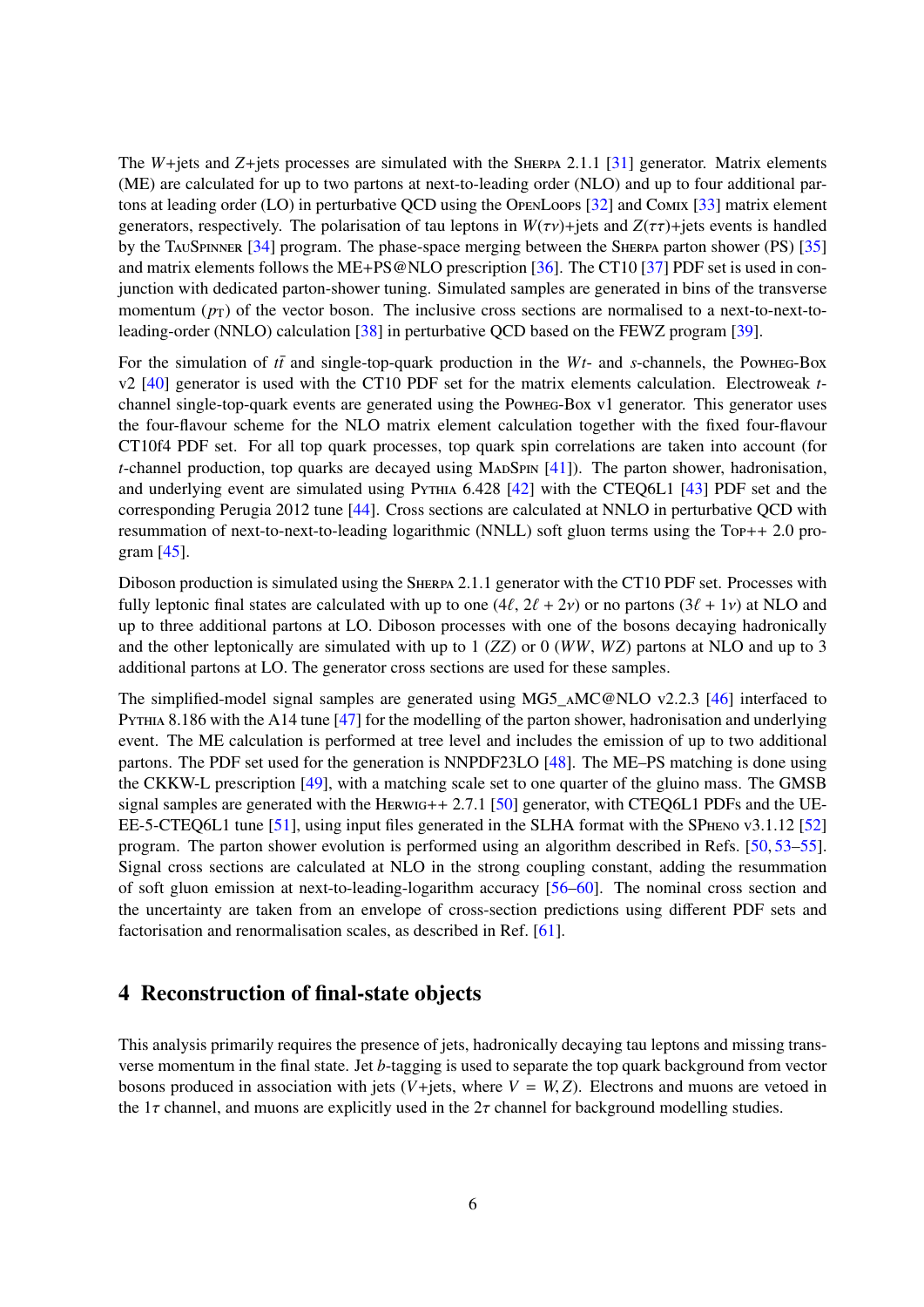The *W*+jets and *Z*+jets processes are simulated with the SHERPA 2.1.1 [\[31\]](#page-26-13) generator. Matrix elements (ME) are calculated for up to two partons at next-to-leading order (NLO) and up to four additional partons at leading order (LO) in perturbative QCD using the OpenLoops [\[32\]](#page-26-14) and Comix [\[33\]](#page-26-15) matrix element generators, respectively. The polarisation of tau leptons in  $W(\tau v)$ +jets and  $Z(\tau \tau)$ +jets events is handled by the TauSpinner [\[34\]](#page-27-0) program. The phase-space merging between the Sherpa parton shower (PS) [\[35\]](#page-27-1) and matrix elements follows the ME+PS@NLO prescription [\[36\]](#page-27-2). The CT10 [\[37\]](#page-27-3) PDF set is used in conjunction with dedicated parton-shower tuning. Simulated samples are generated in bins of the transverse momentum  $(p_T)$  of the vector boson. The inclusive cross sections are normalised to a next-to-next-toleading-order (NNLO) calculation [\[38\]](#page-27-4) in perturbative QCD based on the FEWZ program [\[39\]](#page-27-5).

For the simulation of  $t\bar{t}$  and single-top-quark production in the  $Wt$ - and *s*-channels, the Powheg-Box v2 [\[40\]](#page-27-6) generator is used with the CT10 PDF set for the matrix elements calculation. Electroweak *t*channel single-top-quark events are generated using the Powheg-Box v1 generator. This generator uses the four-flavour scheme for the NLO matrix element calculation together with the fixed four-flavour CT10f4 PDF set. For all top quark processes, top quark spin correlations are taken into account (for *t*-channel production, top quarks are decayed using  $MADSPIN$  [\[41\]](#page-27-7)). The parton shower, hadronisation, and underlying event are simulated using PYTHIA 6.428 [\[42\]](#page-27-8) with the CTEQ6L1 [\[43\]](#page-27-9) PDF set and the corresponding Perugia 2012 tune [\[44\]](#page-27-10). Cross sections are calculated at NNLO in perturbative QCD with resummation of next-to-next-to-leading logarithmic (NNLL) soft gluon terms using the Top++ 2.0 program [\[45\]](#page-27-11).

Diboson production is simulated using the Sherpa 2.1.1 generator with the CT10 PDF set. Processes with fully leptonic final states are calculated with up to one  $(4\ell, 2\ell + 2\nu)$  or no partons  $(3\ell + 1\nu)$  at NLO and up to three additional partons at LO. Diboson processes with one of the bosons decaying hadronically and the other leptonically are simulated with up to 1 (*ZZ*) or 0 (*WW*, *WZ*) partons at NLO and up to 3 additional partons at LO. The generator cross sections are used for these samples.

The simplified-model signal samples are generated using MG5  $\triangle M$ C@NLO v2.2.3 [\[46\]](#page-27-12) interfaced to PYTHIA 8.186 with the A14 tune [\[47\]](#page-27-13) for the modelling of the parton shower, hadronisation and underlying event. The ME calculation is performed at tree level and includes the emission of up to two additional partons. The PDF set used for the generation is NNPDF23LO [\[48\]](#page-27-14). The ME–PS matching is done using the CKKW-L prescription [\[49\]](#page-27-15), with a matching scale set to one quarter of the gluino mass. The GMSB signal samples are generated with the HERWIG++ 2.7.1 [\[50\]](#page-28-0) generator, with CTEQ6L1 PDFs and the UE-EE-5-CTEQ6L1 tune [\[51\]](#page-28-1), using input files generated in the SLHA format with the SPheno v3.1.12 [\[52\]](#page-28-2) program. The parton shower evolution is performed using an algorithm described in Refs. [\[50,](#page-28-0) [53](#page-28-3)[–55\]](#page-28-4). Signal cross sections are calculated at NLO in the strong coupling constant, adding the resummation of soft gluon emission at next-to-leading-logarithm accuracy [\[56–](#page-28-5)[60\]](#page-28-6). The nominal cross section and the uncertainty are taken from an envelope of cross-section predictions using different PDF sets and factorisation and renormalisation scales, as described in Ref. [\[61\]](#page-28-7).

## <span id="page-5-0"></span>4 Reconstruction of final-state objects

This analysis primarily requires the presence of jets, hadronically decaying tau leptons and missing transverse momentum in the final state. Jet *b*-tagging is used to separate the top quark background from vector bosons produced in association with jets ( $V+$ jets, where  $V = W, Z$ ). Electrons and muons are vetoed in the  $1\tau$  channel, and muons are explicitly used in the  $2\tau$  channel for background modelling studies.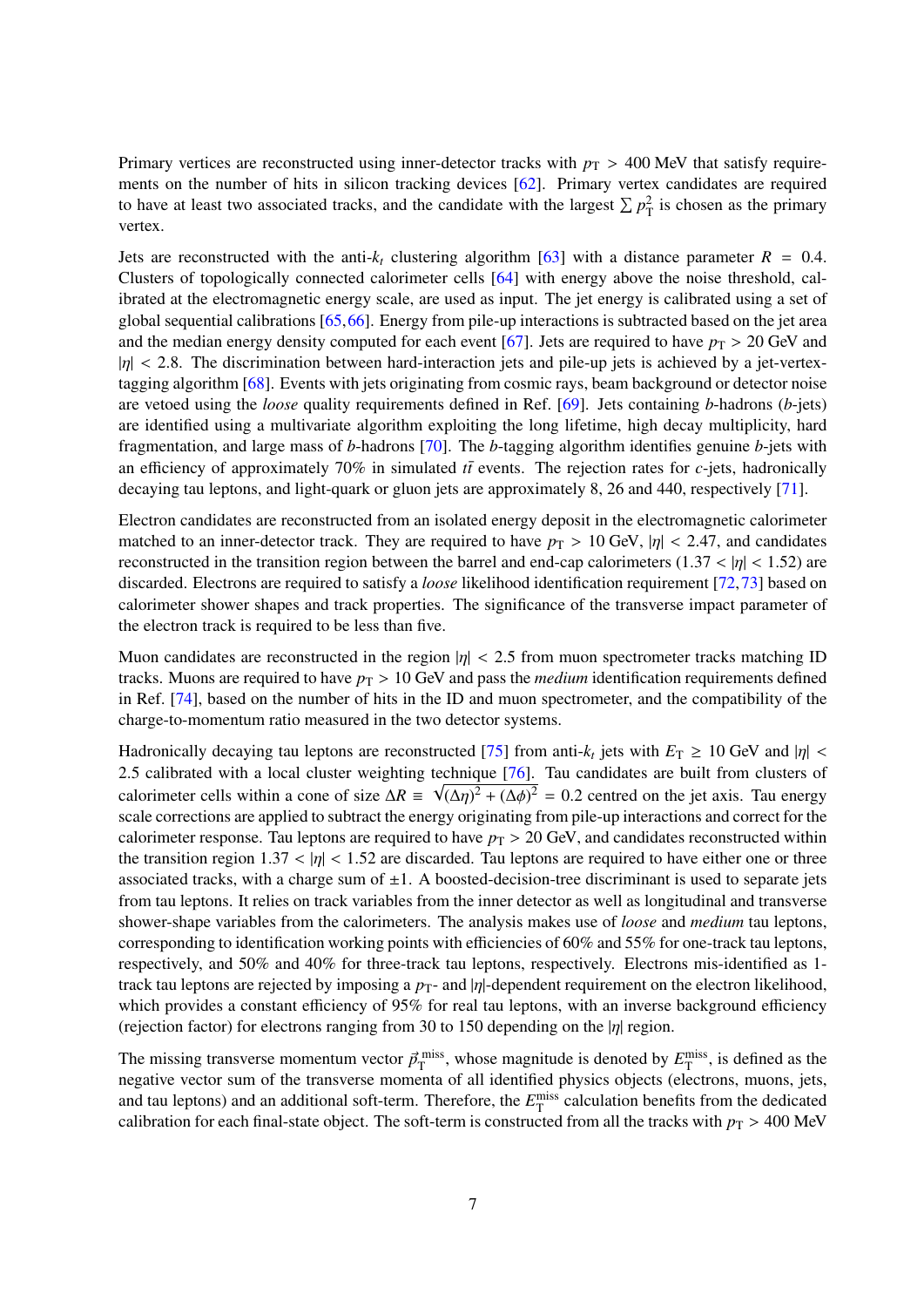Primary vertices are reconstructed using inner-detector tracks with  $p_T > 400$  MeV that satisfy requirements on the number of hits in silicon tracking devices [\[62\]](#page-28-8). Primary vertex candidates are required to have at least two associated tracks, and the candidate with the largest  $\sum p_T^2$  is chosen as the primary vertex.

Jets are reconstructed with the anti- $k_t$  clustering algorithm [\[63\]](#page-28-9) with a distance parameter  $R = 0.4$ . Clusters of topologically connected calorimeter cells [\[64\]](#page-28-10) with energy above the noise threshold, calibrated at the electromagnetic energy scale, are used as input. The jet energy is calibrated using a set of global sequential calibrations [\[65,](#page-28-11)[66\]](#page-28-12). Energy from pile-up interactions is subtracted based on the jet area and the median energy density computed for each event [\[67\]](#page-29-0). Jets are required to have  $p_T > 20$  GeV and  $|\eta| < 2.8$ . The discrimination between hard-interaction jets and pile-up jets is achieved by a jet-vertextagging algorithm [\[68\]](#page-29-1). Events with jets originating from cosmic rays, beam background or detector noise are vetoed using the *loose* quality requirements defined in Ref. [\[69\]](#page-29-2). Jets containing *b*-hadrons (*b*-jets) are identified using a multivariate algorithm exploiting the long lifetime, high decay multiplicity, hard fragmentation, and large mass of *b*-hadrons [\[70\]](#page-29-3). The *b*-tagging algorithm identifies genuine *b*-jets with an efficiency of approximately 70% in simulated  $t\bar{t}$  events. The rejection rates for *c*-jets, hadronically decaying tau leptons, and light-quark or gluon jets are approximately 8, 26 and 440, respectively [\[71\]](#page-29-4).

Electron candidates are reconstructed from an isolated energy deposit in the electromagnetic calorimeter matched to an inner-detector track. They are required to have  $p_T > 10$  GeV,  $|\eta| < 2.47$ , and candidates reconstructed in the transition region between the barrel and end-cap calorimeters (1.37 <  $|\eta|$  < 1.52) are discarded. Electrons are required to satisfy a *loose* likelihood identification requirement [\[72,](#page-29-5)[73\]](#page-29-6) based on calorimeter shower shapes and track properties. The significance of the transverse impact parameter of the electron track is required to be less than five.

Muon candidates are reconstructed in the region  $|\eta| < 2.5$  from muon spectrometer tracks matching ID tracks. Muons are required to have  $p_T > 10$  GeV and pass the *medium* identification requirements defined in Ref. [\[74\]](#page-29-7), based on the number of hits in the ID and muon spectrometer, and the compatibility of the charge-to-momentum ratio measured in the two detector systems.

Hadronically decaying tau leptons are reconstructed [\[75\]](#page-29-8) from anti- $k_t$  jets with  $E_T \ge 10$  GeV and  $|\eta| < 2.5$  calibrated with a local cluster weighting technique [76]. Tau candidates are built from clusters of 2.5 calibrated with a local cluster weighting technique [\[76\]](#page-29-9). Tau candidates are built from clusters of calculation and  $\Omega = \sqrt{(\Delta x)^2 + (\Delta t)^2} = 0.2$  control on the ist orie. Toy approximation callo within a game of circ  $\Delta R$ calorimeter cells within a cone of size  $\Delta R = \sqrt{(\Delta \eta)^2 + (\Delta \phi)^2} = 0.2$  centred on the jet axis. Tau energy scale corrections are applied to subtract the energy originating from pile-up interactions and correct for the calorimeter response. Tau leptons are required to have  $p_T > 20$  GeV, and candidates reconstructed within the transition region  $1.37 < |\eta| < 1.52$  are discarded. Tau leptons are required to have either one or three associated tracks, with a charge sum of  $\pm 1$ . A boosted-decision-tree discriminant is used to separate jets from tau leptons. It relies on track variables from the inner detector as well as longitudinal and transverse shower-shape variables from the calorimeters. The analysis makes use of *loose* and *medium* tau leptons, corresponding to identification working points with efficiencies of 60% and 55% for one-track tau leptons, respectively, and 50% and 40% for three-track tau leptons, respectively. Electrons mis-identified as 1 track tau leptons are rejected by imposing a *p*<sub>T</sub>- and |η|-dependent requirement on the electron likelihood, which provides a constant efficiency of 95% for real tau leptons, with an inverse background efficiency (rejection factor) for electrons ranging from 30 to 150 depending on the  $|\eta|$  region.

The missing transverse momentum vector  $\vec{p}_{\text{T}}^{\text{miss}}$ , whose magnitude is denoted by  $E_{\text{T}}^{\text{miss}}$ , is defined as the negative vector sum of the transverse momenta of all identified physics objects (electrons, muons, negative vector sum of the transverse momenta of all identified physics objects (electrons, muons, jets, and tau leptons) and an additional soft-term. Therefore, the  $E_{\text{T}}^{\text{miss}}$  calculation benefits from the dedicated calibration for each final-state object. The soft-term is constructed from all the tracks with  $p_T > 400$  MeV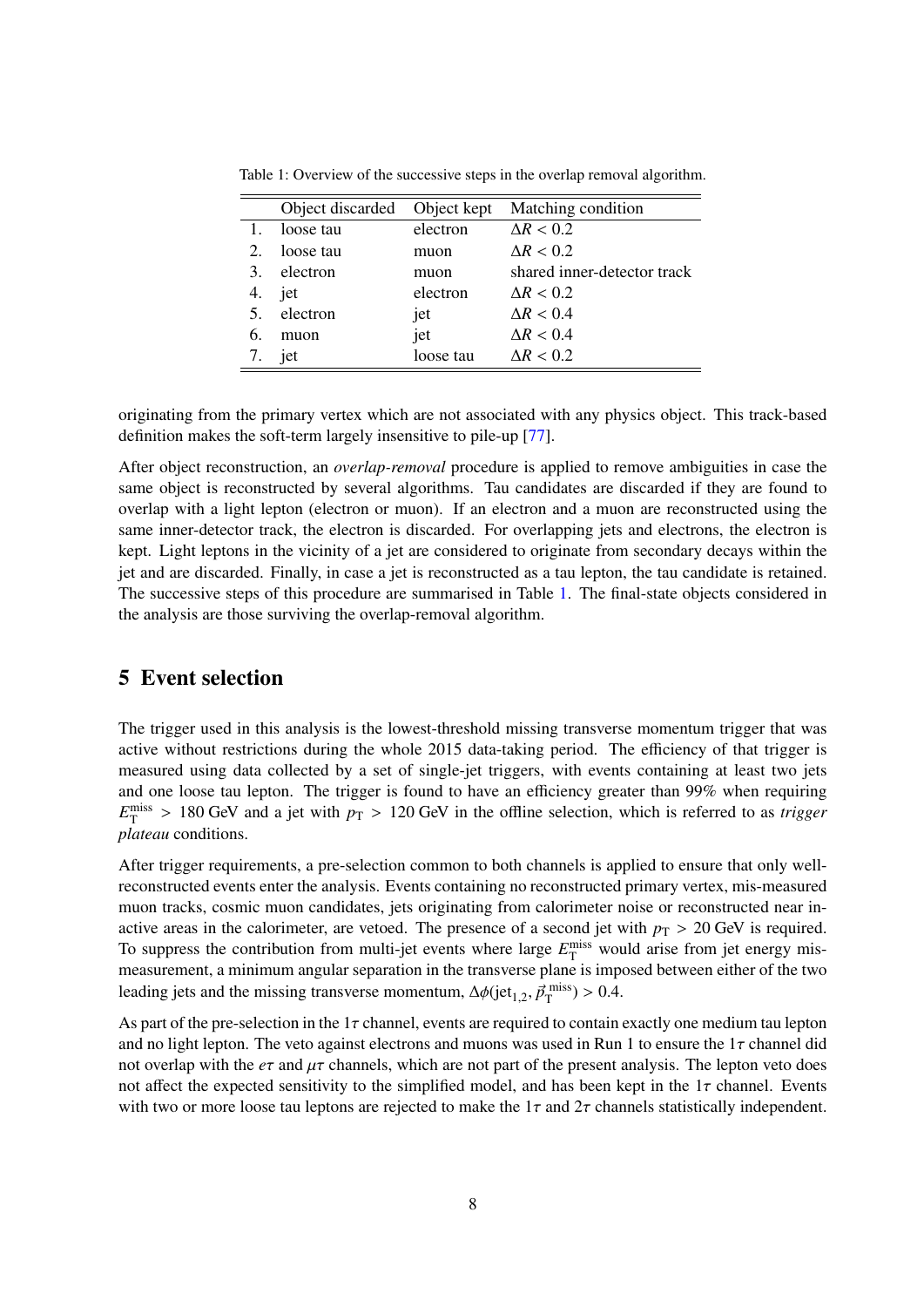|    | Object discarded | Object kept | Matching condition          |
|----|------------------|-------------|-----------------------------|
|    | loose tau        | electron    | $\Delta R < 0.2$            |
| 2. | loose tau        | muon        | $\Delta R < 0.2$            |
| 3. | electron         | muon        | shared inner-detector track |
| 4. | jet              | electron    | $\Delta R < 0.2$            |
| 5. | electron         | jet         | $\Delta R < 0.4$            |
| 6. | muon             | jet         | $\Delta R < 0.4$            |
| 7. | jet              | loose tau   | $\Delta R < 0.2$            |
|    |                  |             |                             |

<span id="page-7-1"></span>Table 1: Overview of the successive steps in the overlap removal algorithm.

originating from the primary vertex which are not associated with any physics object. This track-based definition makes the soft-term largely insensitive to pile-up [\[77\]](#page-29-10).

After object reconstruction, an *overlap-removal* procedure is applied to remove ambiguities in case the same object is reconstructed by several algorithms. Tau candidates are discarded if they are found to overlap with a light lepton (electron or muon). If an electron and a muon are reconstructed using the same inner-detector track, the electron is discarded. For overlapping jets and electrons, the electron is kept. Light leptons in the vicinity of a jet are considered to originate from secondary decays within the jet and are discarded. Finally, in case a jet is reconstructed as a tau lepton, the tau candidate is retained. The successive steps of this procedure are summarised in Table [1.](#page-7-1) The final-state objects considered in the analysis are those surviving the overlap-removal algorithm.

## <span id="page-7-0"></span>5 Event selection

The trigger used in this analysis is the lowest-threshold missing transverse momentum trigger that was active without restrictions during the whole 2015 data-taking period. The efficiency of that trigger is measured using data collected by a set of single-jet triggers, with events containing at least two jets and one loose tau lepton. The trigger is found to have an efficiency greater than 99% when requiring  $E_{\text{T}}^{\text{miss}} > 180 \text{ GeV}$  and a jet with  $p_{\text{T}} > 120 \text{ GeV}$  in the offline selection, which is referred to as *trigger*<br>nlateau conditions *plateau* conditions.

After trigger requirements, a pre-selection common to both channels is applied to ensure that only wellreconstructed events enter the analysis. Events containing no reconstructed primary vertex, mis-measured muon tracks, cosmic muon candidates, jets originating from calorimeter noise or reconstructed near inactive areas in the calorimeter, are vetoed. The presence of a second jet with  $p<sub>T</sub> > 20$  GeV is required. To suppress the contribution from multi-jet events where large  $E_T^{\text{miss}}$  would arise from jet energy mismeasurement, a minimum angular separation in the transverse plane is imposed between either of the two leading jets and the missing transverse momentum,  $\Delta\phi$ (jet<sub>1,2</sub>,  $\vec{p}_{\text{T}}^{\text{miss}}$ ) > 0.4.

As part of the pre-selection in the 1 $\tau$  channel, events are required to contain exactly one medium tau lepton and no light lepton. The veto against electrons and muons was used in Run 1 to ensure the  $1\tau$  channel did not overlap with the  $e\tau$  and  $\mu\tau$  channels, which are not part of the present analysis. The lepton veto does not affect the expected sensitivity to the simplified model, and has been kept in the  $1\tau$  channel. Events with two or more loose tau leptons are rejected to make the  $1\tau$  and  $2\tau$  channels statistically independent.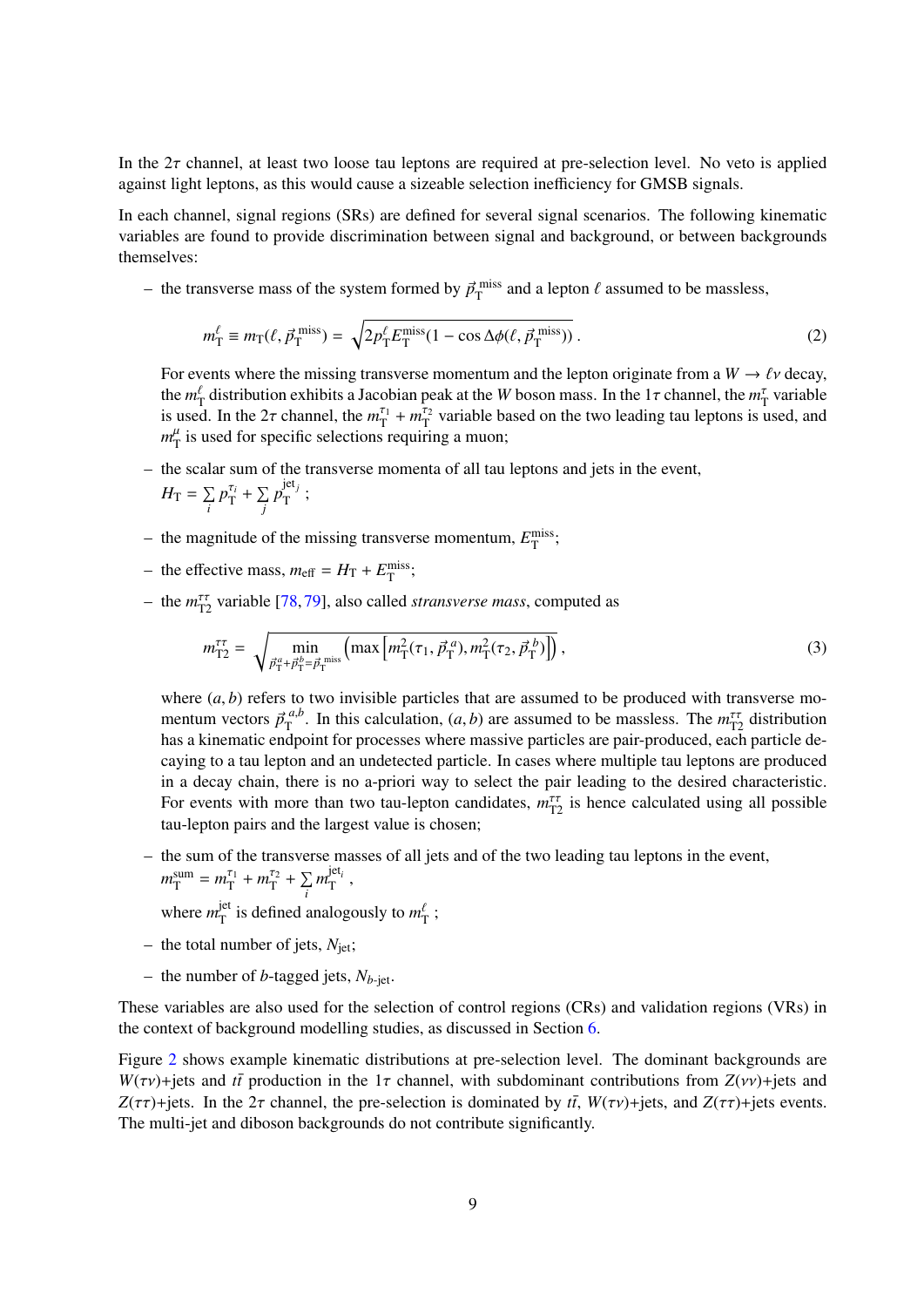In the  $2\tau$  channel, at least two loose tau leptons are required at pre-selection level. No veto is applied against light leptons, as this would cause a sizeable selection inefficiency for GMSB signals.

In each channel, signal regions (SRs) are defined for several signal scenarios. The following kinematic variables are found to provide discrimination between signal and background, or between backgrounds themselves:

- the transverse mass of the system formed by  $\vec{p}_{\rm T}^{\rm miss}$  and a lepton  $\ell$  assumed to be massless,

$$
m_{\rm T}^{\ell} \equiv m_{\rm T}(\ell, \vec{p}_{\rm T}^{\rm miss}) = \sqrt{2p_{\rm T}^{\ell} E_{\rm T}^{\rm miss}(1 - \cos \Delta \phi(\ell, \vec{p}_{\rm T}^{\rm miss}))} \,. \tag{2}
$$

For events where the missing transverse momentum and the lepton originate from a  $W \to \ell \nu$  decay, the  $m_{\rm T}^{\rm T}$  distribution exhibits a Jacobian peak at the *W* boson mass. In the 1 $\tau$  channel, the  $m_{\rm T}^{\rm T}$  variable<br>is used. In the 2 $\tau$  channel, the  $m_{\rm T}^{\rm T} + m_{\rm T}^{\rm T}$  variable based on the two leadin is used. In the 2 $\tau$  channel, the  $m_{\tau_1}^{\tau_1} + m_{\tau_2}^{\tau_2}$  variable based on the two leading tau leptons is used, and  $m^{\mu}$  is used for specific selections requiring a muon:  $m_{\rm T}^{\mu}$  is used for specific selections requiring a muon;

- the scalar sum of the transverse momenta of all tau leptons and jets in the event,  $H_{\text{T}} = \sum$ *i*  $p_{\rm T}^{\tau_i} + \sum_i$ *j p* jet*<sup>j</sup>*  $\frac{1}{T}$ ;
- the magnitude of the missing transverse momentum,  $E_{\text{T}}^{\text{miss}}$ ;
- the effective mass,  $m_{\text{eff}} = H_{\text{T}} + E_{\text{T}}^{\text{miss}}$ ;
- $-$  the  $m_{\text{T2}}^{\tau\tau}$  variable [\[78,](#page-29-11)[79\]](#page-29-12), also called *stransverse mass*, computed as

$$
m_{\text{T2}}^{\tau\tau} = \sqrt{\min_{\vec{p}_{\text{T}}^a + \vec{p}_{\text{T}}^b = \vec{p}_{\text{T}}^{\text{miss}}} \left( \max \left[ m_{\text{T}}^2(\tau_1, \vec{p}_{\text{T}}^a), m_{\text{T}}^2(\tau_2, \vec{p}_{\text{T}}^b) \right] \right), \tag{3}
$$

where  $(a, b)$  refers to two invisible particles that are assumed to be produced with transverse momentum vectors  $\vec{p}_{\text{T}}^{a,b}$ . In this calculation,  $(a, b)$  are assumed to be massless. The  $m_{\text{T2}}^{\text{tot}}$  distribution<br>has a kinematic endpoint for processes where massive particles are pair produced, each particle de has a kinematic endpoint for processes where massive particles are pair-produced, each particle decaying to a tau lepton and an undetected particle. In cases where multiple tau leptons are produced in a decay chain, there is no a-priori way to select the pair leading to the desired characteristic. For events with more than two tau-lepton candidates,  $m_{\text{T2}}^{\tau\tau}$  is hence calculated using all possible tau-lepton pairs and the largest value is chosen;

– the sum of the transverse masses of all jets and of the two leading tau leptons in the event,  $m_{\rm T}^{\rm sum} = m_{\rm T}^{\tau_1} + m_{\rm T}^{\tau_2} + \sum_{\cdot}$ *m* jet*<sup>i</sup>*  $T$ ,

*i* where  $m_T^{\text{jet}}$  $T_{\text{T}}^{\text{jet}}$  is defined analogously to  $m_{\text{T}}^{\ell}$ ;

- the total number of jets,  $N_{\text{jet}}$ ;
- the number of *b*-tagged jets,  $N_{b-\text{iet}}$ .

These variables are also used for the selection of control regions (CRs) and validation regions (VRs) in the context of background modelling studies, as discussed in Section [6.](#page-10-0)

Figure [2](#page-9-0) shows example kinematic distributions at pre-selection level. The dominant backgrounds are *W*( $\tau v$ )+jets and  $t\bar{t}$  production in the 1 $\tau$  channel, with subdominant contributions from  $Z(vv)$ +jets and *Z*( $\tau\tau$ )+jets. In the 2 $\tau$  channel, the pre-selection is dominated by  $t\bar{t}$ ,  $W(\tau\nu)$ +jets, and *Z*( $\tau\tau$ )+jets events. The multi-jet and diboson backgrounds do not contribute significantly.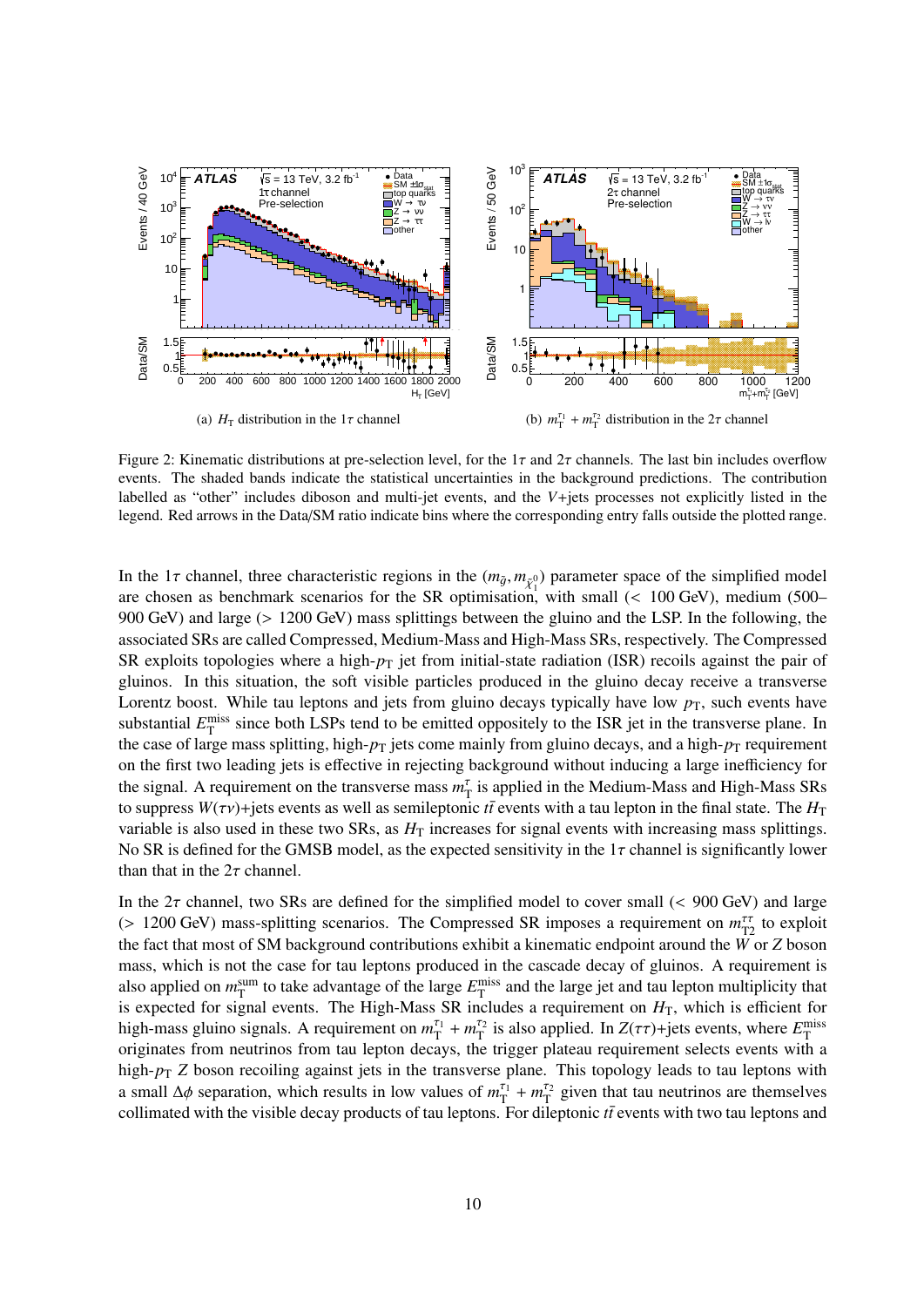<span id="page-9-0"></span>

Figure 2: Kinematic distributions at pre-selection level, for the 1 $\tau$  and 2 $\tau$  channels. The last bin includes overflow events. The shaded bands indicate the statistical uncertainties in the background predictions. The contribution labelled as "other" includes diboson and multi-jet events, and the *V*+jets processes not explicitly listed in the legend. Red arrows in the Data/SM ratio indicate bins where the corresponding entry falls outside the plotted range.

In the 1 $\tau$  channel, three characteristic regions in the  $(m_{\tilde{g}}, m_{\tilde{\chi}_1^0})$  parameter space of the simplified model<br>are chosen as benchmark scenarios for the SP optimisation, with small (< 100 GeV) medium (500are chosen as benchmark scenarios for the SR optimisation, with small (< 100 GeV), medium (500–000 GeV) and large ( $\sim 1200$  GeV) mass splittings between the gluino and the LSP In the following the 900 GeV) and large (> 1200 GeV) mass splittings between the gluino and the LSP. In the following, the associated SRs are called Compressed, Medium-Mass and High-Mass SRs, respectively. The Compressed SR exploits topologies where a high- $p<sub>T</sub>$  jet from initial-state radiation (ISR) recoils against the pair of gluinos. In this situation, the soft visible particles produced in the gluino decay receive a transverse Lorentz boost. While tau leptons and jets from gluino decays typically have low  $p<sub>T</sub>$ , such events have substantial  $E_T^{\text{miss}}$  since both LSPs tend to be emitted oppositely to the ISR jet in the transverse plane. In the case of large mass splitting, high- $p_T$  jets come mainly from gluino decays, and a high- $p_T$  requirement on the first two leading jets is effective in rejecting background without inducing a large inefficiency for the signal. A requirement on the transverse mass  $m<sub>T</sub><sup>\tau</sup>$  is applied in the Medium-Mass and High-Mass SRs to suppress  $W(\tau v)$ +jets events as well as semileptonic *tt* events with a tau lepton in the final state. The  $H_T$ variable is also used in these two SRs, as  $H<sub>T</sub>$  increases for signal events with increasing mass splittings. No SR is defined for the GMSB model, as the expected sensitivity in the  $1\tau$  channel is significantly lower than that in the  $2\tau$  channel.

In the  $2\tau$  channel, two SRs are defined for the simplified model to cover small (< 900 GeV) and large (> 1200 GeV) mass-splitting scenarios. The Compressed SR imposes a requirement on  $m_{12}^{\text{TT}}$  to exploit the fact that most of SM background contributions exhibit a kinematic endpoint around the W or Z boson the fact that most of SM background contributions exhibit a kinematic endpoint around the *W* or *Z* boson mass, which is not the case for tau leptons produced in the cascade decay of gluinos. A requirement is also applied on  $m_T^{\text{sum}}$  to take advantage of the large  $E_T^{\text{miss}}$  and the large jet and tau lepton multiplicity that is expected for signal events. The High-Mass SR includes a requirement on  $H<sub>T</sub>$ , which is efficient for high-mass gluino signals. A requirement on  $m_T^{\tau_1} + m_T^{\tau_2}$  is also applied. In  $Z(\tau\tau)$ +jets events, where  $E_T^{\text{miss}}$ <br>originates from neutrinos from tay lenton decays, the trigger plateau requirement selects events wi originates from neutrinos from tau lepton decays, the trigger plateau requirement selects events with a high- $p_T$  *Z* boson recoiling against jets in the transverse plane. This topology leads to tau leptons with a small  $\Delta\phi$  separation, which results in low values of  $m_{\text{T}}^{\tau_1} + m_{\text{T}}^{\tau_2}$  given that tau neutrinos are themselves<br>collimated with the visible decay products of tau leptons. For dileptonic *tr* events with two collimated with the visible decay products of tau leptons. For dileptonic  $t\bar{t}$  events with two tau leptons and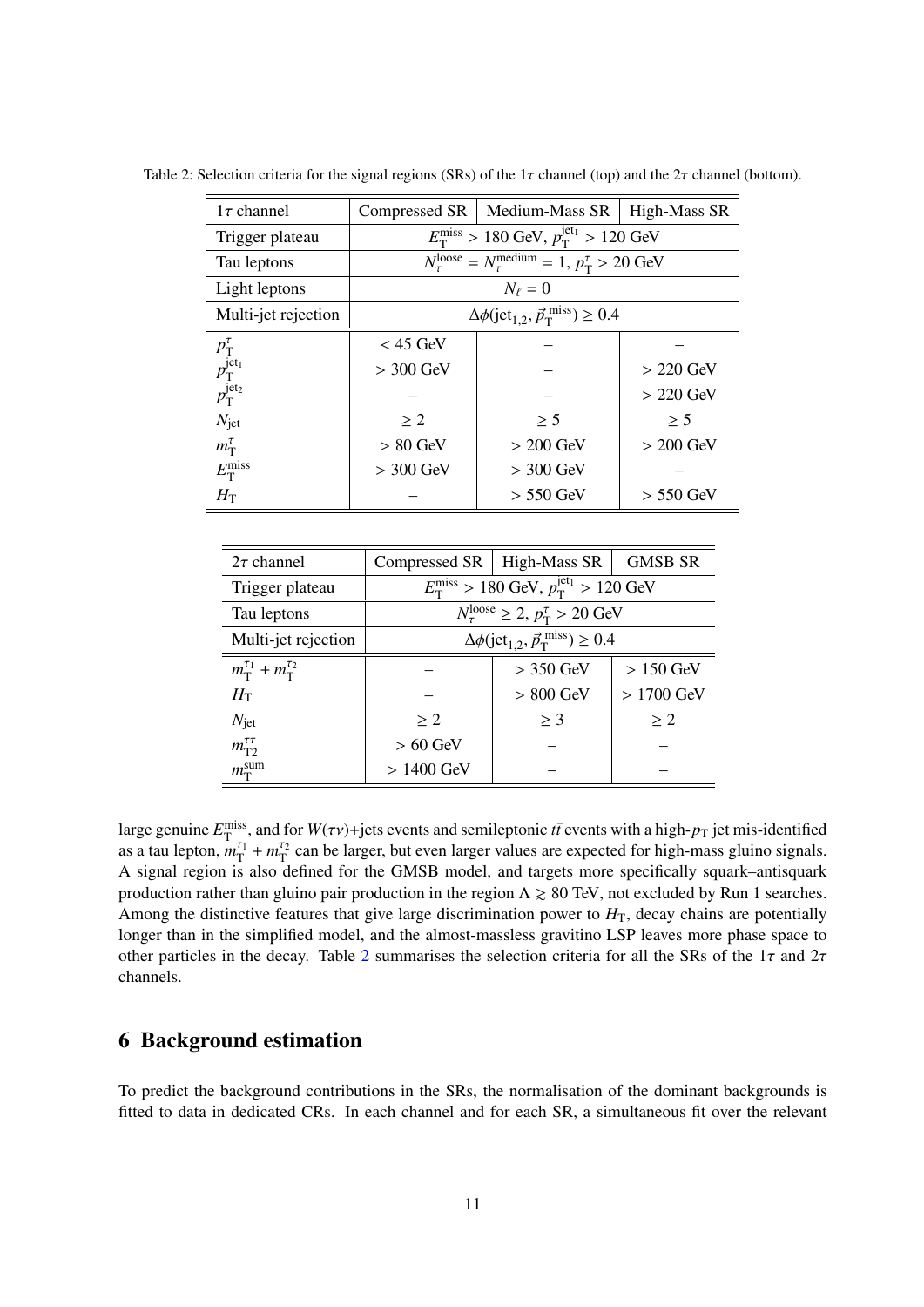| $1\tau$ channel                                                                                                            | Compressed SR                                                             | Medium-Mass $SR$   High-Mass $SR$                                                                         |             |  |  |
|----------------------------------------------------------------------------------------------------------------------------|---------------------------------------------------------------------------|-----------------------------------------------------------------------------------------------------------|-------------|--|--|
| Trigger plateau                                                                                                            |                                                                           | $E_{\rm T}^{\rm miss} > 180$ GeV, $p_{\rm T}^{\rm jet_1} > 120$ GeV                                       |             |  |  |
| Tau leptons                                                                                                                |                                                                           | $\overline{N_{\tau}^{\text{loose}}} = N_{\tau}^{\text{medium}} = 1, p_{\text{T}}^{\tau} > 20 \text{ GeV}$ |             |  |  |
| Light leptons                                                                                                              |                                                                           | $N_{\ell}=0$                                                                                              |             |  |  |
| Multi-jet rejection                                                                                                        | $\Delta\phi$ (jet <sub>1,2</sub> , $\vec{p}_T^{\text{miss}}$ ) $\geq 0.4$ |                                                                                                           |             |  |  |
|                                                                                                                            | $<$ 45 GeV                                                                |                                                                                                           |             |  |  |
| $\begin{array}{c} p_{\mathrm{T}}^{\tau}\\ p_{\mathrm{T}}^{\mathrm{jet}_1}\\ p_{\mathrm{T}}^{\mathrm{jet}_2}\\ \end{array}$ | $>$ 300 GeV                                                               |                                                                                                           | $> 220$ GeV |  |  |
|                                                                                                                            |                                                                           |                                                                                                           | $> 220$ GeV |  |  |
| $N_{\rm jet}$                                                                                                              | > 2                                                                       | $\geq$ 5                                                                                                  | > 5         |  |  |
| $m_{\rm T}^{\tau}$                                                                                                         | $> 80$ GeV                                                                | $> 200$ GeV                                                                                               | $> 200$ GeV |  |  |
| $E_{\rm T}^{\rm miss}$                                                                                                     | $>$ 300 GeV                                                               | $>$ 300 GeV                                                                                               |             |  |  |
| $H_{\rm T}$                                                                                                                |                                                                           | $> 550$ GeV                                                                                               | $> 550$ GeV |  |  |

<span id="page-10-1"></span>Table 2: Selection criteria for the signal regions (SRs) of the  $1\tau$  channel (top) and the  $2\tau$  channel (bottom).

| $2\tau$ channel                           | Compressed $SR$                                                           | High-Mass SR                                                              | <b>GMSB SR</b> |  |  |
|-------------------------------------------|---------------------------------------------------------------------------|---------------------------------------------------------------------------|----------------|--|--|
| Trigger plateau                           | $E_{\rm T}^{\rm miss} > 180$ GeV, $p_{\rm T}^{\rm jet_1} > 120$ GeV       |                                                                           |                |  |  |
| Tau leptons                               |                                                                           | $N_{\tau}^{\text{loose}} \geq 2$ , $p_{\text{T}}^{\tau} > 20 \text{ GeV}$ |                |  |  |
| Multi-jet rejection                       | $\Delta\phi$ (jet <sub>1.2</sub> , $\vec{p}_T^{\text{miss}}$ ) $\geq 0.4$ |                                                                           |                |  |  |
| $m_{\rm T}^{\tau_1} + m_{\rm T}^{\tau_2}$ |                                                                           | $>$ 350 GeV                                                               | $>150$ GeV     |  |  |
| $H_{\rm T}$                               |                                                                           | $> 800$ GeV                                                               | $>1700$ GeV    |  |  |
| $N_{\rm jet}$                             | > 2                                                                       | $\geq$ 3                                                                  | > 2            |  |  |
| $m_{\text{T2}}^{\tau\tau}$                | $> 60$ GeV                                                                |                                                                           |                |  |  |
| $m_{\rm T}^{\rm sum}$                     | $>1400$ GeV                                                               |                                                                           |                |  |  |

large genuine  $E_{\rm T}^{\rm miss}$ , and for  $W(\tau \nu)$ +jets events and semileptonic  $t\bar{t}$  events with a high- $p_{\rm T}$  jet mis-identified as a tau lepton,  $m_{\rm T}^{\tau_1} + m_{\rm T}^{\tau_2}$  can be larger, but even larger values are exp A signal region is also defined for the GMSB model, and targets more specifically squark–antisquark production rather than gluino pair production in the region  $\Lambda \ge 80$  TeV, not excluded by Run 1 searches. Among the distinctive features that give large discrimination power to  $H<sub>T</sub>$ , decay chains are potentially longer than in the simplified model, and the almost-massless gravitino LSP leaves more phase space to other particles in the decay. Table [2](#page-10-1) summarises the selection criteria for all the SRs of the  $1\tau$  and  $2\tau$ channels.

### <span id="page-10-0"></span>6 Background estimation

To predict the background contributions in the SRs, the normalisation of the dominant backgrounds is fitted to data in dedicated CRs. In each channel and for each SR, a simultaneous fit over the relevant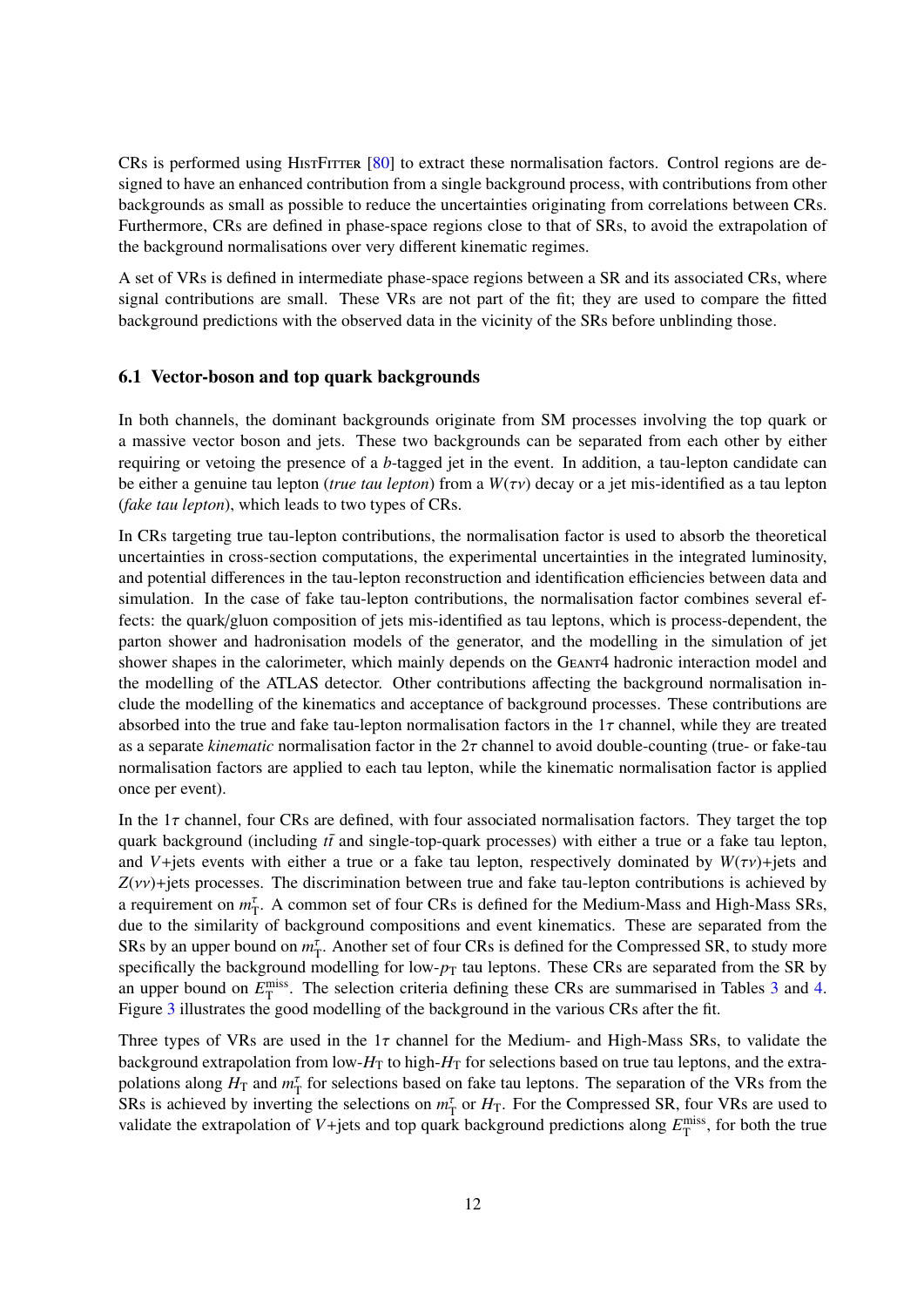CRs is performed using HistFitter [\[80\]](#page-29-13) to extract these normalisation factors. Control regions are designed to have an enhanced contribution from a single background process, with contributions from other backgrounds as small as possible to reduce the uncertainties originating from correlations between CRs. Furthermore, CRs are defined in phase-space regions close to that of SRs, to avoid the extrapolation of the background normalisations over very different kinematic regimes.

A set of VRs is defined in intermediate phase-space regions between a SR and its associated CRs, where signal contributions are small. These VRs are not part of the fit; they are used to compare the fitted background predictions with the observed data in the vicinity of the SRs before unblinding those.

### <span id="page-11-0"></span>6.1 Vector-boson and top quark backgrounds

In both channels, the dominant backgrounds originate from SM processes involving the top quark or a massive vector boson and jets. These two backgrounds can be separated from each other by either requiring or vetoing the presence of a *b*-tagged jet in the event. In addition, a tau-lepton candidate can be either a genuine tau lepton (*true tau lepton*) from a *<sup>W</sup>*(τν) decay or a jet mis-identified as a tau lepton (*fake tau lepton*), which leads to two types of CRs.

In CRs targeting true tau-lepton contributions, the normalisation factor is used to absorb the theoretical uncertainties in cross-section computations, the experimental uncertainties in the integrated luminosity, and potential differences in the tau-lepton reconstruction and identification efficiencies between data and simulation. In the case of fake tau-lepton contributions, the normalisation factor combines several effects: the quark/gluon composition of jets mis-identified as tau leptons, which is process-dependent, the parton shower and hadronisation models of the generator, and the modelling in the simulation of jet shower shapes in the calorimeter, which mainly depends on the GEANT4 hadronic interaction model and the modelling of the ATLAS detector. Other contributions affecting the background normalisation include the modelling of the kinematics and acceptance of background processes. These contributions are absorbed into the true and fake tau-lepton normalisation factors in the  $1\tau$  channel, while they are treated as a separate *kinematic* normalisation factor in the 2τ channel to avoid double-counting (true- or fake-tau normalisation factors are applied to each tau lepton, while the kinematic normalisation factor is applied once per event).

In the  $1\tau$  channel, four CRs are defined, with four associated normalisation factors. They target the top quark background (including  $t\bar{t}$  and single-top-quark processes) with either a true or a fake tau lepton, and *V*+jets events with either a true or a fake tau lepton, respectively dominated by  $W(\tau v)$ +jets and  $Z(vv)$ +jets processes. The discrimination between true and fake tau-lepton contributions is achieved by a requirement on  $m_{\rm T}^{\rm T}$ . A common set of four CRs is defined for the Medium-Mass and High-Mass SRs, due to the similarity of background compositions and event kinematics. These are separated from the SRs by an upper bound on  $m_T^{\tau}$ . Another set of four CRs is defined for the Compressed SR, to study more specifically the background modelling for low- $p_T$  tau leptons. These CRs are separated from the SR by an upper bound on  $E_{\rm T}^{\rm miss}$ . The selection criteria defining these CRs are summarised in Tables [3](#page-12-0) and [4.](#page-12-1) Figure [3](#page-13-0) illustrates the good modelling of the background in the various CRs after the fit.

Three types of VRs are used in the  $1\tau$  channel for the Medium- and High-Mass SRs, to validate the background extrapolation from low- $H_T$  to high- $H_T$  for selections based on true tau leptons, and the extrapolations along  $H_T$  and  $m_T^{\tau}$  for selections based on fake tau leptons. The separation of the VRs from the SRs is achieved by inverting the selections on  $m<sub>T</sub><sup>\tau</sup>$  or  $H<sub>T</sub>$ . For the Compressed SR, four VRs are used to validate the extrapolation of  $V +$ jets and top quark background predictions along  $E_T^{\text{miss}}$ , for both the true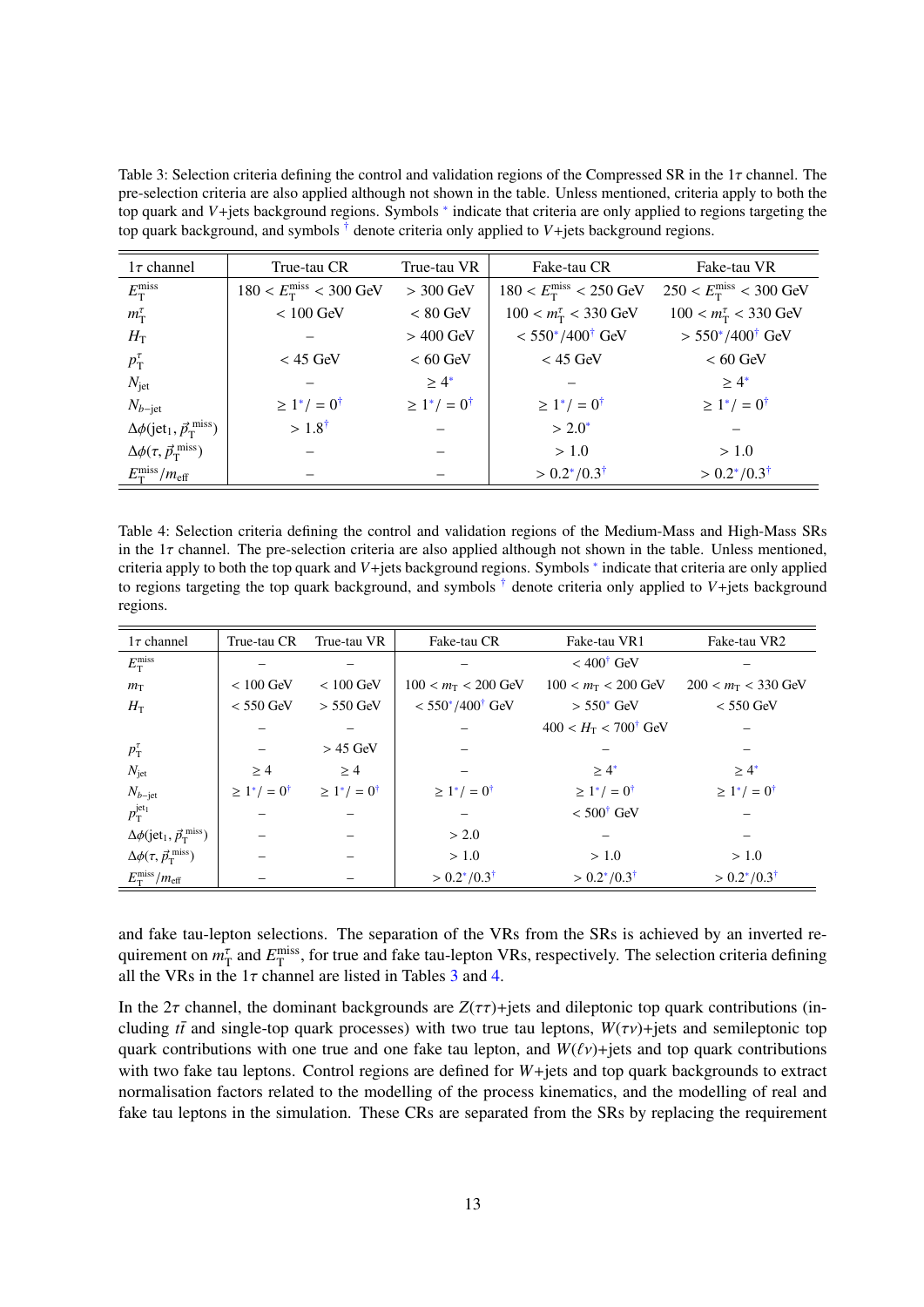<span id="page-12-0"></span>Table 3: Selection criteria defining the control and validation regions of the Compressed SR in the  $1\tau$  channel. The pre-selection criteria are also applied although not shown in the table. Unless mentioned, criteria apply to both the top quark and *V*+jets background regions. Symbols <sup>\*</sup> indicate that criteria are only applied to regions targeting the top quark background, and symbols  $\dagger$  denote criteria only applied to  $V +$ jets background regions.

<span id="page-12-3"></span><span id="page-12-2"></span>

| $1\tau$ channel                                                   | True-tau CR                            | True-tau VR             | Fake-tau CR                            | Fake-tau VR                            |
|-------------------------------------------------------------------|----------------------------------------|-------------------------|----------------------------------------|----------------------------------------|
| $E_{\rm T}^{\rm miss}$                                            | $180 < E_{\rm T}^{\rm miss} < 300$ GeV | $>$ 300 GeV             | $180 < E_{\rm T}^{\rm miss} < 250$ GeV | $250 < E_{\rm T}^{\rm miss} < 300$ GeV |
| $m_{\rm T}^{\tau}$                                                | $< 100$ GeV                            | $< 80$ GeV              | $100 < m_{\rm T}^{\tau} < 330$ GeV     | $100 < m_{\rm T}^{\tau} < 330$ GeV     |
| $H_{\rm T}$                                                       |                                        | $>$ 400 GeV             | $< 550^*/400^{\dagger}$ GeV            | $> 550^*/400^{\dagger}$ GeV            |
| $p_{\rm T}^{\tau}$                                                | $<$ 45 GeV                             | $< 60$ GeV              | $<$ 45 GeV                             | $< 60$ GeV                             |
| $N_{\rm jet}$                                                     |                                        | $> 4^*$                 |                                        | $> 4^*$                                |
| $N_{b-\text{jet}}$                                                | $\geq 1^*/=0^{\dagger}$                | $\geq 1^*/=0^{\dagger}$ | $\geq 1^*/=0^{\dagger}$                | $\geq 1^*/=0^{\dagger}$                |
| $\Delta\phi$ (jet <sub>1</sub> , $\vec{p}_{\rm T}^{\rm \;miss}$ ) | $>1.8^{\dagger}$                       |                         | $> 2.0^*$                              |                                        |
| $\Delta\phi(\tau,\vec{p}_{\rm T}^{\rm miss})$                     |                                        |                         | > 1.0                                  | > 1.0                                  |
| $E_{\rm T}^{\rm miss}/m_{\rm eff}$                                |                                        |                         | $> 0.2^*/0.3^{\dagger}$                | $> 0.2^*/0.3^{\dagger}$                |

<span id="page-12-1"></span>Table 4: Selection criteria defining the control and validation regions of the Medium-Mass and High-Mass SRs in the  $1\tau$  channel. The pre-selection criteria are also applied although not shown in the table. Unless mentioned, criteria apply to both the top quark and *V*+jets background regions. Symbols <sup>∗</sup> indicate that criteria are only applied to regions targeting the top quark background, and symbols † denote criteria only applied to *V*+jets background regions.

<span id="page-12-5"></span><span id="page-12-4"></span>

| $1\tau$ channel                                                 | True-tau CR             | True-tau VR             | Fake-tau CR                 | Fake-tau VR1                                | Fake-tau VR2            |
|-----------------------------------------------------------------|-------------------------|-------------------------|-----------------------------|---------------------------------------------|-------------------------|
| $E_{\rm T}^{\rm miss}$                                          |                         |                         |                             | $<$ 400 <sup><math>\dagger</math></sup> GeV |                         |
| $m_T$                                                           | $< 100$ GeV             | $< 100$ GeV             | $100 < m_T < 200$ GeV       | $100 < m_T < 200$ GeV                       | $200 < m_T < 330$ GeV   |
| $H_{\rm T}$                                                     | $< 550$ GeV             | $> 550$ GeV             | $< 550^*/400^{\dagger}$ GeV | $> 550^{\circ}$ GeV                         | $< 550$ GeV             |
|                                                                 |                         |                         |                             | $400 < H_{\rm T} < 700^{\circ}$ GeV         |                         |
| $p_{\rm T}^{\tau}$                                              |                         | $> 45$ GeV              |                             |                                             |                         |
| $N_{\rm jet}$                                                   | $\geq 4$                | $\geq 4$                |                             | $\geq 4^*$                                  | $\geq 4^*$              |
| $N_{b-\text{jet}}$                                              | $\geq 1^*/=0^{\dagger}$ | $\geq 1^*/=0^{\dagger}$ | $\geq 1^*/=0^{\dagger}$     | $\geq 1^*/=0^{\dagger}$                     | $\geq 1^*/=0^{\dagger}$ |
| $p_{\rm T}^{\rm jet_1}$                                         |                         |                         |                             | $< 500^{\dagger}$ GeV                       |                         |
| $\Delta\phi$ (jet <sub>1</sub> , $\vec{p}_{\rm T}^{\rm miss}$ ) |                         |                         | > 2.0                       |                                             |                         |
| $\Delta\phi(\tau, \vec{p}_{\rm T}^{\rm miss})$                  |                         |                         | > 1.0                       | > 1.0                                       | > 1.0                   |
| $E_{\rm T}^{\rm miss}/m_{\rm eff}$                              |                         |                         | $> 0.2^*/0.3^{\dagger}$     | $> 0.2^*/0.3^{\dagger}$                     | $> 0.2^*/0.3^{\dagger}$ |

and fake tau-lepton selections. The separation of the VRs from the SRs is achieved by an inverted requirement on  $m_T^{\tau}$  and  $E_T^{\text{miss}}$ , for true and fake tau-lepton VRs, respectively. The selection criteria defining all the VRs in the  $1\tau$  channel are listed in Tables [3](#page-12-0) and [4.](#page-12-1)

In the 2 $\tau$  channel, the dominant backgrounds are  $Z(\tau\tau)$ +jets and dileptonic top quark contributions (including  $t\bar{t}$  and single-top quark processes) with two true tau leptons,  $W(\tau v)$ +jets and semileptonic top quark contributions with one true and one fake tau lepton, and  $W(\ell v)$ +jets and top quark contributions with two fake tau leptons. Control regions are defined for *W*+jets and top quark backgrounds to extract normalisation factors related to the modelling of the process kinematics, and the modelling of real and fake tau leptons in the simulation. These CRs are separated from the SRs by replacing the requirement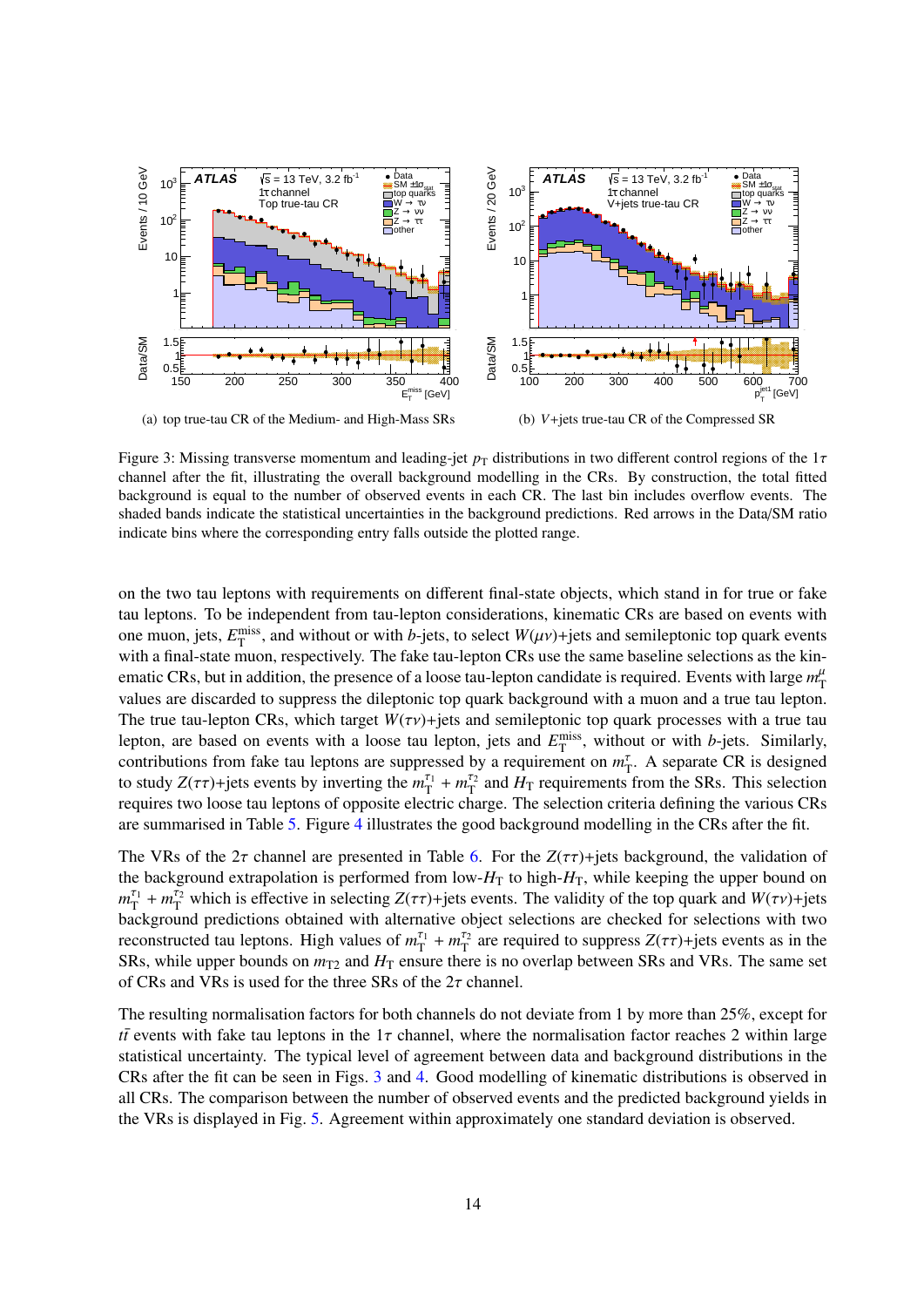<span id="page-13-0"></span>

Figure 3: Missing transverse momentum and leading-jet  $p_T$  distributions in two different control regions of the 1 $\tau$ channel after the fit, illustrating the overall background modelling in the CRs. By construction, the total fitted background is equal to the number of observed events in each CR. The last bin includes overflow events. The shaded bands indicate the statistical uncertainties in the background predictions. Red arrows in the Data/SM ratio indicate bins where the corresponding entry falls outside the plotted range.

on the two tau leptons with requirements on different final-state objects, which stand in for true or fake tau leptons. To be independent from tau-lepton considerations, kinematic CRs are based on events with one muon, jets,  $E_T^{\text{miss}}$ , and without or with *b*-jets, to select  $W(\mu\nu)$ +jets and semileptonic top quark events<br>with a final state muon, respectively. The fake tau lepton CBs use the same baseline selections as the ki with a final-state muon, respectively. The fake tau-lepton CRs use the same baseline selections as the kinematic CRs, but in addition, the presence of a loose tau-lepton candidate is required. Events with large  $m_{\rm T}^{\mu}$ values are discarded to suppress the dileptonic top quark background with a muon and a true tau lepton. The true tau-lepton CRs, which target  $W(\tau v)$ +jets and semileptonic top quark processes with a true tau lepton, are based on events with a loose tau lepton, jets and  $E_T^{\text{miss}}$ , without or with *b*-jets. Similarly, contributions from fake tau leptons are suppressed by a requirement on  $m_T^{\tau}$ . A separate CR is designed to study  $Z(\tau\tau)$ +jets events by inverting the  $m_T^{\tau_1} + m_T^{\tau_2}$  and  $H_T$  requirements from the SRs. This selection<br>requires two loose tay lentons of opposite electric charge. The selection criteria defining the various requires two loose tau leptons of opposite electric charge. The selection criteria defining the various CRs are summarised in Table [5.](#page-14-1) Figure [4](#page-14-2) illustrates the good background modelling in the CRs after the fit.

The VRs of the  $2\tau$  channel are presented in Table [6.](#page-15-0) For the  $Z(\tau\tau)$ +jets background, the validation of the background extrapolation is performed from low- $H<sub>T</sub>$  to high- $H<sub>T</sub>$ , while keeping the upper bound on  $m_T^{\tau_1} + m_T^{\tau_2}$  which is effective in selecting  $Z(\tau\tau)$ +jets events. The validity of the top quark and  $W(\tau\nu)$ +jets<br>hackground predictions obtained with alternative object selections are checked for selections with background predictions obtained with alternative object selections are checked for selections with two reconstructed tau leptons. High values of  $m_{\text{T}}^{\tau_1} + m_{\text{T}}^{\tau_2}$  are required to suppress  $Z(\tau\tau)$ +jets events as in the SRs, while upper bounds on  $m_{T2}$  and  $H_T$  ensure there is no overlap between SRs and VRs. The same set of CRs and VRs is used for the three SRs of the  $2\tau$  channel.

The resulting normalisation factors for both channels do not deviate from 1 by more than 25%, except for *tt* events with fake tau leptons in the 1 $\tau$  channel, where the normalisation factor reaches 2 within large statistical uncertainty. The typical level of agreement between data and background distributions in the CRs after the fit can be seen in Figs. [3](#page-13-0) and [4.](#page-14-2) Good modelling of kinematic distributions is observed in all CRs. The comparison between the number of observed events and the predicted background yields in the VRs is displayed in Fig. [5.](#page-15-1) Agreement within approximately one standard deviation is observed.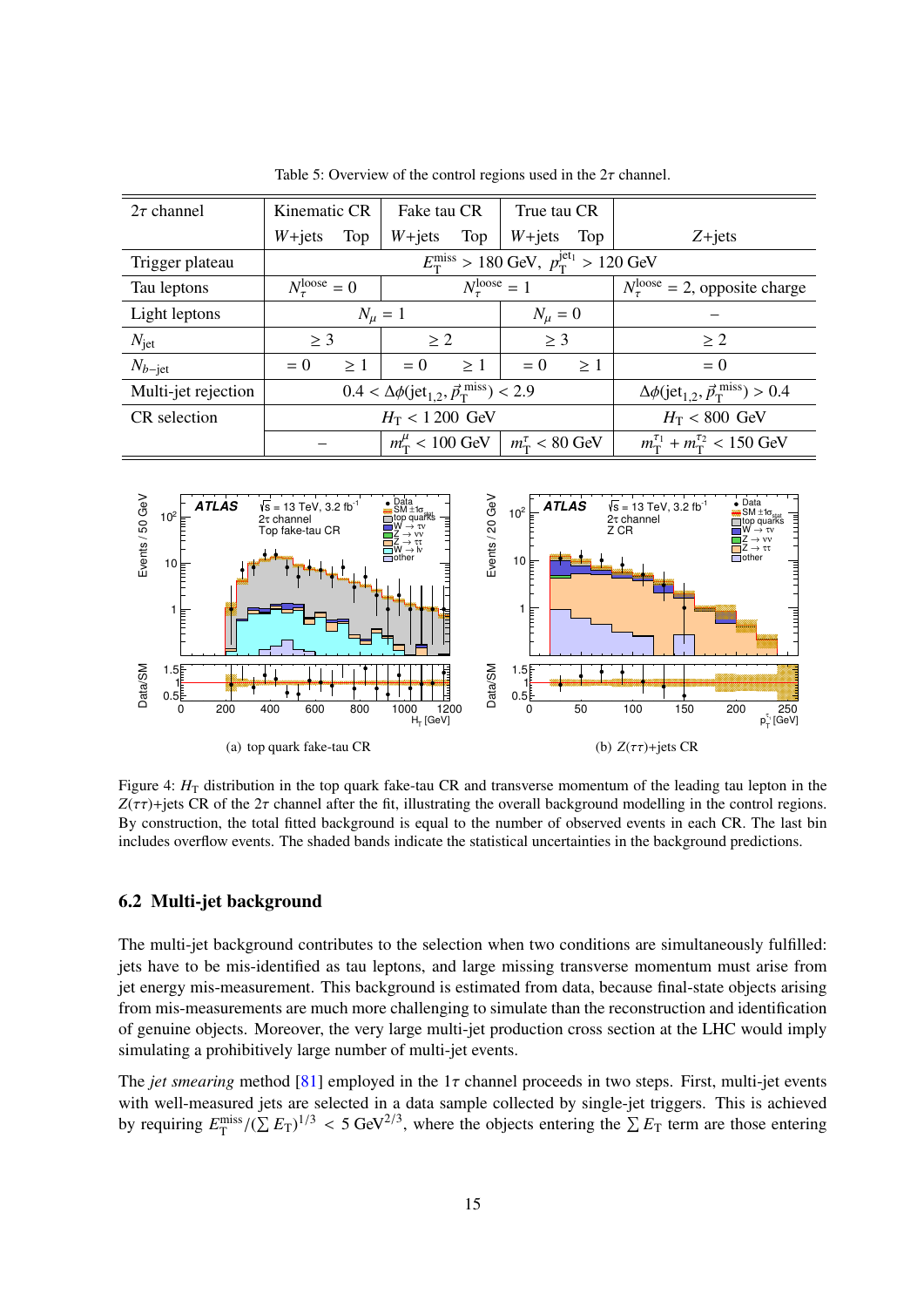<span id="page-14-1"></span>

| $2\tau$ channel     | Kinematic CR<br>Fake tau CR<br>True tau CR                 |          |                                                                               |                                                     |                                                                     |                                                                      |            |
|---------------------|------------------------------------------------------------|----------|-------------------------------------------------------------------------------|-----------------------------------------------------|---------------------------------------------------------------------|----------------------------------------------------------------------|------------|
|                     | $W + jets$                                                 | Top      | $W + jets$                                                                    | Top                                                 | $W + jets$                                                          | Top                                                                  | $Z + jets$ |
| Trigger plateau     |                                                            |          |                                                                               |                                                     | $E_{\rm T}^{\rm miss} > 180$ GeV, $p_{\rm T}^{\rm jet_1} > 120$ GeV |                                                                      |            |
| Tau leptons         | $N_{\tau}^{\text{loose}} = 0$                              |          | $N_{\tau}^{\text{loose}} = 1$                                                 |                                                     |                                                                     | $N_{\tau}^{\text{loose}} = 2$ , opposite charge                      |            |
| Light leptons       |                                                            |          | $N_{\mu} = 1$<br>$N_\mu=0$                                                    |                                                     |                                                                     |                                                                      |            |
| $N_{\rm jet}$       | $\geq$ 3                                                   |          | > 2                                                                           |                                                     | $\geq$ 3                                                            |                                                                      | $\geq 2$   |
| $N_{b-\text{jet}}$  | $= 0$                                                      | $\geq 1$ | $= 0$                                                                         | >1                                                  | $= 0$                                                               | >1                                                                   | $= 0$      |
| Multi-jet rejection |                                                            |          | $0.4 < \Delta\phi$ (jet <sub>1.2</sub> , $\vec{p}_{\rm T}^{\rm miss}$ ) < 2.9 |                                                     |                                                                     | $\Delta\phi$ (jet <sub>1.2</sub> , $\vec{p}_T^{\text{miss}}$ ) > 0.4 |            |
| CR selection        |                                                            |          | $H_T < 1200$ GeV                                                              |                                                     | $H_T < 800$ GeV                                                     |                                                                      |            |
|                     | $m_{\rm T}^{\mu}$ < 100 GeV<br>$m_{\rm T}^{\tau}$ < 80 GeV |          |                                                                               | $m_{\rm T}^{\tau_1} + m_{\rm T}^{\tau_2} < 150$ GeV |                                                                     |                                                                      |            |

Table 5: Overview of the control regions used in the  $2\tau$  channel.

<span id="page-14-2"></span>

Figure 4: *H*<sub>T</sub> distribution in the top quark fake-tau CR and transverse momentum of the leading tau lepton in the  $Z(\tau\tau)$ +jets CR of the  $2\tau$  channel after the fit, illustrating the overall background modelling in the control regions. By construction, the total fitted background is equal to the number of observed events in each CR. The last bin includes overflow events. The shaded bands indicate the statistical uncertainties in the background predictions.

### <span id="page-14-0"></span>6.2 Multi-jet background

The multi-jet background contributes to the selection when two conditions are simultaneously fulfilled: jets have to be mis-identified as tau leptons, and large missing transverse momentum must arise from jet energy mis-measurement. This background is estimated from data, because final-state objects arising from mis-measurements are much more challenging to simulate than the reconstruction and identification of genuine objects. Moreover, the very large multi-jet production cross section at the LHC would imply simulating a prohibitively large number of multi-jet events.

The *jet smearing* method [\[81\]](#page-29-14) employed in the  $1\tau$  channel proceeds in two steps. First, multi-jet events with well-measured jets are selected in a data sample collected by single-jet triggers. This is achieved by requiring  $E_{\rm T}^{\rm miss}/(\sum E_{\rm T})^{1/3}$  < 5 GeV<sup>2/3</sup>, where the objects entering the  $\sum E_{\rm T}$  term are those entering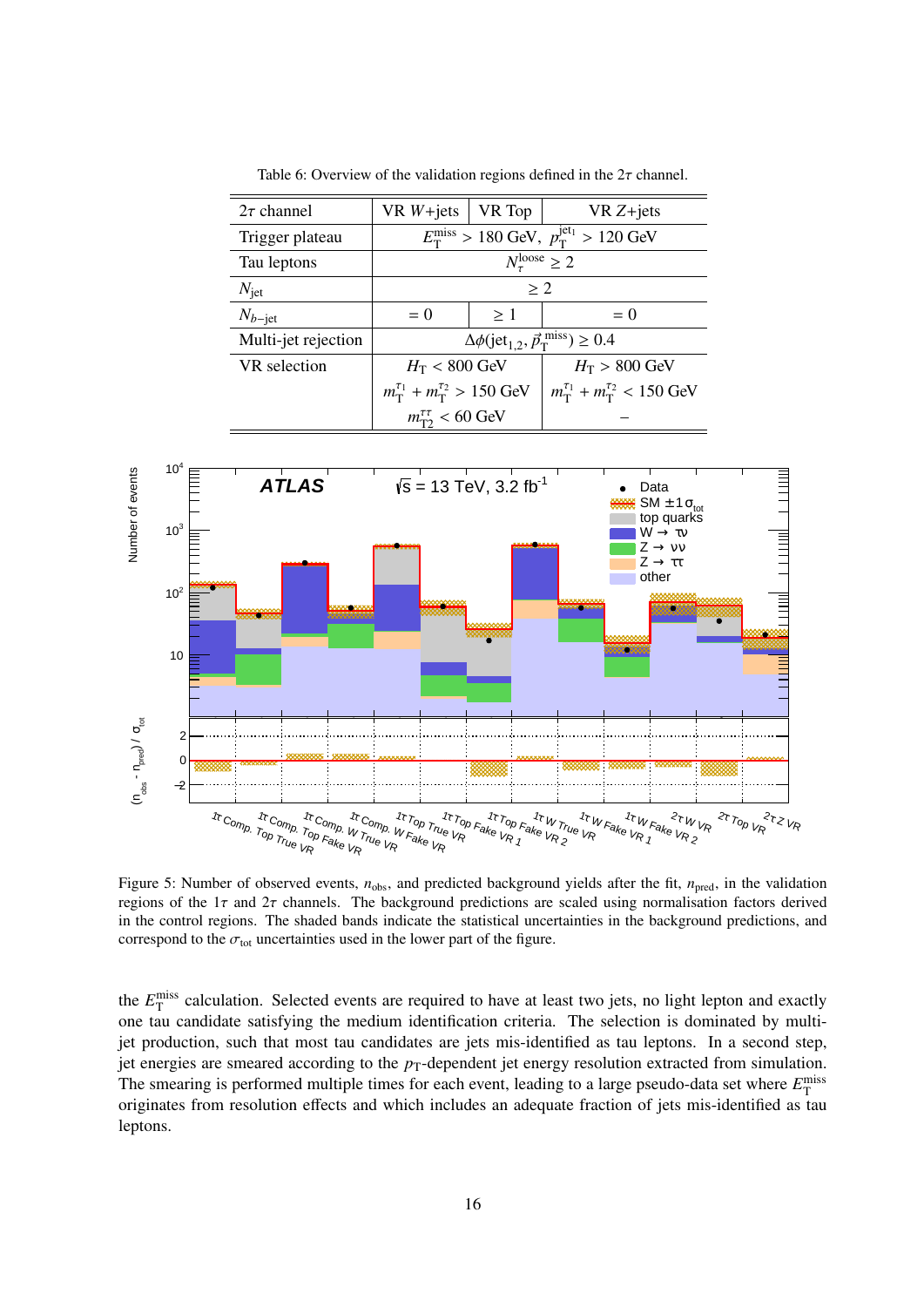<span id="page-15-0"></span>

| $2\tau$ channel     | $VRW+jets$                                          | VR Top                           | $VRZ+jets$                                                                |  |  |
|---------------------|-----------------------------------------------------|----------------------------------|---------------------------------------------------------------------------|--|--|
| Trigger plateau     |                                                     |                                  | $E_{\rm T}^{\rm miss} > 180$ GeV, $p_{\rm T}^{\rm jet_1} > 120$ GeV       |  |  |
| Tau leptons         |                                                     | $N_{\tau}^{\text{loose}} \geq 2$ |                                                                           |  |  |
| $N_{\rm jet}$       | > 2                                                 |                                  |                                                                           |  |  |
| $N_{b-\text{jet}}$  | $= 0$                                               | $\geq 1$                         | $= 0$                                                                     |  |  |
| Multi-jet rejection |                                                     |                                  | $\Delta\phi$ (jet <sub>1.2</sub> , $\vec{p}_T^{\text{miss}}$ ) $\geq 0.4$ |  |  |
| VR selection        | $H_T < 800$ GeV                                     |                                  | $H_T > 800$ GeV                                                           |  |  |
|                     | $m_{\rm T}^{\tau_1} + m_{\rm T}^{\tau_2} > 150$ GeV |                                  | $m_{\rm T}^{\tau_1} + m_{\rm T}^{\tau_2} < 150$ GeV                       |  |  |
|                     | $m_{\text{T2}}^{\tau\tau}$ < 60 GeV                 |                                  |                                                                           |  |  |

Table 6: Overview of the validation regions defined in the  $2\tau$  channel.

<span id="page-15-1"></span>

Figure 5: Number of observed events,  $n_{obs}$ , and predicted background yields after the fit,  $n_{pred}$ , in the validation regions of the  $1\tau$  and  $2\tau$  channels. The background predictions are scaled using normalisation factors derived in the control regions. The shaded bands indicate the statistical uncertainties in the background predictions, and correspond to the  $\sigma_{\text{tot}}$  uncertainties used in the lower part of the figure.

the  $E_{\rm T}^{\rm miss}$  calculation. Selected events are required to have at least two jets, no light lepton and exactly one tau candidate satisfying the medium identification criteria. The selection is dominated by multijet production, such that most tau candidates are jets mis-identified as tau leptons. In a second step, jet energies are smeared according to the  $p_T$ -dependent jet energy resolution extracted from simulation. The smearing is performed multiple times for each event, leading to a large pseudo-data set where  $E_{\text{T}}^{\text{miss}}$ originates from resolution effects and which includes an adequate fraction of jets mis-identified as tau leptons.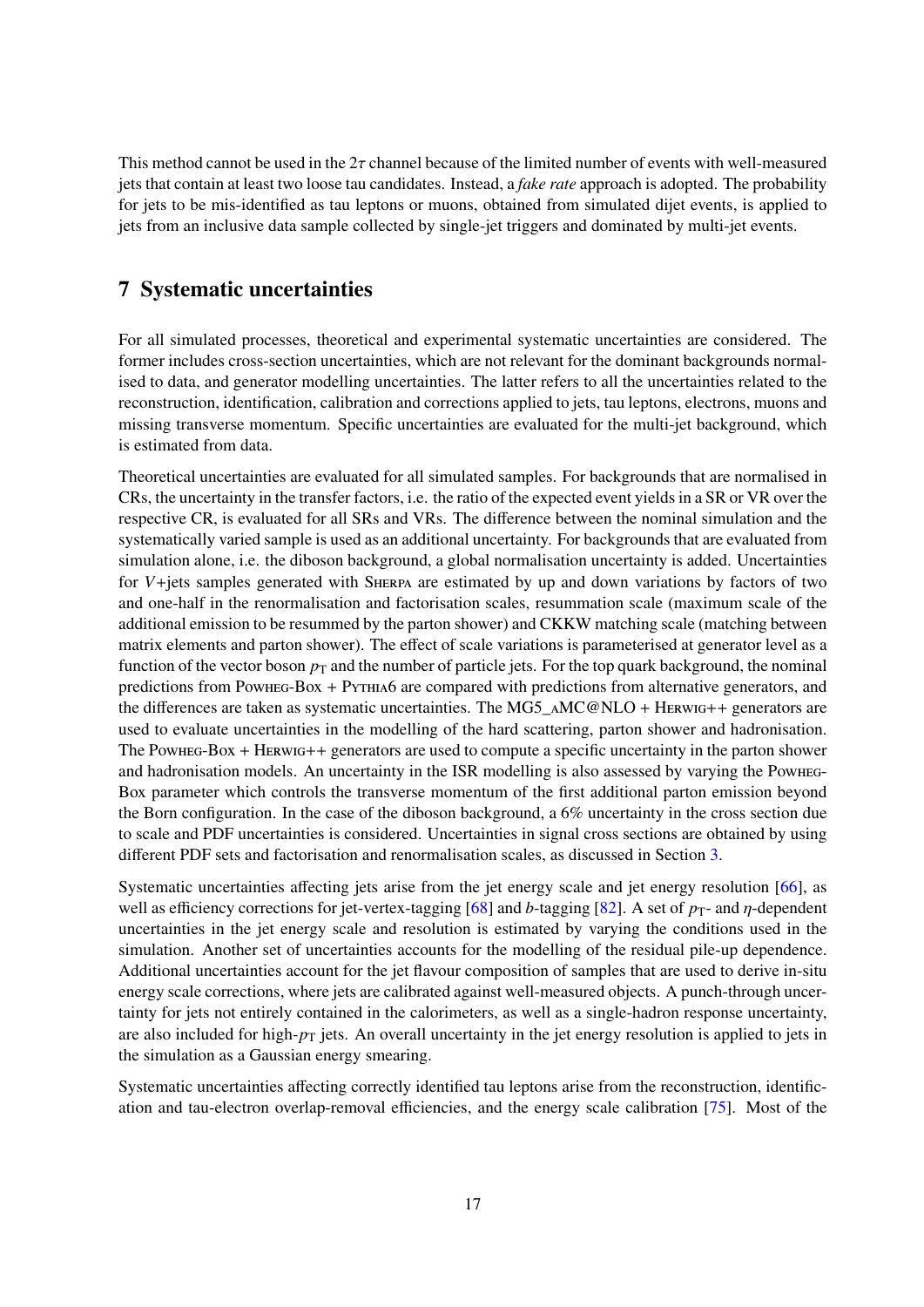This method cannot be used in the  $2\tau$  channel because of the limited number of events with well-measured jets that contain at least two loose tau candidates. Instead, a *fake rate* approach is adopted. The probability for jets to be mis-identified as tau leptons or muons, obtained from simulated dijet events, is applied to jets from an inclusive data sample collected by single-jet triggers and dominated by multi-jet events.

## <span id="page-16-0"></span>7 Systematic uncertainties

For all simulated processes, theoretical and experimental systematic uncertainties are considered. The former includes cross-section uncertainties, which are not relevant for the dominant backgrounds normalised to data, and generator modelling uncertainties. The latter refers to all the uncertainties related to the reconstruction, identification, calibration and corrections applied to jets, tau leptons, electrons, muons and missing transverse momentum. Specific uncertainties are evaluated for the multi-jet background, which is estimated from data.

Theoretical uncertainties are evaluated for all simulated samples. For backgrounds that are normalised in CRs, the uncertainty in the transfer factors, i.e. the ratio of the expected event yields in a SR or VR over the respective CR, is evaluated for all SRs and VRs. The difference between the nominal simulation and the systematically varied sample is used as an additional uncertainty. For backgrounds that are evaluated from simulation alone, i.e. the diboson background, a global normalisation uncertainty is added. Uncertainties for *V*+jets samples generated with Sherpa are estimated by up and down variations by factors of two and one-half in the renormalisation and factorisation scales, resummation scale (maximum scale of the additional emission to be resummed by the parton shower) and CKKW matching scale (matching between matrix elements and parton shower). The effect of scale variations is parameterised at generator level as a function of the vector boson  $p<sub>T</sub>$  and the number of particle jets. For the top quark background, the nominal predictions from Powheg-Box + Pythia6 are compared with predictions from alternative generators, and the differences are taken as systematic uncertainties. The MG5\_AMC@NLO + Herwig++ generators are used to evaluate uncertainties in the modelling of the hard scattering, parton shower and hadronisation. The Powheg-Box + Herwig++ generators are used to compute a specific uncertainty in the parton shower and hadronisation models. An uncertainty in the ISR modelling is also assessed by varying the Powheg-Box parameter which controls the transverse momentum of the first additional parton emission beyond the Born configuration. In the case of the diboson background, a 6% uncertainty in the cross section due to scale and PDF uncertainties is considered. Uncertainties in signal cross sections are obtained by using different PDF sets and factorisation and renormalisation scales, as discussed in Section [3.](#page-4-1)

Systematic uncertainties affecting jets arise from the jet energy scale and jet energy resolution [\[66\]](#page-28-12), as well as efficiency corrections for jet-vertex-tagging [\[68\]](#page-29-1) and *b*-tagging [\[82\]](#page-29-15). A set of *p*<sub>T</sub>- and *η*-dependent uncertainties in the jet energy scale and resolution is estimated by varying the conditions used in the simulation. Another set of uncertainties accounts for the modelling of the residual pile-up dependence. Additional uncertainties account for the jet flavour composition of samples that are used to derive in-situ energy scale corrections, where jets are calibrated against well-measured objects. A punch-through uncertainty for jets not entirely contained in the calorimeters, as well as a single-hadron response uncertainty, are also included for high- $p<sub>T</sub>$  jets. An overall uncertainty in the jet energy resolution is applied to jets in the simulation as a Gaussian energy smearing.

Systematic uncertainties affecting correctly identified tau leptons arise from the reconstruction, identification and tau-electron overlap-removal efficiencies, and the energy scale calibration [\[75\]](#page-29-8). Most of the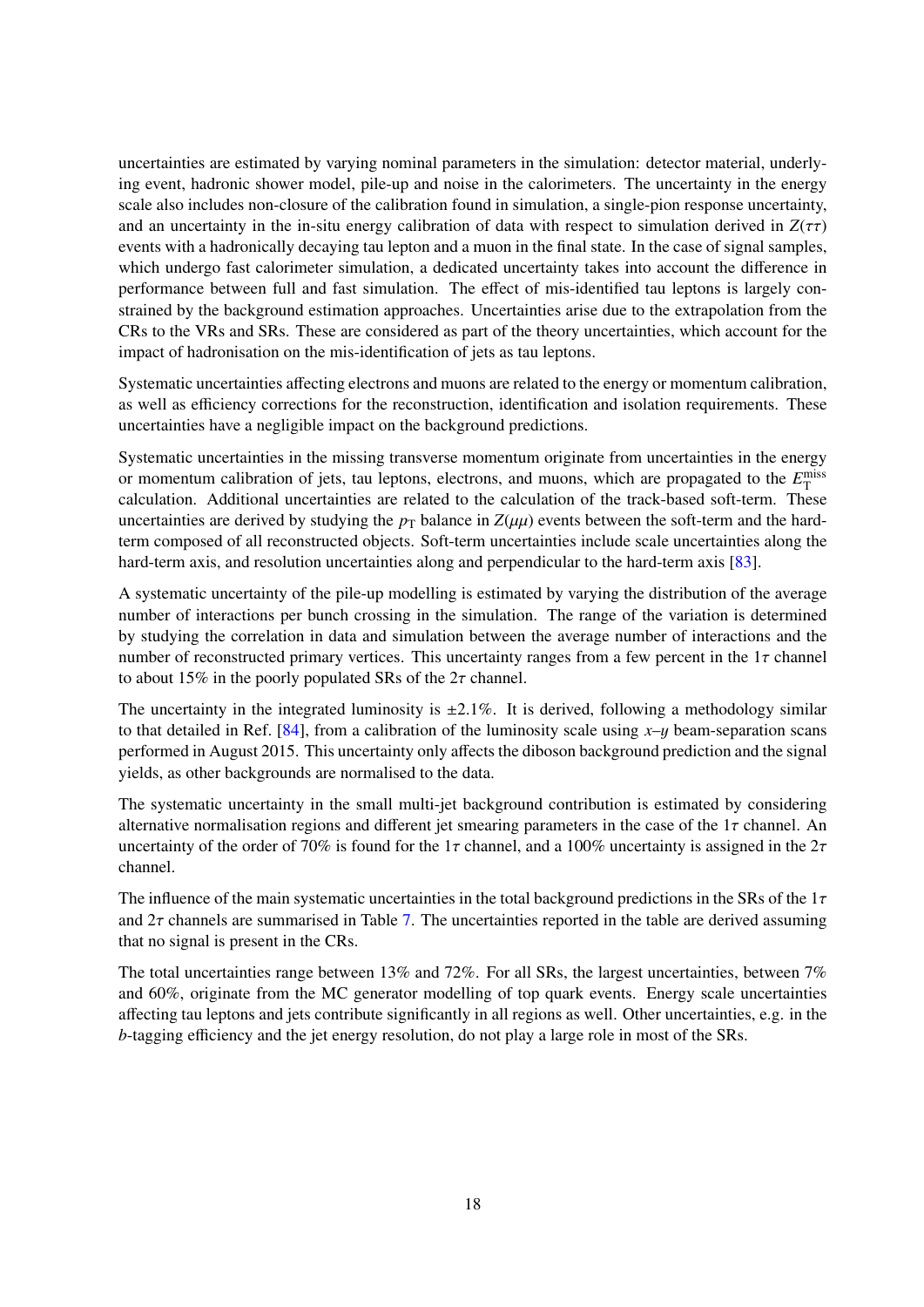uncertainties are estimated by varying nominal parameters in the simulation: detector material, underlying event, hadronic shower model, pile-up and noise in the calorimeters. The uncertainty in the energy scale also includes non-closure of the calibration found in simulation, a single-pion response uncertainty, and an uncertainty in the in-situ energy calibration of data with respect to simulation derived in  $Z(\tau\tau)$ events with a hadronically decaying tau lepton and a muon in the final state. In the case of signal samples, which undergo fast calorimeter simulation, a dedicated uncertainty takes into account the difference in performance between full and fast simulation. The effect of mis-identified tau leptons is largely constrained by the background estimation approaches. Uncertainties arise due to the extrapolation from the CRs to the VRs and SRs. These are considered as part of the theory uncertainties, which account for the impact of hadronisation on the mis-identification of jets as tau leptons.

Systematic uncertainties affecting electrons and muons are related to the energy or momentum calibration, as well as efficiency corrections for the reconstruction, identification and isolation requirements. These uncertainties have a negligible impact on the background predictions.

Systematic uncertainties in the missing transverse momentum originate from uncertainties in the energy or momentum calibration of jets, tau leptons, electrons, and muons, which are propagated to the  $E_{\text{T}}^{\text{miss}}$ calculation. Additional uncertainties are related to the calculation of the track-based soft-term. These uncertainties are derived by studying the  $p<sub>T</sub>$  balance in  $Z(\mu\mu)$  events between the soft-term and the hardterm composed of all reconstructed objects. Soft-term uncertainties include scale uncertainties along the hard-term axis, and resolution uncertainties along and perpendicular to the hard-term axis [\[83\]](#page-30-0).

A systematic uncertainty of the pile-up modelling is estimated by varying the distribution of the average number of interactions per bunch crossing in the simulation. The range of the variation is determined by studying the correlation in data and simulation between the average number of interactions and the number of reconstructed primary vertices. This uncertainty ranges from a few percent in the  $1\tau$  channel to about 15% in the poorly populated SRs of the  $2\tau$  channel.

The uncertainty in the integrated luminosity is  $\pm 2.1\%$ . It is derived, following a methodology similar to that detailed in Ref.  $[84]$ , from a calibration of the luminosity scale using  $x-y$  beam-separation scans performed in August 2015. This uncertainty only affects the diboson background prediction and the signal yields, as other backgrounds are normalised to the data.

The systematic uncertainty in the small multi-jet background contribution is estimated by considering alternative normalisation regions and different jet smearing parameters in the case of the  $1\tau$  channel. An uncertainty of the order of 70% is found for the  $1\tau$  channel, and a 100% uncertainty is assigned in the  $2\tau$ channel.

The influence of the main systematic uncertainties in the total background predictions in the SRs of the  $1\tau$ and  $2\tau$  channels are summarised in Table [7.](#page-18-1) The uncertainties reported in the table are derived assuming that no signal is present in the CRs.

The total uncertainties range between 13% and 72%. For all SRs, the largest uncertainties, between 7% and 60%, originate from the MC generator modelling of top quark events. Energy scale uncertainties affecting tau leptons and jets contribute significantly in all regions as well. Other uncertainties, e.g. in the *b*-tagging efficiency and the jet energy resolution, do not play a large role in most of the SRs.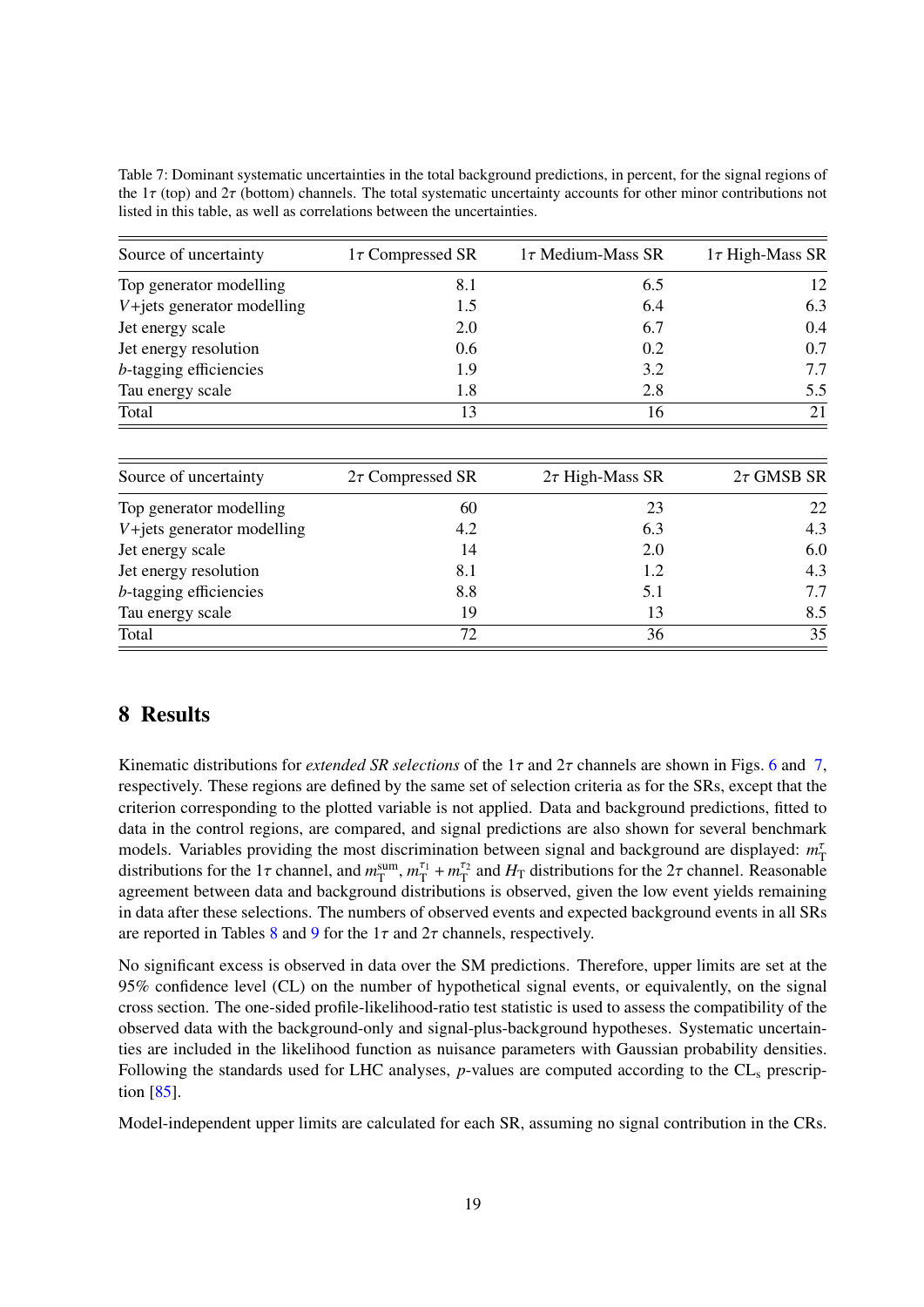| Source of uncertainty        | $1\tau$ Compressed SR | $1\tau$ Medium-Mass SR | $1\tau$ High-Mass SR |
|------------------------------|-----------------------|------------------------|----------------------|
| Top generator modelling      | 8.1                   | 6.5                    | 12                   |
| $V+jets$ generator modelling | 1.5                   | 6.4                    | 6.3                  |
| Jet energy scale             | 2.0                   | 6.7                    | 0.4                  |
| Jet energy resolution        | 0.6                   | 0.2                    | 0.7                  |
| $b$ -tagging efficiencies    | 1.9                   | 3.2                    | 7.7                  |
| Tau energy scale             | 1.8                   | 2.8                    | 5.5                  |
| Total                        | 13                    | 16                     | 21                   |
| Source of uncertainty        | $2\tau$ Compressed SR | $2\tau$ High-Mass SR   | $2\tau$ GMSB SR      |
| Top generator modelling      | 60                    | 23                     | 22                   |
| $V+jets$ generator modelling | 4.2                   | 6.3                    | 4.3                  |
| Jet energy scale             | 14                    | 2.0                    | 6.0                  |
| Let energy resolution        | $Q_1$                 | 1 <sub>2</sub>         | $\Lambda$ 2          |

Jet energy resolution 8.1 1.2 4.3<br>
A tagging efficiencies 8.8 5.1 7.7 *b*-tagging efficiencies 8.8 5.1 7.7<br>Tau energy scale 19 13 8.5 Tau energy scale  $\frac{19}{72}$   $\frac{13}{36}$   $\frac{8.5}{35}$ Total  $72$   $36$   $35$ 

<span id="page-18-1"></span>Table 7: Dominant systematic uncertainties in the total background predictions, in percent, for the signal regions of the  $1\tau$  (top) and  $2\tau$  (bottom) channels. The total systematic uncertainty accounts for other minor contributions not listed in this table, as well as correlations between the uncertainties.

## <span id="page-18-0"></span>8 Results

Kinematic distributions for *extended SR selections* of the 1τ and 2τ channels are shown in Figs. [6](#page-19-0) and [7,](#page-20-0) respectively. These regions are defined by the same set of selection criteria as for the SRs, except that the criterion corresponding to the plotted variable is not applied. Data and background predictions, fitted to data in the control regions, are compared, and signal predictions are also shown for several benchmark models. Variables providing the most discrimination between signal and background are displayed: *m*<sup>τ</sup><sub>T</sub> distributions for the 1 $\tau$  channel, and  $m_T^{\text{sum}}$ ,  $m_T^{\tau_1} + m_T^{\tau_2}$  and  $H_T$  distributions for the 2 $\tau$  channel. Reasonable agreement between data and background distributions is observed, given the low event yields remaining in data after these selections. The numbers of observed events and expected background events in all SRs are reported in Tables [8](#page-21-0) and [9](#page-21-1) for the  $1\tau$  and  $2\tau$  channels, respectively.

No significant excess is observed in data over the SM predictions. Therefore, upper limits are set at the 95% confidence level (CL) on the number of hypothetical signal events, or equivalently, on the signal cross section. The one-sided profile-likelihood-ratio test statistic is used to assess the compatibility of the observed data with the background-only and signal-plus-background hypotheses. Systematic uncertainties are included in the likelihood function as nuisance parameters with Gaussian probability densities. Following the standards used for LHC analyses, *p*-values are computed according to the CL<sub>s</sub> prescription [\[85\]](#page-30-2).

Model-independent upper limits are calculated for each SR, assuming no signal contribution in the CRs.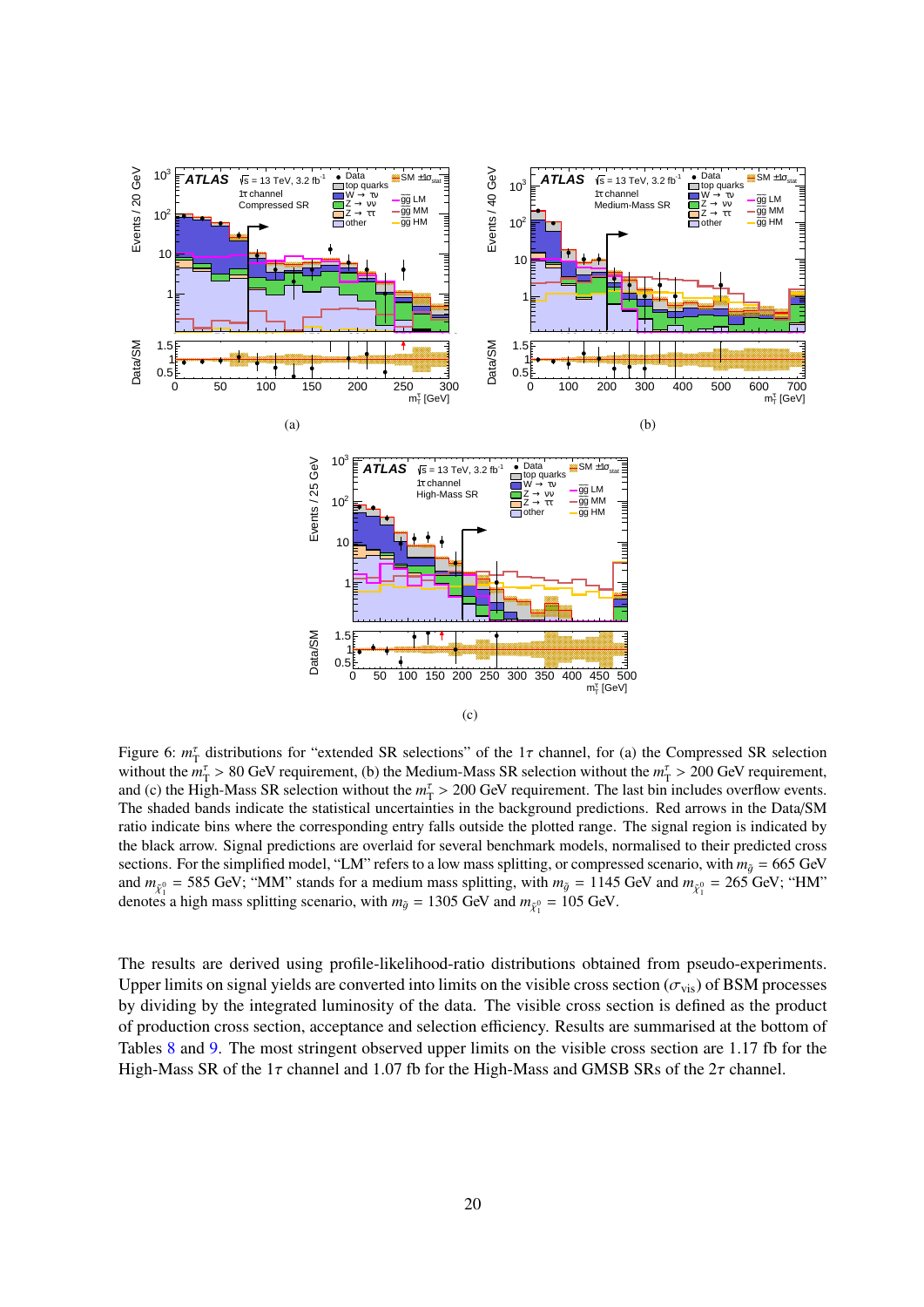<span id="page-19-0"></span>

Figure 6:  $m_{\rm T}^{\rm r}$  distributions for "extended SR selections" of the 1 $\tau$  channel, for (a) the Compressed SR selection<br>without the  $m^{\tau} > 80$  GeV requirement (b) the Medium-Mass SR selection without the  $m^{\tau} > 200$ without the  $m_{\rm T}^{\rm T} > 80$  GeV requirement, (b) the Medium-Mass SR selection without the  $m_{\rm T}^{\rm T} > 200$  GeV requirement,<br>and (c) the High-Mass SR selection without the  $m_{\rm T}^{\rm T} > 200$  GeV requirement. The last h and (c) the High-Mass SR selection without the  $m<sub>T</sub><sup>T</sup> > 200$  GeV requirement. The last bin includes overflow events.<br>The shaded bands indicate the statistical uncertainties in the background predictions. Red arrows The shaded bands indicate the statistical uncertainties in the background predictions. Red arrows in the Data/SM ratio indicate bins where the corresponding entry falls outside the plotted range. The signal region is indicated by the black arrow. Signal predictions are overlaid for several benchmark models, normalised to their predicted cross sections. For the simplified model, "LM" refers to a low mass splitting, or compressed scenario, with  $m_{\tilde{q}} = 665$  GeV and  $m_{\tilde{\chi}_1^0} = 585$  GeV; "MM" stands for a medium mass splitting, with  $m_{\tilde{g}} = 1145$  GeV and  $m_{\tilde{\chi}_1^0} = 265$  GeV; "HM" denotes a high mass splitting scenario, with  $m_s = 1305$  GeV and  $m_s = 105$  GeV denotes a high mass splitting scenario, with  $m_{\tilde{g}} = 1305$  GeV and  $m_{\tilde{\chi}_1^0} = 105$  GeV.

The results are derived using profile-likelihood-ratio distributions obtained from pseudo-experiments. Upper limits on signal yields are converted into limits on the visible cross section ( $\sigma_{\rm vis}$ ) of BSM processes by dividing by the integrated luminosity of the data. The visible cross section is defined as the product of production cross section, acceptance and selection efficiency. Results are summarised at the bottom of Tables [8](#page-21-0) and [9.](#page-21-1) The most stringent observed upper limits on the visible cross section are 1.17 fb for the High-Mass SR of the  $1\tau$  channel and 1.07 fb for the High-Mass and GMSB SRs of the  $2\tau$  channel.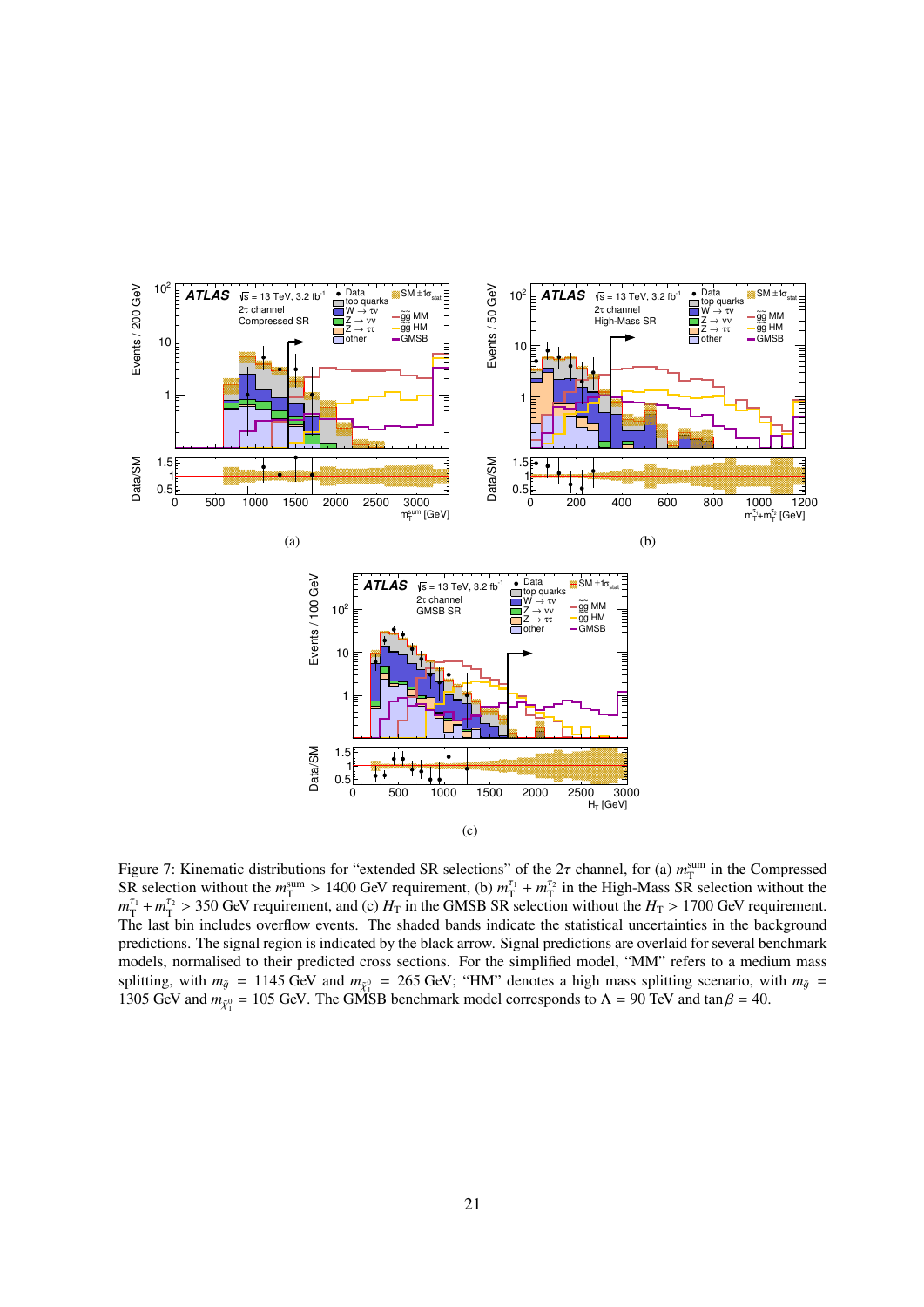<span id="page-20-0"></span>

Figure 7: Kinematic distributions for "extended SR selections" of the 2 $\tau$  channel, for (a)  $m_{\text{I}}^{\text{sum}}$  in the Compressed SR selection without the  $m_{\text{SIR}}^{\text{sum}} > 1400 \text{ GeV}$  requirement (b)  $m_{\text{I}}^{\tau_1} + m_{\text{I}}^{\$ SR selection without the  $m_{\text{I}}^{\text{sum}} > 1400 \text{ GeV}$  requirement, (b)  $m_{\text{I}}^{\text{L}_1} + m_{\text{I}}^{\text{L}_2}$  in the High-Mass SR selection without the  $m_{\text{I}}^{\text{L}_1} \times 1700 \text{ GeV}$  requirement  $m_T^{\tau_1} + m_T^{\tau_2} > 350$  GeV requirement, and (c)  $H_T$  in the GMSB SR selection without the  $H_T > 1700$  GeV requirement.<br>The last hin includes overflow events. The shaded bands indicate the statistical uncertainties in the The last bin includes overflow events. The shaded bands indicate the statistical uncertainties in the background predictions. The signal region is indicated by the black arrow. Signal predictions are overlaid for several benchmark models, normalised to their predicted cross sections. For the simplified model, "MM" refers to a medium mass splitting, with  $m_{\tilde{g}} = 1145$  GeV and  $m_{\tilde{\chi}_{1}^{0}} = 265$  GeV; "HM" denotes a high mass splitting scenario, with  $m_{\tilde{g}} = 1305$  GeV and  $m_{\tilde{g}} = 1305$  GeV and  $m_{\tilde{g}} = 105$  GeV. The GMSB banchmark model correspo 1305 GeV and  $m_{\tilde{\chi}_1^0} = 105$  GeV. The GMSB benchmark model corresponds to  $\Lambda = 90$  TeV and tan  $\beta = 40$ .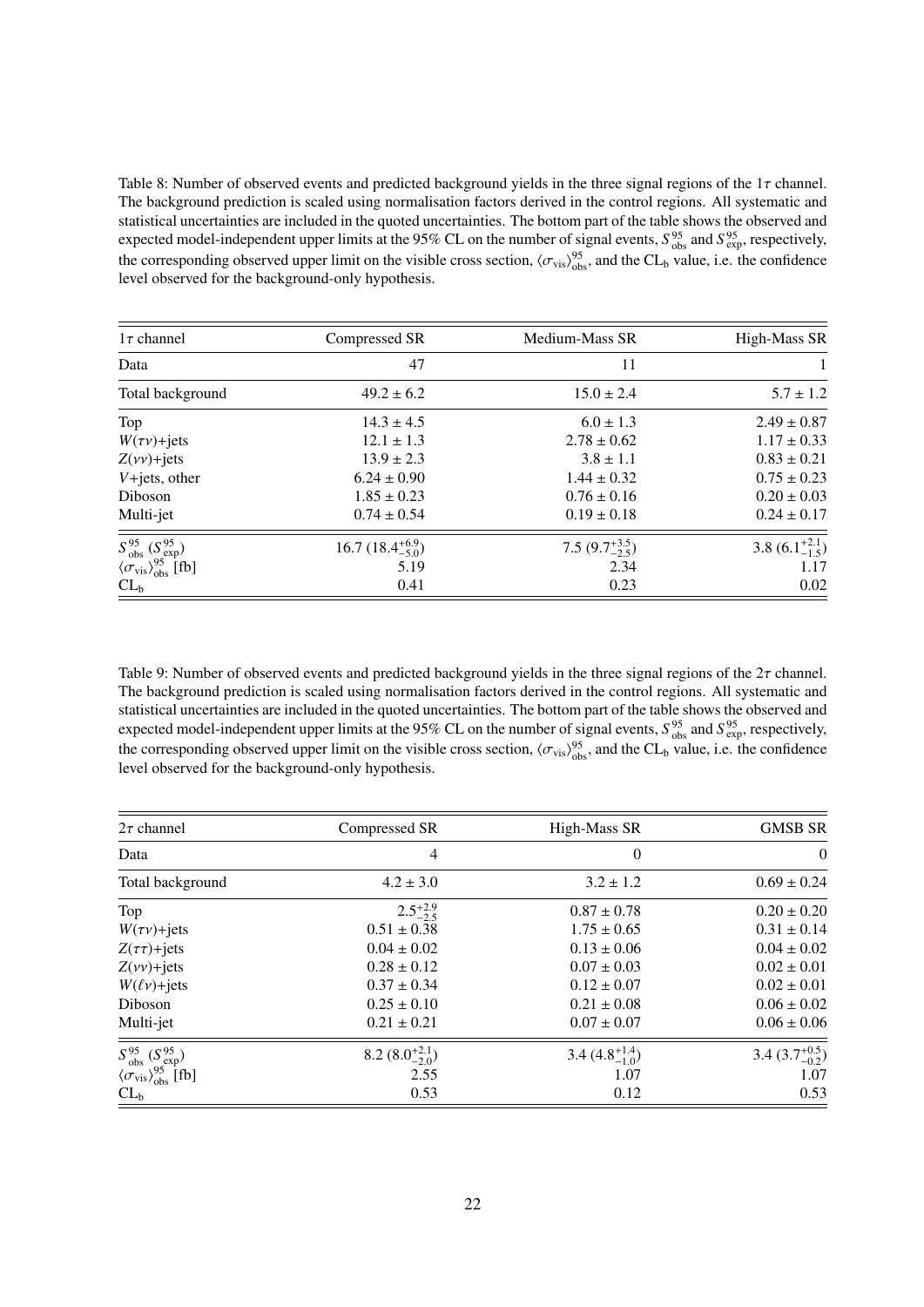<span id="page-21-0"></span>Table 8: Number of observed events and predicted background yields in the three signal regions of the  $1\tau$  channel. The background prediction is scaled using normalisation factors derived in the control regions. All systematic and statistical uncertainties are included in the quoted uncertainties. The bottom part of the table shows the observed and expected model-independent upper limits at the 95% CL on the number of signal events,  $S_{obs}^{95}$  and  $S_{exp}^{95}$ , respectively, the corresponding observed upper limit on the visible cross section,  $\langle \sigma_{\rm vis} \rangle_{\rm obs}^{\rm 95}$ , and the CL<sub>b</sub> value, i.e. the confidence<br>level observed for the background-only hypothesis level observed for the background-only hypothesis.

| $1\tau$ channel                                        | Compressed SR               | Medium-Mass SR            | High-Mass SR              |
|--------------------------------------------------------|-----------------------------|---------------------------|---------------------------|
| Data                                                   | 47                          | 11                        |                           |
| Total background                                       | $49.2 \pm 6.2$              | $15.0 \pm 2.4$            | $5.7 \pm 1.2$             |
| Top                                                    | $14.3 \pm 4.5$              | $6.0 \pm 1.3$             | $2.49 \pm 0.87$           |
| $W(\tau v)$ +jets                                      | $12.1 \pm 1.3$              | $2.78 \pm 0.62$           | $1.17 \pm 0.33$           |
| $Z(\nu\nu)$ +jets                                      | $13.9 \pm 2.3$              | $3.8 \pm 1.1$             | $0.83 \pm 0.21$           |
| $V+jets$ , other                                       | $6.24 \pm 0.90$             | $1.44 \pm 0.32$           | $0.75 \pm 0.23$           |
| Diboson                                                | $1.85 \pm 0.23$             | $0.76 \pm 0.16$           | $0.20 \pm 0.03$           |
| Multi-jet                                              | $0.74 \pm 0.54$             | $0.19 \pm 0.18$           | $0.24 \pm 0.17$           |
| $S^{95}_{obs} (S^{95}_{exp})$                          | 16.7 $(18.4^{+6.9}_{-5.0})$ | 7.5 $(9.7^{+3.5}_{-2.5})$ | 3.8 $(6.1^{+2.1}_{-1.5})$ |
| $\langle \sigma_{\rm vis} \rangle_{\rm obs}^{95}$ [fb] | 5.19                        | 2.34                      | 1.17                      |
| $CL_b$                                                 | 0.41                        | 0.23                      | 0.02                      |

<span id="page-21-1"></span>Table 9: Number of observed events and predicted background yields in the three signal regions of the  $2\tau$  channel. The background prediction is scaled using normalisation factors derived in the control regions. All systematic and statistical uncertainties are included in the quoted uncertainties. The bottom part of the table shows the observed and expected model-independent upper limits at the 95% CL on the number of signal events,  $S_{obs}^{95}$  and  $S_{exp}^{95}$ , respectively, the corresponding observed upper limit on the visible cross section,  $\langle \sigma_{\rm vis} \rangle_{\rm obs}^{\rm 95}$ , and the CL<sub>b</sub> value, i.e. the confidence<br>level observed for the background-only hypothesis level observed for the background-only hypothesis.

| $2\tau$ channel                                        | Compressed SR             | High-Mass SR              | <b>GMSB SR</b>            |
|--------------------------------------------------------|---------------------------|---------------------------|---------------------------|
| Data                                                   | $\overline{4}$            | $\overline{0}$            | $\overline{0}$            |
| Total background                                       | $4.2 \pm 3.0$             | $3.2 \pm 1.2$             | $0.69 \pm 0.24$           |
| Top                                                    | $2.5^{+2.9}_{-2.5}$       | $0.87 \pm 0.78$           | $0.20 \pm 0.20$           |
| $W(\tau v)$ +jets                                      | $0.51 \pm 0.38$           | $1.75 \pm 0.65$           | $0.31 \pm 0.14$           |
| $Z(\tau\tau)$ +jets                                    | $0.04 \pm 0.02$           | $0.13 \pm 0.06$           | $0.04 \pm 0.02$           |
| $Z(\nu\nu)$ +jets                                      | $0.28 \pm 0.12$           | $0.07 \pm 0.03$           | $0.02 \pm 0.01$           |
| $W(\ell\nu)$ +jets                                     | $0.37 \pm 0.34$           | $0.12 \pm 0.07$           | $0.02 \pm 0.01$           |
| Diboson                                                | $0.25 \pm 0.10$           | $0.21 \pm 0.08$           | $0.06 \pm 0.02$           |
| Multi-jet                                              | $0.21 \pm 0.21$           | $0.07 \pm 0.07$           | $0.06 \pm 0.06$           |
| $S_{obs}^{95} (S_{exp}^{95})$                          | 8.2 $(8.0^{+2.1}_{-2.0})$ | 3.4 $(4.8^{+1.4}_{-1.0})$ | 3.4 $(3.7^{+0.5}_{-0.2})$ |
| $\langle \sigma_{\rm vis} \rangle_{\rm obs}^{95}$ [fb] | 2.55                      | 1.07                      | 1.07                      |
| $CL_b$                                                 | 0.53                      | 0.12                      | 0.53                      |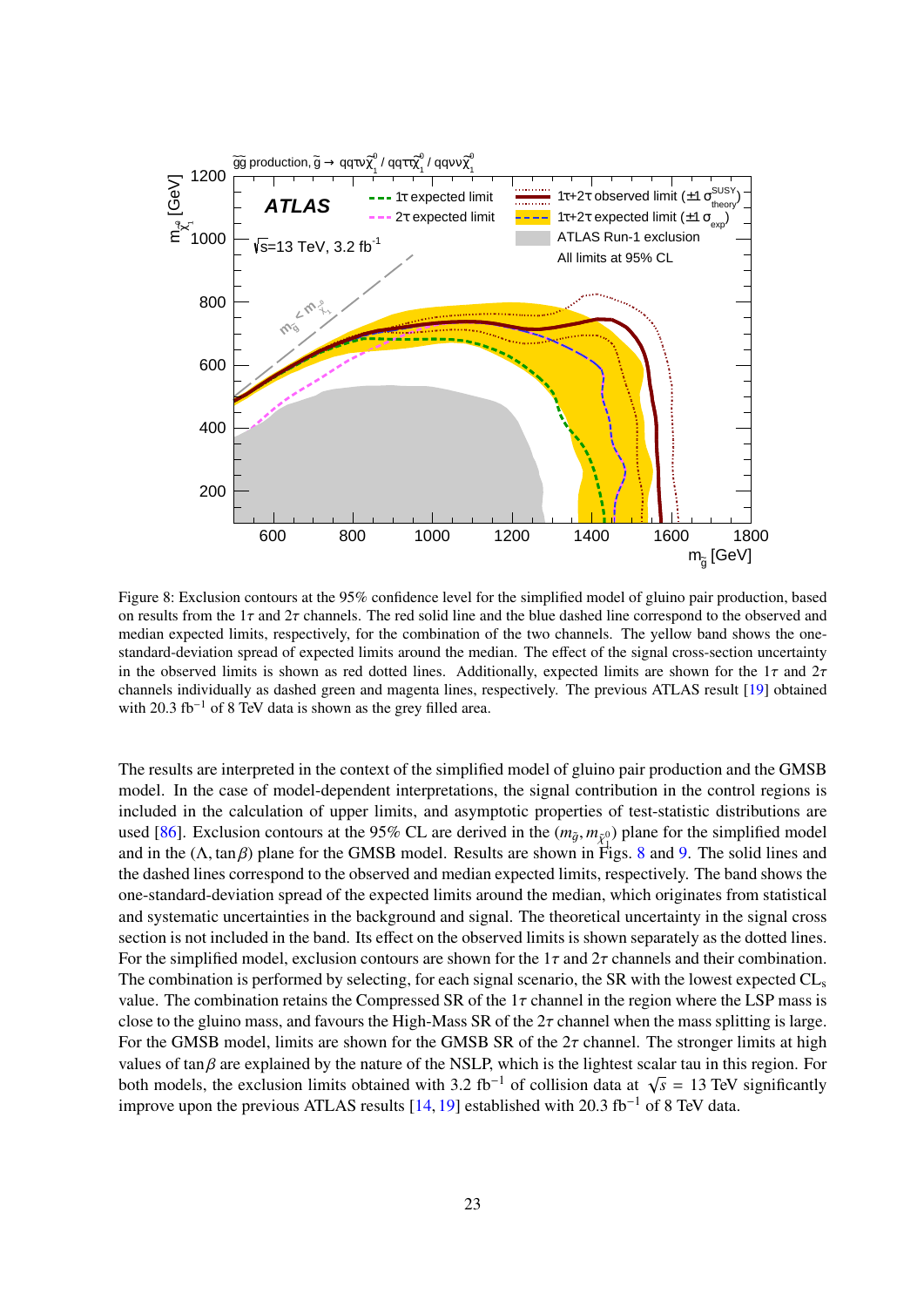<span id="page-22-0"></span>

Figure 8: Exclusion contours at the 95% confidence level for the simplified model of gluino pair production, based on results from the  $1\tau$  and  $2\tau$  channels. The red solid line and the blue dashed line correspond to the observed and median expected limits, respectively, for the combination of the two channels. The yellow band shows the onestandard-deviation spread of expected limits around the median. The effect of the signal cross-section uncertainty in the observed limits is shown as red dotted lines. Additionally, expected limits are shown for the  $1\tau$  and  $2\tau$ channels individually as dashed green and magenta lines, respectively. The previous ATLAS result [\[19\]](#page-26-1) obtained with 20.3 fb<sup>-1</sup> of 8 TeV data is shown as the grey filled area.

The results are interpreted in the context of the simplified model of gluino pair production and the GMSB model. In the case of model-dependent interpretations, the signal contribution in the control regions is included in the calculation of upper limits, and asymptotic properties of test-statistic distributions are used [\[86\]](#page-30-3). Exclusion contours at the 95% CL are derived in the  $(m_{\tilde{g}}, m_{\tilde{\chi}^0})$  plane for the simplified model<br>and in the (A tan 8) plane for the GMSB model. Besults are shown in Figs. 8 and 9. The solid lines and and in the  $(\Lambda, \tan \beta)$  plane for the GMSB model. Results are shown in Figs. [8](#page-22-0) and [9.](#page-23-1) The solid lines and the dashed lines correspond to the observed and median expected limits, respectively. The band shows the the dashed lines correspond to the observed and median expected limits, respectively. The band shows the one-standard-deviation spread of the expected limits around the median, which originates from statistical and systematic uncertainties in the background and signal. The theoretical uncertainty in the signal cross section is not included in the band. Its effect on the observed limits is shown separately as the dotted lines. For the simplified model, exclusion contours are shown for the  $1\tau$  and  $2\tau$  channels and their combination. The combination is performed by selecting, for each signal scenario, the SR with the lowest expected  $CL_s$ value. The combination retains the Compressed SR of the  $1\tau$  channel in the region where the LSP mass is close to the gluino mass, and favours the High-Mass SR of the  $2\tau$  channel when the mass splitting is large. For the GMSB model, limits are shown for the GMSB SR of the  $2\tau$  channel. The stronger limits at high values of tan $\beta$  are explained by the nature of the NSLP, which is the lightest scalar tau in this region. For both models, the exclusion limits obtained with 3.2 fb<sup>-1</sup> of collision data at  $\sqrt{\frac{1}{2}}$  improve upon the previous ATLAS results [14, 10] established with 20.3 fb<sup>-1</sup> of  $\overline{s}$  = 13 TeV significantly improve upon the previous ATLAS results [\[14,](#page-25-6) [19\]](#page-26-1) established with 20.3 fb−<sup>1</sup> of 8 TeV data.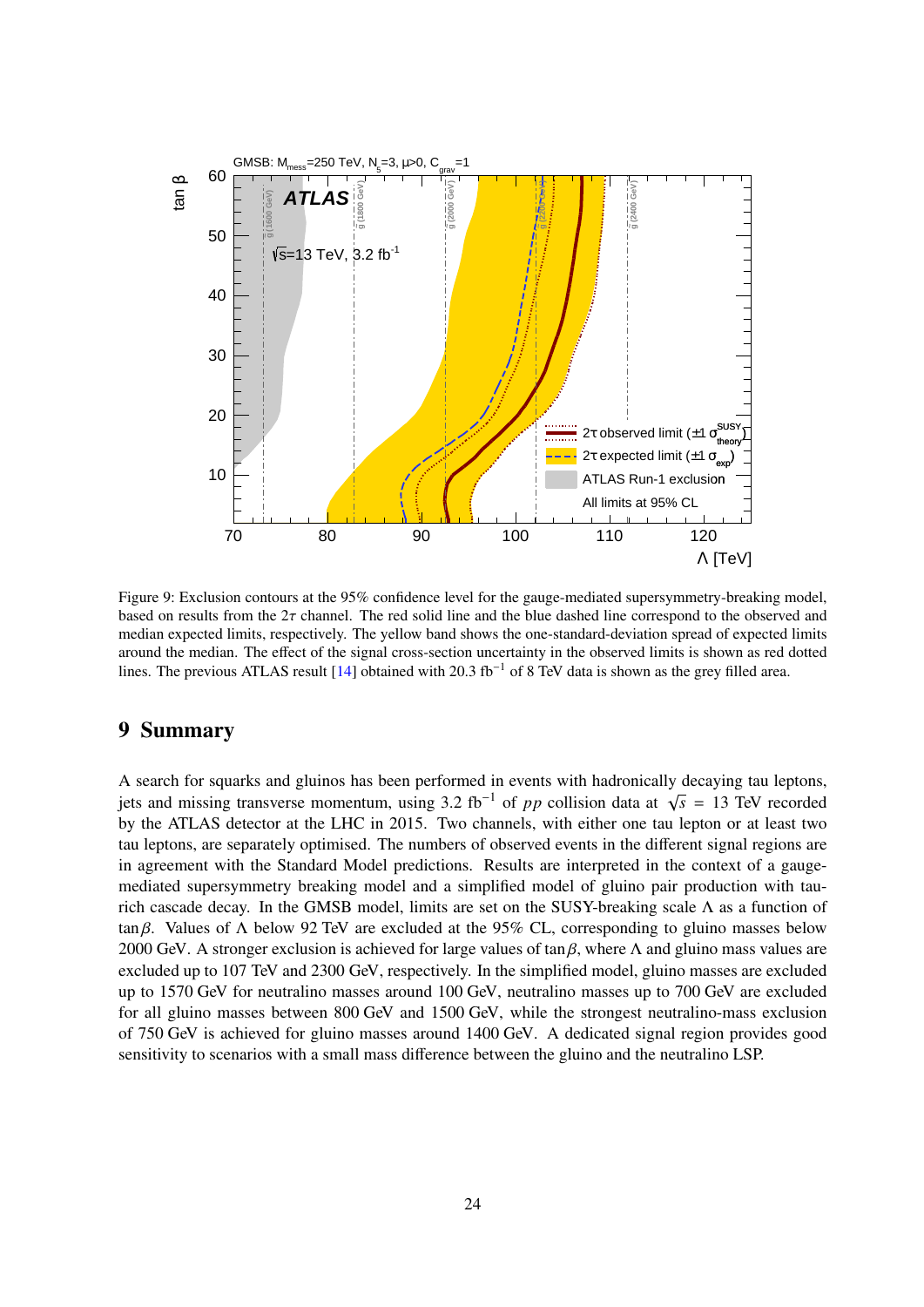<span id="page-23-1"></span>

Figure 9: Exclusion contours at the 95% confidence level for the gauge-mediated supersymmetry-breaking model, based on results from the 2τ channel. The red solid line and the blue dashed line correspond to the observed and median expected limits, respectively. The yellow band shows the one-standard-deviation spread of expected limits around the median. The effect of the signal cross-section uncertainty in the observed limits is shown as red dotted lines. The previous ATLAS result [\[14\]](#page-25-6) obtained with 20.3 fb<sup>−</sup><sup>1</sup> of 8 TeV data is shown as the grey filled area.

## <span id="page-23-0"></span>9 Summary

A search for squarks and gluinos has been performed in events with hadronically decaying tau leptons, jets and missing transverse momentum, using 3.2 fb−<sup>1</sup> of *pp* collision data at <sup>√</sup> *s* = 13 TeV recorded by the ATLAS detector at the LHC in 2015. Two channels, with either one tau lepton or at least two tau leptons, are separately optimised. The numbers of observed events in the different signal regions are in agreement with the Standard Model predictions. Results are interpreted in the context of a gaugemediated supersymmetry breaking model and a simplified model of gluino pair production with taurich cascade decay. In the GMSB model, limits are set on the SUSY-breaking scale Λ as a function of tan β. Values of  $\Lambda$  below 92 TeV are excluded at the 95% CL, corresponding to gluino masses below 2000 GeV. A stronger exclusion is achieved for large values of tan  $\beta$ , where  $\Lambda$  and gluino mass values are excluded up to 107 TeV and 2300 GeV, respectively. In the simplified model, gluino masses are excluded up to 1570 GeV for neutralino masses around 100 GeV, neutralino masses up to 700 GeV are excluded for all gluino masses between 800 GeV and 1500 GeV, while the strongest neutralino-mass exclusion of 750 GeV is achieved for gluino masses around 1400 GeV. A dedicated signal region provides good sensitivity to scenarios with a small mass difference between the gluino and the neutralino LSP.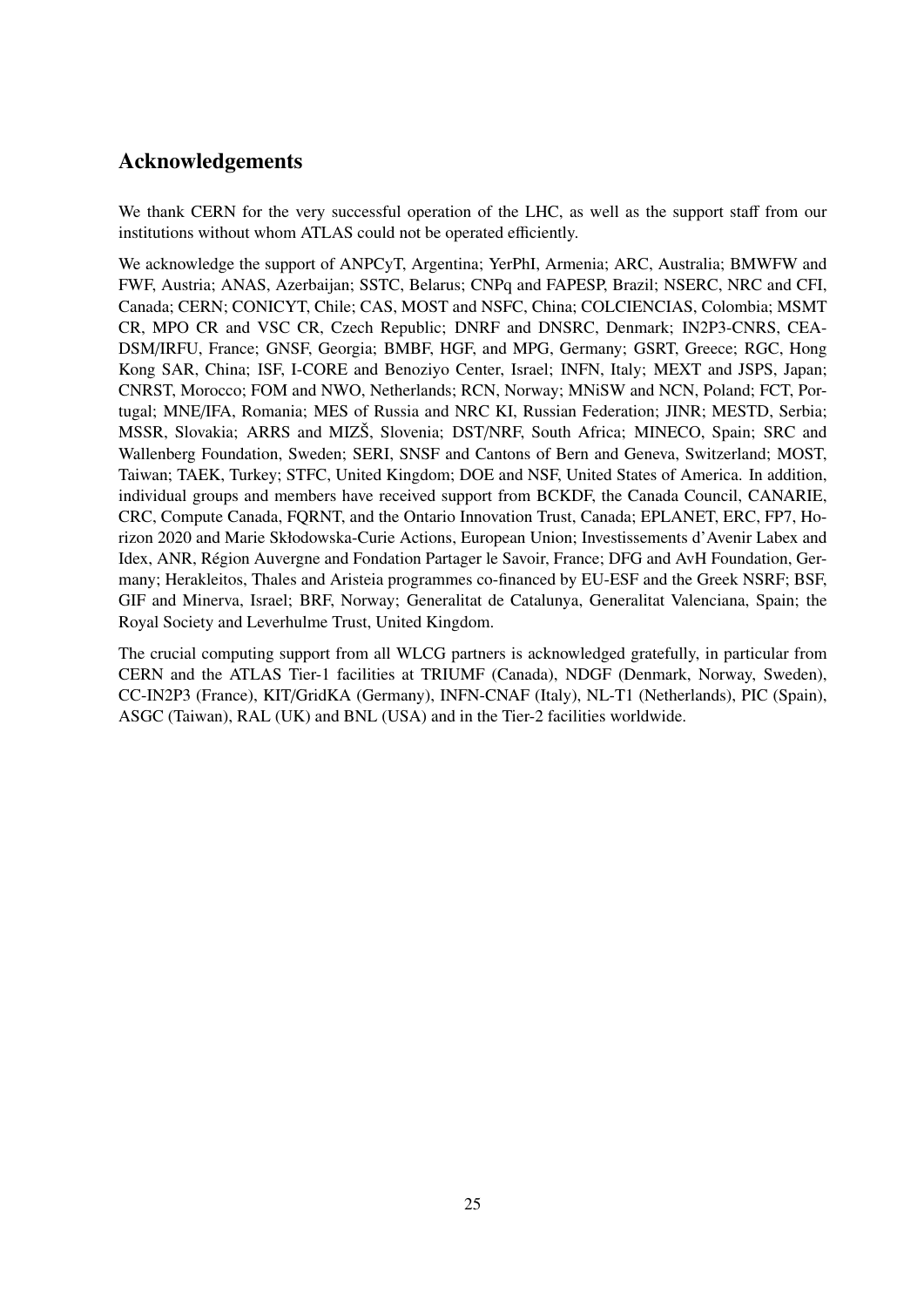## Acknowledgements

We thank CERN for the very successful operation of the LHC, as well as the support staff from our institutions without whom ATLAS could not be operated efficiently.

We acknowledge the support of ANPCyT, Argentina; YerPhI, Armenia; ARC, Australia; BMWFW and FWF, Austria; ANAS, Azerbaijan; SSTC, Belarus; CNPq and FAPESP, Brazil; NSERC, NRC and CFI, Canada; CERN; CONICYT, Chile; CAS, MOST and NSFC, China; COLCIENCIAS, Colombia; MSMT CR, MPO CR and VSC CR, Czech Republic; DNRF and DNSRC, Denmark; IN2P3-CNRS, CEA-DSM/IRFU, France; GNSF, Georgia; BMBF, HGF, and MPG, Germany; GSRT, Greece; RGC, Hong Kong SAR, China; ISF, I-CORE and Benoziyo Center, Israel; INFN, Italy; MEXT and JSPS, Japan; CNRST, Morocco; FOM and NWO, Netherlands; RCN, Norway; MNiSW and NCN, Poland; FCT, Portugal; MNE/IFA, Romania; MES of Russia and NRC KI, Russian Federation; JINR; MESTD, Serbia; MSSR, Slovakia; ARRS and MIZŠ, Slovenia; DST/NRF, South Africa; MINECO, Spain; SRC and Wallenberg Foundation, Sweden; SERI, SNSF and Cantons of Bern and Geneva, Switzerland; MOST, Taiwan; TAEK, Turkey; STFC, United Kingdom; DOE and NSF, United States of America. In addition, individual groups and members have received support from BCKDF, the Canada Council, CANARIE, CRC, Compute Canada, FQRNT, and the Ontario Innovation Trust, Canada; EPLANET, ERC, FP7, Horizon 2020 and Marie Skłodowska-Curie Actions, European Union; Investissements d'Avenir Labex and Idex, ANR, Région Auvergne and Fondation Partager le Savoir, France; DFG and AvH Foundation, Germany; Herakleitos, Thales and Aristeia programmes co-financed by EU-ESF and the Greek NSRF; BSF, GIF and Minerva, Israel; BRF, Norway; Generalitat de Catalunya, Generalitat Valenciana, Spain; the Royal Society and Leverhulme Trust, United Kingdom.

The crucial computing support from all WLCG partners is acknowledged gratefully, in particular from CERN and the ATLAS Tier-1 facilities at TRIUMF (Canada), NDGF (Denmark, Norway, Sweden), CC-IN2P3 (France), KIT/GridKA (Germany), INFN-CNAF (Italy), NL-T1 (Netherlands), PIC (Spain), ASGC (Taiwan), RAL (UK) and BNL (USA) and in the Tier-2 facilities worldwide.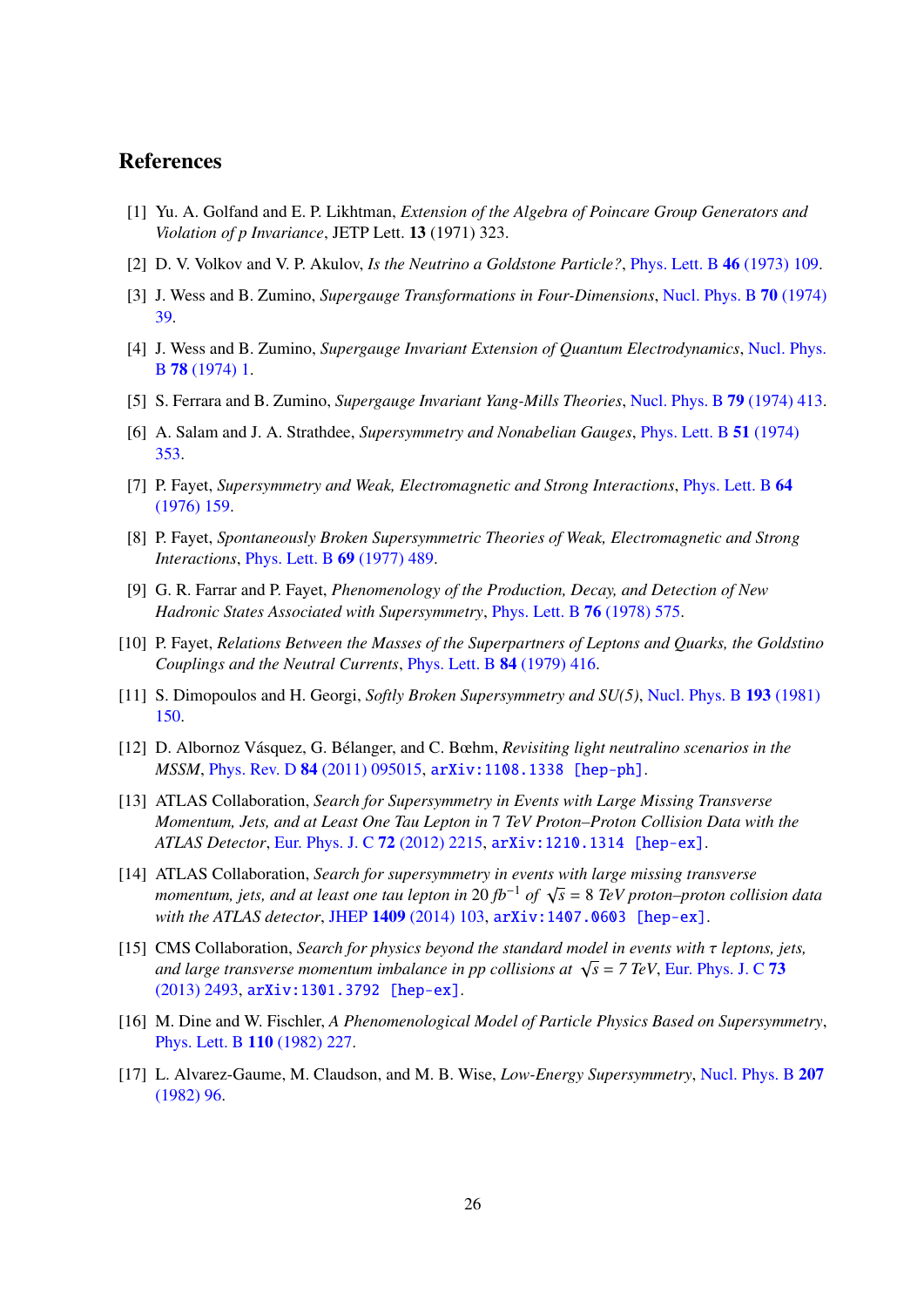## References

- <span id="page-25-0"></span>[1] Yu. A. Golfand and E. P. Likhtman, *Extension of the Algebra of Poincare Group Generators and Violation of p Invariance*, JETP Lett. 13 (1971) 323.
- [2] D. V. Volkov and V. P. Akulov, *Is the Neutrino a Goldstone Particle?*, [Phys. Lett. B](http://dx.doi.org/10.1016/0370-2693(73)90490-5) 46 (1973) 109.
- [3] J. Wess and B. Zumino, *Supergauge Transformations in Four-Dimensions*, [Nucl. Phys. B](http://dx.doi.org/10.1016/0550-3213(74)90355-1) 70 (1974) [39.](http://dx.doi.org/10.1016/0550-3213(74)90355-1)
- [4] J. Wess and B. Zumino, *Supergauge Invariant Extension of Quantum Electrodynamics*, [Nucl. Phys.](http://dx.doi.org/10.1016/0550-3213(74)90112-6) B 78 [\(1974\) 1.](http://dx.doi.org/10.1016/0550-3213(74)90112-6)
- [5] S. Ferrara and B. Zumino, *Supergauge Invariant Yang-Mills Theories*, [Nucl. Phys. B](http://dx.doi.org/10.1016/0550-3213(74)90559-8) 79 (1974) 413.
- <span id="page-25-1"></span>[6] A. Salam and J. A. Strathdee, *Supersymmetry and Nonabelian Gauges*, [Phys. Lett. B](http://dx.doi.org/10.1016/0370-2693(74)90226-3) 51 (1974) [353.](http://dx.doi.org/10.1016/0370-2693(74)90226-3)
- <span id="page-25-2"></span>[7] P. Fayet, *Supersymmetry and Weak, Electromagnetic and Strong Interactions*, [Phys. Lett. B](http://dx.doi.org/10.1016/0370-2693(76)90319-1) 64 [\(1976\) 159.](http://dx.doi.org/10.1016/0370-2693(76)90319-1)
- [8] P. Fayet, *Spontaneously Broken Supersymmetric Theories of Weak, Electromagnetic and Strong Interactions*, [Phys. Lett. B](http://dx.doi.org/10.1016/0370-2693(77)90852-8) 69 (1977) 489.
- [9] G. R. Farrar and P. Fayet, *Phenomenology of the Production, Decay, and Detection of New Hadronic States Associated with Supersymmetry*, [Phys. Lett. B](http://dx.doi.org/10.1016/0370-2693(78)90858-4) 76 (1978) 575.
- [10] P. Fayet, *Relations Between the Masses of the Superpartners of Leptons and Quarks, the Goldstino Couplings and the Neutral Currents*, [Phys. Lett. B](http://dx.doi.org/10.1016/0370-2693(79)91229-2) 84 (1979) 416.
- <span id="page-25-3"></span>[11] S. Dimopoulos and H. Georgi, *Softly Broken Supersymmetry and SU(5)*, [Nucl. Phys. B](http://dx.doi.org/10.1016/0550-3213(81)90522-8) 193 (1981) [150.](http://dx.doi.org/10.1016/0550-3213(81)90522-8)
- <span id="page-25-4"></span>[12] D. Albornoz Vásquez, G. Bélanger, and C. Bœhm, *Revisiting light neutralino scenarios in the MSSM*, Phys. Rev. D 84 [\(2011\) 095015,](http://dx.doi.org/10.1103/PhysRevD.84.095015) [arXiv:1108.1338 \[hep-ph\]](http://arxiv.org/abs/1108.1338).
- <span id="page-25-5"></span>[13] ATLAS Collaboration, *Search for Supersymmetry in Events with Large Missing Transverse Momentum, Jets, and at Least One Tau Lepton in* 7 *TeV Proton–Proton Collision Data with the ATLAS Detector*, [Eur. Phys. J. C](http://dx.doi.org/10.1140/epjc/s10052-012-2215-7) 72 (2012) 2215, [arXiv:1210.1314 \[hep-ex\]](http://arxiv.org/abs/1210.1314).
- <span id="page-25-6"></span>[14] ATLAS Collaboration, *Search for supersymmetry in events with large missing transverse momentum, jets, and at least one tau lepton in* 20 *fb*−<sup>1</sup> *of* <sup>√</sup> *s* = 8 *TeV proton–proton collision data with the ATLAS detector*, JHEP 1409 [\(2014\) 103,](http://dx.doi.org/10.1007/JHEP09(2014)103) [arXiv:1407.0603 \[hep-ex\]](http://arxiv.org/abs/1407.0603).
- <span id="page-25-7"></span>[15] CMS Collaboration, *Search for physics beyond the standard model in events with* τ *leptons, jets, and large transverse momentum imbalance in pp collisions at* <sup>√</sup> *s* = *7 TeV*, [Eur. Phys. J. C](http://dx.doi.org/10.1140/epjc/s10052-013-2493-8) 73 [\(2013\) 2493,](http://dx.doi.org/10.1140/epjc/s10052-013-2493-8) [arXiv:1301.3792 \[hep-ex\]](http://arxiv.org/abs/1301.3792).
- <span id="page-25-8"></span>[16] M. Dine and W. Fischler, *A Phenomenological Model of Particle Physics Based on Supersymmetry*, [Phys. Lett. B](http://dx.doi.org/10.1016/0370-2693(82)91241-2) 110 (1982) 227.
- [17] L. Alvarez-Gaume, M. Claudson, and M. B. Wise, *Low-Energy Supersymmetry*, [Nucl. Phys. B](http://dx.doi.org/10.1016/0550-3213(82)90138-9) 207 [\(1982\) 96.](http://dx.doi.org/10.1016/0550-3213(82)90138-9)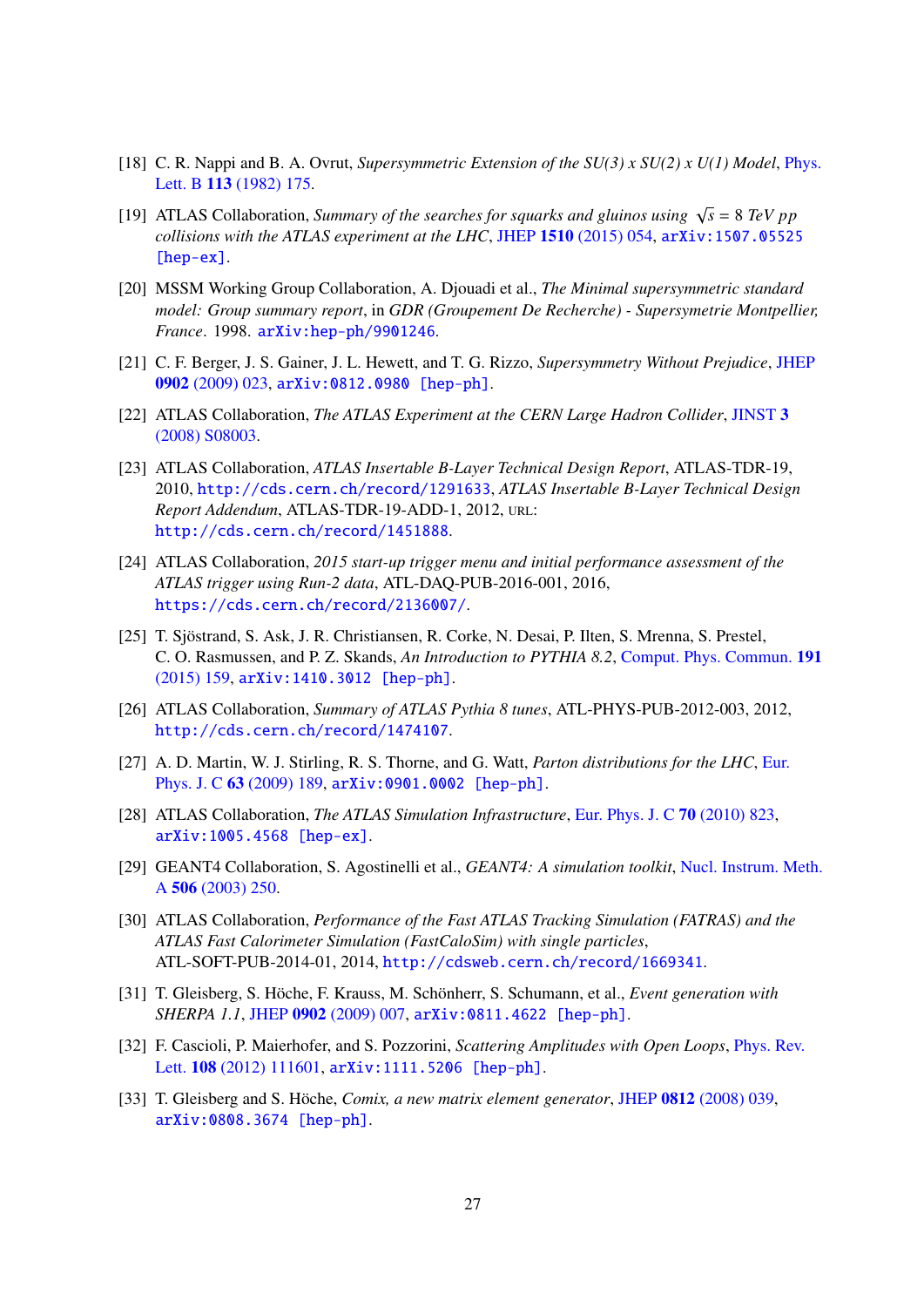- <span id="page-26-0"></span>[18] C. R. Nappi and B. A. Ovrut, *Supersymmetric Extension of the SU(3) x SU(2) x U(1) Model*, [Phys.](http://dx.doi.org/10.1016/0370-2693(82)90418-X) Lett. B 113 [\(1982\) 175.](http://dx.doi.org/10.1016/0370-2693(82)90418-X)
- <span id="page-26-1"></span>[19] ATLAS Collaboration, *Summary of the searches for squarks and gluinos using*  $\sqrt{s} = 8$  *TeV pp collisions with the ATLAS experiment at the LHC*, JHEP 1510 [\(2015\) 054,](http://dx.doi.org/10.1007/JHEP10(2015)054) [arXiv:1507.05525](http://arxiv.org/abs/1507.05525) [\[hep-ex\]](http://arxiv.org/abs/1507.05525).
- <span id="page-26-2"></span>[20] MSSM Working Group Collaboration, A. Djouadi et al., *The Minimal supersymmetric standard model: Group summary report*, in *GDR (Groupement De Recherche) - Supersymetrie Montpellier, France*. 1998. [arXiv:hep-ph/9901246](http://arxiv.org/abs/hep-ph/9901246).
- <span id="page-26-3"></span>[21] C. F. Berger, J. S. Gainer, J. L. Hewett, and T. G. Rizzo, *Supersymmetry Without Prejudice*, [JHEP](http://dx.doi.org/10.1088/1126-6708/2009/02/023) 0902 [\(2009\) 023,](http://dx.doi.org/10.1088/1126-6708/2009/02/023) [arXiv:0812.0980 \[hep-ph\]](http://arxiv.org/abs/0812.0980).
- <span id="page-26-4"></span>[22] ATLAS Collaboration, *The ATLAS Experiment at the CERN Large Hadron Collider*, [JINST](http://dx.doi.org/10.1088/1748-0221/3/08/S08003) 3 [\(2008\) S08003.](http://dx.doi.org/10.1088/1748-0221/3/08/S08003)
- <span id="page-26-5"></span>[23] ATLAS Collaboration, *ATLAS Insertable B-Layer Technical Design Report*, ATLAS-TDR-19, 2010, <http://cds.cern.ch/record/1291633>, *ATLAS Insertable B-Layer Technical Design Report Addendum*, ATLAS-TDR-19-ADD-1, 2012, URL: <http://cds.cern.ch/record/1451888>.
- <span id="page-26-6"></span>[24] ATLAS Collaboration, *2015 start-up trigger menu and initial performance assessment of the ATLAS trigger using Run-2 data*, ATL-DAQ-PUB-2016-001, 2016, <https://cds.cern.ch/record/2136007/>.
- <span id="page-26-7"></span>[25] T. Sjöstrand, S. Ask, J. R. Christiansen, R. Corke, N. Desai, P. Ilten, S. Mrenna, S. Prestel, C. O. Rasmussen, and P. Z. Skands, *An Introduction to PYTHIA 8.2*, [Comput. Phys. Commun.](http://dx.doi.org/10.1016/j.cpc.2015.01.024) 191 [\(2015\) 159,](http://dx.doi.org/10.1016/j.cpc.2015.01.024) [arXiv:1410.3012 \[hep-ph\]](http://arxiv.org/abs/1410.3012).
- <span id="page-26-8"></span>[26] ATLAS Collaboration, *Summary of ATLAS Pythia 8 tunes*, ATL-PHYS-PUB-2012-003, 2012, <http://cds.cern.ch/record/1474107>.
- <span id="page-26-9"></span>[27] A. D. Martin, W. J. Stirling, R. S. Thorne, and G. Watt, *Parton distributions for the LHC*, [Eur.](http://dx.doi.org/10.1140/epjc/s10052-009-1072-5) Phys. J. C 63 [\(2009\) 189,](http://dx.doi.org/10.1140/epjc/s10052-009-1072-5) [arXiv:0901.0002 \[hep-ph\]](http://arxiv.org/abs/0901.0002).
- <span id="page-26-10"></span>[28] ATLAS Collaboration, *The ATLAS Simulation Infrastructure*, [Eur. Phys. J. C](http://dx.doi.org/10.1140/epjc/s10052-010-1429-9) 70 (2010) 823, [arXiv:1005.4568 \[hep-ex\]](http://arxiv.org/abs/1005.4568).
- <span id="page-26-11"></span>[29] GEANT4 Collaboration, S. Agostinelli et al., *GEANT4: A simulation toolkit*, [Nucl. Instrum. Meth.](http://dx.doi.org/10.1016/S0168-9002(03)01368-8) A 506 [\(2003\) 250.](http://dx.doi.org/10.1016/S0168-9002(03)01368-8)
- <span id="page-26-12"></span>[30] ATLAS Collaboration, *Performance of the Fast ATLAS Tracking Simulation (FATRAS) and the ATLAS Fast Calorimeter Simulation (FastCaloSim) with single particles*, ATL-SOFT-PUB-2014-01, 2014, <http://cdsweb.cern.ch/record/1669341>.
- <span id="page-26-13"></span>[31] T. Gleisberg, S. Höche, F. Krauss, M. Schönherr, S. Schumann, et al., *Event generation with SHERPA 1.1*, JHEP 0902 [\(2009\) 007,](http://dx.doi.org/10.1088/1126-6708/2009/02/007) [arXiv:0811.4622 \[hep-ph\]](http://arxiv.org/abs/0811.4622).
- <span id="page-26-14"></span>[32] F. Cascioli, P. Maierhofer, and S. Pozzorini, *Scattering Amplitudes with Open Loops*, [Phys. Rev.](http://dx.doi.org/10.1103/PhysRevLett.108.111601) Lett. 108 [\(2012\) 111601,](http://dx.doi.org/10.1103/PhysRevLett.108.111601) [arXiv:1111.5206 \[hep-ph\]](http://arxiv.org/abs/1111.5206).
- <span id="page-26-15"></span>[33] T. Gleisberg and S. Höche, *Comix, a new matrix element generator*, JHEP 0812 [\(2008\) 039,](http://dx.doi.org/10.1088/1126-6708/2008/12/039) [arXiv:0808.3674 \[hep-ph\]](http://arxiv.org/abs/0808.3674).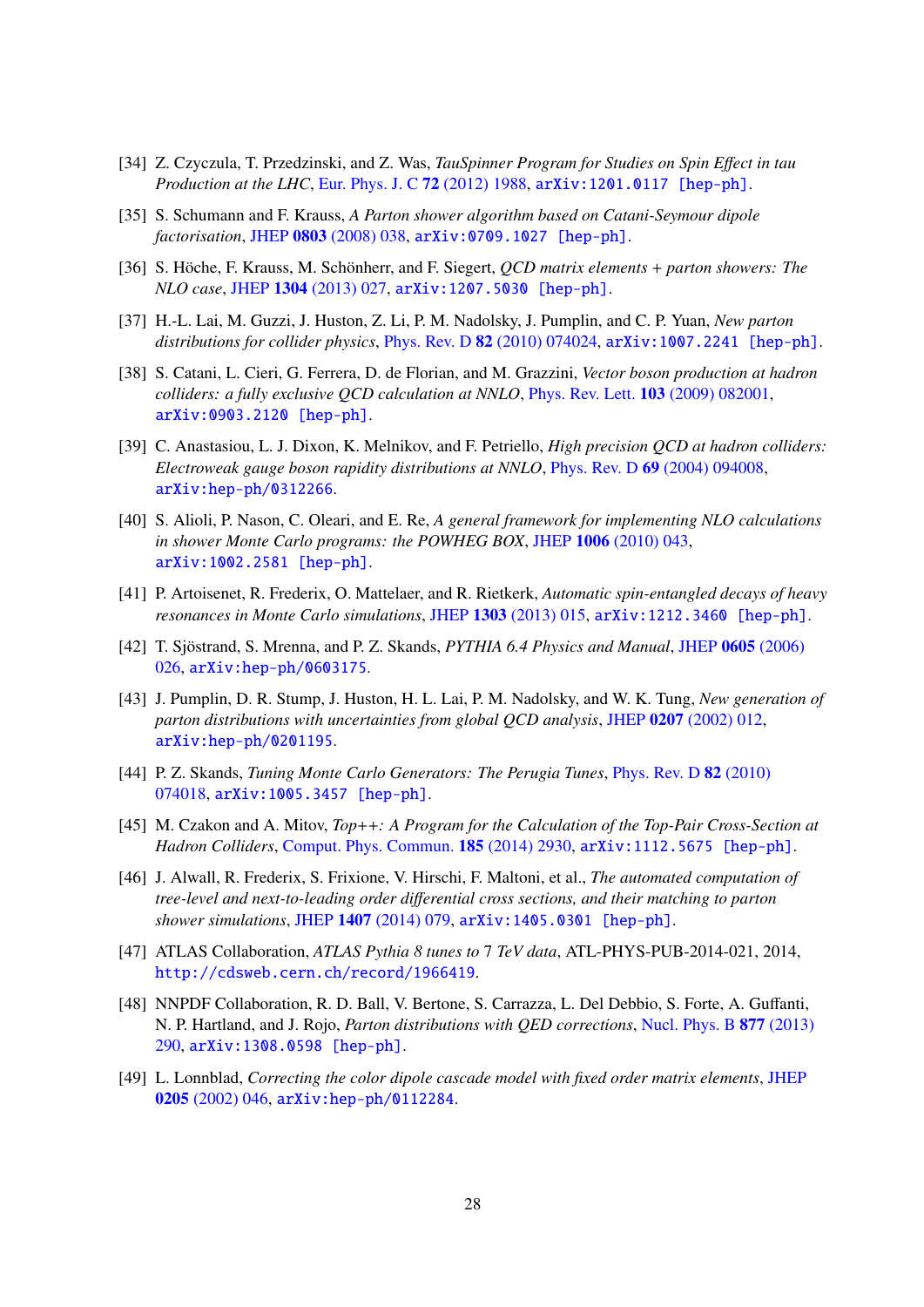- <span id="page-27-0"></span>[34] Z. Czyczula, T. Przedzinski, and Z. Was, *TauSpinner Program for Studies on Spin E*ff*ect in tau Production at the LHC*, [Eur. Phys. J. C](http://dx.doi.org/10.1140/epjc/s10052-012-1988-z) 72 (2012) 1988, [arXiv:1201.0117 \[hep-ph\]](http://arxiv.org/abs/1201.0117).
- <span id="page-27-1"></span>[35] S. Schumann and F. Krauss, *A Parton shower algorithm based on Catani-Seymour dipole factorisation*, JHEP 0803 [\(2008\) 038,](http://dx.doi.org/10.1088/1126-6708/2008/03/038) [arXiv:0709.1027 \[hep-ph\]](http://arxiv.org/abs/0709.1027).
- <span id="page-27-2"></span>[36] S. Höche, F. Krauss, M. Schönherr, and F. Siegert, *QCD matrix elements* + *parton showers: The NLO case*, JHEP 1304 [\(2013\) 027,](http://dx.doi.org/10.1007/JHEP04(2013)027) [arXiv:1207.5030 \[hep-ph\]](http://arxiv.org/abs/1207.5030).
- <span id="page-27-3"></span>[37] H.-L. Lai, M. Guzzi, J. Huston, Z. Li, P. M. Nadolsky, J. Pumplin, and C. P. Yuan, *New parton distributions for collider physics*, Phys. Rev. D 82 [\(2010\) 074024,](http://dx.doi.org/10.1103/PhysRevD.82.074024) [arXiv:1007.2241 \[hep-ph\]](http://arxiv.org/abs/1007.2241).
- <span id="page-27-4"></span>[38] S. Catani, L. Cieri, G. Ferrera, D. de Florian, and M. Grazzini, *Vector boson production at hadron colliders: a fully exclusive QCD calculation at NNLO*, [Phys. Rev. Lett.](http://dx.doi.org/10.1103/PhysRevLett.103.082001) 103 (2009) 082001, [arXiv:0903.2120 \[hep-ph\]](http://arxiv.org/abs/0903.2120).
- <span id="page-27-5"></span>[39] C. Anastasiou, L. J. Dixon, K. Melnikov, and F. Petriello, *High precision QCD at hadron colliders: Electroweak gauge boson rapidity distributions at NNLO*, Phys. Rev. D 69 [\(2004\) 094008,](http://dx.doi.org/10.1103/PhysRevD.69.094008) [arXiv:hep-ph/0312266](http://arxiv.org/abs/hep-ph/0312266).
- <span id="page-27-6"></span>[40] S. Alioli, P. Nason, C. Oleari, and E. Re, *A general framework for implementing NLO calculations in shower Monte Carlo programs: the POWHEG BOX*, JHEP 1006 [\(2010\) 043,](http://dx.doi.org/10.1007/JHEP06(2010)043) [arXiv:1002.2581 \[hep-ph\]](http://arxiv.org/abs/1002.2581).
- <span id="page-27-7"></span>[41] P. Artoisenet, R. Frederix, O. Mattelaer, and R. Rietkerk, *Automatic spin-entangled decays of heavy resonances in Monte Carlo simulations*, JHEP 1303 [\(2013\) 015,](http://dx.doi.org/10.1007/JHEP03(2013)015) [arXiv:1212.3460 \[hep-ph\]](http://arxiv.org/abs/1212.3460).
- <span id="page-27-8"></span>[42] T. Sjöstrand, S. Mrenna, and P. Z. Skands, *PYTHIA 6.4 Physics and Manual*, JHEP 0605 [\(2006\)](http://dx.doi.org/10.1088/1126-6708/2006/05/026) [026,](http://dx.doi.org/10.1088/1126-6708/2006/05/026) [arXiv:hep-ph/0603175](http://arxiv.org/abs/hep-ph/0603175).
- <span id="page-27-9"></span>[43] J. Pumplin, D. R. Stump, J. Huston, H. L. Lai, P. M. Nadolsky, and W. K. Tung, *New generation of parton distributions with uncertainties from global QCD analysis*, JHEP 0207 [\(2002\) 012,](http://dx.doi.org/10.1088/1126-6708/2002/07/012) [arXiv:hep-ph/0201195](http://arxiv.org/abs/hep-ph/0201195).
- <span id="page-27-10"></span>[44] P. Z. Skands, *Tuning Monte Carlo Generators: The Perugia Tunes*, [Phys. Rev. D](http://dx.doi.org/10.1103/PhysRevD.82.074018) 82 (2010) [074018,](http://dx.doi.org/10.1103/PhysRevD.82.074018) [arXiv:1005.3457 \[hep-ph\]](http://arxiv.org/abs/1005.3457).
- <span id="page-27-11"></span>[45] M. Czakon and A. Mitov, *Top*++*: A Program for the Calculation of the Top-Pair Cross-Section at Hadron Colliders*, [Comput. Phys. Commun.](http://dx.doi.org/10.1016/j.cpc.2014.06.021) 185 (2014) 2930, [arXiv:1112.5675 \[hep-ph\]](http://arxiv.org/abs/1112.5675).
- <span id="page-27-12"></span>[46] J. Alwall, R. Frederix, S. Frixione, V. Hirschi, F. Maltoni, et al., *The automated computation of tree-level and next-to-leading order di*ff*erential cross sections, and their matching to parton shower simulations*, JHEP 1407 [\(2014\) 079,](http://dx.doi.org/10.1007/JHEP07(2014)079) [arXiv:1405.0301 \[hep-ph\]](http://arxiv.org/abs/1405.0301).
- <span id="page-27-13"></span>[47] ATLAS Collaboration, *ATLAS Pythia 8 tunes to* 7 *TeV data*, ATL-PHYS-PUB-2014-021, 2014, <http://cdsweb.cern.ch/record/1966419>.
- <span id="page-27-14"></span>[48] NNPDF Collaboration, R. D. Ball, V. Bertone, S. Carrazza, L. Del Debbio, S. Forte, A. Guffanti, N. P. Hartland, and J. Rojo, *Parton distributions with QED corrections*, [Nucl. Phys. B](http://dx.doi.org/10.1016/j.nuclphysb.2013.10.010) 877 (2013) [290,](http://dx.doi.org/10.1016/j.nuclphysb.2013.10.010) [arXiv:1308.0598 \[hep-ph\]](http://arxiv.org/abs/1308.0598).
- <span id="page-27-15"></span>[49] L. Lonnblad, *Correcting the color dipole cascade model with fixed order matrix elements*, [JHEP](http://dx.doi.org/10.1088/1126-6708/2002/05/046) 0205 [\(2002\) 046,](http://dx.doi.org/10.1088/1126-6708/2002/05/046) [arXiv:hep-ph/0112284](http://arxiv.org/abs/hep-ph/0112284).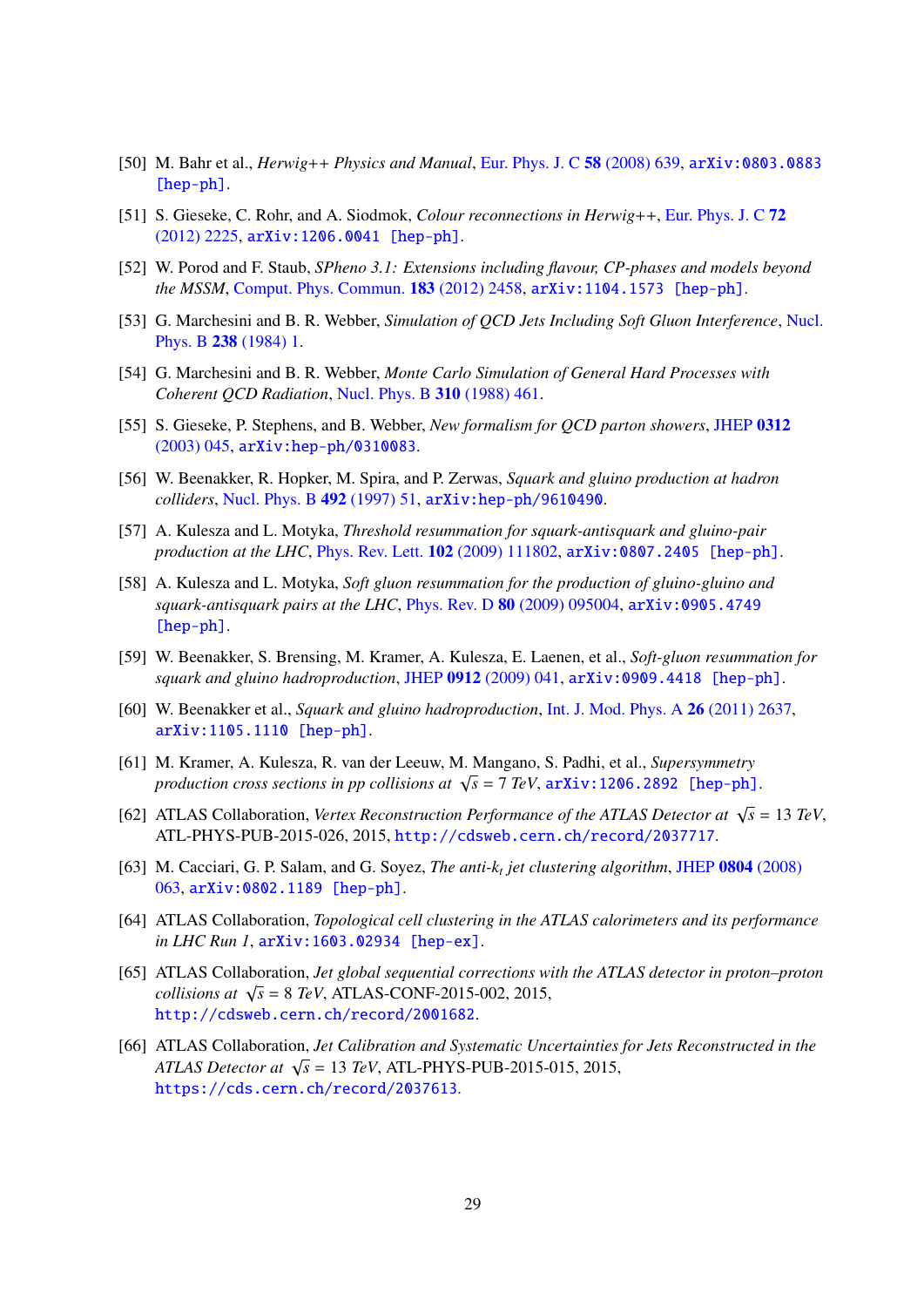- <span id="page-28-0"></span>[50] M. Bahr et al., *Herwig*++ *Physics and Manual*, [Eur. Phys. J. C](http://dx.doi.org/10.1140/epjc/s10052-008-0798-9) 58 (2008) 639, [arXiv:0803.0883](http://arxiv.org/abs/0803.0883) [\[hep-ph\]](http://arxiv.org/abs/0803.0883).
- <span id="page-28-1"></span>[51] S. Gieseke, C. Rohr, and A. Siodmok, *Colour reconnections in Herwig*++, [Eur. Phys. J. C](http://dx.doi.org/10.1140/epjc/s10052-012-2225-5) 72 [\(2012\) 2225,](http://dx.doi.org/10.1140/epjc/s10052-012-2225-5) [arXiv:1206.0041 \[hep-ph\]](http://arxiv.org/abs/1206.0041).
- <span id="page-28-2"></span>[52] W. Porod and F. Staub, *SPheno 3.1: Extensions including flavour, CP-phases and models beyond the MSSM*, [Comput. Phys. Commun.](http://dx.doi.org/10.1016/j.cpc.2012.05.021) 183 (2012) 2458, [arXiv:1104.1573 \[hep-ph\]](http://arxiv.org/abs/1104.1573).
- <span id="page-28-3"></span>[53] G. Marchesini and B. R. Webber, *Simulation of QCD Jets Including Soft Gluon Interference*, [Nucl.](http://dx.doi.org/10.1016/0550-3213(84)90463-2) Phys. B 238 [\(1984\) 1.](http://dx.doi.org/10.1016/0550-3213(84)90463-2)
- [54] G. Marchesini and B. R. Webber, *Monte Carlo Simulation of General Hard Processes with Coherent QCD Radiation*, [Nucl. Phys. B](http://dx.doi.org/10.1016/0550-3213(88)90089-2) 310 (1988) 461.
- <span id="page-28-4"></span>[55] S. Gieseke, P. Stephens, and B. Webber, *New formalism for QCD parton showers*, [JHEP](http://dx.doi.org/10.1088/1126-6708/2003/12/045) 0312 [\(2003\) 045,](http://dx.doi.org/10.1088/1126-6708/2003/12/045) [arXiv:hep-ph/0310083](http://arxiv.org/abs/hep-ph/0310083).
- <span id="page-28-5"></span>[56] W. Beenakker, R. Hopker, M. Spira, and P. Zerwas, *Squark and gluino production at hadron colliders*, [Nucl. Phys. B](http://dx.doi.org/10.1016/S0550-3213(97)00084-9) 492 (1997) 51, [arXiv:hep-ph/9610490](http://arxiv.org/abs/hep-ph/9610490).
- [57] A. Kulesza and L. Motyka, *Threshold resummation for squark-antisquark and gluino-pair production at the LHC*, [Phys. Rev. Lett.](http://dx.doi.org/10.1103/PhysRevLett.102.111802) 102 (2009) 111802, [arXiv:0807.2405 \[hep-ph\]](http://arxiv.org/abs/0807.2405).
- [58] A. Kulesza and L. Motyka, *Soft gluon resummation for the production of gluino-gluino and squark-antisquark pairs at the LHC*, Phys. Rev. D 80 [\(2009\) 095004,](http://dx.doi.org/10.1103/PhysRevD.80.095004) [arXiv:0905.4749](http://arxiv.org/abs/0905.4749) [\[hep-ph\]](http://arxiv.org/abs/0905.4749).
- [59] W. Beenakker, S. Brensing, M. Kramer, A. Kulesza, E. Laenen, et al., *Soft-gluon resummation for squark and gluino hadroproduction*, JHEP 0912 [\(2009\) 041,](http://dx.doi.org/10.1088/1126-6708/2009/12/041) [arXiv:0909.4418 \[hep-ph\]](http://arxiv.org/abs/0909.4418).
- <span id="page-28-6"></span>[60] W. Beenakker et al., *Squark and gluino hadroproduction*, [Int. J. Mod. Phys. A](http://dx.doi.org/10.1142/S0217751X11053560) 26 (2011) 2637, [arXiv:1105.1110 \[hep-ph\]](http://arxiv.org/abs/1105.1110).
- <span id="page-28-7"></span>[61] M. Kramer, A. Kulesza, R. van der Leeuw, M. Mangano, S. Padhi, et al., *Supersymmetry production cross sections in pp collisions at*  $\sqrt{s} = 7$  *TeV*,  $\ar Xiv$ : 1206.2892 [hep-ph].
- <span id="page-28-8"></span>[62] ATLAS Collaboration, *Vertex Reconstruction Performance of the ATLAS Detector at*  $\sqrt{s} = 13 \text{ TeV}$ , ATL-PHYS-PUB-2015-026, 2015, <http://cdsweb.cern.ch/record/2037717>.
- <span id="page-28-9"></span>[63] M. Cacciari, G. P. Salam, and G. Soyez, *The anti-k<sup>t</sup> jet clustering algorithm*, JHEP 0804 [\(2008\)](http://dx.doi.org/10.1088/1126-6708/2008/04/063) [063,](http://dx.doi.org/10.1088/1126-6708/2008/04/063) [arXiv:0802.1189 \[hep-ph\]](http://arxiv.org/abs/0802.1189).
- <span id="page-28-10"></span>[64] ATLAS Collaboration, *Topological cell clustering in the ATLAS calorimeters and its performance in LHC Run 1*, [arXiv:1603.02934 \[hep-ex\]](http://arxiv.org/abs/1603.02934).
- <span id="page-28-11"></span>[65] ATLAS Collaboration, *Jet global sequential corrections with the ATLAS detector in proton–proton collisions at* <sup>√</sup> *s* = 8 *TeV*, ATLAS-CONF-2015-002, 2015, <http://cdsweb.cern.ch/record/2001682>.
- <span id="page-28-12"></span>[66] ATLAS Collaboration, *Jet Calibration and Systematic Uncertainties for Jets Reconstructed in the ATLAS Detector at* <sup>√</sup> *s* = 13 *TeV*, ATL-PHYS-PUB-2015-015, 2015, <https://cds.cern.ch/record/2037613>.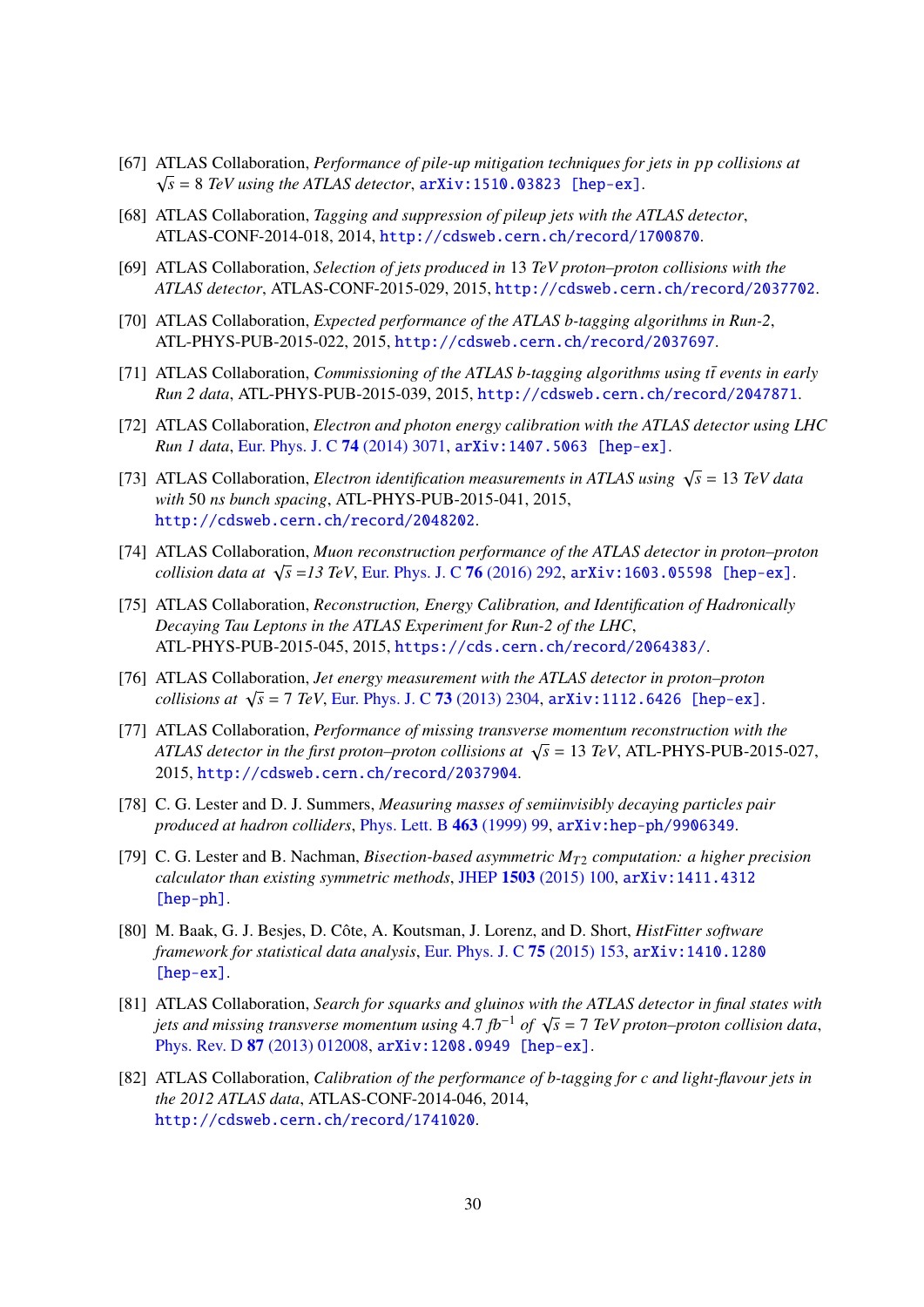- <span id="page-29-0"></span>[67] ATLAS Collaboration, *Performance of pile-up mitigation techniques for jets in pp collisions at* √  $\sqrt{s}$  = 8 *TeV* using the ATLAS detector,  $\ar{xiv:1510.03823}$  [hep-ex].
- <span id="page-29-1"></span>[68] ATLAS Collaboration, *Tagging and suppression of pileup jets with the ATLAS detector*, ATLAS-CONF-2014-018, 2014, <http://cdsweb.cern.ch/record/1700870>.
- <span id="page-29-2"></span>[69] ATLAS Collaboration, *Selection of jets produced in* 13 *TeV proton–proton collisions with the ATLAS detector*, ATLAS-CONF-2015-029, 2015, <http://cdsweb.cern.ch/record/2037702>.
- <span id="page-29-3"></span>[70] ATLAS Collaboration, *Expected performance of the ATLAS b-tagging algorithms in Run-2*, ATL-PHYS-PUB-2015-022, 2015, <http://cdsweb.cern.ch/record/2037697>.
- <span id="page-29-4"></span>[71] ATLAS Collaboration, *Commissioning of the ATLAS b-tagging algorithms using tte events in early Run 2 data*, ATL-PHYS-PUB-2015-039, 2015, <http://cdsweb.cern.ch/record/2047871>.
- <span id="page-29-5"></span>[72] ATLAS Collaboration, *Electron and photon energy calibration with the ATLAS detector using LHC Run 1 data*, [Eur. Phys. J. C](http://dx.doi.org/10.1140/epjc/s10052-014-3071-4) 74 (2014) 3071, [arXiv:1407.5063 \[hep-ex\]](http://arxiv.org/abs/1407.5063).
- <span id="page-29-6"></span>[73] ATLAS Collaboration, *Electron identification measurements in ATLAS using*  $\sqrt{s} = 13 \text{ TeV}$  data *with* 50 *ns bunch spacing*, ATL-PHYS-PUB-2015-041, 2015, <http://cdsweb.cern.ch/record/2048202>.
- <span id="page-29-7"></span>[74] ATLAS Collaboration, *Muon reconstruction performance of the ATLAS detector in proton–proton collision data at* <sup>√</sup> *s* =*13 TeV*, [Eur. Phys. J. C](http://dx.doi.org/10.1140/epjc/s10052-016-4120-y) 76 (2016) 292, [arXiv:1603.05598 \[hep-ex\]](http://arxiv.org/abs/1603.05598).
- <span id="page-29-8"></span>[75] ATLAS Collaboration, *Reconstruction, Energy Calibration, and Identification of Hadronically Decaying Tau Leptons in the ATLAS Experiment for Run-2 of the LHC*, ATL-PHYS-PUB-2015-045, 2015, <https://cds.cern.ch/record/2064383/>.
- <span id="page-29-9"></span>[76] ATLAS Collaboration, *Jet energy measurement with the ATLAS detector in proton–proton collisions at* <sup>√</sup> *s* = 7 *TeV*, [Eur. Phys. J. C](http://dx.doi.org/10.1140/epjc/s10052-013-2304-2) 73 (2013) 2304, [arXiv:1112.6426 \[hep-ex\]](http://arxiv.org/abs/1112.6426).
- <span id="page-29-10"></span>[77] ATLAS Collaboration, *Performance of missing transverse momentum reconstruction with the*  $ATLAS$  Conaboration, *rerjormance of missing transverse momentum reconstruction with the*<br>*ATLAS detector in the first proton–proton collisions at*  $\sqrt{s} = 13$  *TeV*, ATL-PHYS-PUB-2015-027, 2015, <http://cdsweb.cern.ch/record/2037904>.
- <span id="page-29-11"></span>[78] C. G. Lester and D. J. Summers, *Measuring masses of semiinvisibly decaying particles pair produced at hadron colliders*, [Phys. Lett. B](http://dx.doi.org/10.1016/S0370-2693(99)00945-4) 463 (1999) 99, [arXiv:hep-ph/9906349](http://arxiv.org/abs/hep-ph/9906349).
- <span id="page-29-12"></span>[79] C. G. Lester and B. Nachman, *Bisection-based asymmetric MT*<sup>2</sup> *computation: a higher precision calculator than existing symmetric methods*, JHEP 1503 [\(2015\) 100,](http://dx.doi.org/10.1007/JHEP03(2015)100) [arXiv:1411.4312](http://arxiv.org/abs/1411.4312) [\[hep-ph\]](http://arxiv.org/abs/1411.4312).
- <span id="page-29-13"></span>[80] M. Baak, G. J. Besjes, D. Côte, A. Koutsman, J. Lorenz, and D. Short, *HistFitter software framework for statistical data analysis*, [Eur. Phys. J. C](http://dx.doi.org/10.1140/epjc/s10052-015-3327-7) 75 (2015) 153, [arXiv:1410.1280](http://arxiv.org/abs/1410.1280) [\[hep-ex\]](http://arxiv.org/abs/1410.1280).
- <span id="page-29-14"></span>[81] ATLAS Collaboration, *Search for squarks and gluinos with the ATLAS detector in final states with jets and missing transverse momentum using* 4.7 *fb<sup>−1</sup> of* √*s* = 7 *TeV proton–proton collision data*,<br>*phys. Bey D 87 (2013) 012008, arXiv:1208, 0949*, *Fhen-ex1* Phys. Rev. D 87 [\(2013\) 012008,](http://dx.doi.org/10.1103/PhysRevD.87.012008) [arXiv:1208.0949 \[hep-ex\]](http://arxiv.org/abs/1208.0949).
- <span id="page-29-15"></span>[82] ATLAS Collaboration, *Calibration of the performance of b-tagging for c and light-flavour jets in the 2012 ATLAS data*, ATLAS-CONF-2014-046, 2014, <http://cdsweb.cern.ch/record/1741020>.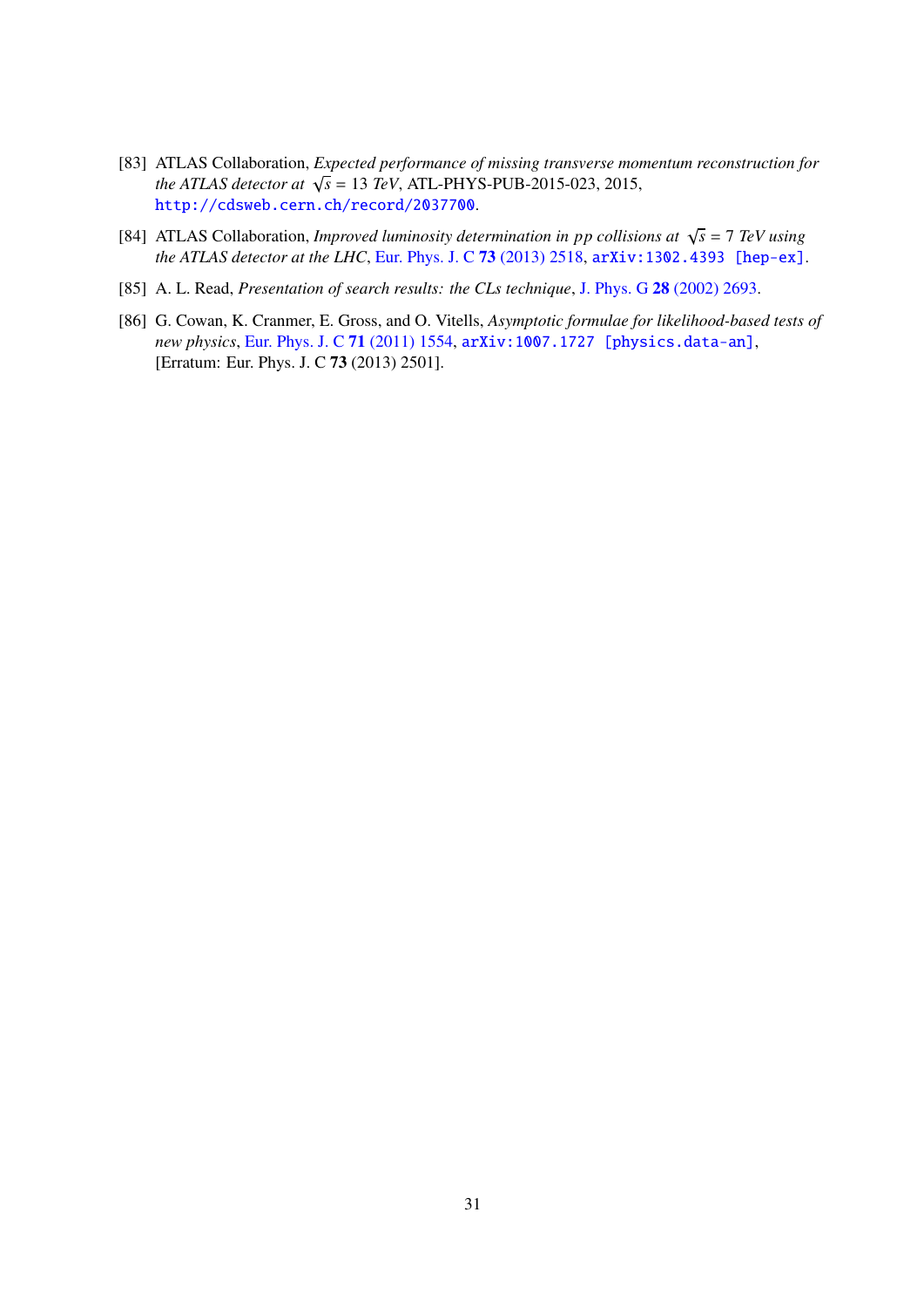- <span id="page-30-0"></span>[83] ATLAS Collaboration, *Expected performance of missing transverse momentum reconstruction for the ATLAS detector at* <sup>√</sup> *s* = 13 *TeV*, ATL-PHYS-PUB-2015-023, 2015, <http://cdsweb.cern.ch/record/2037700>.
- <span id="page-30-1"></span>[84] ATLAS Collaboration, *Improved luminosity determination in pp collisions at*  $\sqrt{s} = 7$  *TeV using the ATLAS detector at the LHC*, [Eur. Phys. J. C](http://dx.doi.org/10.1140/epjc/s10052-013-2518-3) 73 (2013) 2518, [arXiv:1302.4393 \[hep-ex\]](http://arxiv.org/abs/1302.4393).
- <span id="page-30-2"></span>[85] A. L. Read, *Presentation of search results: the CLs technique*, J. Phys. G 28 [\(2002\) 2693.](http://dx.doi.org/10.1088/0954-3899/28/10/313)
- <span id="page-30-3"></span>[86] G. Cowan, K. Cranmer, E. Gross, and O. Vitells, *Asymptotic formulae for likelihood-based tests of new physics*, [Eur. Phys. J. C](http://dx.doi.org/10.1140/epjc/s10052-011-1554-0, 10.1140/epjc/s10052-013-2501-z) 71 (2011) 1554, [arXiv:1007.1727 \[physics.data-an\]](http://arxiv.org/abs/1007.1727), [Erratum: Eur. Phys. J. C 73 (2013) 2501].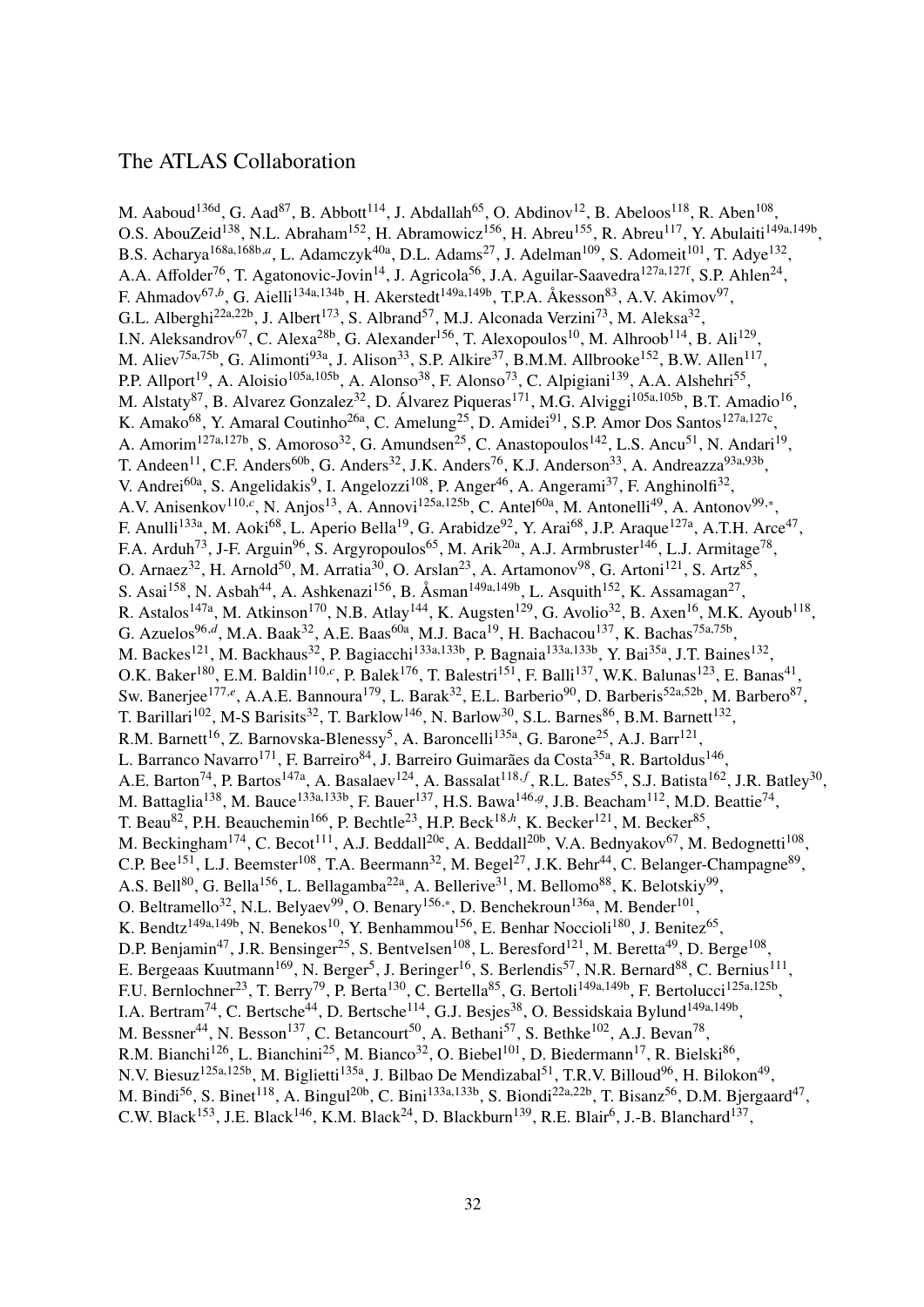### The ATLAS Collaboration

M. Aaboud<sup>136d</sup>, G. Aad<sup>87</sup>, B. Abbott<sup>114</sup>, J. Abdallah<sup>65</sup>, O. Abdinov<sup>12</sup>, B. Abeloos<sup>118</sup>, R. Aben<sup>108</sup>, O.S. AbouZeid<sup>138</sup>, N.L. Abraham<sup>152</sup>, H. Abramowicz<sup>156</sup>, H. Abreu<sup>155</sup>, R. Abreu<sup>117</sup>, Y. Abulaiti<sup>149a,149b</sup>, B.S. Acharya<sup>168a,168b,a</sup>, L. Adamczyk<sup>40a</sup>, D.L. Adams<sup>27</sup>, J. Adelman<sup>109</sup>, S. Adomeit<sup>101</sup>, T. Adye<sup>132</sup>, A.A. Affolder<sup>76</sup>, T. Agatonovic-Jovin<sup>14</sup>, J. Agricola<sup>56</sup>, J.A. Aguilar-Saavedra<sup>127a,127f</sup>, S.P. Ahlen<sup>24</sup>, F. Ahmadov<sup>67,b</sup>, G. Aielli<sup>134a,134b</sup>, H. Akerstedt<sup>149a,149b</sup>, T.P.A. Åkesson<sup>83</sup>, A.V. Akimov<sup>97</sup>, G.L. Alberghi<sup>22a,22b</sup>, J. Albert<sup>173</sup>, S. Albrand<sup>57</sup>, M.J. Alconada Verzini<sup>73</sup>, M. Aleksa<sup>32</sup>, I.N. Aleksandrov<sup>67</sup>, C. Alexa<sup>28b</sup>, G. Alexander<sup>156</sup>, T. Alexopoulos<sup>10</sup>, M. Alhroob<sup>114</sup>, B. Ali<sup>129</sup>, M. Aliev<sup>75a,75b</sup>, G. Alimonti<sup>93a</sup>, J. Alison<sup>33</sup>, S.P. Alkire<sup>37</sup>, B.M.M. Allbrooke<sup>152</sup>, B.W. Allen<sup>117</sup>, P.P. Allport<sup>19</sup>, A. Aloisio<sup>105a,105b</sup>, A. Alonso<sup>38</sup>, F. Alonso<sup>73</sup>, C. Alpigiani<sup>139</sup>, A.A. Alshehri<sup>55</sup>, M. Alstaty<sup>87</sup>, B. Alvarez Gonzalez<sup>32</sup>, D. Álvarez Piqueras<sup>171</sup>, M.G. Alviggi<sup>105a,105b</sup>, B.T. Amadio<sup>16</sup>, K. Amako<sup>68</sup>, Y. Amaral Coutinho<sup>26a</sup>, C. Amelung<sup>25</sup>, D. Amidei<sup>91</sup>, S.P. Amor Dos Santos<sup>127a,127c</sup>, A. Amorim<sup>127a,127b</sup>, S. Amoroso<sup>32</sup>, G. Amundsen<sup>25</sup>, C. Anastopoulos<sup>142</sup>, L.S. Ancu<sup>51</sup>, N. Andari<sup>19</sup>, T. Andeen<sup>11</sup>, C.F. Anders<sup>60b</sup>, G. Anders<sup>32</sup>, J.K. Anders<sup>76</sup>, K.J. Anderson<sup>33</sup>, A. Andreazza<sup>93a,93b</sup>, V. Andrei<sup>60a</sup>, S. Angelidakis<sup>9</sup>, I. Angelozzi<sup>108</sup>, P. Anger<sup>46</sup>, A. Angerami<sup>37</sup>, F. Anghinolfi<sup>32</sup>, A.V. Anisenkov<sup>110,*c*</sup>, N. Anjos<sup>13</sup>, A. Annovi<sup>125a,125b</sup>, C. Antel<sup>60a</sup>, M. Antonelli<sup>49</sup>, A. Antonov<sup>99,\*</sup>, F. Anulli<sup>133a</sup>, M. Aoki<sup>68</sup>, L. Aperio Bella<sup>19</sup>, G. Arabidze<sup>92</sup>, Y. Arai<sup>68</sup>, J.P. Araque<sup>127a</sup>, A.T.H. Arce<sup>47</sup>, F.A. Arduh<sup>73</sup>, J-F. Arguin<sup>96</sup>, S. Argyropoulos<sup>65</sup>, M. Arik<sup>20a</sup>, A.J. Armbruster<sup>146</sup>, L.J. Armitage<sup>78</sup>, O. Arnaez<sup>32</sup>, H. Arnold<sup>50</sup>, M. Arratia<sup>30</sup>, O. Arslan<sup>23</sup>, A. Artamonov<sup>98</sup>, G. Artoni<sup>121</sup>, S. Artz<sup>85</sup>, S. Asai<sup>158</sup>, N. Asbah<sup>44</sup>, A. Ashkenazi<sup>156</sup>, B. Åsman<sup>149a,149b</sup>, L. Asquith<sup>152</sup>, K. Assamagan<sup>27</sup>, R. Astalos<sup>147a</sup>, M. Atkinson<sup>170</sup>, N.B. Atlay<sup>144</sup>, K. Augsten<sup>129</sup>, G. Avolio<sup>32</sup>, B. Axen<sup>16</sup>, M.K. Ayoub<sup>118</sup>, G. Azuelos<sup>96,d</sup>, M.A. Baak<sup>32</sup>, A.E. Baas<sup>60a</sup>, M.J. Baca<sup>19</sup>, H. Bachacou<sup>137</sup>, K. Bachas<sup>75a,75b</sup>, M. Backes<sup>121</sup>, M. Backhaus<sup>32</sup>, P. Bagiacchi<sup>133a,133b</sup>, P. Bagnaia<sup>133a,133b</sup>, Y. Bai<sup>35a</sup>, J.T. Baines<sup>132</sup>, O.K. Baker<sup>180</sup>, E.M. Baldin<sup>110,*c*</sup>, P. Balek<sup>176</sup>, T. Balestri<sup>151</sup>, F. Balli<sup>137</sup>, W.K. Balunas<sup>123</sup>, E. Banas<sup>41</sup>, Sw. Banerjee<sup>177,e</sup>, A.A.E. Bannoura<sup>179</sup>, L. Barak<sup>32</sup>, E.L. Barberio<sup>90</sup>, D. Barberis<sup>52a,52b</sup>, M. Barbero<sup>87</sup>, T. Barillari<sup>102</sup>, M-S Barisits<sup>32</sup>, T. Barklow<sup>146</sup>, N. Barlow<sup>30</sup>, S.L. Barnes<sup>86</sup>, B.M. Barnett<sup>132</sup>, R.M. Barnett<sup>16</sup>, Z. Barnovska-Blenessy<sup>5</sup>, A. Baroncelli<sup>135a</sup>, G. Barone<sup>25</sup>, A.J. Barr<sup>121</sup>, L. Barranco Navarro<sup>171</sup>, F. Barreiro<sup>84</sup>, J. Barreiro Guimarães da Costa<sup>35a</sup>, R. Bartoldus<sup>146</sup>, A.E. Barton<sup>74</sup>, P. Bartos<sup>147a</sup>, A. Basalaev<sup>124</sup>, A. Bassalat<sup>118, f</sup>, R.L. Bates<sup>55</sup>, S.J. Batista<sup>162</sup>, J.R. Batley<sup>30</sup>, M. Battaglia<sup>138</sup>, M. Bauce<sup>133a,133b</sup>, F. Bauer<sup>137</sup>, H.S. Bawa<sup>146,g</sup>, J.B. Beacham<sup>112</sup>, M.D. Beattie<sup>74</sup>, T. Beau<sup>82</sup>, P.H. Beauchemin<sup>166</sup>, P. Bechtle<sup>23</sup>, H.P. Beck<sup>18,*h*</sup>, K. Becker<sup>121</sup>, M. Becker<sup>85</sup>, M. Beckingham<sup>174</sup>, C. Becot<sup>111</sup>, A.J. Beddall<sup>20e</sup>, A. Beddall<sup>20b</sup>, V.A. Bednyakov<sup>67</sup>, M. Bedognetti<sup>108</sup>, C.P. Bee<sup>151</sup>, L.J. Beemster<sup>108</sup>, T.A. Beermann<sup>32</sup>, M. Begel<sup>27</sup>, J.K. Behr<sup>44</sup>, C. Belanger-Champagne<sup>89</sup>, A.S. Bell<sup>80</sup>, G. Bella<sup>156</sup>, L. Bellagamba<sup>22a</sup>, A. Bellerive<sup>31</sup>, M. Bellomo<sup>88</sup>, K. Belotskiy<sup>99</sup>, O. Beltramello<sup>32</sup>, N.L. Belyaev<sup>99</sup>, O. Benary<sup>156,\*</sup>, D. Benchekroun<sup>136a</sup>, M. Bender<sup>101</sup>, K. Bendtz<sup>149a,149b</sup>, N. Benekos<sup>10</sup>, Y. Benhammou<sup>156</sup>, E. Benhar Noccioli<sup>180</sup>, J. Benitez<sup>65</sup>, D.P. Benjamin<sup>47</sup>, J.R. Bensinger<sup>25</sup>, S. Bentvelsen<sup>108</sup>, L. Beresford<sup>121</sup>, M. Beretta<sup>49</sup>, D. Berge<sup>108</sup>, E. Bergeaas Kuutmann<sup>169</sup>, N. Berger<sup>5</sup>, J. Beringer<sup>16</sup>, S. Berlendis<sup>57</sup>, N.R. Bernard<sup>88</sup>, C. Bernius<sup>111</sup>, F.U. Bernlochner<sup>23</sup>, T. Berry<sup>79</sup>, P. Berta<sup>130</sup>, C. Bertella<sup>85</sup>, G. Bertoli<sup>149a,149b</sup>, F. Bertolucci<sup>125a,125b</sup>, I.A. Bertram<sup>74</sup>, C. Bertsche<sup>44</sup>, D. Bertsche<sup>114</sup>, G.J. Besjes<sup>38</sup>, O. Bessidskaia Bylund<sup>149a,149b</sup>, M. Bessner<sup>44</sup>, N. Besson<sup>137</sup>, C. Betancourt<sup>50</sup>, A. Bethani<sup>57</sup>, S. Bethke<sup>102</sup>, A.J. Bevan<sup>78</sup>, R.M. Bianchi<sup>126</sup>, L. Bianchini<sup>25</sup>, M. Bianco<sup>32</sup>, O. Biebel<sup>101</sup>, D. Biedermann<sup>17</sup>, R. Bielski<sup>86</sup>, N.V. Biesuz<sup>125a,125b</sup>, M. Biglietti<sup>135a</sup>, J. Bilbao De Mendizabal<sup>51</sup>, T.R.V. Billoud<sup>96</sup>, H. Bilokon<sup>49</sup>, M. Bindi<sup>56</sup>, S. Binet<sup>118</sup>, A. Bingul<sup>20b</sup>, C. Bini<sup>133a,133b</sup>, S. Biondi<sup>22a,22b</sup>, T. Bisanz<sup>56</sup>, D.M. Bjergaard<sup>47</sup>, C.W. Black<sup>153</sup>, J.E. Black<sup>146</sup>, K.M. Black<sup>24</sup>, D. Blackburn<sup>139</sup>, R.E. Blair<sup>6</sup>, J.-B. Blanchard<sup>137</sup>,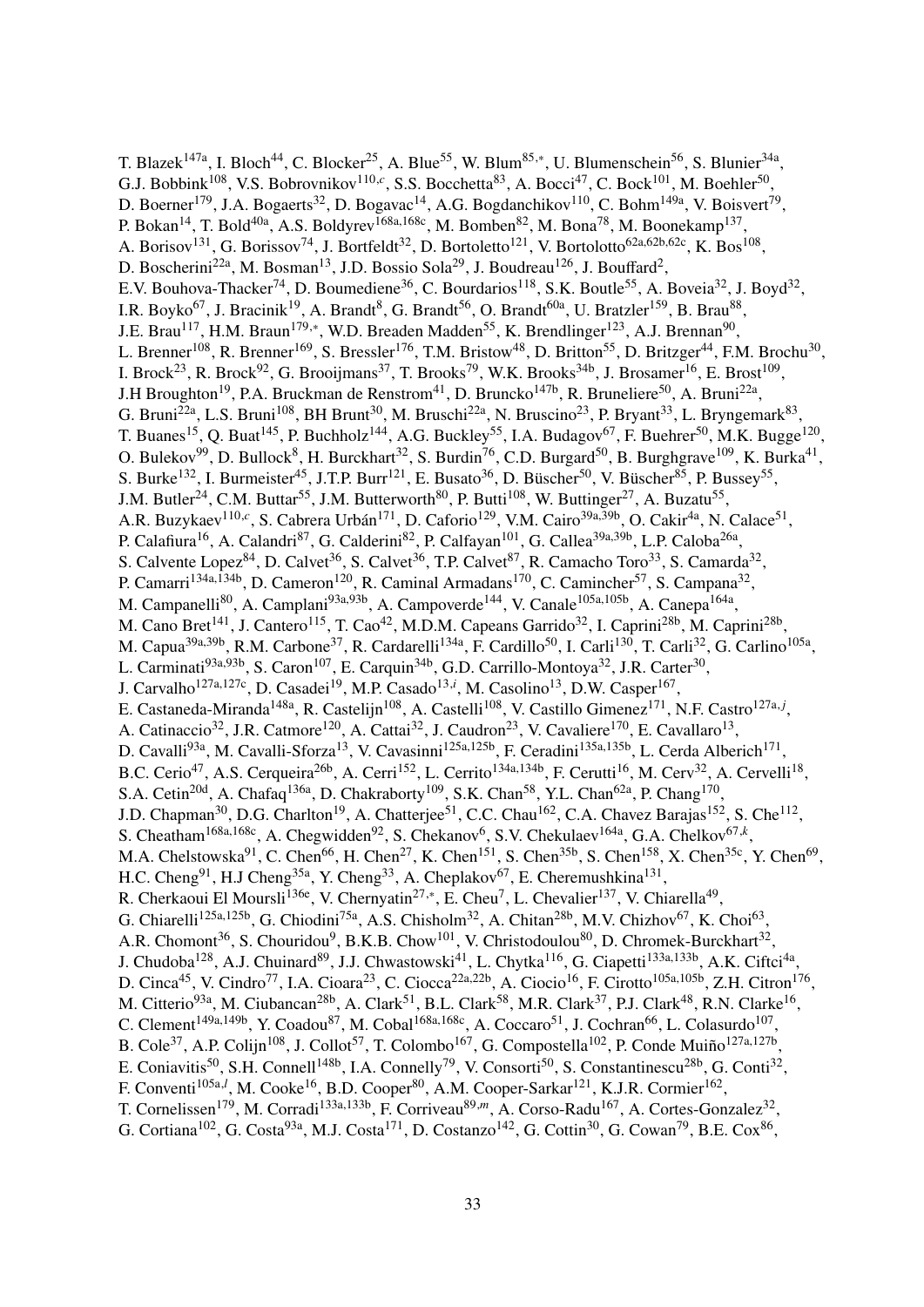T. Blazek<sup>147a</sup>, I. Bloch<sup>44</sup>, C. Blocker<sup>25</sup>, A. Blue<sup>55</sup>, W. Blum<sup>85,\*</sup>, U. Blumenschein<sup>56</sup>, S. Blunier<sup>34a</sup>, G.J. Bobbink<sup>108</sup>, V.S. Bobrovnikov<sup>110,c</sup>, S.S. Bocchetta<sup>83</sup>, A. Bocci<sup>47</sup>, C. Bock<sup>101</sup>, M. Boehler<sup>50</sup>, D. Boerner<sup>179</sup>, J.A. Bogaerts<sup>32</sup>, D. Bogavac<sup>14</sup>, A.G. Bogdanchikov<sup>110</sup>, C. Bohm<sup>149a</sup>, V. Boisvert<sup>79</sup>, P. Bokan<sup>14</sup>, T. Bold<sup>40a</sup>, A.S. Boldyrev<sup>168a,168c</sup>, M. Bomben<sup>82</sup>, M. Bona<sup>78</sup>, M. Boonekamp<sup>137</sup>, A. Borisov<sup>131</sup>, G. Borissov<sup>74</sup>, J. Bortfeldt<sup>32</sup>, D. Bortoletto<sup>121</sup>, V. Bortolotto<sup>62a,62b,62c</sup>, K. Bos<sup>108</sup>, D. Boscherini<sup>22a</sup>, M. Bosman<sup>13</sup>, J.D. Bossio Sola<sup>29</sup>, J. Boudreau<sup>126</sup>, J. Bouffard<sup>2</sup>, E.V. Bouhova-Thacker<sup>74</sup>, D. Boumediene<sup>36</sup>, C. Bourdarios<sup>118</sup>, S.K. Boutle<sup>55</sup>, A. Boveia<sup>32</sup>, J. Boyd<sup>32</sup>, I.R. Boyko<sup>67</sup>, J. Bracinik<sup>19</sup>, A. Brandt<sup>8</sup>, G. Brandt<sup>56</sup>, O. Brandt<sup>60a</sup>, U. Bratzler<sup>159</sup>, B. Brau<sup>88</sup>, J.E. Brau<sup>117</sup>, H.M. Braun<sup>179,∗</sup>, W.D. Breaden Madden<sup>55</sup>, K. Brendlinger<sup>123</sup>, A.J. Brennan<sup>90</sup>, L. Brenner<sup>108</sup>, R. Brenner<sup>169</sup>, S. Bressler<sup>176</sup>, T.M. Bristow<sup>48</sup>, D. Britton<sup>55</sup>, D. Britzger<sup>44</sup>, F.M. Brochu<sup>30</sup>, I. Brock<sup>23</sup>, R. Brock<sup>92</sup>, G. Brooijmans<sup>37</sup>, T. Brooks<sup>79</sup>, W.K. Brooks<sup>34b</sup>, J. Brosamer<sup>16</sup>, E. Brost<sup>109</sup>, J.H Broughton<sup>19</sup>, P.A. Bruckman de Renstrom<sup>41</sup>, D. Bruncko<sup>147b</sup>, R. Bruneliere<sup>50</sup>, A. Bruni<sup>22a</sup>, G. Bruni<sup>22a</sup>, L.S. Bruni<sup>108</sup>, BH Brunt<sup>30</sup>, M. Bruschi<sup>22a</sup>, N. Bruscino<sup>23</sup>, P. Bryant<sup>33</sup>, L. Bryngemark<sup>83</sup>, T. Buanes<sup>15</sup>, Q. Buat<sup>145</sup>, P. Buchholz<sup>144</sup>, A.G. Buckley<sup>55</sup>, I.A. Budagov<sup>67</sup>, F. Buehrer<sup>50</sup>, M.K. Bugge<sup>120</sup>, O. Bulekov<sup>99</sup>, D. Bullock<sup>8</sup>, H. Burckhart<sup>32</sup>, S. Burdin<sup>76</sup>, C.D. Burgard<sup>50</sup>, B. Burghgrave<sup>109</sup>, K. Burka<sup>41</sup>, S. Burke<sup>132</sup>, I. Burmeister<sup>45</sup>, J.T.P. Burr<sup>121</sup>, E. Busato<sup>36</sup>, D. Büscher<sup>50</sup>, V. Büscher<sup>85</sup>, P. Bussey<sup>55</sup>, J.M. Butler<sup>24</sup>, C.M. Buttar<sup>55</sup>, J.M. Butterworth<sup>80</sup>, P. Butti<sup>108</sup>, W. Buttinger<sup>27</sup>, A. Buzatu<sup>55</sup>, A.R. Buzykaev<sup>110,c</sup>, S. Cabrera Urbán<sup>171</sup>, D. Caforio<sup>129</sup>, V.M. Cairo<sup>39a,39b</sup>, O. Cakir<sup>4a</sup>, N. Calace<sup>51</sup>, P. Calafiura<sup>16</sup>, A. Calandri<sup>87</sup>, G. Calderini<sup>82</sup>, P. Calfayan<sup>101</sup>, G. Callea<sup>39a,39b</sup>, L.P. Caloba<sup>26a</sup>, S. Calvente Lopez<sup>84</sup>, D. Calvet<sup>36</sup>, S. Calvet<sup>36</sup>, T.P. Calvet<sup>87</sup>, R. Camacho Toro<sup>33</sup>, S. Camarda<sup>32</sup>, P. Camarri<sup>134a,134b</sup>, D. Cameron<sup>120</sup>, R. Caminal Armadans<sup>170</sup>, C. Camincher<sup>57</sup>, S. Campana<sup>32</sup>, M. Campanelli<sup>80</sup>, A. Camplani<sup>93a,93b</sup>, A. Campoverde<sup>144</sup>, V. Canale<sup>105a,105b</sup>, A. Canepa<sup>164a</sup>, M. Cano Bret<sup>141</sup>, J. Cantero<sup>115</sup>, T. Cao<sup>42</sup>, M.D.M. Capeans Garrido<sup>32</sup>, I. Caprini<sup>28b</sup>, M. Caprini<sup>28b</sup>, M. Capua<sup>39a,39b</sup>, R.M. Carbone<sup>37</sup>, R. Cardarelli<sup>134a</sup>, F. Cardillo<sup>50</sup>, I. Carli<sup>130</sup>, T. Carli<sup>32</sup>, G. Carlino<sup>105a</sup>, L. Carminati<sup>93a,93b</sup>, S. Caron<sup>107</sup>, E. Carquin<sup>34b</sup>, G.D. Carrillo-Montoya<sup>32</sup>, J.R. Carter<sup>30</sup>, J. Carvalho<sup>127a,127c</sup>, D. Casadei<sup>19</sup>, M.P. Casado<sup>13,*i*</sup>, M. Casolino<sup>13</sup>, D.W. Casper<sup>167</sup>, E. Castaneda-Miranda<sup>148a</sup>, R. Castelijn<sup>108</sup>, A. Castelli<sup>108</sup>, V. Castillo Gimenez<sup>171</sup>, N.F. Castro<sup>127a, *j*</sup>, A. Catinaccio<sup>32</sup>, J.R. Catmore<sup>120</sup>, A. Cattai<sup>32</sup>, J. Caudron<sup>23</sup>, V. Cavaliere<sup>170</sup>, E. Cavallaro<sup>13</sup>, D. Cavalli<sup>93a</sup>, M. Cavalli-Sforza<sup>13</sup>, V. Cavasinni<sup>125a,125b</sup>, F. Ceradini<sup>135a,135b</sup>, L. Cerda Alberich<sup>171</sup>, B.C. Cerio<sup>47</sup>, A.S. Cerqueira<sup>26b</sup>, A. Cerri<sup>152</sup>, L. Cerrito<sup>134a,134b</sup>, F. Cerutti<sup>16</sup>, M. Cerv<sup>32</sup>, A. Cervelli<sup>18</sup>, S.A. Cetin<sup>20d</sup>, A. Chafaq<sup>136a</sup>, D. Chakraborty<sup>109</sup>, S.K. Chan<sup>58</sup>, Y.L. Chan<sup>62a</sup>, P. Chang<sup>170</sup>, J.D. Chapman<sup>30</sup>, D.G. Charlton<sup>19</sup>, A. Chatterjee<sup>51</sup>, C.C. Chau<sup>162</sup>, C.A. Chavez Barajas<sup>152</sup>, S. Che<sup>112</sup>, S. Cheatham<sup>168a,168c</sup>, A. Chegwidden<sup>92</sup>, S. Chekanov<sup>6</sup>, S.V. Chekulaev<sup>164a</sup>, G.A. Chelkov<sup>67,k</sup>, M.A. Chelstowska $91$ , C. Chen $^{66}$ , H. Chen $^{27}$ , K. Chen $^{151}$ , S. Chen $^{35b}$ , S. Chen $^{158}$ , X. Chen $^{35c}$ , Y. Chen $^{69}$ , H.C. Cheng<sup>91</sup>, H.J Cheng<sup>35a</sup>, Y. Cheng<sup>33</sup>, A. Cheplakov<sup>67</sup>, E. Cheremushkina<sup>131</sup>, R. Cherkaoui El Moursli<sup>136e</sup>, V. Chernyatin<sup>27,\*</sup>, E. Cheu<sup>7</sup>, L. Chevalier<sup>137</sup>, V. Chiarella<sup>49</sup>, G. Chiarelli<sup>125a,125b</sup>, G. Chiodini<sup>75a</sup>, A.S. Chisholm<sup>32</sup>, A. Chitan<sup>28b</sup>, M.V. Chizhov<sup>67</sup>, K. Choi<sup>63</sup>, A.R. Chomont<sup>36</sup>, S. Chouridou<sup>9</sup>, B.K.B. Chow<sup>101</sup>, V. Christodoulou<sup>80</sup>, D. Chromek-Burckhart<sup>32</sup>, J. Chudoba<sup>128</sup>, A.J. Chuinard<sup>89</sup>, J.J. Chwastowski<sup>41</sup>, L. Chytka<sup>116</sup>, G. Ciapetti<sup>133a,133b</sup>, A.K. Ciftci<sup>4a</sup>, D. Cinca<sup>45</sup>, V. Cindro<sup>77</sup>, I.A. Cioara<sup>23</sup>, C. Ciocca<sup>22a,22b</sup>, A. Ciocio<sup>16</sup>, F. Cirotto<sup>105a,105b</sup>, Z.H. Citron<sup>176</sup>, M. Citterio<sup>93a</sup>, M. Ciubancan<sup>28b</sup>, A. Clark<sup>51</sup>, B.L. Clark<sup>58</sup>, M.R. Clark<sup>37</sup>, P.J. Clark<sup>48</sup>, R.N. Clarke<sup>16</sup>, C. Clement<sup>149a,149b</sup>, Y. Coadou<sup>87</sup>, M. Cobal<sup>168a,168c</sup>, A. Coccaro<sup>51</sup>, J. Cochran<sup>66</sup>, L. Colasurdo<sup>107</sup>, B. Cole<sup>37</sup>, A.P. Colijn<sup>108</sup>, J. Collot<sup>57</sup>, T. Colombo<sup>167</sup>, G. Compostella<sup>102</sup>, P. Conde Muiño<sup>127a,127b</sup>, E. Coniavitis<sup>50</sup>, S.H. Connell<sup>148b</sup>, I.A. Connelly<sup>79</sup>, V. Consorti<sup>50</sup>, S. Constantinescu<sup>28b</sup>, G. Conti<sup>32</sup>, F. Conventi<sup>105a,*l*</sup>, M. Cooke<sup>16</sup>, B.D. Cooper<sup>80</sup>, A.M. Cooper-Sarkar<sup>121</sup>, K.J.R. Cormier<sup>162</sup>, T. Cornelissen<sup>179</sup>, M. Corradi<sup>133a,133b</sup>, F. Corriveau<sup>89,*m*</sup>, A. Corso-Radu<sup>167</sup>, A. Cortes-Gonzalez<sup>32</sup>, G. Cortiana<sup>102</sup>, G. Costa<sup>93a</sup>, M.J. Costa<sup>171</sup>, D. Costanzo<sup>142</sup>, G. Cottin<sup>30</sup>, G. Cowan<sup>79</sup>, B.E. Cox<sup>86</sup>,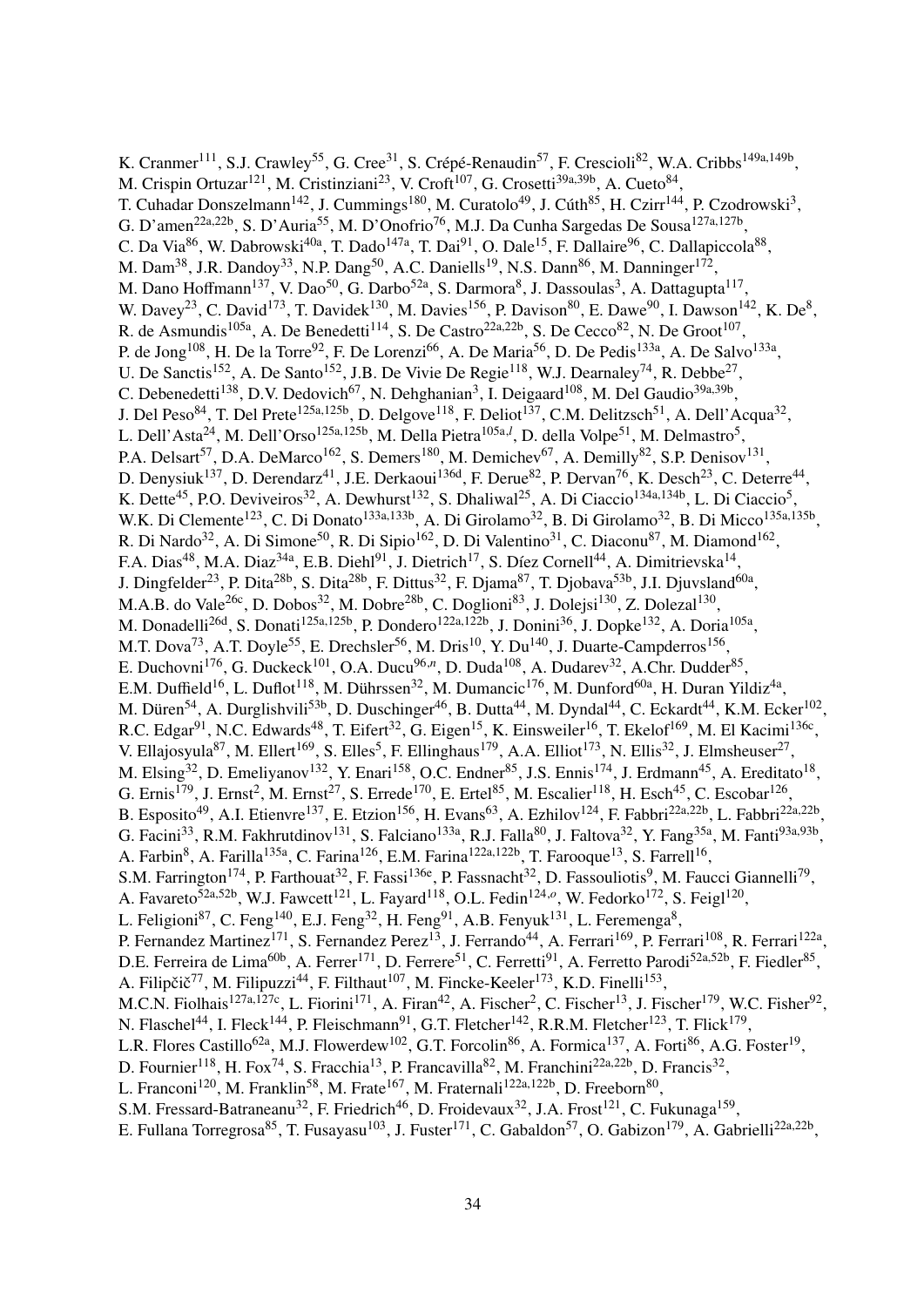K. Cranmer<sup>111</sup>, S.J. Crawley<sup>55</sup>, G. Cree<sup>31</sup>, S. Crépé-Renaudin<sup>57</sup>, F. Crescioli<sup>82</sup>, W.A. Cribbs<sup>149a,149b</sup>, M. Crispin Ortuzar<sup>121</sup>, M. Cristinziani<sup>23</sup>, V. Croft<sup>107</sup>, G. Crosetti<sup>39a,39b</sup>, A. Cueto<sup>84</sup>, T. Cuhadar Donszelmann<sup>142</sup>, J. Cummings<sup>180</sup>, M. Curatolo<sup>49</sup>, J. Cúth<sup>85</sup>, H. Czirr<sup>144</sup>, P. Czodrowski<sup>3</sup>, G. D'amen<sup>22a,22b</sup>, S. D'Auria<sup>55</sup>, M. D'Onofrio<sup>76</sup>, M.J. Da Cunha Sargedas De Sousa<sup>127a,127b</sup>, C. Da Via $^{86}$ , W. Dabrowski $^{40a}$ , T. Dado $^{147a}$ , T. Dai $^{91}$ , O. Dale $^{15}$ , F. Dallaire $^{96}$ , C. Dallapiccola $^{88}$ , M. Dam<sup>38</sup>, J.R. Dandoy<sup>33</sup>, N.P. Dang<sup>50</sup>, A.C. Daniells<sup>19</sup>, N.S. Dann<sup>86</sup>, M. Danninger<sup>172</sup>, M. Dano Hoffmann $^{137}$ , V. Dao $^{50}$ , G. Darbo $^{52a}$ , S. Darmora $^8$ , J. Dassoulas $^3$ , A. Dattagupta $^{117},$ W. Davey<sup>23</sup>, C. David<sup>173</sup>, T. Davidek<sup>130</sup>, M. Davies<sup>156</sup>, P. Davison<sup>80</sup>, E. Dawe<sup>90</sup>, I. Dawson<sup>142</sup>, K. De<sup>8</sup>, R. de Asmundis<sup>105a</sup>, A. De Benedetti<sup>114</sup>, S. De Castro<sup>22a,22b</sup>, S. De Cecco<sup>82</sup>, N. De Groot<sup>107</sup>, P. de Jong<sup>108</sup>, H. De la Torre<sup>92</sup>, F. De Lorenzi<sup>66</sup>, A. De Maria<sup>56</sup>, D. De Pedis<sup>133a</sup>, A. De Salvo<sup>133a</sup>, U. De Sanctis<sup>152</sup>, A. De Santo<sup>152</sup>, J.B. De Vivie De Regie<sup>118</sup>, W.J. Dearnaley<sup>74</sup>, R. Debbe<sup>27</sup>, C. Debenedetti<sup>138</sup>, D.V. Dedovich<sup>67</sup>, N. Dehghanian<sup>3</sup>, I. Deigaard<sup>108</sup>, M. Del Gaudio<sup>39a,39b</sup>, J. Del Peso $^{84}$ , T. Del Prete $^{125$ a,125b, D. Delgove $^{118}$ , F. Deliot $^{137}$ , C.M. Delitzsch $^{51}$ , A. Dell'Acqua $^{32}$ , L. Dell'Asta<sup>24</sup>, M. Dell'Orso<sup>125a,125b</sup>, M. Della Pietra<sup>105a,*l*</sup>, D. della Volpe<sup>51</sup>, M. Delmastro<sup>5</sup>, P.A. Delsart<sup>57</sup>, D.A. DeMarco<sup>162</sup>, S. Demers<sup>180</sup>, M. Demichev<sup>67</sup>, A. Demilly<sup>82</sup>, S.P. Denisov<sup>131</sup>, D. Denysiuk<sup>137</sup>, D. Derendarz<sup>41</sup>, J.E. Derkaoui<sup>136d</sup>, F. Derue<sup>82</sup>, P. Dervan<sup>76</sup>, K. Desch<sup>23</sup>, C. Deterre<sup>44</sup>, K. Dette<sup>45</sup>, P.O. Deviveiros<sup>32</sup>, A. Dewhurst<sup>132</sup>, S. Dhaliwal<sup>25</sup>, A. Di Ciaccio<sup>134a,134b</sup>, L. Di Ciaccio<sup>5</sup>, W.K. Di Clemente<sup>123</sup>, C. Di Donato<sup>133a,133b</sup>, A. Di Girolamo<sup>32</sup>, B. Di Girolamo<sup>32</sup>, B. Di Micco<sup>135a,135b</sup>, R. Di Nardo<sup>32</sup>, A. Di Simone<sup>50</sup>, R. Di Sipio<sup>162</sup>, D. Di Valentino<sup>31</sup>, C. Diaconu<sup>87</sup>, M. Diamond<sup>162</sup>, F.A. Dias<sup>48</sup>, M.A. Diaz<sup>34a</sup>, E.B. Diehl<sup>91</sup>, J. Dietrich<sup>17</sup>, S. Díez Cornell<sup>44</sup>, A. Dimitrievska<sup>14</sup>, J. Dingfelder<sup>23</sup>, P. Dita<sup>28b</sup>, S. Dita<sup>28b</sup>, F. Dittus<sup>32</sup>, F. Djama<sup>87</sup>, T. Djobava<sup>53b</sup>, J.I. Djuvsland<sup>60a</sup>, M.A.B. do Vale<sup>26c</sup>, D. Dobos<sup>32</sup>, M. Dobre<sup>28b</sup>, C. Doglioni<sup>83</sup>, J. Dolejsi<sup>130</sup>, Z. Dolezal<sup>130</sup>, M. Donadelli<sup>26d</sup>, S. Donati<sup>125a,125b</sup>, P. Dondero<sup>122a,122b</sup>, J. Donini<sup>36</sup>, J. Dopke<sup>132</sup>, A. Doria<sup>105a</sup>, M.T. Dova<sup>73</sup>, A.T. Doyle<sup>55</sup>, E. Drechsler<sup>56</sup>, M. Dris<sup>10</sup>, Y. Du<sup>140</sup>, J. Duarte-Campderros<sup>156</sup>, E. Duchovni<sup>176</sup>, G. Duckeck<sup>101</sup>, O.A. Ducu<sup>96,*n*</sup>, D. Duda<sup>108</sup>, A. Dudarev<sup>32</sup>, A.Chr. Dudder<sup>85</sup>, E.M. Duffield<sup>16</sup>, L. Duflot<sup>118</sup>, M. Dührssen<sup>32</sup>, M. Dumancic<sup>176</sup>, M. Dunford<sup>60a</sup>, H. Duran Yildiz<sup>4a</sup>, M. Düren<sup>54</sup>, A. Durglishvili<sup>53b</sup>, D. Duschinger<sup>46</sup>, B. Dutta<sup>44</sup>, M. Dyndal<sup>44</sup>, C. Eckardt<sup>44</sup>, K.M. Ecker<sup>102</sup>, R.C. Edgar<sup>91</sup>, N.C. Edwards<sup>48</sup>, T. Eifert<sup>32</sup>, G. Eigen<sup>15</sup>, K. Einsweiler<sup>16</sup>, T. Ekelof<sup>169</sup>, M. El Kacimi<sup>136c</sup>, V. Ellajosyula<sup>87</sup>, M. Ellert<sup>169</sup>, S. Elles<sup>5</sup>, F. Ellinghaus<sup>179</sup>, A.A. Elliot<sup>173</sup>, N. Ellis<sup>32</sup>, J. Elmsheuser<sup>27</sup>, M. Elsing<sup>32</sup>, D. Emeliyanov<sup>132</sup>, Y. Enari<sup>158</sup>, O.C. Endner<sup>85</sup>, J.S. Ennis<sup>174</sup>, J. Erdmann<sup>45</sup>, A. Ereditato<sup>18</sup>, G. Ernis<sup>179</sup>, J. Ernst<sup>2</sup>, M. Ernst<sup>27</sup>, S. Errede<sup>170</sup>, E. Ertel<sup>85</sup>, M. Escalier<sup>118</sup>, H. Esch<sup>45</sup>, C. Escobar<sup>126</sup>, B. Esposito<sup>49</sup>, A.I. Etienvre<sup>137</sup>, E. Etzion<sup>156</sup>, H. Evans<sup>63</sup>, A. Ezhilov<sup>124</sup>, F. Fabbri<sup>22a,22b</sup>, L. Fabbri<sup>22a,22b</sup>, G. Facini<sup>33</sup>, R.M. Fakhrutdinov<sup>131</sup>, S. Falciano<sup>133a</sup>, R.J. Falla<sup>80</sup>, J. Faltova<sup>32</sup>, Y. Fang<sup>35a</sup>, M. Fanti<sup>93a,93b</sup>, A. Farbin<sup>8</sup>, A. Farilla<sup>135a</sup>, C. Farina<sup>126</sup>, E.M. Farina<sup>122a,122b</sup>, T. Farooque<sup>13</sup>, S. Farrell<sup>16</sup>, S.M. Farrington<sup>174</sup>, P. Farthouat<sup>32</sup>, F. Fassi<sup>136e</sup>, P. Fassnacht<sup>32</sup>, D. Fassouliotis<sup>9</sup>, M. Faucci Giannelli<sup>79</sup>, A. Favareto<sup>52a,52b</sup>, W.J. Fawcett<sup>121</sup>, L. Fayard<sup>118</sup>, O.L. Fedin<sup>124,0</sup>, W. Fedorko<sup>172</sup>, S. Feigl<sup>120</sup>, L. Feligioni<sup>87</sup>, C. Feng<sup>140</sup>, E.J. Feng<sup>32</sup>, H. Feng<sup>91</sup>, A.B. Fenyuk<sup>131</sup>, L. Feremenga<sup>8</sup>, P. Fernandez Martinez<sup>171</sup>, S. Fernandez Perez<sup>13</sup>, J. Ferrando<sup>44</sup>, A. Ferrari<sup>169</sup>, P. Ferrari<sup>108</sup>, R. Ferrari<sup>122a</sup>, D.E. Ferreira de Lima<sup>60b</sup>, A. Ferrer<sup>171</sup>, D. Ferrere<sup>51</sup>, C. Ferretti<sup>91</sup>, A. Ferretto Parodi<sup>52a,52b</sup>, F. Fiedler<sup>85</sup>, A. Filipčič<sup>77</sup>, M. Filipuzzi<sup>44</sup>, F. Filthaut<sup>107</sup>, M. Fincke-Keeler<sup>173</sup>, K.D. Finelli<sup>153</sup>, M.C.N. Fiolhais<sup>127a,127c</sup>, L. Fiorini<sup>171</sup>, A. Firan<sup>42</sup>, A. Fischer<sup>2</sup>, C. Fischer<sup>13</sup>, J. Fischer<sup>179</sup>, W.C. Fisher<sup>92</sup>, N. Flaschel<sup>44</sup>, I. Fleck<sup>144</sup>, P. Fleischmann<sup>91</sup>, G.T. Fletcher<sup>142</sup>, R.R.M. Fletcher<sup>123</sup>, T. Flick<sup>179</sup>, L.R. Flores Castillo<sup>62a</sup>, M.J. Flowerdew<sup>102</sup>, G.T. Forcolin<sup>86</sup>, A. Formica<sup>137</sup>, A. Forti<sup>86</sup>, A.G. Foster<sup>19</sup>, D. Fournier<sup>118</sup>, H. Fox<sup>74</sup>, S. Fracchia<sup>13</sup>, P. Francavilla<sup>82</sup>, M. Franchini<sup>22a,22b</sup>, D. Francis<sup>32</sup>, L. Franconi<sup>120</sup>, M. Franklin<sup>58</sup>, M. Frate<sup>167</sup>, M. Fraternali<sup>122a,122b</sup>, D. Freeborn<sup>80</sup>, S.M. Fressard-Batraneanu<sup>32</sup>, F. Friedrich<sup>46</sup>, D. Froidevaux<sup>32</sup>, J.A. Frost<sup>121</sup>, C. Fukunaga<sup>159</sup>, E. Fullana Torregrosa<sup>85</sup>, T. Fusayasu<sup>103</sup>, J. Fuster<sup>171</sup>, C. Gabaldon<sup>57</sup>, O. Gabizon<sup>179</sup>, A. Gabrielli<sup>22a,22b</sup>,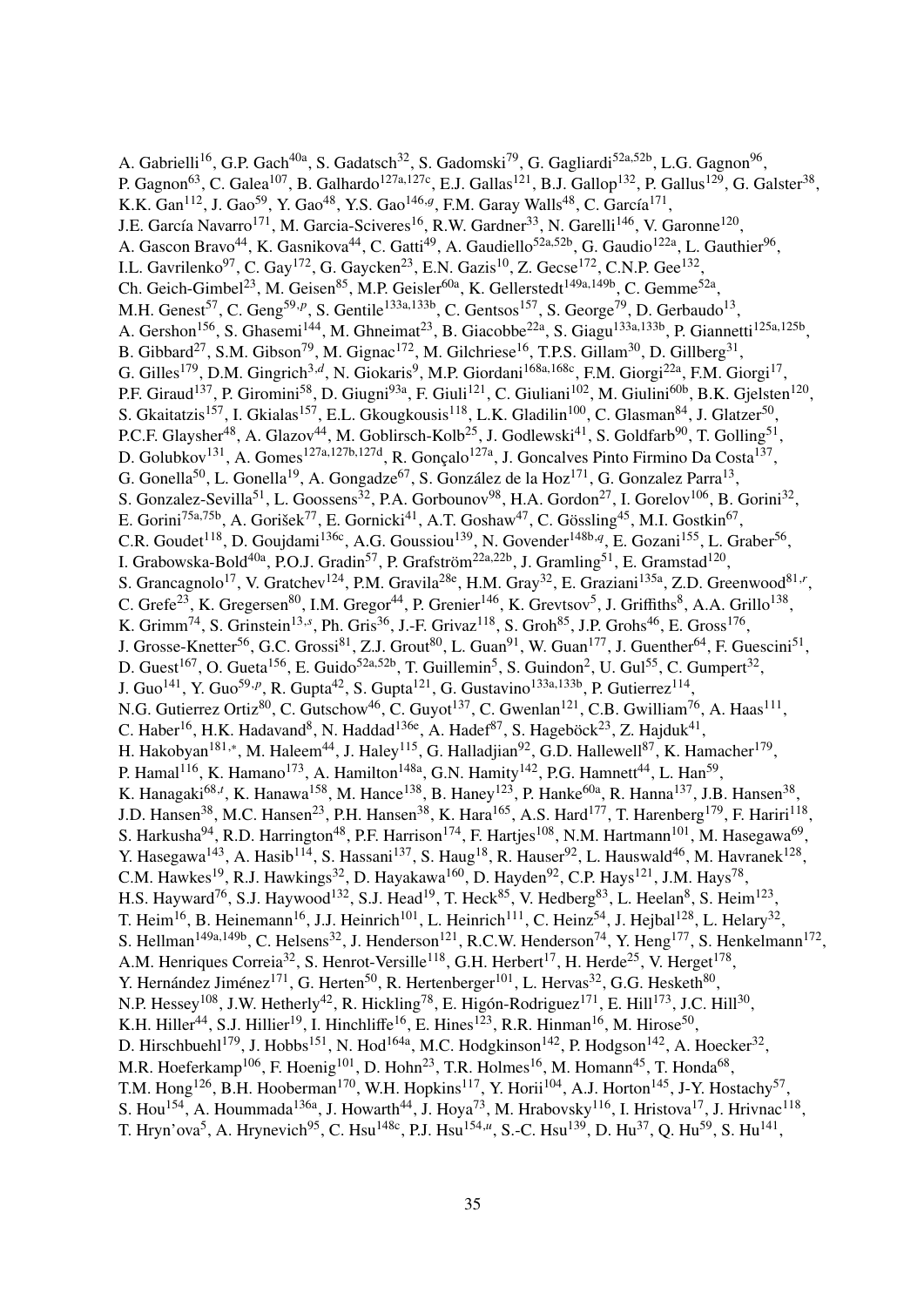A. Gabrielli<sup>16</sup>, G.P. Gach<sup>40a</sup>, S. Gadatsch<sup>32</sup>, S. Gadomski<sup>79</sup>, G. Gagliardi<sup>52a,52b</sup>, L.G. Gagnon<sup>96</sup>, P. Gagnon<sup>63</sup>, C. Galea<sup>107</sup>, B. Galhardo<sup>127a,127c</sup>, E.J. Gallas<sup>121</sup>, B.J. Gallop<sup>132</sup>, P. Gallus<sup>129</sup>, G. Galster<sup>38</sup>, K.K. Gan<sup>112</sup>, J. Gao<sup>59</sup>, Y. Gao<sup>48</sup>, Y.S. Gao<sup>146,g</sup>, F.M. Garay Walls<sup>48</sup>, C. García<sup>171</sup>, J.E. García Navarro<sup>171</sup>, M. Garcia-Sciveres<sup>16</sup>, R.W. Gardner<sup>33</sup>, N. Garelli<sup>146</sup>, V. Garonne<sup>120</sup>, A. Gascon Bravo<sup>44</sup>, K. Gasnikova<sup>44</sup>, C. Gatti<sup>49</sup>, A. Gaudiello<sup>52a,52b</sup>, G. Gaudio<sup>122a</sup>, L. Gauthier<sup>96</sup>, I.L. Gavrilenko $97$ , C. Gay<sup>172</sup>, G. Gaycken<sup>23</sup>, E.N. Gazis<sup>10</sup>, Z. Gecse<sup>172</sup>, C.N.P. Gee<sup>132</sup>, Ch. Geich-Gimbel<sup>23</sup>, M. Geisen<sup>85</sup>, M.P. Geisler<sup>60a</sup>, K. Gellerstedt<sup>149a,149b</sup>, C. Gemme<sup>52a</sup>, M.H. Genest<sup>57</sup>, C. Geng<sup>59,p</sup>, S. Gentile<sup>133a,133b</sup>, C. Gentsos<sup>157</sup>, S. George<sup>79</sup>, D. Gerbaudo<sup>13</sup>, A. Gershon<sup>156</sup>, S. Ghasemi<sup>144</sup>, M. Ghneimat<sup>23</sup>, B. Giacobbe<sup>22a</sup>, S. Giagu<sup>133a,133b</sup>, P. Giannetti<sup>125a,125b</sup>, B. Gibbard<sup>27</sup>, S.M. Gibson<sup>79</sup>, M. Gignac<sup>172</sup>, M. Gilchriese<sup>16</sup>, T.P.S. Gillam<sup>30</sup>, D. Gillberg<sup>31</sup>, G. Gilles<sup>179</sup>, D.M. Gingrich<sup>3,d</sup>, N. Giokaris<sup>9</sup>, M.P. Giordani<sup>168a,168c</sup>, F.M. Giorgi<sup>22a</sup>, F.M. Giorgi<sup>17</sup>, P.F. Giraud<sup>137</sup>, P. Giromini<sup>58</sup>, D. Giugni<sup>93a</sup>, F. Giuli<sup>121</sup>, C. Giuliani<sup>102</sup>, M. Giulini<sup>60b</sup>, B.K. Gjelsten<sup>120</sup>, S. Gkaitatzis<sup>157</sup>, I. Gkialas<sup>157</sup>, E.L. Gkougkousis<sup>118</sup>, L.K. Gladilin<sup>100</sup>, C. Glasman<sup>84</sup>, J. Glatzer<sup>50</sup>, P.C.F. Glaysher<sup>48</sup>, A. Glazov<sup>44</sup>, M. Goblirsch-Kolb<sup>25</sup>, J. Godlewski<sup>41</sup>, S. Goldfarb<sup>90</sup>, T. Golling<sup>51</sup>, D. Golubkov<sup>131</sup>, A. Gomes<sup>127a,127b,127d</sup>, R. Gonçalo<sup>127a</sup>, J. Goncalves Pinto Firmino Da Costa<sup>137</sup>, G. Gonella<sup>50</sup>, L. Gonella<sup>19</sup>, A. Gongadze<sup>67</sup>, S. González de la Hoz<sup>171</sup>, G. Gonzalez Parra<sup>13</sup>, S. Gonzalez-Sevilla<sup>51</sup>, L. Goossens<sup>32</sup>, P.A. Gorbounov<sup>98</sup>, H.A. Gordon<sup>27</sup>, I. Gorelov<sup>106</sup>, B. Gorini<sup>32</sup>, E. Gorini<sup>75a,75b</sup>, A. Gorišek<sup>77</sup>, E. Gornicki<sup>41</sup>, A.T. Goshaw<sup>47</sup>, C. Gössling<sup>45</sup>, M.I. Gostkin<sup>67</sup>, C.R. Goudet<sup>118</sup>, D. Goujdami<sup>136c</sup>, A.G. Goussiou<sup>139</sup>, N. Govender<sup>148b,q</sup>, E. Gozani<sup>155</sup>, L. Graber<sup>56</sup>, I. Grabowska-Bold $^{40a}$ , P.O.J. Gradin $^{57}$ , P. Grafström $^{22a,22b}$ , J. Gramling $^{51}$ , E. Gramstad $^{120}$ , S. Grancagnolo<sup>17</sup>, V. Gratchev<sup>124</sup>, P.M. Gravila<sup>28e</sup>, H.M. Gray<sup>32</sup>, E. Graziani<sup>135a</sup>, Z.D. Greenwood<sup>81,*r*</sup>, C. Grefe<sup>23</sup>, K. Gregersen<sup>80</sup>, I.M. Gregor<sup>44</sup>, P. Grenier<sup>146</sup>, K. Grevtsov<sup>5</sup>, J. Griffiths<sup>8</sup>, A.A. Grillo<sup>138</sup>, K. Grimm<sup>74</sup>, S. Grinstein<sup>13,*s*</sup>, Ph. Gris<sup>36</sup>, J.-F. Grivaz<sup>118</sup>, S. Groh<sup>85</sup>, J.P. Grohs<sup>46</sup>, E. Gross<sup>176</sup>, J. Grosse-Knetter<sup>56</sup>, G.C. Grossi<sup>81</sup>, Z.J. Grout<sup>80</sup>, L. Guan<sup>91</sup>, W. Guan<sup>177</sup>, J. Guenther<sup>64</sup>, F. Guescini<sup>51</sup>, D. Guest<sup>167</sup>, O. Gueta<sup>156</sup>, E. Guido<sup>52a,52b</sup>, T. Guillemin<sup>5</sup>, S. Guindon<sup>2</sup>, U. Gul<sup>55</sup>, C. Gumpert<sup>32</sup>, J. Guo<sup>141</sup>, Y. Guo<sup>59,p</sup>, R. Gupta<sup>42</sup>, S. Gupta<sup>121</sup>, G. Gustavino<sup>133a,133b</sup>, P. Gutierrez<sup>114</sup>, N.G. Gutierrez Ortiz<sup>80</sup>, C. Gutschow<sup>46</sup>, C. Guyot<sup>137</sup>, C. Gwenlan<sup>121</sup>, C.B. Gwilliam<sup>76</sup>, A. Haas<sup>111</sup>, C. Haber<sup>16</sup>, H.K. Hadavand<sup>8</sup>, N. Haddad<sup>136e</sup>, A. Hadef<sup>87</sup>, S. Hageböck<sup>23</sup>, Z. Hajduk<sup>41</sup>, H. Hakobyan $^{181,*}$ , M. Haleem $^{44}$ , J. Haley $^{115}$ , G. Halladjian $^{92}$ , G.D. Hallewell $^{87}$ , K. Hamacher $^{179}$ , P. Hamal<sup>116</sup>, K. Hamano<sup>173</sup>, A. Hamilton<sup>148a</sup>, G.N. Hamity<sup>142</sup>, P.G. Hamnett<sup>44</sup>, L. Han<sup>59</sup>, K. Hanagaki<sup>68,*t*</sup>, K. Hanawa<sup>158</sup>, M. Hance<sup>138</sup>, B. Haney<sup>123</sup>, P. Hanke<sup>60a</sup>, R. Hanna<sup>137</sup>, J.B. Hansen<sup>38</sup>, J.D. Hansen<sup>38</sup>, M.C. Hansen<sup>23</sup>, P.H. Hansen<sup>38</sup>, K. Hara<sup>165</sup>, A.S. Hard<sup>177</sup>, T. Harenberg<sup>179</sup>, F. Hariri<sup>118</sup>, S. Harkusha<sup>94</sup>, R.D. Harrington<sup>48</sup>, P.F. Harrison<sup>174</sup>, F. Hartjes<sup>108</sup>, N.M. Hartmann<sup>101</sup>, M. Hasegawa<sup>69</sup>, Y. Hasegawa<sup>143</sup>, A. Hasib<sup>114</sup>, S. Hassani<sup>137</sup>, S. Haug<sup>18</sup>, R. Hauser<sup>92</sup>, L. Hauswald<sup>46</sup>, M. Havranek<sup>128</sup>, C.M. Hawkes<sup>19</sup>, R.J. Hawkings<sup>32</sup>, D. Hayakawa<sup>160</sup>, D. Hayden<sup>92</sup>, C.P. Hays<sup>121</sup>, J.M. Hays<sup>78</sup>, H.S. Hayward<sup>76</sup>, S.J. Haywood<sup>132</sup>, S.J. Head<sup>19</sup>, T. Heck<sup>85</sup>, V. Hedberg<sup>83</sup>, L. Heelan<sup>8</sup>, S. Heim<sup>123</sup>, T. Heim<sup>16</sup>, B. Heinemann<sup>16</sup>, J.J. Heinrich<sup>101</sup>, L. Heinrich<sup>111</sup>, C. Heinz<sup>54</sup>, J. Hejbal<sup>128</sup>, L. Helary<sup>32</sup>, S. Hellman<sup>149a,149b</sup>, C. Helsens<sup>32</sup>, J. Henderson<sup>121</sup>, R.C.W. Henderson<sup>74</sup>, Y. Heng<sup>177</sup>, S. Henkelmann<sup>172</sup>, A.M. Henriques Correia<sup>32</sup>, S. Henrot-Versille<sup>118</sup>, G.H. Herbert<sup>17</sup>, H. Herde<sup>25</sup>, V. Herget<sup>178</sup>, Y. Hernández Jiménez<sup>171</sup>, G. Herten<sup>50</sup>, R. Hertenberger<sup>101</sup>, L. Hervas<sup>32</sup>, G.G. Hesketh<sup>80</sup>, N.P. Hessey<sup>108</sup>, J.W. Hetherly<sup>42</sup>, R. Hickling<sup>78</sup>, E. Higón-Rodriguez<sup>171</sup>, E. Hill<sup>173</sup>, J.C. Hill<sup>30</sup>, K.H. Hiller<sup>44</sup>, S.J. Hillier<sup>19</sup>, I. Hinchliffe<sup>16</sup>, E. Hines<sup>123</sup>, R.R. Hinman<sup>16</sup>, M. Hirose<sup>50</sup>, D. Hirschbuehl<sup>179</sup>, J. Hobbs<sup>151</sup>, N. Hod<sup>164a</sup>, M.C. Hodgkinson<sup>142</sup>, P. Hodgson<sup>142</sup>, A. Hoecker<sup>32</sup>, M.R. Hoeferkamp<sup>106</sup>, F. Hoenig<sup>101</sup>, D. Hohn<sup>23</sup>, T.R. Holmes<sup>16</sup>, M. Homann<sup>45</sup>, T. Honda<sup>68</sup>, T.M. Hong<sup>126</sup>, B.H. Hooberman<sup>170</sup>, W.H. Hopkins<sup>117</sup>, Y. Horii<sup>104</sup>, A.J. Horton<sup>145</sup>, J-Y. Hostachy<sup>57</sup>, S. Hou<sup>154</sup>, A. Hoummada<sup>136a</sup>, J. Howarth<sup>44</sup>, J. Hoya<sup>73</sup>, M. Hrabovsky<sup>116</sup>, I. Hristova<sup>17</sup>, J. Hrivnac<sup>118</sup>, T. Hryn'ova<sup>5</sup>, A. Hrynevich<sup>95</sup>, C. Hsu<sup>148c</sup>, P.J. Hsu<sup>154,µ</sup>, S.-C. Hsu<sup>139</sup>, D. Hu<sup>37</sup>, Q. Hu<sup>59</sup>, S. Hu<sup>141</sup>,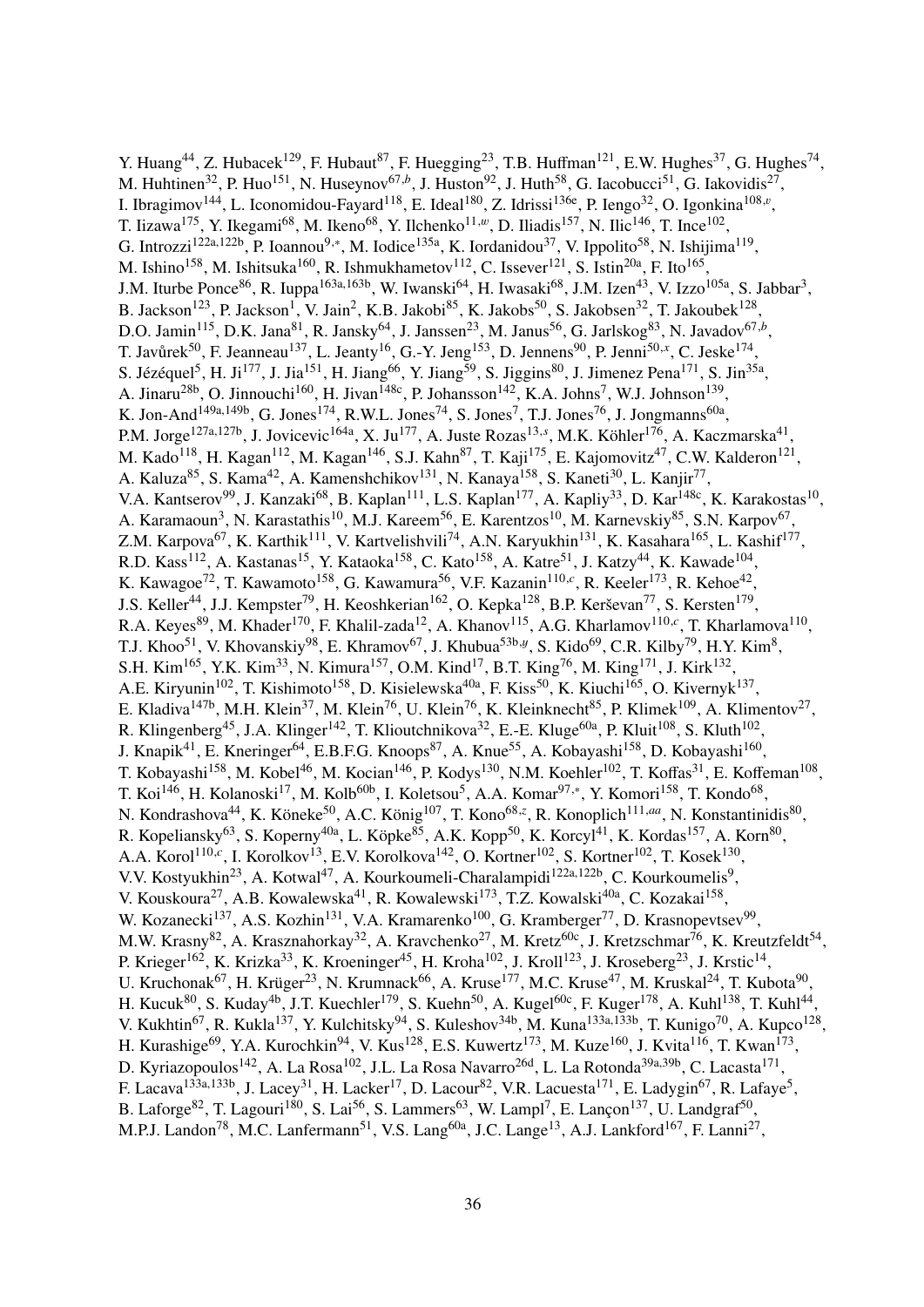Y. Huang<sup>44</sup>, Z. Hubacek<sup>129</sup>, F. Hubaut<sup>87</sup>, F. Huegging<sup>23</sup>, T.B. Huffman<sup>121</sup>, E.W. Hughes<sup>37</sup>, G. Hughes<sup>74</sup>, M. Huhtinen<sup>32</sup>, P. Huo<sup>151</sup>, N. Huseynov<sup>67,b</sup>, J. Huston<sup>92</sup>, J. Huth<sup>58</sup>, G. Iacobucci<sup>51</sup>, G. Iakovidis<sup>27</sup>, I. Ibragimov<sup>144</sup>, L. Iconomidou-Fayard<sup>118</sup>, E. Ideal<sup>180</sup>, Z. Idrissi<sup>136e</sup>, P. Iengo<sup>32</sup>, O. Igonkina<sup>108,*v*</sup>, T. Iizawa<sup>175</sup>, Y. Ikegami<sup>68</sup>, M. Ikeno<sup>68</sup>, Y. Ilchenko<sup>11,*w*</sup>, D. Iliadis<sup>157</sup>, N. Ilic<sup>146</sup>, T. Ince<sup>102</sup>, G. Introzzi<sup>122a,122b</sup>, P. Ioannou<sup>9,\*</sup>, M. Iodice<sup>135a</sup>, K. Iordanidou<sup>37</sup>, V. Ippolito<sup>58</sup>, N. Ishijima<sup>119</sup>, M. Ishino<sup>158</sup>, M. Ishitsuka<sup>160</sup>, R. Ishmukhametov<sup>112</sup>, C. Issever<sup>121</sup>, S. Istin<sup>20a</sup>, F. Ito<sup>165</sup>, J.M. Iturbe Ponce<sup>86</sup>, R. Iuppa<sup>163a,163b</sup>, W. Iwanski<sup>64</sup>, H. Iwasaki<sup>68</sup>, J.M. Izen<sup>43</sup>, V. Izzo<sup>105a</sup>, S. Jabbar<sup>3</sup>, B. Jackson<sup>123</sup>, P. Jackson<sup>1</sup>, V. Jain<sup>2</sup>, K.B. Jakobi<sup>85</sup>, K. Jakobs<sup>50</sup>, S. Jakobsen<sup>32</sup>, T. Jakoubek<sup>128</sup>, D.O. Jamin<sup>115</sup>, D.K. Jana<sup>81</sup>, R. Jansky<sup>64</sup>, J. Janssen<sup>23</sup>, M. Janus<sup>56</sup>, G. Jarlskog<sup>83</sup>, N. Javadov<sup>67,*b*</sup>, T. Javůrek<sup>50</sup>, F. Jeanneau<sup>137</sup>, L. Jeanty<sup>16</sup>, G.-Y. Jeng<sup>153</sup>, D. Jennens<sup>90</sup>, P. Jenni<sup>50,x</sup>, C. Jeske<sup>174</sup>, S. Jézéquel<sup>5</sup>, H. Ji<sup>177</sup>, J. Jia<sup>151</sup>, H. Jiang<sup>66</sup>, Y. Jiang<sup>59</sup>, S. Jiggins<sup>80</sup>, J. Jimenez Pena<sup>171</sup>, S. Jin<sup>35a</sup>, A. Jinaru<sup>28b</sup>, O. Jinnouchi<sup>160</sup>, H. Jivan<sup>148c</sup>, P. Johansson<sup>142</sup>, K.A. Johns<sup>7</sup>, W.J. Johnson<sup>139</sup>, K. Jon-And<sup>149a,149b</sup>, G. Jones<sup>174</sup>, R.W.L. Jones<sup>74</sup>, S. Jones<sup>7</sup>, T.J. Jones<sup>76</sup>, J. Jongmanns<sup>60a</sup>, P.M. Jorge<sup>127a,127b</sup>, J. Jovicevic<sup>164a</sup>, X. Ju<sup>177</sup>, A. Juste Rozas<sup>13,*s*</sup>, M.K. Köhler<sup>176</sup>, A. Kaczmarska<sup>41</sup>, M. Kado<sup>118</sup>, H. Kagan<sup>112</sup>, M. Kagan<sup>146</sup>, S.J. Kahn<sup>87</sup>, T. Kaji<sup>175</sup>, E. Kajomovitz<sup>47</sup>, C.W. Kalderon<sup>121</sup>, A. Kaluza<sup>85</sup>, S. Kama<sup>42</sup>, A. Kamenshchikov<sup>131</sup>, N. Kanaya<sup>158</sup>, S. Kaneti<sup>30</sup>, L. Kanjir<sup>77</sup>, V.A. Kantserov<sup>99</sup>, J. Kanzaki<sup>68</sup>, B. Kaplan<sup>111</sup>, L.S. Kaplan<sup>177</sup>, A. Kapliy<sup>33</sup>, D. Kar<sup>148c</sup>, K. Karakostas<sup>10</sup>, A. Karamaoun<sup>3</sup>, N. Karastathis<sup>10</sup>, M.J. Kareem<sup>56</sup>, E. Karentzos<sup>10</sup>, M. Karnevskiy<sup>85</sup>, S.N. Karpov<sup>67</sup>, Z.M. Karpova<sup>67</sup>, K. Karthik<sup>111</sup>, V. Kartvelishvili<sup>74</sup>, A.N. Karyukhin<sup>131</sup>, K. Kasahara<sup>165</sup>, L. Kashif<sup>177</sup>, R.D. Kass<sup>112</sup>, A. Kastanas<sup>15</sup>, Y. Kataoka<sup>158</sup>, C. Kato<sup>158</sup>, A. Katre<sup>51</sup>, J. Katzy<sup>44</sup>, K. Kawade<sup>104</sup>, K. Kawagoe<sup>72</sup>, T. Kawamoto<sup>158</sup>, G. Kawamura<sup>56</sup>, V.F. Kazanin<sup>110,*c*</sup>, R. Keeler<sup>173</sup>, R. Kehoe<sup>42</sup>, J.S. Keller<sup>44</sup>, J.J. Kempster<sup>79</sup>, H. Keoshkerian<sup>162</sup>, O. Kepka<sup>128</sup>, B.P. Kerševan<sup>77</sup>, S. Kersten<sup>179</sup>, R.A. Keyes<sup>89</sup>, M. Khader<sup>170</sup>, F. Khalil-zada<sup>12</sup>, A. Khanov<sup>115</sup>, A.G. Kharlamov<sup>110,*c*</sup>, T. Kharlamova<sup>110</sup>, T.J. Khoo<sup>51</sup>, V. Khovanskiy<sup>98</sup>, E. Khramov<sup>67</sup>, J. Khubua<sup>53b,y</sup>, S. Kido<sup>69</sup>, C.R. Kilby<sup>79</sup>, H.Y. Kim<sup>8</sup>, S.H. Kim<sup>165</sup>, Y.K. Kim<sup>33</sup>, N. Kimura<sup>157</sup>, O.M. Kind<sup>17</sup>, B.T. King<sup>76</sup>, M. King<sup>171</sup>, J. Kirk<sup>132</sup>, A.E. Kiryunin<sup>102</sup>, T. Kishimoto<sup>158</sup>, D. Kisielewska<sup>40a</sup>, F. Kiss<sup>50</sup>, K. Kiuchi<sup>165</sup>, O. Kivernyk<sup>137</sup>, E. Kladiva<sup>147b</sup>, M.H. Klein<sup>37</sup>, M. Klein<sup>76</sup>, U. Klein<sup>76</sup>, K. Kleinknecht<sup>85</sup>, P. Klimek<sup>109</sup>, A. Klimentov<sup>27</sup>, R. Klingenberg<sup>45</sup>, J.A. Klinger<sup>142</sup>, T. Klioutchnikova<sup>32</sup>, E.-E. Kluge<sup>60a</sup>, P. Kluit<sup>108</sup>, S. Kluth<sup>102</sup>, J. Knapik<sup>41</sup>, E. Kneringer<sup>64</sup>, E.B.F.G. Knoops<sup>87</sup>, A. Knue<sup>55</sup>, A. Kobayashi<sup>158</sup>, D. Kobayashi<sup>160</sup>, T. Kobayashi<sup>158</sup>, M. Kobel<sup>46</sup>, M. Kocian<sup>146</sup>, P. Kodys<sup>130</sup>, N.M. Koehler<sup>102</sup>, T. Koffas<sup>31</sup>, E. Koffeman<sup>108</sup>, T. Koi<sup>146</sup>, H. Kolanoski<sup>17</sup>, M. Kolb<sup>60b</sup>, I. Koletsou<sup>5</sup>, A.A. Komar<sup>97,\*</sup>, Y. Komori<sup>158</sup>, T. Kondo<sup>68</sup>, N. Kondrashova<sup>44</sup>, K. Köneke<sup>50</sup>, A.C. König<sup>107</sup>, T. Kono<sup>68,*z*</sup>, R. Konoplich<sup>111,aa</sup>, N. Konstantinidis<sup>80</sup>, R. Kopeliansky<sup>63</sup>, S. Koperny<sup>40a</sup>, L. Köpke<sup>85</sup>, A.K. Kopp<sup>50</sup>, K. Korcyl<sup>41</sup>, K. Kordas<sup>157</sup>, A. Korn<sup>80</sup>, A.A. Korol<sup>110,*c*</sup>, I. Korolkov<sup>13</sup>, E.V. Korolkova<sup>142</sup>, O. Kortner<sup>102</sup>, S. Kortner<sup>102</sup>, T. Kosek<sup>130</sup>, V.V. Kostyukhin<sup>23</sup>, A. Kotwal<sup>47</sup>, A. Kourkoumeli-Charalampidi<sup>122a,122b</sup>, C. Kourkoumelis<sup>9</sup>, V. Kouskoura<sup>27</sup>, A.B. Kowalewska<sup>41</sup>, R. Kowalewski<sup>173</sup>, T.Z. Kowalski<sup>40a</sup>, C. Kozakai<sup>158</sup>, W. Kozanecki<sup>137</sup>, A.S. Kozhin<sup>131</sup>, V.A. Kramarenko<sup>100</sup>, G. Kramberger<sup>77</sup>, D. Krasnopevtsev<sup>99</sup>, M.W. Krasny<sup>82</sup>, A. Krasznahorkay<sup>32</sup>, A. Kravchenko<sup>27</sup>, M. Kretz<sup>60c</sup>, J. Kretzschmar<sup>76</sup>, K. Kreutzfeldt<sup>54</sup>, P. Krieger<sup>162</sup>, K. Krizka<sup>33</sup>, K. Kroeninger<sup>45</sup>, H. Kroha<sup>102</sup>, J. Kroll<sup>123</sup>, J. Kroseberg<sup>23</sup>, J. Krstic<sup>14</sup>, U. Kruchonak<sup>67</sup>, H. Krüger<sup>23</sup>, N. Krumnack<sup>66</sup>, A. Kruse<sup>177</sup>, M.C. Kruse<sup>47</sup>, M. Kruskal<sup>24</sup>, T. Kubota<sup>90</sup>, H. Kucuk $^{80}$ , S. Kuday $^{4b}$ , J.T. Kuechler $^{179}$ , S. Kuehn $^{50}$ , A. Kugel $^{60c}$ , F. Kuger $^{178}$ , A. Kuhl $^{138}$ , T. Kuhl $^{44}$ , V. Kukhtin<sup>67</sup>, R. Kukla<sup>137</sup>, Y. Kulchitsky<sup>94</sup>, S. Kuleshov<sup>34b</sup>, M. Kuna<sup>133a,133b</sup>, T. Kunigo<sup>70</sup>, A. Kupco<sup>128</sup>, H. Kurashige<sup>69</sup>, Y.A. Kurochkin<sup>94</sup>, V. Kus<sup>128</sup>, E.S. Kuwertz<sup>173</sup>, M. Kuze<sup>160</sup>, J. Kvita<sup>116</sup>, T. Kwan<sup>173</sup>, D. Kyriazopoulos<sup>142</sup>, A. La Rosa<sup>102</sup>, J.L. La Rosa Navarro<sup>26d</sup>, L. La Rotonda<sup>39a,39b</sup>, C. Lacasta<sup>171</sup>, F. Lacava<sup>133a,133b</sup>, J. Lacey<sup>31</sup>, H. Lacker<sup>17</sup>, D. Lacour<sup>82</sup>, V.R. Lacuesta<sup>171</sup>, E. Ladygin<sup>67</sup>, R. Lafaye<sup>5</sup>, B. Laforge<sup>82</sup>, T. Lagouri<sup>180</sup>, S. Lai<sup>56</sup>, S. Lammers<sup>63</sup>, W. Lampl<sup>7</sup>, E. Lançon<sup>137</sup>, U. Landgraf<sup>50</sup>, M.P.J. Landon<sup>78</sup>, M.C. Lanfermann<sup>51</sup>, V.S. Lang<sup>60a</sup>, J.C. Lange<sup>13</sup>, A.J. Lankford<sup>167</sup>, F. Lanni<sup>27</sup>,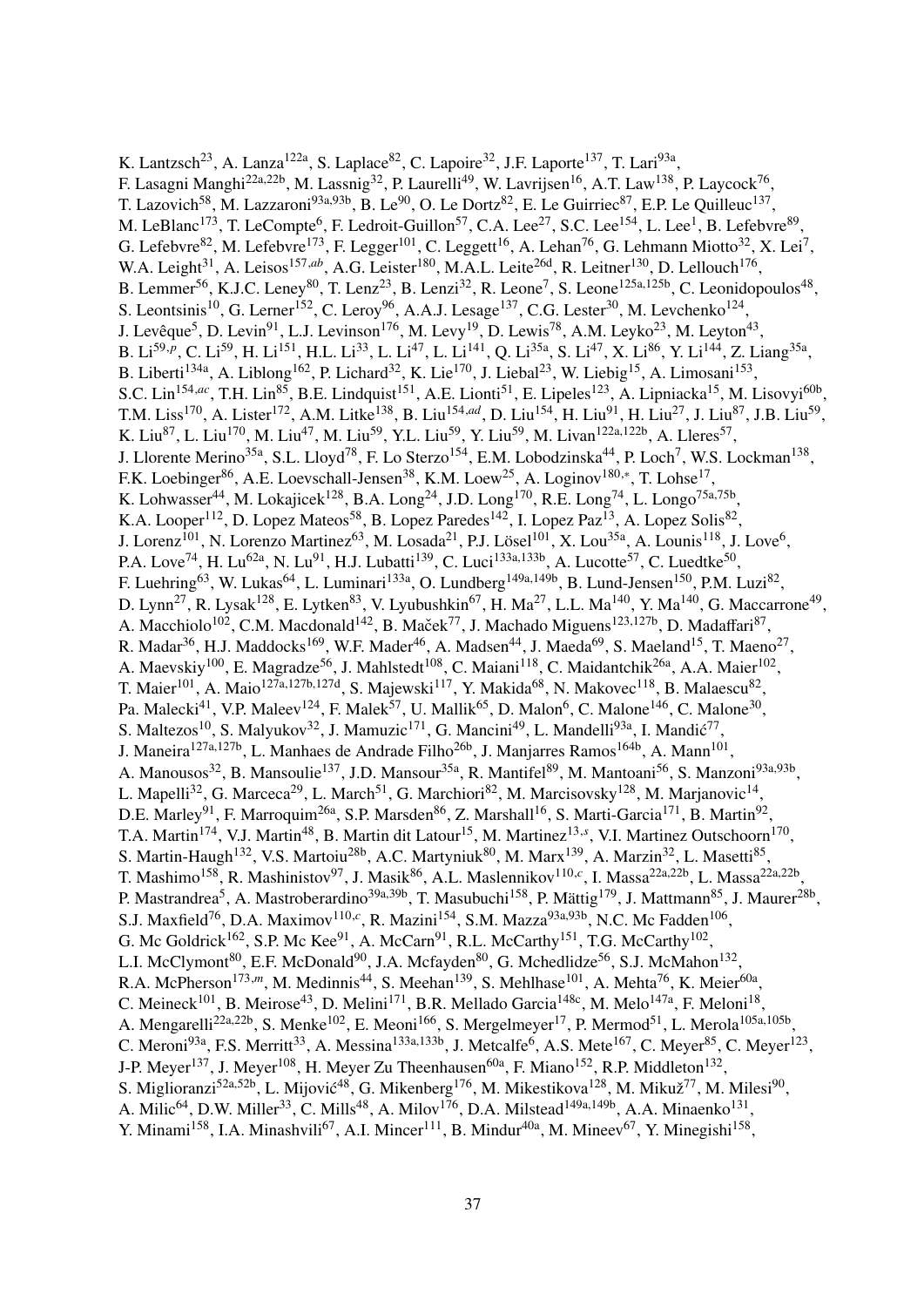K. Lantzsch<sup>23</sup>, A. Lanza<sup>122a</sup>, S. Laplace<sup>82</sup>, C. Lapoire<sup>32</sup>, J.F. Laporte<sup>137</sup>, T. Lari<sup>93a</sup>, F. Lasagni Manghi<sup>22a,22b</sup>, M. Lassnig<sup>32</sup>, P. Laurelli<sup>49</sup>, W. Lavrijsen<sup>16</sup>, A.T. Law<sup>138</sup>, P. Laycock<sup>76</sup>, T. Lazovich<sup>58</sup>, M. Lazzaroni<sup>93a,93b</sup>, B. Le<sup>90</sup>, O. Le Dortz<sup>82</sup>, E. Le Guirriec<sup>87</sup>, E.P. Le Quilleuc<sup>137</sup>, M. LeBlanc<sup>173</sup>, T. LeCompte<sup>6</sup>, F. Ledroit-Guillon<sup>57</sup>, C.A. Lee<sup>27</sup>, S.C. Lee<sup>154</sup>, L. Lee<sup>1</sup>, B. Lefebvre<sup>89</sup>, G. Lefebvre<sup>82</sup>, M. Lefebvre<sup>173</sup>, F. Legger<sup>101</sup>, C. Leggett<sup>16</sup>, A. Lehan<sup>76</sup>, G. Lehmann Miotto<sup>32</sup>, X. Lei<sup>7</sup>, W.A. Leight<sup>31</sup>, A. Leisos<sup>157,ab</sup>, A.G. Leister<sup>180</sup>, M.A.L. Leite<sup>26d</sup>, R. Leitner<sup>130</sup>, D. Lellouch<sup>176</sup>, B. Lemmer<sup>56</sup>, K.J.C. Leney<sup>80</sup>, T. Lenz<sup>23</sup>, B. Lenzi<sup>32</sup>, R. Leone<sup>7</sup>, S. Leone<sup>125a,125b</sup>, C. Leonidopoulos<sup>48</sup>, S. Leontsinis<sup>10</sup>, G. Lerner<sup>152</sup>, C. Leroy<sup>96</sup>, A.A.J. Lesage<sup>137</sup>, C.G. Lester<sup>30</sup>, M. Levchenko<sup>124</sup>, J. Levêque<sup>5</sup>, D. Levin<sup>91</sup>, L.J. Levinson<sup>176</sup>, M. Levy<sup>19</sup>, D. Lewis<sup>78</sup>, A.M. Leyko<sup>23</sup>, M. Leyton<sup>43</sup>, B. Li<sup>59,p</sup>, C. Li<sup>59</sup>, H. Li<sup>151</sup>, H.L. Li<sup>33</sup>, L. Li<sup>47</sup>, L. Li<sup>141</sup>, Q. Li<sup>35a</sup>, S. Li<sup>47</sup>, X. Li<sup>86</sup>, Y. Li<sup>144</sup>, Z. Liang<sup>35a</sup>, B. Liberti<sup>134a</sup>, A. Liblong<sup>162</sup>, P. Lichard<sup>32</sup>, K. Lie<sup>170</sup>, J. Liebal<sup>23</sup>, W. Liebig<sup>15</sup>, A. Limosani<sup>153</sup>, S.C. Lin<sup>154,ac</sup>, T.H. Lin<sup>85</sup>, B.E. Lindquist<sup>151</sup>, A.E. Lionti<sup>51</sup>, E. Lipeles<sup>123</sup>, A. Lipniacka<sup>15</sup>, M. Lisovyi<sup>60b</sup>, T.M. Liss<sup>170</sup>, A. Lister<sup>172</sup>, A.M. Litke<sup>138</sup>, B. Liu<sup>154,ad</sup>, D. Liu<sup>154</sup>, H. Liu<sup>91</sup>, H. Liu<sup>27</sup>, J. Liu<sup>87</sup>, J.B. Liu<sup>59</sup>, K. Liu<sup>87</sup>, L. Liu<sup>170</sup>, M. Liu<sup>47</sup>, M. Liu<sup>59</sup>, Y.L. Liu<sup>59</sup>, Y. Liu<sup>59</sup>, M. Livan<sup>122a,122b</sup>, A. Lleres<sup>57</sup>, J. Llorente Merino<sup>35a</sup>, S.L. Lloyd<sup>78</sup>, F. Lo Sterzo<sup>154</sup>, E.M. Lobodzinska<sup>44</sup>, P. Loch<sup>7</sup>, W.S. Lockman<sup>138</sup>, F.K. Loebinger<sup>86</sup>, A.E. Loevschall-Jensen<sup>38</sup>, K.M. Loew<sup>25</sup>, A. Loginov<sup>180,∗</sup>, T. Lohse<sup>17</sup>, K. Lohwasser<sup>44</sup>, M. Lokajicek<sup>128</sup>, B.A. Long<sup>24</sup>, J.D. Long<sup>170</sup>, R.E. Long<sup>74</sup>, L. Longo<sup>75a,75b</sup>, K.A. Looper<sup>112</sup>, D. Lopez Mateos<sup>58</sup>, B. Lopez Paredes<sup>142</sup>, I. Lopez Paz<sup>13</sup>, A. Lopez Solis<sup>82</sup>, J. Lorenz<sup>101</sup>, N. Lorenzo Martinez<sup>63</sup>, M. Losada<sup>21</sup>, P.J. Lösel<sup>101</sup>, X. Lou<sup>35a</sup>, A. Lounis<sup>118</sup>, J. Love<sup>6</sup>, P.A. Love<sup>74</sup>, H. Lu<sup>62a</sup>, N. Lu<sup>91</sup>, H.J. Lubatti<sup>139</sup>, C. Luci<sup>133a,133b</sup>, A. Lucotte<sup>57</sup>, C. Luedtke<sup>50</sup>, F. Luehring<sup>63</sup>, W. Lukas<sup>64</sup>, L. Luminari<sup>133a</sup>, O. Lundberg<sup>149a,149b</sup>, B. Lund-Jensen<sup>150</sup>, P.M. Luzi<sup>82</sup>, D. Lynn<sup>27</sup>, R. Lysak<sup>128</sup>, E. Lytken<sup>83</sup>, V. Lyubushkin<sup>67</sup>, H. Ma<sup>27</sup>, L.L. Ma<sup>140</sup>, Y. Ma<sup>140</sup>, G. Maccarrone<sup>49</sup>, A. Macchiolo<sup>102</sup>, C.M. Macdonald<sup>142</sup>, B. Maček<sup>77</sup>, J. Machado Miguens<sup>123,127b</sup>, D. Madaffari<sup>87</sup>, R. Madar $^{36}$ , H.J. Maddocks $^{169}$ , W.F. Mader $^{46}$ , A. Madsen $^{44}$ , J. Maeda $^{69}$ , S. Maeland $^{15}$ , T. Maeno $^{27}$ , A. Maevskiy<sup>100</sup>, E. Magradze<sup>56</sup>, J. Mahlstedt<sup>108</sup>, C. Maiani<sup>118</sup>, C. Maidantchik<sup>26a</sup>, A.A. Maier<sup>102</sup>, T. Maier $^{101}$ , A. Maio $^{127$ a,127b,127d, S. Majewski $^{117}$ , Y. Makida $^{68}$ , N. Makovec $^{118}$ , B. Malaescu $^{82}$ , Pa. Malecki $^{41}$ , V.P. Maleev $^{124}$ , F. Malek $^{57}$ , U. Mallik $^{65}$ , D. Malon $^6$ , C. Malone $^{146}$ , C. Malone $^{30}$ , S. Maltezos<sup>10</sup>, S. Malyukov<sup>32</sup>, J. Mamuzic<sup>171</sup>, G. Mancini<sup>49</sup>, L. Mandelli<sup>93a</sup>, I. Mandić<sup>77</sup>, J. Maneira<sup>127a,127b</sup>, L. Manhaes de Andrade Filho<sup>26b</sup>, J. Manjarres Ramos<sup>164b</sup>, A. Mann<sup>101</sup>, A. Manousos<sup>32</sup>, B. Mansoulie<sup>137</sup>, J.D. Mansour<sup>35a</sup>, R. Mantifel<sup>89</sup>, M. Mantoani<sup>56</sup>, S. Manzoni<sup>93a,93b</sup>, L. Mapelli<sup>32</sup>, G. Marceca<sup>29</sup>, L. March<sup>51</sup>, G. Marchiori<sup>82</sup>, M. Marcisovsky<sup>128</sup>, M. Marjanovic<sup>14</sup>, D.E. Marley<sup>91</sup>, F. Marroquim<sup>26a</sup>, S.P. Marsden<sup>86</sup>, Z. Marshall<sup>16</sup>, S. Marti-Garcia<sup>171</sup>, B. Martin<sup>92</sup>, T.A. Martin<sup>174</sup>, V.J. Martin<sup>48</sup>, B. Martin dit Latour<sup>15</sup>, M. Martinez<sup>13,*s*</sup>, V.I. Martinez Outschoorn<sup>170</sup>, S. Martin-Haugh<sup>132</sup>, V.S. Martoiu<sup>28b</sup>, A.C. Martyniuk<sup>80</sup>, M. Marx<sup>139</sup>, A. Marzin<sup>32</sup>, L. Masetti<sup>85</sup>, T. Mashimo<sup>158</sup>, R. Mashinistov<sup>97</sup>, J. Masik<sup>86</sup>, A.L. Maslennikov<sup>110,*c*</sup>, I. Massa<sup>22a,22b</sup>, L. Massa<sup>22a,22b</sup>, P. Mastrandrea<sup>5</sup>, A. Mastroberardino<sup>39a,39b</sup>, T. Masubuchi<sup>158</sup>, P. Mättig<sup>179</sup>, J. Mattmann<sup>85</sup>, J. Maurer<sup>28b</sup>, S.J. Maxfield<sup>76</sup>, D.A. Maximov<sup>110,c</sup>, R. Mazini<sup>154</sup>, S.M. Mazza<sup>93a,93b</sup>, N.C. Mc Fadden<sup>106</sup>, G. Mc Goldrick<sup>162</sup>, S.P. Mc Kee<sup>91</sup>, A. McCarn<sup>91</sup>, R.L. McCarthy<sup>151</sup>, T.G. McCarthy<sup>102</sup>, L.I. McClymont<sup>80</sup>, E.F. McDonald<sup>90</sup>, J.A. Mcfayden<sup>80</sup>, G. Mchedlidze<sup>56</sup>, S.J. McMahon<sup>132</sup>, R.A. McPherson<sup>173,m</sup>, M. Medinnis<sup>44</sup>, S. Meehan<sup>139</sup>, S. Mehlhase<sup>101</sup>, A. Mehta<sup>76</sup>, K. Meier<sup>60a</sup>, C. Meineck<sup>101</sup>, B. Meirose<sup>43</sup>, D. Melini<sup>171</sup>, B.R. Mellado Garcia<sup>148c</sup>, M. Melo<sup>147a</sup>, F. Meloni<sup>18</sup>, A. Mengarelli<sup>22a,22b</sup>, S. Menke<sup>102</sup>, E. Meoni<sup>166</sup>, S. Mergelmeyer<sup>17</sup>, P. Mermod<sup>51</sup>, L. Merola<sup>105a,105b</sup>, C. Meroni<sup>93a</sup>, F.S. Merritt<sup>33</sup>, A. Messina<sup>133a,133b</sup>, J. Metcalfe<sup>6</sup>, A.S. Mete<sup>167</sup>, C. Meyer<sup>85</sup>, C. Meyer<sup>123</sup>, J-P. Meyer<sup>137</sup>, J. Meyer<sup>108</sup>, H. Meyer Zu Theenhausen<sup>60a</sup>, F. Miano<sup>152</sup>, R.P. Middleton<sup>132</sup>, S. Miglioranzi<sup>52a,52b</sup>, L. Mijović<sup>48</sup>, G. Mikenberg<sup>176</sup>, M. Mikestikova<sup>128</sup>, M. Mikuž<sup>77</sup>, M. Milesi<sup>90</sup>, A. Milic<sup>64</sup>, D.W. Miller<sup>33</sup>, C. Mills<sup>48</sup>, A. Milov<sup>176</sup>, D.A. Milstead<sup>149a,149b</sup>, A.A. Minaenko<sup>131</sup>, Y. Minami<sup>158</sup>, I.A. Minashvili<sup>67</sup>, A.I. Mincer<sup>111</sup>, B. Mindur<sup>40a</sup>, M. Mineev<sup>67</sup>, Y. Minegishi<sup>158</sup>,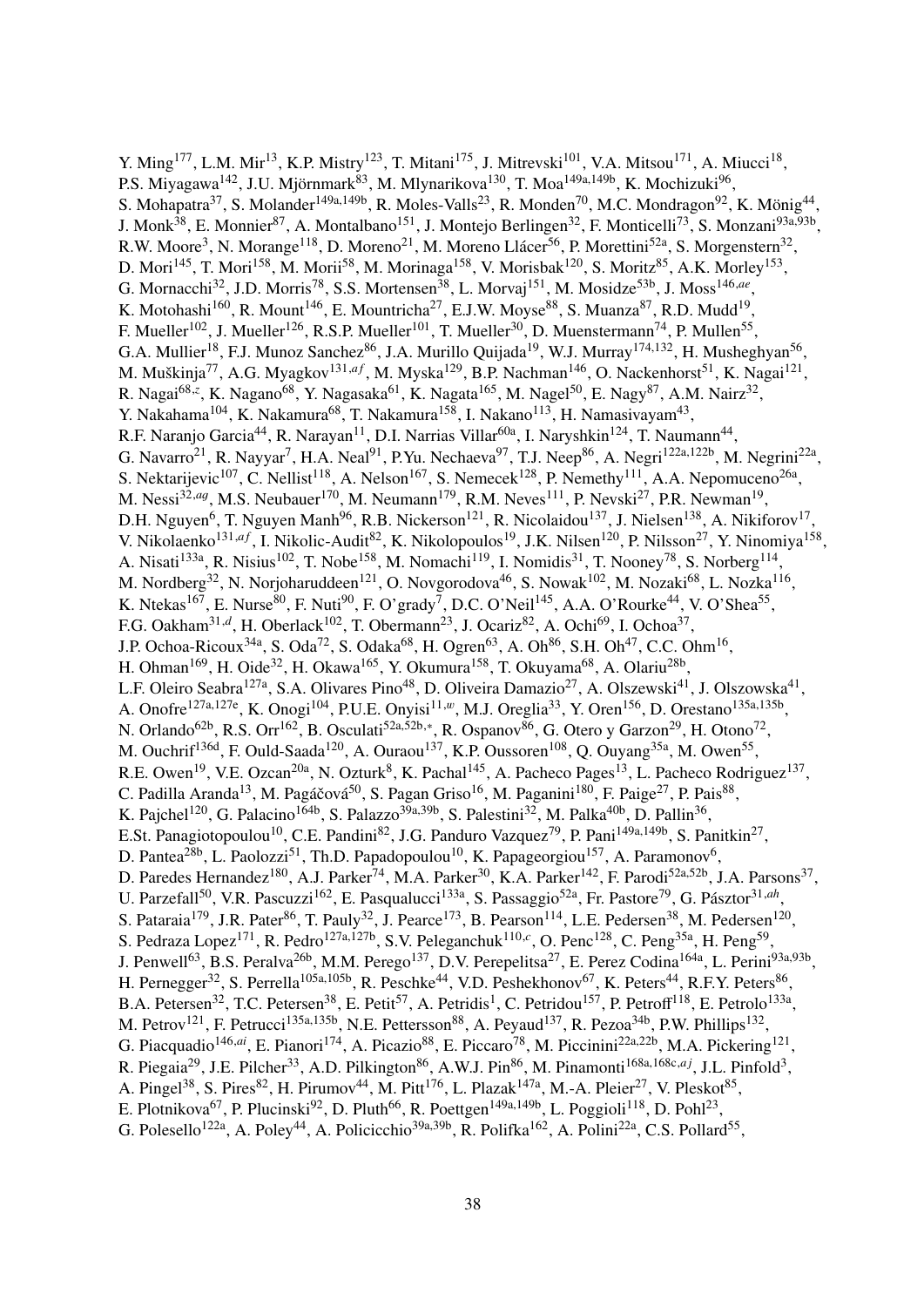Y. Ming<sup>177</sup>, L.M. Mir<sup>13</sup>, K.P. Mistry<sup>123</sup>, T. Mitani<sup>175</sup>, J. Mitrevski<sup>101</sup>, V.A. Mitsou<sup>171</sup>, A. Miucci<sup>18</sup>, P.S. Miyagawa<sup>142</sup>, J.U. Mjörnmark<sup>83</sup>, M. Mlynarikova<sup>130</sup>, T. Moa<sup>149a,149b</sup>, K. Mochizuki<sup>96</sup>, S. Mohapatra<sup>37</sup>, S. Molander<sup>149a,149b</sup>, R. Moles-Valls<sup>23</sup>, R. Monden<sup>70</sup>, M.C. Mondragon<sup>92</sup>, K. Mönig<sup>44</sup>, J. Monk<sup>38</sup>, E. Monnier<sup>87</sup>, A. Montalbano<sup>151</sup>, J. Montejo Berlingen<sup>32</sup>, F. Monticelli<sup>73</sup>, S. Monzani<sup>93a,93b</sup>, R.W. Moore<sup>3</sup>, N. Morange<sup>118</sup>, D. Moreno<sup>21</sup>, M. Moreno Llácer<sup>56</sup>, P. Morettini<sup>52a</sup>, S. Morgenstern<sup>32</sup>, D. Mori<sup>145</sup>, T. Mori<sup>158</sup>, M. Morii<sup>58</sup>, M. Morinaga<sup>158</sup>, V. Morisbak<sup>120</sup>, S. Moritz<sup>85</sup>, A.K. Morley<sup>153</sup>, G. Mornacchi<sup>32</sup>, J.D. Morris<sup>78</sup>, S.S. Mortensen<sup>38</sup>, L. Morvaj<sup>151</sup>, M. Mosidze<sup>53b</sup>, J. Moss<sup>146,ae</sup>, K. Motohashi<sup>160</sup>, R. Mount<sup>146</sup>, E. Mountricha<sup>27</sup>, E.J.W. Moyse<sup>88</sup>, S. Muanza<sup>87</sup>, R.D. Mudd<sup>19</sup>, F. Mueller<sup>102</sup>, J. Mueller<sup>126</sup>, R.S.P. Mueller<sup>101</sup>, T. Mueller<sup>30</sup>, D. Muenstermann<sup>74</sup>, P. Mullen<sup>55</sup>, G.A. Mullier<sup>18</sup>, F.J. Munoz Sanchez<sup>86</sup>, J.A. Murillo Quijada<sup>19</sup>, W.J. Murray<sup>174,132</sup>, H. Musheghyan<sup>56</sup>, M. Muškinja<sup>77</sup>, A.G. Myagkov<sup>131,af</sup>, M. Myska<sup>129</sup>, B.P. Nachman<sup>146</sup>, O. Nackenhorst<sup>51</sup>, K. Nagai<sup>121</sup>, R. Nagai<sup>68,z</sup>, K. Nagano<sup>68</sup>, Y. Nagasaka<sup>61</sup>, K. Nagata<sup>165</sup>, M. Nagel<sup>50</sup>, E. Nagy<sup>87</sup>, A.M. Nairz<sup>32</sup>, Y. Nakahama<sup>104</sup>, K. Nakamura<sup>68</sup>, T. Nakamura<sup>158</sup>, I. Nakano<sup>113</sup>, H. Namasivayam<sup>43</sup>, R.F. Naranjo Garcia<sup>44</sup>, R. Narayan<sup>11</sup>, D.I. Narrias Villar<sup>60a</sup>, I. Naryshkin<sup>124</sup>, T. Naumann<sup>44</sup>, G. Navarro<sup>21</sup>, R. Nayyar<sup>7</sup>, H.A. Neal<sup>91</sup>, P.Yu. Nechaeva<sup>97</sup>, T.J. Neep<sup>86</sup>, A. Negri<sup>122a,122b</sup>, M. Negrini<sup>22a</sup>, S. Nektarijevic<sup>107</sup>, C. Nellist<sup>118</sup>, A. Nelson<sup>167</sup>, S. Nemecek<sup>128</sup>, P. Nemethy<sup>111</sup>, A.A. Nepomuceno<sup>26a</sup>, M. Nessi<sup>32,ag</sup>, M.S. Neubauer<sup>170</sup>, M. Neumann<sup>179</sup>, R.M. Neves<sup>111</sup>, P. Nevski<sup>27</sup>, P.R. Newman<sup>19</sup>, D.H. Nguyen<sup>6</sup>, T. Nguyen Manh<sup>96</sup>, R.B. Nickerson<sup>121</sup>, R. Nicolaidou<sup>137</sup>, J. Nielsen<sup>138</sup>, A. Nikiforov<sup>17</sup>, V. Nikolaenko<sup>131,af</sup>, I. Nikolic-Audit<sup>82</sup>, K. Nikolopoulos<sup>19</sup>, J.K. Nilsen<sup>120</sup>, P. Nilsson<sup>27</sup>, Y. Ninomiya<sup>158</sup>, A. Nisati<sup>133a</sup>, R. Nisius<sup>102</sup>, T. Nobe<sup>158</sup>, M. Nomachi<sup>119</sup>, I. Nomidis<sup>31</sup>, T. Nooney<sup>78</sup>, S. Norberg<sup>114</sup>, M. Nordberg<sup>32</sup>, N. Norjoharuddeen<sup>121</sup>, O. Novgorodova<sup>46</sup>, S. Nowak<sup>102</sup>, M. Nozaki<sup>68</sup>, L. Nozka<sup>116</sup>, K. Ntekas<sup>167</sup>, E. Nurse<sup>80</sup>, F. Nuti<sup>90</sup>, F. O'grady<sup>7</sup>, D.C. O'Neil<sup>145</sup>, A.A. O'Rourke<sup>44</sup>, V. O'Shea<sup>55</sup>, F.G. Oakham<sup>31,d</sup>, H. Oberlack<sup>102</sup>, T. Obermann<sup>23</sup>, J. Ocariz<sup>82</sup>, A. Ochi<sup>69</sup>, I. Ochoa<sup>37</sup>, J.P. Ochoa-Ricoux<sup>34a</sup>, S. Oda<sup>72</sup>, S. Odaka<sup>68</sup>, H. Ogren<sup>63</sup>, A. Oh<sup>86</sup>, S.H. Oh<sup>47</sup>, C.C. Ohm<sup>16</sup>, H. Ohman<sup>169</sup>, H. Oide<sup>32</sup>, H. Okawa<sup>165</sup>, Y. Okumura<sup>158</sup>, T. Okuyama<sup>68</sup>, A. Olariu<sup>28b</sup>, L.F. Oleiro Seabra<sup>127a</sup>, S.A. Olivares Pino<sup>48</sup>, D. Oliveira Damazio<sup>27</sup>, A. Olszewski<sup>41</sup>, J. Olszowska<sup>41</sup>, A. Onofre<sup>127a,127e</sup>, K. Onogi<sup>104</sup>, P.U.E. Onyisi<sup>11,*w*</sup>, M.J. Oreglia<sup>33</sup>, Y. Oren<sup>156</sup>, D. Orestano<sup>135a,135b</sup>, N. Orlando<sup>62b</sup>, R.S. Orr<sup>162</sup>, B. Osculati<sup>52a,52b,\*</sup>, R. Ospanov<sup>86</sup>, G. Otero y Garzon<sup>29</sup>, H. Otono<sup>72</sup>, M. Ouchrif<sup>136d</sup>, F. Ould-Saada<sup>120</sup>, A. Ouraou<sup>137</sup>, K.P. Oussoren<sup>108</sup>, Q. Ouyang<sup>35a</sup>, M. Owen<sup>55</sup>, R.E. Owen<sup>19</sup>, V.E. Ozcan<sup>20a</sup>, N. Ozturk<sup>8</sup>, K. Pachal<sup>145</sup>, A. Pacheco Pages<sup>13</sup>, L. Pacheco Rodriguez<sup>137</sup>, C. Padilla Aranda<sup>13</sup>, M. Pagáčová<sup>50</sup>, S. Pagan Griso<sup>16</sup>, M. Paganini<sup>180</sup>, F. Paige<sup>27</sup>, P. Pais<sup>88</sup>, K. Pajchel<sup>120</sup>, G. Palacino<sup>164b</sup>, S. Palazzo<sup>39a,39b</sup>, S. Palestini<sup>32</sup>, M. Palka<sup>40b</sup>, D. Pallin<sup>36</sup>, E.St. Panagiotopoulou<sup>10</sup>, C.E. Pandini<sup>82</sup>, J.G. Panduro Vazquez<sup>79</sup>, P. Pani<sup>149a,149b</sup>, S. Panitkin<sup>27</sup>, D. Pantea<sup>28b</sup>, L. Paolozzi<sup>51</sup>, Th.D. Papadopoulou<sup>10</sup>, K. Papageorgiou<sup>157</sup>, A. Paramonov<sup>6</sup>, D. Paredes Hernandez<sup>180</sup>, A.J. Parker<sup>74</sup>, M.A. Parker<sup>30</sup>, K.A. Parker<sup>142</sup>, F. Parodi<sup>52a,52b</sup>, J.A. Parsons<sup>37</sup>, U. Parzefall<sup>50</sup>, V.R. Pascuzzi<sup>162</sup>, E. Pasqualucci<sup>133a</sup>, S. Passaggio<sup>52a</sup>, Fr. Pastore<sup>79</sup>, G. Pásztor<sup>31,ah</sup>, S. Pataraia<sup>179</sup>, J.R. Pater<sup>86</sup>, T. Pauly<sup>32</sup>, J. Pearce<sup>173</sup>, B. Pearson<sup>114</sup>, L.E. Pedersen<sup>38</sup>, M. Pedersen<sup>120</sup>, S. Pedraza Lopez<sup>171</sup>, R. Pedro<sup>127a,127b</sup>, S.V. Peleganchuk<sup>110,*c*</sup>, O. Penc<sup>128</sup>, C. Peng<sup>35a</sup>, H. Peng<sup>59</sup>, J. Penwell<sup>63</sup>, B.S. Peralva<sup>26b</sup>, M.M. Perego<sup>137</sup>, D.V. Perepelitsa<sup>27</sup>, E. Perez Codina<sup>164a</sup>, L. Perini<sup>93a,93b</sup>, H. Pernegger<sup>32</sup>, S. Perrella<sup>105a,105b</sup>, R. Peschke<sup>44</sup>, V.D. Peshekhonov<sup>67</sup>, K. Peters<sup>44</sup>, R.F.Y. Peters<sup>86</sup>, B.A. Petersen<sup>32</sup>, T.C. Petersen<sup>38</sup>, E. Petit<sup>57</sup>, A. Petridis<sup>1</sup>, C. Petridou<sup>157</sup>, P. Petroff<sup>118</sup>, E. Petrolo<sup>133a</sup>, M. Petrov<sup>121</sup>, F. Petrucci<sup>135a,135b</sup>, N.E. Pettersson<sup>88</sup>, A. Peyaud<sup>137</sup>, R. Pezoa<sup>34b</sup>, P.W. Phillips<sup>132</sup>, G. Piacquadio<sup>146,ai</sup>, E. Pianori<sup>174</sup>, A. Picazio<sup>88</sup>, E. Piccaro<sup>78</sup>, M. Piccinini<sup>22a,22b</sup>, M.A. Pickering<sup>121</sup>, R. Piegaia<sup>29</sup>, J.E. Pilcher<sup>33</sup>, A.D. Pilkington<sup>86</sup>, A.W.J. Pin<sup>86</sup>, M. Pinamonti<sup>168a,168c,aj</sup>, J.L. Pinfold<sup>3</sup>, A. Pingel<sup>38</sup>, S. Pires<sup>82</sup>, H. Pirumov<sup>44</sup>, M. Pitt<sup>176</sup>, L. Plazak<sup>147a</sup>, M.-A. Pleier<sup>27</sup>, V. Pleskot<sup>85</sup>, E. Plotnikova<sup>67</sup>, P. Plucinski<sup>92</sup>, D. Pluth<sup>66</sup>, R. Poettgen<sup>149a,149b</sup>, L. Poggioli<sup>118</sup>, D. Pohl<sup>23</sup>, G. Polesello<sup>122a</sup>, A. Poley<sup>44</sup>, A. Policicchio<sup>39a,39b</sup>, R. Polifka<sup>162</sup>, A. Polini<sup>22a</sup>, C.S. Pollard<sup>55</sup>,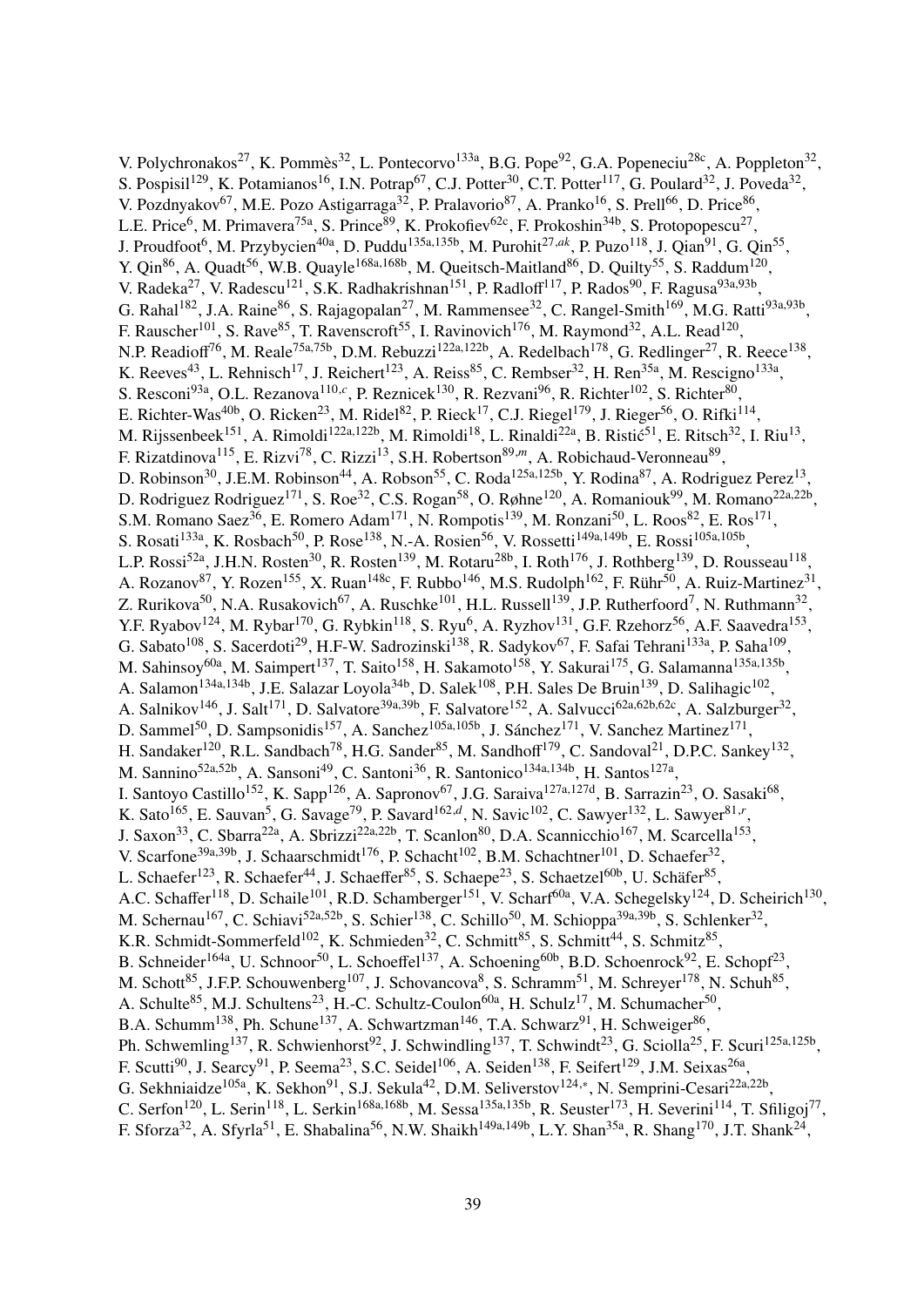V. Polychronakos<sup>27</sup>, K. Pommès<sup>32</sup>, L. Pontecorvo<sup>133a</sup>, B.G. Pope<sup>92</sup>, G.A. Popeneciu<sup>28c</sup>, A. Poppleton<sup>32</sup>, S. Pospisil<sup>129</sup>, K. Potamianos<sup>16</sup>, I.N. Potrap<sup>67</sup>, C.J. Potter<sup>30</sup>, C.T. Potter<sup>117</sup>, G. Poulard<sup>32</sup>, J. Poveda<sup>32</sup>, V. Pozdnyakov<sup>67</sup>, M.E. Pozo Astigarraga<sup>32</sup>, P. Pralavorio<sup>87</sup>, A. Pranko<sup>16</sup>, S. Prell<sup>66</sup>, D. Price<sup>86</sup>, L.E. Price<sup>6</sup>, M. Primavera<sup>75a</sup>, S. Prince<sup>89</sup>, K. Prokofiev<sup>62c</sup>, F. Prokoshin<sup>34b</sup>, S. Protopopescu<sup>27</sup>, J. Proudfoot<sup>6</sup>, M. Przybycien<sup>40a</sup>, D. Puddu<sup>135a,135b</sup>, M. Purohit<sup>27,ak</sup>, P. Puzo<sup>118</sup>, J. Qian<sup>91</sup>, G. Qin<sup>55</sup>, Y. Qin<sup>86</sup>, A. Quadt<sup>56</sup>, W.B. Quayle<sup>168a,168b</sup>, M. Queitsch-Maitland<sup>86</sup>, D. Quilty<sup>55</sup>, S. Raddum<sup>120</sup>, V. Radeka<sup>27</sup>, V. Radescu<sup>121</sup>, S.K. Radhakrishnan<sup>151</sup>, P. Radloff<sup>117</sup>, P. Rados<sup>90</sup>, F. Ragusa<sup>93a,93b</sup>, G. Rahal<sup>182</sup>, J.A. Raine<sup>86</sup>, S. Rajagopalan<sup>27</sup>, M. Rammensee<sup>32</sup>, C. Rangel-Smith<sup>169</sup>, M.G. Ratti<sup>93a,93b</sup>, F. Rauscher<sup>101</sup>, S. Rave<sup>85</sup>, T. Ravenscroft<sup>55</sup>, I. Ravinovich<sup>176</sup>, M. Raymond<sup>32</sup>, A.L. Read<sup>120</sup>, N.P. Readioff<sup>76</sup>, M. Reale<sup>75a,75b</sup>, D.M. Rebuzzi<sup>122a,122b</sup>, A. Redelbach<sup>178</sup>, G. Redlinger<sup>27</sup>, R. Reece<sup>138</sup>, K. Reeves<sup>43</sup>, L. Rehnisch<sup>17</sup>, J. Reichert<sup>123</sup>, A. Reiss<sup>85</sup>, C. Rembser<sup>32</sup>, H. Ren<sup>35a</sup>, M. Rescigno<sup>133a</sup>, S. Resconi<sup>93a</sup>, O.L. Rezanova<sup>110,*c*</sup>, P. Reznicek<sup>130</sup>, R. Rezvani<sup>96</sup>, R. Richter<sup>102</sup>, S. Richter<sup>80</sup>, E. Richter-Was<sup>40b</sup>, O. Ricken<sup>23</sup>, M. Ridel<sup>82</sup>, P. Rieck<sup>17</sup>, C.J. Riegel<sup>179</sup>, J. Rieger<sup>56</sup>, O. Rifki<sup>114</sup>, M. Rijssenbeek<sup>151</sup>, A. Rimoldi<sup>122a,122b</sup>, M. Rimoldi<sup>18</sup>, L. Rinaldi<sup>22a</sup>, B. Ristić<sup>51</sup>, E. Ritsch<sup>32</sup>, I. Riu<sup>13</sup>, F. Rizatdinova<sup>115</sup>, E. Rizvi<sup>78</sup>, C. Rizzi<sup>13</sup>, S.H. Robertson<sup>89,*m*</sup>, A. Robichaud-Veronneau<sup>89</sup>, D. Robinson<sup>30</sup>, J.E.M. Robinson<sup>44</sup>, A. Robson<sup>55</sup>, C. Roda<sup>125a,125b</sup>, Y. Rodina<sup>87</sup>, A. Rodriguez Perez<sup>13</sup>, D. Rodriguez Rodriguez<sup>171</sup>, S. Roe<sup>32</sup>, C.S. Rogan<sup>58</sup>, O. Røhne<sup>120</sup>, A. Romaniouk<sup>99</sup>, M. Romano<sup>22a,22b</sup>, S.M. Romano Saez<sup>36</sup>, E. Romero Adam<sup>171</sup>, N. Rompotis<sup>139</sup>, M. Ronzani<sup>50</sup>, L. Roos<sup>82</sup>, E. Ros<sup>171</sup>, S. Rosati<sup>133a</sup>, K. Rosbach<sup>50</sup>, P. Rose<sup>138</sup>, N.-A. Rosien<sup>56</sup>, V. Rossetti<sup>149a,149b</sup>, E. Rossi<sup>105a,105b</sup>, L.P. Rossi<sup>52a</sup>, J.H.N. Rosten<sup>30</sup>, R. Rosten<sup>139</sup>, M. Rotaru<sup>28b</sup>, I. Roth<sup>176</sup>, J. Rothberg<sup>139</sup>, D. Rousseau<sup>118</sup>, A. Rozanov<sup>87</sup>, Y. Rozen<sup>155</sup>, X. Ruan<sup>148c</sup>, F. Rubbo<sup>146</sup>, M.S. Rudolph<sup>162</sup>, F. Rühr<sup>50</sup>, A. Ruiz-Martinez<sup>31</sup>, Z. Rurikova<sup>50</sup>, N.A. Rusakovich<sup>67</sup>, A. Ruschke<sup>101</sup>, H.L. Russell<sup>139</sup>, J.P. Rutherfoord<sup>7</sup>, N. Ruthmann<sup>32</sup>, Y.F. Ryabov<sup>124</sup>, M. Rybar<sup>170</sup>, G. Rybkin<sup>118</sup>, S. Ryu<sup>6</sup>, A. Ryzhov<sup>131</sup>, G.F. Rzehorz<sup>56</sup>, A.F. Saavedra<sup>153</sup>, G. Sabato<sup>108</sup>, S. Sacerdoti<sup>29</sup>, H.F-W. Sadrozinski<sup>138</sup>, R. Sadykov<sup>67</sup>, F. Safai Tehrani<sup>133a</sup>, P. Saha<sup>109</sup>, M. Sahinsoy<sup>60a</sup>, M. Saimpert<sup>137</sup>, T. Saito<sup>158</sup>, H. Sakamoto<sup>158</sup>, Y. Sakurai<sup>175</sup>, G. Salamanna<sup>135a,135b</sup>, A. Salamon<sup>134a,134b</sup>, J.E. Salazar Loyola<sup>34b</sup>, D. Salek<sup>108</sup>, P.H. Sales De Bruin<sup>139</sup>, D. Salihagic<sup>102</sup>, A. Salnikov<sup>146</sup>, J. Salt<sup>171</sup>, D. Salvatore<sup>39a,39b</sup>, F. Salvatore<sup>152</sup>, A. Salvucci<sup>62a,62b,62c</sup>, A. Salzburger<sup>32</sup>, D. Sammel<sup>50</sup>, D. Sampsonidis<sup>157</sup>, A. Sanchez<sup>105a,105b</sup>, J. Sánchez<sup>171</sup>, V. Sanchez Martinez<sup>171</sup>, H. Sandaker<sup>120</sup>, R.L. Sandbach<sup>78</sup>, H.G. Sander<sup>85</sup>, M. Sandhoff<sup>179</sup>, C. Sandoval<sup>21</sup>, D.P.C. Sankey<sup>132</sup>, M. Sannino<sup>52a,52b</sup>, A. Sansoni<sup>49</sup>, C. Santoni<sup>36</sup>, R. Santonico<sup>134a,134b</sup>, H. Santos<sup>127a</sup>, I. Santoyo Castillo<sup>152</sup>, K. Sapp<sup>126</sup>, A. Sapronov<sup>67</sup>, J.G. Saraiva<sup>127a,127d</sup>, B. Sarrazin<sup>23</sup>, O. Sasaki<sup>68</sup>, K. Sato<sup>165</sup>, E. Sauvan<sup>5</sup>, G. Savage<sup>79</sup>, P. Savard<sup>162,d</sup>, N. Savic<sup>102</sup>, C. Sawyer<sup>132</sup>, L. Sawyer<sup>81,r</sup>, J. Saxon<sup>33</sup>, C. Sbarra<sup>22a</sup>, A. Sbrizzi<sup>22a,22b</sup>, T. Scanlon<sup>80</sup>, D.A. Scannicchio<sup>167</sup>, M. Scarcella<sup>153</sup>, V. Scarfone<sup>39a,39b</sup>, J. Schaarschmidt<sup>176</sup>, P. Schacht<sup>102</sup>, B.M. Schachtner<sup>101</sup>, D. Schaefer<sup>32</sup>, L. Schaefer<sup>123</sup>, R. Schaefer<sup>44</sup>, J. Schaeffer<sup>85</sup>, S. Schaepe<sup>23</sup>, S. Schaetzel<sup>60b</sup>, U. Schäfer<sup>85</sup>, A.C. Schaffer<sup>118</sup>, D. Schaile<sup>101</sup>, R.D. Schamberger<sup>151</sup>, V. Scharf<sup>60a</sup>, V.A. Schegelsky<sup>124</sup>, D. Scheirich<sup>130</sup>, M. Schernau<sup>167</sup>, C. Schiavi<sup>52a,52b</sup>, S. Schier<sup>138</sup>, C. Schillo<sup>50</sup>, M. Schioppa<sup>39a,39b</sup>, S. Schlenker<sup>32</sup>, K.R. Schmidt-Sommerfeld<sup>102</sup>, K. Schmieden<sup>32</sup>, C. Schmitt<sup>85</sup>, S. Schmitt<sup>44</sup>, S. Schmitz<sup>85</sup>, B. Schneider<sup>164a</sup>, U. Schnoor<sup>50</sup>, L. Schoeffel<sup>137</sup>, A. Schoening<sup>60b</sup>, B.D. Schoenrock<sup>92</sup>, E. Schopf<sup>23</sup>, M. Schott<sup>85</sup>, J.F.P. Schouwenberg<sup>107</sup>, J. Schovancova<sup>8</sup>, S. Schramm<sup>51</sup>, M. Schreyer<sup>178</sup>, N. Schuh<sup>85</sup>, A. Schulte<sup>85</sup>, M.J. Schultens<sup>23</sup>, H.-C. Schultz-Coulon<sup>60a</sup>, H. Schulz<sup>17</sup>, M. Schumacher<sup>50</sup>, B.A. Schumm<sup>138</sup>, Ph. Schune<sup>137</sup>, A. Schwartzman<sup>146</sup>, T.A. Schwarz<sup>91</sup>, H. Schweiger<sup>86</sup>, Ph. Schwemling<sup>137</sup>, R. Schwienhorst<sup>92</sup>, J. Schwindling<sup>137</sup>, T. Schwindt<sup>23</sup>, G. Sciolla<sup>25</sup>, F. Scuri<sup>125a,125b</sup>, F. Scutti<sup>90</sup>, J. Searcy<sup>91</sup>, P. Seema<sup>23</sup>, S.C. Seidel<sup>106</sup>, A. Seiden<sup>138</sup>, F. Seifert<sup>129</sup>, J.M. Seixas<sup>26a</sup>, G. Sekhniaidze<sup>105a</sup>, K. Sekhon<sup>91</sup>, S.J. Sekula<sup>42</sup>, D.M. Seliverstov<sup>124,∗</sup>, N. Semprini-Cesari<sup>22a,22b</sup>, C. Serfon<sup>120</sup>, L. Serin<sup>118</sup>, L. Serkin<sup>168a,168b</sup>, M. Sessa<sup>135a,135b</sup>, R. Seuster<sup>173</sup>, H. Severini<sup>114</sup>, T. Sfiligoj<sup>77</sup>, F. Sforza<sup>32</sup>, A. Sfyrla<sup>51</sup>, E. Shabalina<sup>56</sup>, N.W. Shaikh<sup>149a,149b</sup>, L.Y. Shan<sup>35a</sup>, R. Shang<sup>170</sup>, J.T. Shank<sup>24</sup>,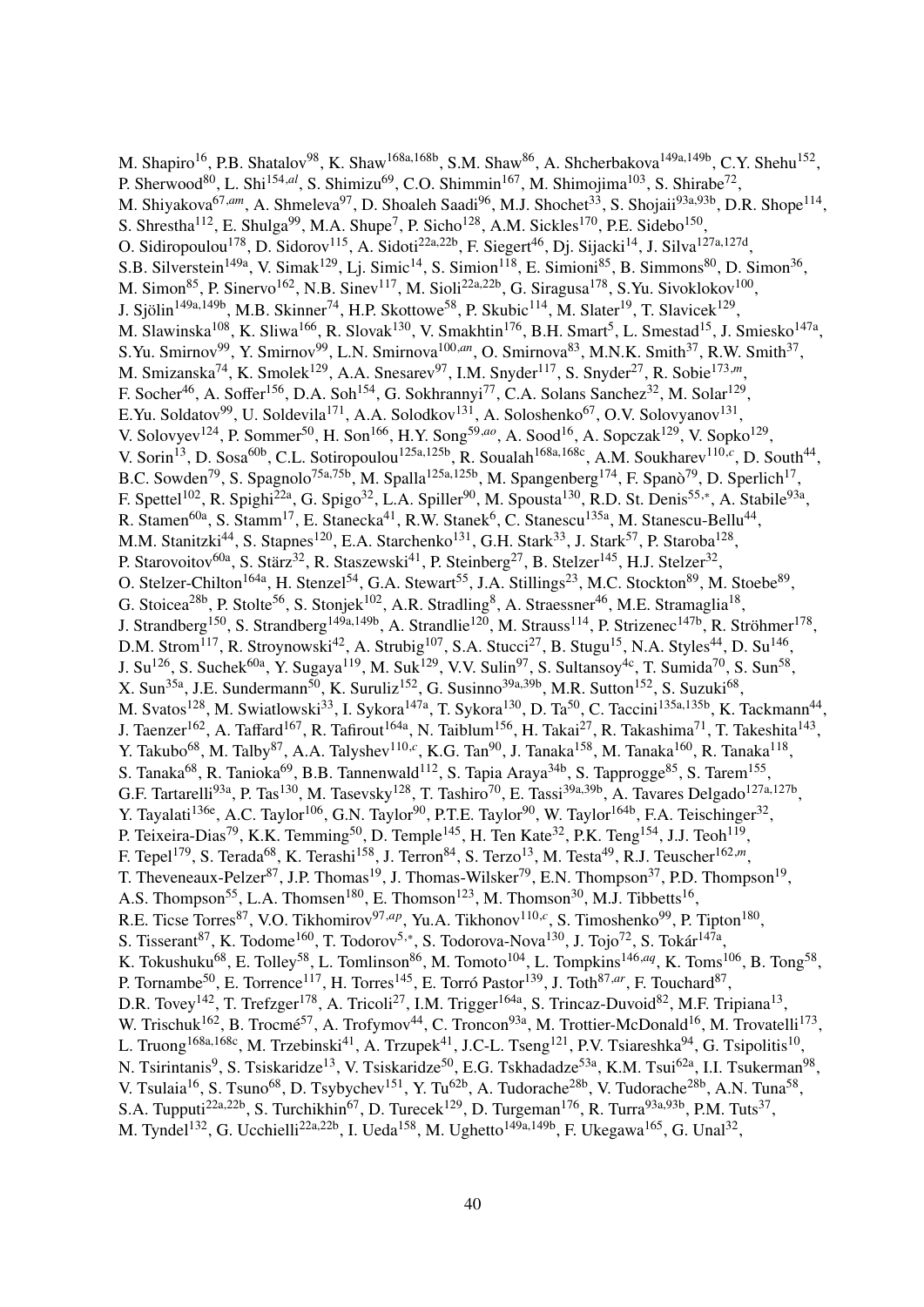M. Shapiro<sup>16</sup>, P.B. Shatalov<sup>98</sup>, K. Shaw<sup>168a,168b</sup>, S.M. Shaw<sup>86</sup>, A. Shcherbakova<sup>149a,149b</sup>, C.Y. Shehu<sup>152</sup>, P. Sherwood<sup>80</sup>, L. Shi<sup>154,*al*</sup>, S. Shimizu<sup>69</sup>, C.O. Shimmin<sup>167</sup>, M. Shimojima<sup>103</sup>, S. Shirabe<sup>72</sup>, M. Shiyakova<sup>67,am</sup>, A. Shmeleva<sup>97</sup>, D. Shoaleh Saadi<sup>96</sup>, M.J. Shochet<sup>33</sup>, S. Shojaii<sup>93a,93b</sup>, D.R. Shope<sup>114</sup>, S. Shrestha<sup>112</sup>, E. Shulga<sup>99</sup>, M.A. Shupe<sup>7</sup>, P. Sicho<sup>128</sup>, A.M. Sickles<sup>170</sup>, P.E. Sidebo<sup>150</sup>, O. Sidiropoulou<sup>178</sup>, D. Sidorov<sup>115</sup>, A. Sidoti<sup>22a,22b</sup>, F. Siegert<sup>46</sup>, Dj. Sijacki<sup>14</sup>, J. Silva<sup>127a,127d</sup>, S.B. Silverstein<sup>149a</sup>, V. Simak<sup>129</sup>, Lj. Simic<sup>14</sup>, S. Simion<sup>118</sup>, E. Simioni<sup>85</sup>, B. Simmons<sup>80</sup>, D. Simon<sup>36</sup>, M. Simon<sup>85</sup>, P. Sinervo<sup>162</sup>, N.B. Sinev<sup>117</sup>, M. Sioli<sup>22a,22b</sup>, G. Siragusa<sup>178</sup>, S.Yu. Sivoklokov<sup>100</sup>, J. Sjölin<sup>149a,149b</sup>, M.B. Skinner<sup>74</sup>, H.P. Skottowe<sup>58</sup>, P. Skubic<sup>114</sup>, M. Slater<sup>19</sup>, T. Slavicek<sup>129</sup>, M. Slawinska<sup>108</sup>, K. Sliwa<sup>166</sup>, R. Slovak<sup>130</sup>, V. Smakhtin<sup>176</sup>, B.H. Smart<sup>5</sup>, L. Smestad<sup>15</sup>, J. Smiesko<sup>147a</sup>, S.Yu. Smirnov<sup>99</sup>, Y. Smirnov<sup>99</sup>, L.N. Smirnova<sup>100,an</sup>, O. Smirnova<sup>83</sup>, M.N.K. Smith<sup>37</sup>, R.W. Smith<sup>37</sup>, M. Smizanska<sup>74</sup>, K. Smolek<sup>129</sup>, A.A. Snesarev<sup>97</sup>, I.M. Snyder<sup>117</sup>, S. Snyder<sup>27</sup>, R. Sobie<sup>173,*m*</sup>, F. Socher<sup>46</sup>, A. Soffer<sup>156</sup>, D.A. Soh<sup>154</sup>, G. Sokhrannyi<sup>77</sup>, C.A. Solans Sanchez<sup>32</sup>, M. Solar<sup>129</sup>, E.Yu. Soldatov<sup>99</sup>, U. Soldevila<sup>171</sup>, A.A. Solodkov<sup>131</sup>, A. Soloshenko<sup>67</sup>, O.V. Solovyanov<sup>131</sup>, V. Solovyev<sup>124</sup>, P. Sommer<sup>50</sup>, H. Son<sup>166</sup>, H.Y. Song<sup>59,*ao*</sup>, A. Sood<sup>16</sup>, A. Sopczak<sup>129</sup>, V. Sopko<sup>129</sup>, V. Sorin<sup>13</sup>, D. Sosa<sup>60b</sup>, C.L. Sotiropoulou<sup>125a,125b</sup>, R. Soualah<sup>168a,168c</sup>, A.M. Soukharev<sup>110,c</sup>, D. South<sup>44</sup>, B.C. Sowden<sup>79</sup>, S. Spagnolo<sup>75a,75b</sup>, M. Spalla<sup>125a,125b</sup>, M. Spangenberg<sup>174</sup>, F. Spanò<sup>79</sup>, D. Sperlich<sup>17</sup>, F. Spettel<sup>102</sup>, R. Spighi<sup>22a</sup>, G. Spigo<sup>32</sup>, L.A. Spiller<sup>90</sup>, M. Spousta<sup>130</sup>, R.D. St. Denis<sup>55,\*</sup>, A. Stabile<sup>93a</sup>, R. Stamen<sup>60a</sup>, S. Stamm<sup>17</sup>, E. Stanecka<sup>41</sup>, R.W. Stanek<sup>6</sup>, C. Stanescu<sup>135a</sup>, M. Stanescu-Bellu<sup>44</sup>, M.M. Stanitzki<sup>44</sup>, S. Stapnes<sup>120</sup>, E.A. Starchenko<sup>131</sup>, G.H. Stark<sup>33</sup>, J. Stark<sup>57</sup>, P. Staroba<sup>128</sup>, P. Starovoitov<sup>60a</sup>, S. Stärz<sup>32</sup>, R. Staszewski<sup>41</sup>, P. Steinberg<sup>27</sup>, B. Stelzer<sup>145</sup>, H.J. Stelzer<sup>32</sup>, O. Stelzer-Chilton<sup>164a</sup>, H. Stenzel<sup>54</sup>, G.A. Stewart<sup>55</sup>, J.A. Stillings<sup>23</sup>, M.C. Stockton<sup>89</sup>, M. Stoebe<sup>89</sup>, G. Stoicea<sup>28b</sup>, P. Stolte<sup>56</sup>, S. Stonjek<sup>102</sup>, A.R. Stradling<sup>8</sup>, A. Straessner<sup>46</sup>, M.E. Stramaglia<sup>18</sup>, J. Strandberg<sup>150</sup>, S. Strandberg<sup>149a,149b</sup>, A. Strandlie<sup>120</sup>, M. Strauss<sup>114</sup>, P. Strizenec<sup>147b</sup>, R. Ströhmer<sup>178</sup>, D.M. Strom<sup>117</sup>, R. Stroynowski<sup>42</sup>, A. Strubig<sup>107</sup>, S.A. Stucci<sup>27</sup>, B. Stugu<sup>15</sup>, N.A. Styles<sup>44</sup>, D. Su<sup>146</sup>, J. Su<sup>126</sup>, S. Suchek<sup>60a</sup>, Y. Sugaya<sup>119</sup>, M. Suk<sup>129</sup>, V.V. Sulin<sup>97</sup>, S. Sultansoy<sup>4c</sup>, T. Sumida<sup>70</sup>, S. Sun<sup>58</sup>, X. Sun<sup>35a</sup>, J.E. Sundermann<sup>50</sup>, K. Suruliz<sup>152</sup>, G. Susinno<sup>39a,39b</sup>, M.R. Sutton<sup>152</sup>, S. Suzuki<sup>68</sup>, M. Svatos<sup>128</sup>, M. Swiatlowski<sup>33</sup>, I. Sykora<sup>147a</sup>, T. Sykora<sup>130</sup>, D. Ta<sup>50</sup>, C. Taccini<sup>135a,135b</sup>, K. Tackmann<sup>44</sup>, J. Taenzer<sup>162</sup>, A. Taffard<sup>167</sup>, R. Tafirout<sup>164a</sup>, N. Taiblum<sup>156</sup>, H. Takai<sup>27</sup>, R. Takashima<sup>71</sup>, T. Takeshita<sup>143</sup>, Y. Takubo<sup>68</sup>, M. Talby<sup>87</sup>, A.A. Talyshev<sup>110,*c*</sup>, K.G. Tan<sup>90</sup>, J. Tanaka<sup>158</sup>, M. Tanaka<sup>160</sup>, R. Tanaka<sup>118</sup>, S. Tanaka<sup>68</sup>, R. Tanioka<sup>69</sup>, B.B. Tannenwald<sup>112</sup>, S. Tapia Araya<sup>34b</sup>, S. Tapprogge<sup>85</sup>, S. Tarem<sup>155</sup>, G.F. Tartarelli<sup>93a</sup>, P. Tas<sup>130</sup>, M. Tasevsky<sup>128</sup>, T. Tashiro<sup>70</sup>, E. Tassi<sup>39a,39b</sup>, A. Tavares Delgado<sup>127a,127b</sup>, Y. Tayalati<sup>136e</sup>, A.C. Taylor<sup>106</sup>, G.N. Taylor<sup>90</sup>, P.T.E. Taylor<sup>90</sup>, W. Taylor<sup>164b</sup>, F.A. Teischinger<sup>32</sup>, P. Teixeira-Dias<sup>79</sup>, K.K. Temming<sup>50</sup>, D. Temple<sup>145</sup>, H. Ten Kate<sup>32</sup>, P.K. Teng<sup>154</sup>, J.J. Teoh<sup>119</sup>, F. Tepel<sup>179</sup>, S. Terada<sup>68</sup>, K. Terashi<sup>158</sup>, J. Terron<sup>84</sup>, S. Terzo<sup>13</sup>, M. Testa<sup>49</sup>, R.J. Teuscher<sup>162,*m*</sup>, T. Theveneaux-Pelzer<sup>87</sup>, J.P. Thomas<sup>19</sup>, J. Thomas-Wilsker<sup>79</sup>, E.N. Thompson<sup>37</sup>, P.D. Thompson<sup>19</sup>, A.S. Thompson<sup>55</sup>, L.A. Thomsen<sup>180</sup>, E. Thomson<sup>123</sup>, M. Thomson<sup>30</sup>, M.J. Tibbetts<sup>16</sup>, R.E. Ticse Torres<sup>87</sup>, V.O. Tikhomirov<sup>97,ap</sup>, Yu.A. Tikhonov<sup>110,c</sup>, S. Timoshenko<sup>99</sup>, P. Tipton<sup>180</sup>, S. Tisserant<sup>87</sup>, K. Todome<sup>160</sup>, T. Todorov<sup>5,\*</sup>, S. Todorova-Nova<sup>130</sup>, J. Tojo<sup>72</sup>, S. Tokár<sup>147a</sup>, K. Tokushuku<sup>68</sup>, E. Tolley<sup>58</sup>, L. Tomlinson<sup>86</sup>, M. Tomoto<sup>104</sup>, L. Tompkins<sup>146,*aq*</sup>, K. Toms<sup>106</sup>, B. Tong<sup>58</sup>, P. Tornambe<sup>50</sup>, E. Torrence<sup>117</sup>, H. Torres<sup>145</sup>, E. Torró Pastor<sup>139</sup>, J. Toth<sup>87,*ar*</sup>, F. Touchard<sup>87</sup>, D.R. Tovey<sup>142</sup>, T. Trefzger<sup>178</sup>, A. Tricoli<sup>27</sup>, I.M. Trigger<sup>164a</sup>, S. Trincaz-Duvoid<sup>82</sup>, M.F. Tripiana<sup>13</sup>, W. Trischuk<sup>162</sup>, B. Trocmé<sup>57</sup>, A. Trofymov<sup>44</sup>, C. Troncon<sup>93a</sup>, M. Trottier-McDonald<sup>16</sup>, M. Trovatelli<sup>173</sup>, L. Truong<sup>168a,168c</sup>, M. Trzebinski<sup>41</sup>, A. Trzupek<sup>41</sup>, J.C-L. Tseng<sup>121</sup>, P.V. Tsiareshka<sup>94</sup>, G. Tsipolitis<sup>10</sup>, N. Tsirintanis<sup>9</sup>, S. Tsiskaridze<sup>13</sup>, V. Tsiskaridze<sup>50</sup>, E.G. Tskhadadze<sup>53a</sup>, K.M. Tsui<sup>62a</sup>, I.I. Tsukerman<sup>98</sup>, V. Tsulaia<sup>16</sup>, S. Tsuno<sup>68</sup>, D. Tsybychev<sup>151</sup>, Y. Tu<sup>62b</sup>, A. Tudorache<sup>28b</sup>, V. Tudorache<sup>28b</sup>, A.N. Tuna<sup>58</sup>, S.A. Tupputi<sup>22a,22b</sup>, S. Turchikhin<sup>67</sup>, D. Turecek<sup>129</sup>, D. Turgeman<sup>176</sup>, R. Turra<sup>93a,93b</sup>, P.M. Tuts<sup>37</sup>, M. Tyndel<sup>132</sup>, G. Ucchielli<sup>22a,22b</sup>, I. Ueda<sup>158</sup>, M. Ughetto<sup>149a,149b</sup>, F. Ukegawa<sup>165</sup>, G. Unal<sup>32</sup>,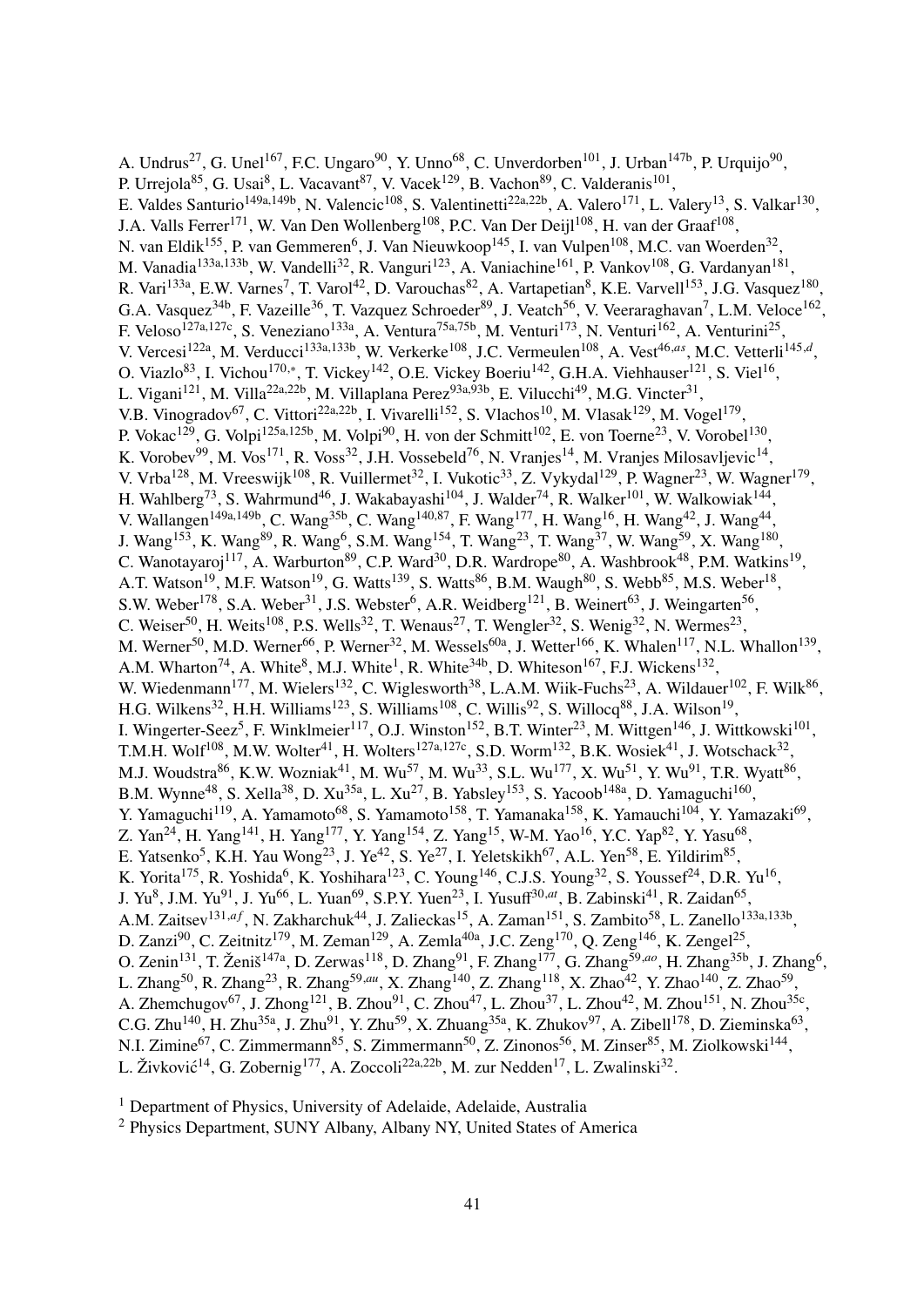A. Undrus<sup>27</sup>, G. Unel<sup>167</sup>, F.C. Ungaro<sup>90</sup>, Y. Unno<sup>68</sup>, C. Unverdorben<sup>101</sup>, J. Urban<sup>147b</sup>, P. Urquijo<sup>90</sup>, P. Urrejola<sup>85</sup>, G. Usai<sup>8</sup>, L. Vacavant<sup>87</sup>, V. Vacek<sup>129</sup>, B. Vachon<sup>89</sup>, C. Valderanis<sup>101</sup>, E. Valdes Santurio<sup>149a,149b</sup>, N. Valencic<sup>108</sup>, S. Valentinetti<sup>22a,22b</sup>, A. Valero<sup>171</sup>, L. Valery<sup>13</sup>, S. Valkar<sup>130</sup>, J.A. Valls Ferrer<sup>171</sup>, W. Van Den Wollenberg<sup>108</sup>, P.C. Van Der Deijl<sup>108</sup>, H. van der Graaf<sup>108</sup>, N. van Eldik<sup>155</sup>, P. van Gemmeren<sup>6</sup>, J. Van Nieuwkoop<sup>145</sup>, I. van Vulpen<sup>108</sup>, M.C. van Woerden<sup>32</sup>, M. Vanadia<sup>133a,133b</sup>, W. Vandelli<sup>32</sup>, R. Vanguri<sup>123</sup>, A. Vaniachine<sup>161</sup>, P. Vankov<sup>108</sup>, G. Vardanyan<sup>181</sup>, R. Vari<sup>133a</sup>, E.W. Varnes<sup>7</sup>, T. Varol<sup>42</sup>, D. Varouchas<sup>82</sup>, A. Vartapetian<sup>8</sup>, K.E. Varvell<sup>153</sup>, J.G. Vasquez<sup>180</sup>, G.A. Vasquez<sup>34b</sup>, F. Vazeille<sup>36</sup>, T. Vazquez Schroeder<sup>89</sup>, J. Veatch<sup>56</sup>, V. Veeraraghavan<sup>7</sup>, L.M. Veloce<sup>162</sup>, F. Veloso<sup>127a,127c</sup>, S. Veneziano<sup>133a</sup>, A. Ventura<sup>75a,75b</sup>, M. Venturi<sup>173</sup>, N. Venturi<sup>162</sup>, A. Venturini<sup>25</sup>, V. Vercesi<sup>122a</sup>, M. Verducci<sup>133a,133b</sup>, W. Verkerke<sup>108</sup>, J.C. Vermeulen<sup>108</sup>, A. Vest<sup>46,*as*</sup>, M.C. Vetterli<sup>145,*d*</sup>, O. Viazlo<sup>83</sup>, I. Vichou<sup>170,∗</sup>, T. Vickey<sup>142</sup>, O.E. Vickey Boeriu<sup>142</sup>, G.H.A. Viehhauser<sup>121</sup>, S. Viel<sup>16</sup>, L. Vigani<sup>121</sup>, M. Villa<sup>22a,22b</sup>, M. Villaplana Perez<sup>93a,93b</sup>, E. Vilucchi<sup>49</sup>, M.G. Vincter<sup>31</sup>, V.B. Vinogradov<sup>67</sup>, C. Vittori<sup>22a,22b</sup>, I. Vivarelli<sup>152</sup>, S. Vlachos<sup>10</sup>, M. Vlasak<sup>129</sup>, M. Vogel<sup>179</sup>, P. Vokac<sup>129</sup>, G. Volpi<sup>125a,125b</sup>, M. Volpi<sup>90</sup>, H. von der Schmitt<sup>102</sup>, E. von Toerne<sup>23</sup>, V. Vorobel<sup>130</sup>, K. Vorobev<sup>99</sup>, M. Vos<sup>171</sup>, R. Voss<sup>32</sup>, J.H. Vossebeld<sup>76</sup>, N. Vranjes<sup>14</sup>, M. Vranjes Milosavljevic<sup>14</sup>, V. Vrba<sup>128</sup>, M. Vreeswijk<sup>108</sup>, R. Vuillermet<sup>32</sup>, I. Vukotic<sup>33</sup>, Z. Vykydal<sup>129</sup>, P. Wagner<sup>23</sup>, W. Wagner<sup>179</sup>, H. Wahlberg<sup>73</sup>, S. Wahrmund<sup>46</sup>, J. Wakabayashi<sup>104</sup>, J. Walder<sup>74</sup>, R. Walker<sup>101</sup>, W. Walkowiak<sup>144</sup>, V. Wallangen<sup>149a,149b</sup>, C. Wang<sup>35b</sup>, C. Wang<sup>140,87</sup>, F. Wang<sup>177</sup>, H. Wang<sup>16</sup>, H. Wang<sup>42</sup>, J. Wang<sup>44</sup>, J. Wang<sup>153</sup>, K. Wang<sup>89</sup>, R. Wang<sup>6</sup>, S.M. Wang<sup>154</sup>, T. Wang<sup>23</sup>, T. Wang<sup>37</sup>, W. Wang<sup>59</sup>, X. Wang<sup>180</sup>, C. Wanotayaroj<sup>117</sup>, A. Warburton<sup>89</sup>, C.P. Ward<sup>30</sup>, D.R. Wardrope<sup>80</sup>, A. Washbrook<sup>48</sup>, P.M. Watkins<sup>19</sup>, A.T. Watson<sup>19</sup>, M.F. Watson<sup>19</sup>, G. Watts<sup>139</sup>, S. Watts<sup>86</sup>, B.M. Waugh<sup>80</sup>, S. Webb<sup>85</sup>, M.S. Weber<sup>18</sup>, S.W. Weber<sup>178</sup>, S.A. Weber<sup>31</sup>, J.S. Webster<sup>6</sup>, A.R. Weidberg<sup>121</sup>, B. Weinert<sup>63</sup>, J. Weingarten<sup>56</sup>, C. Weiser<sup>50</sup>, H. Weits<sup>108</sup>, P.S. Wells<sup>32</sup>, T. Wenaus<sup>27</sup>, T. Wengler<sup>32</sup>, S. Wenig<sup>32</sup>, N. Wermes<sup>23</sup>, M. Werner<sup>50</sup>, M.D. Werner<sup>66</sup>, P. Werner<sup>32</sup>, M. Wessels<sup>60a</sup>, J. Wetter<sup>166</sup>, K. Whalen<sup>117</sup>, N.L. Whallon<sup>139</sup>, A.M. Wharton<sup>74</sup>, A. White<sup>8</sup>, M.J. White<sup>1</sup>, R. White<sup>34b</sup>, D. Whiteson<sup>167</sup>, F.J. Wickens<sup>132</sup>, W. Wiedenmann<sup>177</sup>, M. Wielers<sup>132</sup>, C. Wiglesworth<sup>38</sup>, L.A.M. Wiik-Fuchs<sup>23</sup>, A. Wildauer<sup>102</sup>, F. Wilk<sup>86</sup>, H.G. Wilkens<sup>32</sup>, H.H. Williams<sup>123</sup>, S. Williams<sup>108</sup>, C. Willis<sup>92</sup>, S. Willocq<sup>88</sup>, J.A. Wilson<sup>19</sup>, I. Wingerter-Seez<sup>5</sup>, F. Winklmeier<sup>117</sup>, O.J. Winston<sup>152</sup>, B.T. Winter<sup>23</sup>, M. Wittgen<sup>146</sup>, J. Wittkowski<sup>101</sup>, T.M.H. Wolf<sup>108</sup>, M.W. Wolter<sup>41</sup>, H. Wolters<sup>127a,127c</sup>, S.D. Worm<sup>132</sup>, B.K. Wosiek<sup>41</sup>, J. Wotschack<sup>32</sup>, M.J. Woudstra<sup>86</sup>, K.W. Wozniak<sup>41</sup>, M. Wu<sup>57</sup>, M. Wu<sup>33</sup>, S.L. Wu<sup>177</sup>, X. Wu<sup>51</sup>, Y. Wu<sup>91</sup>, T.R. Wyatt<sup>86</sup>, B.M. Wynne<sup>48</sup>, S. Xella<sup>38</sup>, D. Xu<sup>35a</sup>, L. Xu<sup>27</sup>, B. Yabsley<sup>153</sup>, S. Yacoob<sup>148a</sup>, D. Yamaguchi<sup>160</sup>, Y. Yamaguchi<sup>119</sup>, A. Yamamoto<sup>68</sup>, S. Yamamoto<sup>158</sup>, T. Yamanaka<sup>158</sup>, K. Yamauchi<sup>104</sup>, Y. Yamazaki<sup>69</sup>, Z. Yan<sup>24</sup>, H. Yang<sup>141</sup>, H. Yang<sup>177</sup>, Y. Yang<sup>154</sup>, Z. Yang<sup>15</sup>, W-M. Yao<sup>16</sup>, Y.C. Yap<sup>82</sup>, Y. Yasu<sup>68</sup>, E. Yatsenko<sup>5</sup>, K.H. Yau Wong<sup>23</sup>, J. Ye<sup>42</sup>, S. Ye<sup>27</sup>, I. Yeletskikh<sup>67</sup>, A.L. Yen<sup>58</sup>, E. Yildirim<sup>85</sup>, K. Yorita<sup>175</sup>, R. Yoshida<sup>6</sup>, K. Yoshihara<sup>123</sup>, C. Young<sup>146</sup>, C.J.S. Young<sup>32</sup>, S. Youssef<sup>24</sup>, D.R. Yu<sup>16</sup>, J. Yu<sup>8</sup>, J.M. Yu<sup>91</sup>, J. Yu<sup>66</sup>, L. Yuan<sup>69</sup>, S.P.Y. Yuen<sup>23</sup>, I. Yusuff<sup>30,at</sup>, B. Zabinski<sup>41</sup>, R. Zaidan<sup>65</sup>, A.M. Zaitsev<sup>131,af</sup>, N. Zakharchuk<sup>44</sup>, J. Zalieckas<sup>15</sup>, A. Zaman<sup>151</sup>, S. Zambito<sup>58</sup>, L. Zanello<sup>133a,133b</sup>, D. Zanzi<sup>90</sup>, C. Zeitnitz<sup>179</sup>, M. Zeman<sup>129</sup>, A. Zemla<sup>40a</sup>, J.C. Zeng<sup>170</sup>, Q. Zeng<sup>146</sup>, K. Zengel<sup>25</sup>, O. Zenin<sup>131</sup>, T. Ženiš<sup>147a</sup>, D. Zerwas<sup>118</sup>, D. Zhang<sup>91</sup>, F. Zhang<sup>177</sup>, G. Zhang<sup>59,*ao*</sup>, H. Zhang<sup>35b</sup>, J. Zhang<sup>6</sup>, L. Zhang<sup>50</sup>, R. Zhang<sup>23</sup>, R. Zhang<sup>59,au</sup>, X. Zhang<sup>140</sup>, Z. Zhang<sup>118</sup>, X. Zhao<sup>42</sup>, Y. Zhao<sup>140</sup>, Z. Zhao<sup>59</sup>, A. Zhemchugov<sup>67</sup>, J. Zhong<sup>121</sup>, B. Zhou<sup>91</sup>, C. Zhou<sup>47</sup>, L. Zhou<sup>37</sup>, L. Zhou<sup>42</sup>, M. Zhou<sup>151</sup>, N. Zhou<sup>35c</sup>, C.G. Zhu<sup>140</sup>, H. Zhu<sup>35a</sup>, J. Zhu<sup>91</sup>, Y. Zhu<sup>59</sup>, X. Zhuang<sup>35a</sup>, K. Zhukov<sup>97</sup>, A. Zibell<sup>178</sup>, D. Zieminska<sup>63</sup>, N.I. Zimine<sup>67</sup>, C. Zimmermann<sup>85</sup>, S. Zimmermann<sup>50</sup>, Z. Zinonos<sup>56</sup>, M. Zinser<sup>85</sup>, M. Ziolkowski<sup>144</sup>, L. Živković<sup>14</sup>, G. Zobernig<sup>177</sup>, A. Zoccoli<sup>22a,22b</sup>, M. zur Nedden<sup>17</sup>, L. Zwalinski<sup>32</sup>.

<sup>1</sup> Department of Physics, University of Adelaide, Adelaide, Australia

<sup>2</sup> Physics Department, SUNY Albany, Albany NY, United States of America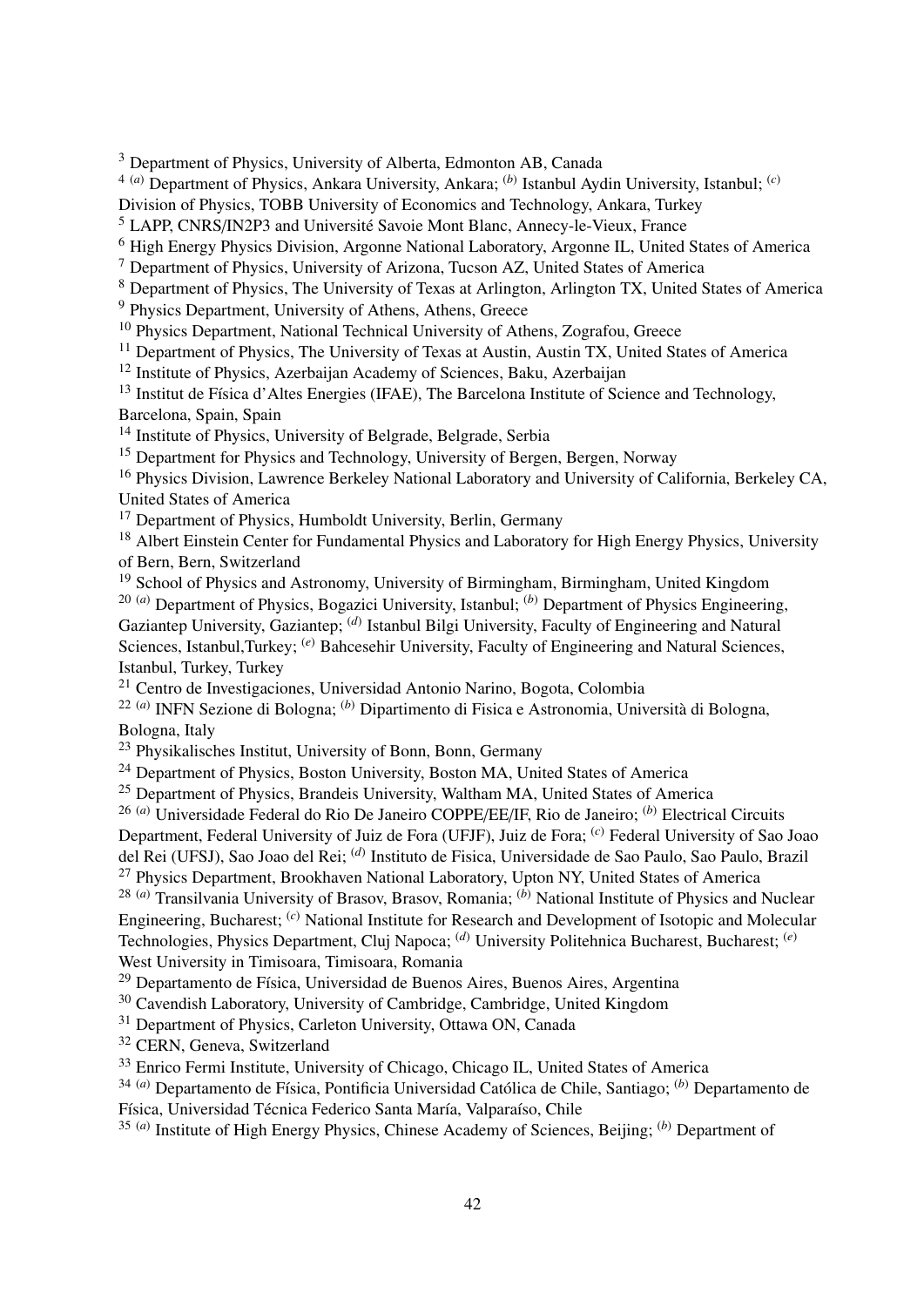<sup>3</sup> Department of Physics, University of Alberta, Edmonton AB, Canada

4 (*a*) Department of Physics, Ankara University, Ankara; (*b*) Istanbul Aydin University, Istanbul; (*c*)

Division of Physics, TOBB University of Economics and Technology, Ankara, Turkey

<sup>5</sup> LAPP, CNRS/IN2P3 and Université Savoie Mont Blanc, Annecy-le-Vieux, France

<sup>6</sup> High Energy Physics Division, Argonne National Laboratory, Argonne IL, United States of America

<sup>7</sup> Department of Physics, University of Arizona, Tucson AZ, United States of America

<sup>8</sup> Department of Physics, The University of Texas at Arlington, Arlington TX, United States of America

<sup>9</sup> Physics Department, University of Athens, Athens, Greece

<sup>10</sup> Physics Department, National Technical University of Athens, Zografou, Greece

<sup>11</sup> Department of Physics, The University of Texas at Austin, Austin TX, United States of America

<sup>12</sup> Institute of Physics, Azerbaijan Academy of Sciences, Baku, Azerbaijan

<sup>13</sup> Institut de Física d'Altes Energies (IFAE), The Barcelona Institute of Science and Technology, Barcelona, Spain, Spain

<sup>14</sup> Institute of Physics, University of Belgrade, Belgrade, Serbia

<sup>15</sup> Department for Physics and Technology, University of Bergen, Bergen, Norway

<sup>16</sup> Physics Division, Lawrence Berkeley National Laboratory and University of California, Berkeley CA, United States of America

<sup>17</sup> Department of Physics, Humboldt University, Berlin, Germany

<sup>18</sup> Albert Einstein Center for Fundamental Physics and Laboratory for High Energy Physics, University of Bern, Bern, Switzerland

<sup>19</sup> School of Physics and Astronomy, University of Birmingham, Birmingham, United Kingdom 20 (*a*) Department of Physics, Bogazici University, Istanbul; (*b*) Department of Physics Engineering, Gaziantep University, Gaziantep; <sup>(d)</sup> Istanbul Bilgi University, Faculty of Engineering and Natural Sciences, Istanbul,Turkey; <sup>(*e*)</sup> Bahcesehir University, Faculty of Engineering and Natural Sciences, Istanbul, Turkey, Turkey

<sup>21</sup> Centro de Investigaciones, Universidad Antonio Narino, Bogota, Colombia

22 (*a*) INFN Sezione di Bologna; (*b*) Dipartimento di Fisica e Astronomia, Università di Bologna,

Bologna, Italy

<sup>23</sup> Physikalisches Institut, University of Bonn, Bonn, Germany

<sup>24</sup> Department of Physics, Boston University, Boston MA, United States of America

<sup>25</sup> Department of Physics, Brandeis University, Waltham MA, United States of America

26 (*a*) Universidade Federal do Rio De Janeiro COPPE/EE/IF, Rio de Janeiro; (*b*) Electrical Circuits Department, Federal University of Juiz de Fora (UFJF), Juiz de Fora; (*c*) Federal University of Sao Joao

del Rei (UFSJ), Sao Joao del Rei; (*d*) Instituto de Fisica, Universidade de Sao Paulo, Sao Paulo, Brazil

<sup>27</sup> Physics Department, Brookhaven National Laboratory, Upton NY, United States of America

28 (*a*) Transilvania University of Brasov, Brasov, Romania; (*b*) National Institute of Physics and Nuclear Engineering, Bucharest; (*c*) National Institute for Research and Development of Isotopic and Molecular Technologies, Physics Department, Cluj Napoca; (*d*) University Politehnica Bucharest, Bucharest; (*e*) West University in Timisoara, Timisoara, Romania

<sup>29</sup> Departamento de Física, Universidad de Buenos Aires, Buenos Aires, Argentina

<sup>30</sup> Cavendish Laboratory, University of Cambridge, Cambridge, United Kingdom

<sup>31</sup> Department of Physics, Carleton University, Ottawa ON, Canada

<sup>32</sup> CERN, Geneva, Switzerland

<sup>33</sup> Enrico Fermi Institute, University of Chicago, Chicago IL, United States of America

34 (*a*) Departamento de Física, Pontificia Universidad Católica de Chile, Santiago; (*b*) Departamento de Física, Universidad Técnica Federico Santa María, Valparaíso, Chile

35 (*a*) Institute of High Energy Physics, Chinese Academy of Sciences, Beijing; (*b*) Department of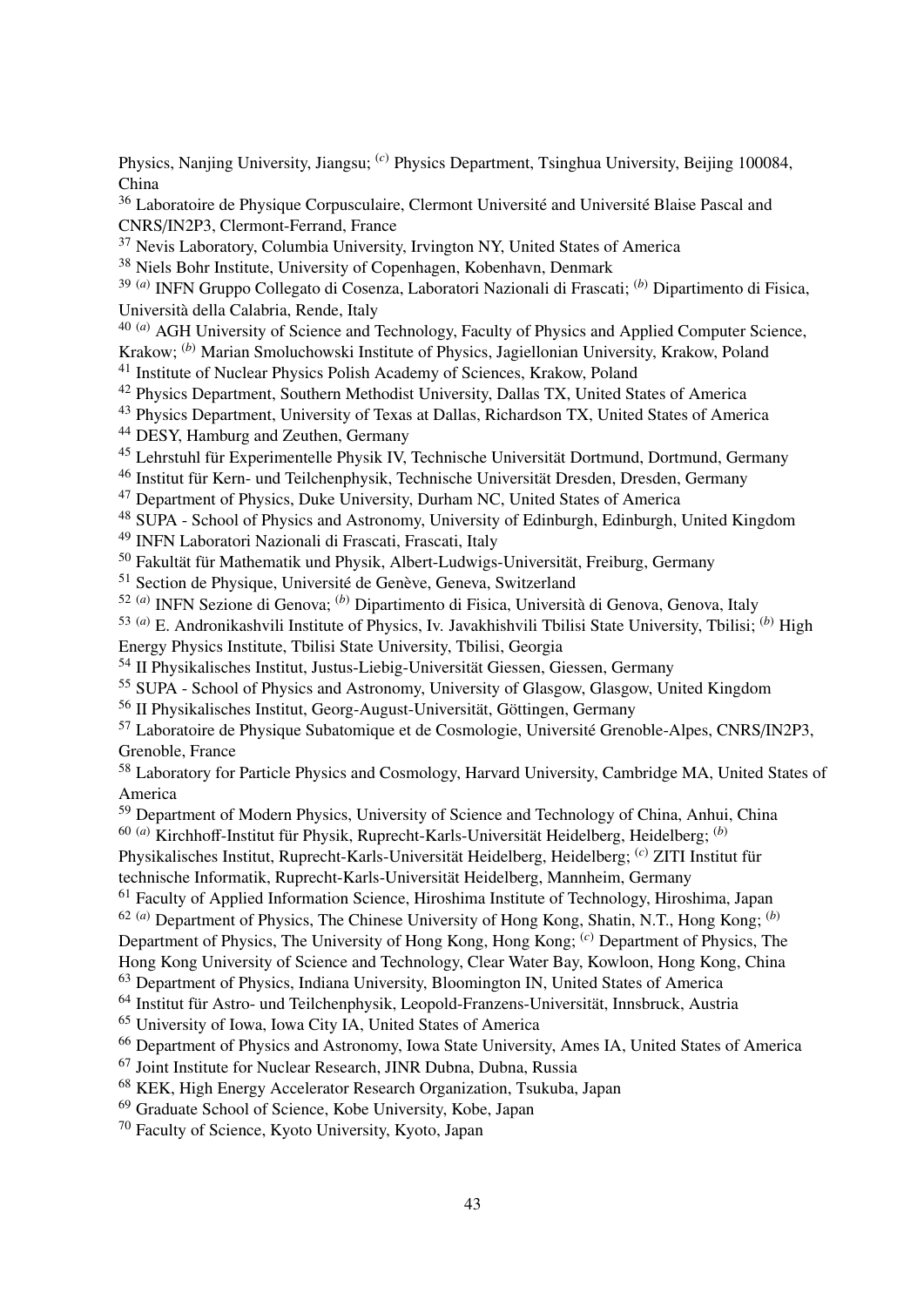Physics, Nanjing University, Jiangsu; (*c*) Physics Department, Tsinghua University, Beijing 100084, China

<sup>36</sup> Laboratoire de Physique Corpusculaire, Clermont Université and Université Blaise Pascal and CNRS/IN2P3, Clermont-Ferrand, France

<sup>37</sup> Nevis Laboratory, Columbia University, Irvington NY, United States of America

<sup>38</sup> Niels Bohr Institute, University of Copenhagen, Kobenhavn, Denmark

39 (*a*) INFN Gruppo Collegato di Cosenza, Laboratori Nazionali di Frascati; (*b*) Dipartimento di Fisica, Università della Calabria, Rende, Italy

<sup>40 (*a*)</sup> AGH University of Science and Technology, Faculty of Physics and Applied Computer Science,

Krakow; (*b*) Marian Smoluchowski Institute of Physics, Jagiellonian University, Krakow, Poland

<sup>41</sup> Institute of Nuclear Physics Polish Academy of Sciences, Krakow, Poland

<sup>42</sup> Physics Department, Southern Methodist University, Dallas TX, United States of America

<sup>43</sup> Physics Department, University of Texas at Dallas, Richardson TX, United States of America <sup>44</sup> DESY, Hamburg and Zeuthen, Germany

<sup>45</sup> Lehrstuhl für Experimentelle Physik IV, Technische Universität Dortmund, Dortmund, Germany

<sup>46</sup> Institut für Kern- und Teilchenphysik, Technische Universität Dresden, Dresden, Germany

<sup>47</sup> Department of Physics, Duke University, Durham NC, United States of America

<sup>48</sup> SUPA - School of Physics and Astronomy, University of Edinburgh, Edinburgh, United Kingdom

<sup>49</sup> INFN Laboratori Nazionali di Frascati, Frascati, Italy

<sup>50</sup> Fakultät für Mathematik und Physik, Albert-Ludwigs-Universität, Freiburg, Germany

<sup>51</sup> Section de Physique, Université de Genève, Geneva, Switzerland

52 (*a*) INFN Sezione di Genova; (*b*) Dipartimento di Fisica, Università di Genova, Genova, Italy

53 (*a*) E. Andronikashvili Institute of Physics, Iv. Javakhishvili Tbilisi State University, Tbilisi; (*b*) High Energy Physics Institute, Tbilisi State University, Tbilisi, Georgia

<sup>54</sup> II Physikalisches Institut, Justus-Liebig-Universität Giessen, Giessen, Germany

<sup>55</sup> SUPA - School of Physics and Astronomy, University of Glasgow, Glasgow, United Kingdom

<sup>56</sup> II Physikalisches Institut, Georg-August-Universität, Göttingen, Germany

<sup>57</sup> Laboratoire de Physique Subatomique et de Cosmologie, Université Grenoble-Alpes, CNRS/IN2P3, Grenoble, France

<sup>58</sup> Laboratory for Particle Physics and Cosmology, Harvard University, Cambridge MA, United States of America

<sup>59</sup> Department of Modern Physics, University of Science and Technology of China, Anhui, China 60 (*a*) Kirchhoff-Institut für Physik, Ruprecht-Karls-Universität Heidelberg, Heidelberg; (*b*)

Physikalisches Institut, Ruprecht-Karls-Universität Heidelberg, Heidelberg; (*c*) ZITI Institut für

technische Informatik, Ruprecht-Karls-Universität Heidelberg, Mannheim, Germany

<sup>61</sup> Faculty of Applied Information Science, Hiroshima Institute of Technology, Hiroshima, Japan

62 (*a*) Department of Physics, The Chinese University of Hong Kong, Shatin, N.T., Hong Kong; (*b*)

Department of Physics, The University of Hong Kong, Hong Kong; (*c*) Department of Physics, The

Hong Kong University of Science and Technology, Clear Water Bay, Kowloon, Hong Kong, China

<sup>63</sup> Department of Physics, Indiana University, Bloomington IN, United States of America

<sup>64</sup> Institut für Astro- und Teilchenphysik, Leopold-Franzens-Universität, Innsbruck, Austria

<sup>65</sup> University of Iowa, Iowa City IA, United States of America

<sup>66</sup> Department of Physics and Astronomy, Iowa State University, Ames IA, United States of America

<sup>67</sup> Joint Institute for Nuclear Research, JINR Dubna, Dubna, Russia

<sup>68</sup> KEK, High Energy Accelerator Research Organization, Tsukuba, Japan

<sup>69</sup> Graduate School of Science, Kobe University, Kobe, Japan

<sup>70</sup> Faculty of Science, Kyoto University, Kyoto, Japan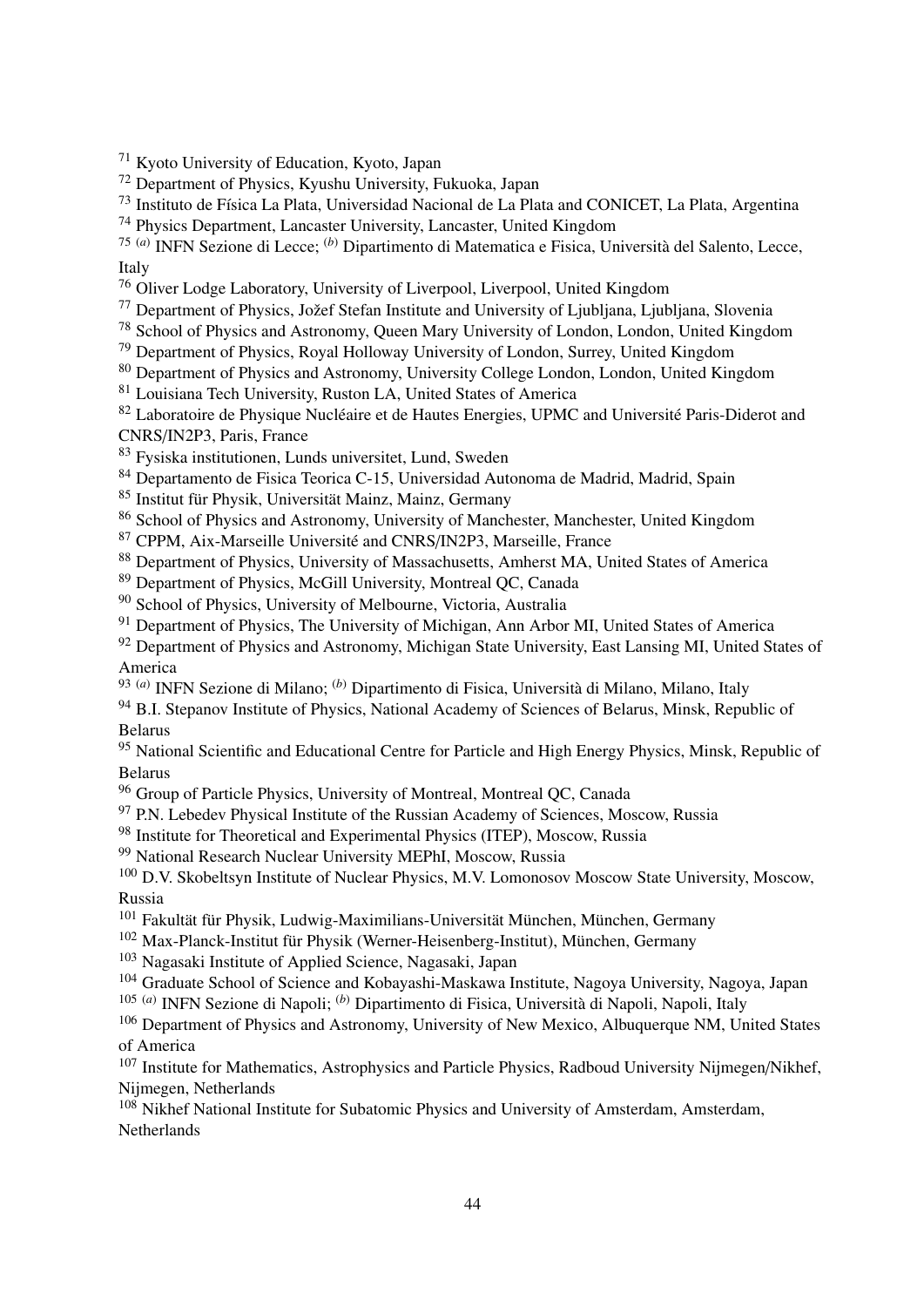<sup>71</sup> Kyoto University of Education, Kyoto, Japan

<sup>72</sup> Department of Physics, Kyushu University, Fukuoka, Japan

<sup>73</sup> Instituto de Física La Plata, Universidad Nacional de La Plata and CONICET, La Plata, Argentina

<sup>74</sup> Physics Department, Lancaster University, Lancaster, United Kingdom

75 (*a*) INFN Sezione di Lecce; (*b*) Dipartimento di Matematica e Fisica, Università del Salento, Lecce, Italy

<sup>76</sup> Oliver Lodge Laboratory, University of Liverpool, Liverpool, United Kingdom

<sup>77</sup> Department of Physics, Jožef Stefan Institute and University of Ljubljana, Ljubljana, Slovenia

<sup>78</sup> School of Physics and Astronomy, Queen Mary University of London, London, United Kingdom

<sup>79</sup> Department of Physics, Royal Holloway University of London, Surrey, United Kingdom

<sup>80</sup> Department of Physics and Astronomy, University College London, London, United Kingdom

<sup>81</sup> Louisiana Tech University, Ruston LA, United States of America

<sup>82</sup> Laboratoire de Physique Nucléaire et de Hautes Energies, UPMC and Université Paris-Diderot and CNRS/IN2P3, Paris, France

<sup>83</sup> Fysiska institutionen, Lunds universitet, Lund, Sweden

<sup>84</sup> Departamento de Fisica Teorica C-15, Universidad Autonoma de Madrid, Madrid, Spain

<sup>85</sup> Institut für Physik, Universität Mainz, Mainz, Germany

<sup>86</sup> School of Physics and Astronomy, University of Manchester, Manchester, United Kingdom

<sup>87</sup> CPPM, Aix-Marseille Université and CNRS/IN2P3, Marseille, France

88 Department of Physics, University of Massachusetts, Amherst MA, United States of America

<sup>89</sup> Department of Physics, McGill University, Montreal QC, Canada

<sup>90</sup> School of Physics, University of Melbourne, Victoria, Australia

<sup>91</sup> Department of Physics, The University of Michigan, Ann Arbor MI, United States of America

<sup>92</sup> Department of Physics and Astronomy, Michigan State University, East Lansing MI, United States of America

93 (*a*) INFN Sezione di Milano; (*b*) Dipartimento di Fisica, Università di Milano, Milano, Italy

<sup>94</sup> B.I. Stepanov Institute of Physics, National Academy of Sciences of Belarus, Minsk, Republic of Belarus

95 National Scientific and Educational Centre for Particle and High Energy Physics, Minsk, Republic of Belarus

<sup>96</sup> Group of Particle Physics, University of Montreal, Montreal QC, Canada

<sup>97</sup> P.N. Lebedev Physical Institute of the Russian Academy of Sciences, Moscow, Russia

<sup>98</sup> Institute for Theoretical and Experimental Physics (ITEP), Moscow, Russia

<sup>99</sup> National Research Nuclear University MEPhI, Moscow, Russia

<sup>100</sup> D.V. Skobeltsyn Institute of Nuclear Physics, M.V. Lomonosov Moscow State University, Moscow, Russia

<sup>101</sup> Fakultät für Physik, Ludwig-Maximilians-Universität München, München, Germany

<sup>102</sup> Max-Planck-Institut für Physik (Werner-Heisenberg-Institut), München, Germany

<sup>103</sup> Nagasaki Institute of Applied Science, Nagasaki, Japan

<sup>104</sup> Graduate School of Science and Kobayashi-Maskawa Institute, Nagoya University, Nagoya, Japan

105 (*a*) INFN Sezione di Napoli; (*b*) Dipartimento di Fisica, Università di Napoli, Napoli, Italy

<sup>106</sup> Department of Physics and Astronomy, University of New Mexico, Albuquerque NM, United States of America

<sup>107</sup> Institute for Mathematics, Astrophysics and Particle Physics, Radboud University Nijmegen/Nikhef, Nijmegen, Netherlands

<sup>108</sup> Nikhef National Institute for Subatomic Physics and University of Amsterdam, Amsterdam, Netherlands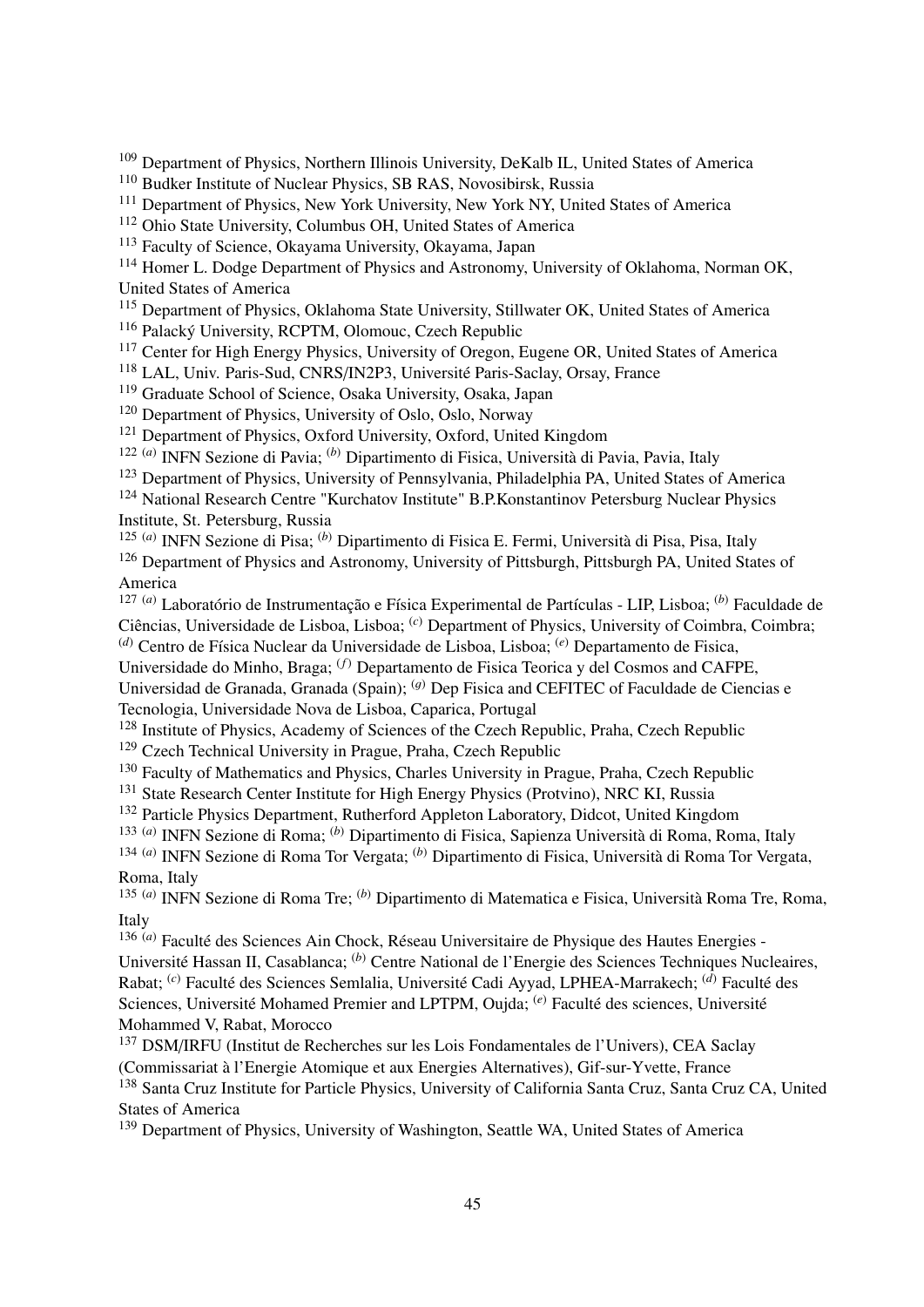<sup>109</sup> Department of Physics, Northern Illinois University, DeKalb IL, United States of America

<sup>110</sup> Budker Institute of Nuclear Physics, SB RAS, Novosibirsk, Russia

<sup>111</sup> Department of Physics, New York University, New York NY, United States of America

<sup>112</sup> Ohio State University, Columbus OH, United States of America

<sup>113</sup> Faculty of Science, Okayama University, Okayama, Japan

<sup>114</sup> Homer L. Dodge Department of Physics and Astronomy, University of Oklahoma, Norman OK, United States of America

<sup>115</sup> Department of Physics, Oklahoma State University, Stillwater OK, United States of America

<sup>116</sup> Palacký University, RCPTM, Olomouc, Czech Republic

<sup>117</sup> Center for High Energy Physics, University of Oregon, Eugene OR, United States of America

<sup>118</sup> LAL, Univ. Paris-Sud, CNRS/IN2P3, Université Paris-Saclay, Orsay, France

<sup>119</sup> Graduate School of Science, Osaka University, Osaka, Japan

<sup>120</sup> Department of Physics, University of Oslo, Oslo, Norway

<sup>121</sup> Department of Physics, Oxford University, Oxford, United Kingdom

122 (*a*) INFN Sezione di Pavia; (*b*) Dipartimento di Fisica, Università di Pavia, Pavia, Italy

<sup>123</sup> Department of Physics, University of Pennsylvania, Philadelphia PA, United States of America

<sup>124</sup> National Research Centre "Kurchatov Institute" B.P.Konstantinov Petersburg Nuclear Physics Institute, St. Petersburg, Russia

125 (*a*) INFN Sezione di Pisa; (*b*) Dipartimento di Fisica E. Fermi, Università di Pisa, Pisa, Italy

<sup>126</sup> Department of Physics and Astronomy, University of Pittsburgh, Pittsburgh PA, United States of America

127 (*a*) Laboratório de Instrumentação e Física Experimental de Partículas - LIP, Lisboa; (*b*) Faculdade de Ciências, Universidade de Lisboa, Lisboa; (*c*) Department of Physics, University of Coimbra, Coimbra; (*d*) Centro de Física Nuclear da Universidade de Lisboa, Lisboa; (*e*) Departamento de Fisica,

Universidade do Minho, Braga; (*f*) Departamento de Fisica Teorica y del Cosmos and CAFPE,

Universidad de Granada, Granada (Spain); <sup>(g)</sup> Dep Fisica and CEFITEC of Faculdade de Ciencias e Tecnologia, Universidade Nova de Lisboa, Caparica, Portugal

<sup>128</sup> Institute of Physics, Academy of Sciences of the Czech Republic, Praha, Czech Republic

<sup>129</sup> Czech Technical University in Prague, Praha, Czech Republic

<sup>130</sup> Faculty of Mathematics and Physics, Charles University in Prague, Praha, Czech Republic

<sup>131</sup> State Research Center Institute for High Energy Physics (Protvino), NRC KI, Russia

<sup>132</sup> Particle Physics Department, Rutherford Appleton Laboratory, Didcot, United Kingdom

133 (*a*) INFN Sezione di Roma; (*b*) Dipartimento di Fisica, Sapienza Università di Roma, Roma, Italy 134 (*a*) INFN Sezione di Roma Tor Vergata; (*b*) Dipartimento di Fisica, Università di Roma Tor Vergata, Roma, Italy

135 (*a*) INFN Sezione di Roma Tre; (*b*) Dipartimento di Matematica e Fisica, Università Roma Tre, Roma, Italy

136 (*a*) Faculté des Sciences Ain Chock, Réseau Universitaire de Physique des Hautes Energies - Université Hassan II, Casablanca; (*b*) Centre National de l'Energie des Sciences Techniques Nucleaires, Rabat; (*c*) Faculté des Sciences Semlalia, Université Cadi Ayyad, LPHEA-Marrakech; (*d*) Faculté des Sciences, Université Mohamed Premier and LPTPM, Oujda; (*e*) Faculté des sciences, Université Mohammed V, Rabat, Morocco

<sup>137</sup> DSM/IRFU (Institut de Recherches sur les Lois Fondamentales de l'Univers), CEA Saclay (Commissariat à l'Energie Atomique et aux Energies Alternatives), Gif-sur-Yvette, France

<sup>138</sup> Santa Cruz Institute for Particle Physics, University of California Santa Cruz, Santa Cruz CA, United States of America

<sup>139</sup> Department of Physics, University of Washington, Seattle WA, United States of America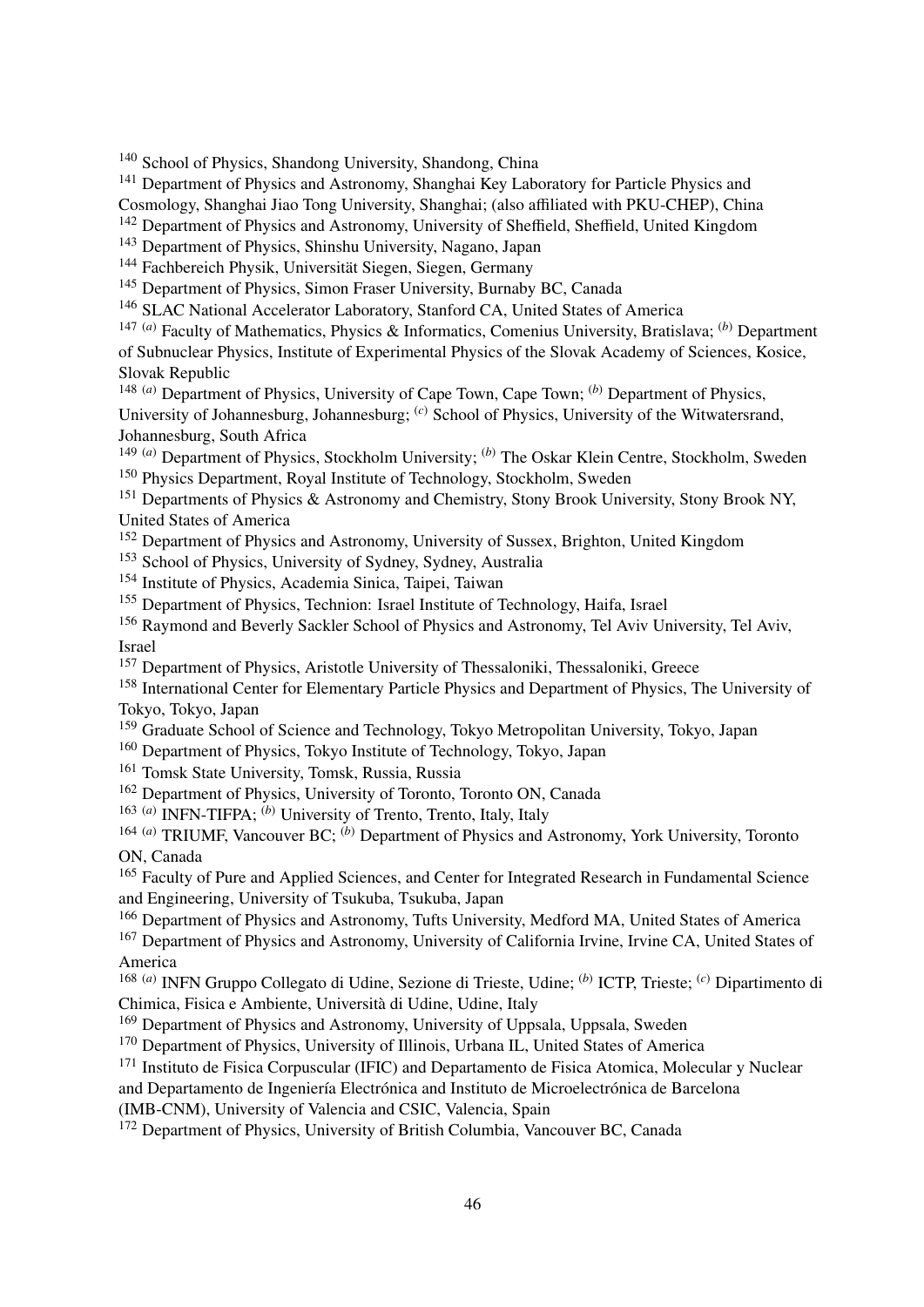<sup>140</sup> School of Physics, Shandong University, Shandong, China

<sup>141</sup> Department of Physics and Astronomy, Shanghai Key Laboratory for Particle Physics and Cosmology, Shanghai Jiao Tong University, Shanghai; (also affiliated with PKU-CHEP), China

<sup>142</sup> Department of Physics and Astronomy, University of Sheffield, Sheffield, United Kingdom

<sup>143</sup> Department of Physics, Shinshu University, Nagano, Japan

<sup>144</sup> Fachbereich Physik, Universität Siegen, Siegen, Germany

<sup>145</sup> Department of Physics, Simon Fraser University, Burnaby BC, Canada

<sup>146</sup> SLAC National Accelerator Laboratory, Stanford CA, United States of America

147 (*a*) Faculty of Mathematics, Physics & Informatics, Comenius University, Bratislava; (*b*) Department of Subnuclear Physics, Institute of Experimental Physics of the Slovak Academy of Sciences, Kosice, Slovak Republic

148 (*a*) Department of Physics, University of Cape Town, Cape Town; (*b*) Department of Physics, University of Johannesburg, Johannesburg; <sup>(*c*)</sup> School of Physics, University of the Witwatersrand. Johannesburg, South Africa

149 (*a*) Department of Physics, Stockholm University; (*b*) The Oskar Klein Centre, Stockholm, Sweden <sup>150</sup> Physics Department, Royal Institute of Technology, Stockholm, Sweden

<sup>151</sup> Departments of Physics & Astronomy and Chemistry, Stony Brook University, Stony Brook NY, United States of America

<sup>152</sup> Department of Physics and Astronomy, University of Sussex, Brighton, United Kingdom

<sup>153</sup> School of Physics, University of Sydney, Sydney, Australia

<sup>154</sup> Institute of Physics, Academia Sinica, Taipei, Taiwan

<sup>155</sup> Department of Physics, Technion: Israel Institute of Technology, Haifa, Israel

<sup>156</sup> Raymond and Beverly Sackler School of Physics and Astronomy, Tel Aviv University, Tel Aviv, Israel

<sup>157</sup> Department of Physics, Aristotle University of Thessaloniki, Thessaloniki, Greece

<sup>158</sup> International Center for Elementary Particle Physics and Department of Physics, The University of Tokyo, Tokyo, Japan

<sup>159</sup> Graduate School of Science and Technology, Tokyo Metropolitan University, Tokyo, Japan

<sup>160</sup> Department of Physics, Tokyo Institute of Technology, Tokyo, Japan

<sup>161</sup> Tomsk State University, Tomsk, Russia, Russia

<sup>162</sup> Department of Physics, University of Toronto, Toronto ON, Canada

163 (*a*) INFN-TIFPA; (*b*) University of Trento, Trento, Italy, Italy

164 (*a*) TRIUMF, Vancouver BC; (*b*) Department of Physics and Astronomy, York University, Toronto ON, Canada

<sup>165</sup> Faculty of Pure and Applied Sciences, and Center for Integrated Research in Fundamental Science and Engineering, University of Tsukuba, Tsukuba, Japan

<sup>166</sup> Department of Physics and Astronomy, Tufts University, Medford MA, United States of America

<sup>167</sup> Department of Physics and Astronomy, University of California Irvine, Irvine CA, United States of America

168 (*a*) INFN Gruppo Collegato di Udine, Sezione di Trieste, Udine; (*b*) ICTP, Trieste; (*c*) Dipartimento di Chimica, Fisica e Ambiente, Università di Udine, Udine, Italy

<sup>169</sup> Department of Physics and Astronomy, University of Uppsala, Uppsala, Sweden

<sup>170</sup> Department of Physics, University of Illinois, Urbana IL, United States of America

<sup>171</sup> Instituto de Fisica Corpuscular (IFIC) and Departamento de Fisica Atomica, Molecular y Nuclear

and Departamento de Ingeniería Electrónica and Instituto de Microelectrónica de Barcelona

(IMB-CNM), University of Valencia and CSIC, Valencia, Spain

<sup>172</sup> Department of Physics, University of British Columbia, Vancouver BC, Canada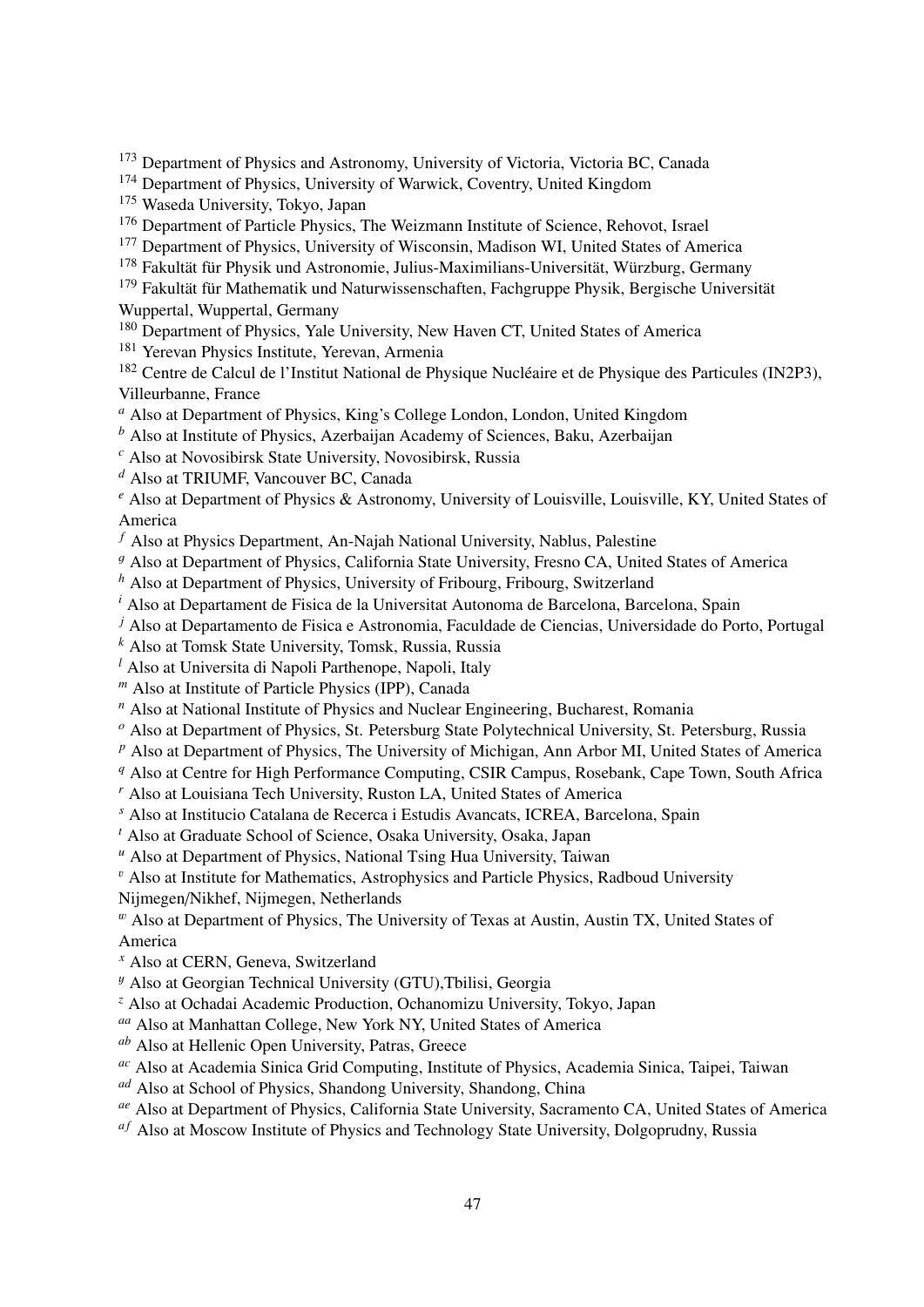<sup>173</sup> Department of Physics and Astronomy, University of Victoria, Victoria BC, Canada

<sup>174</sup> Department of Physics, University of Warwick, Coventry, United Kingdom

<sup>175</sup> Waseda University, Tokyo, Japan

<sup>176</sup> Department of Particle Physics, The Weizmann Institute of Science, Rehovot, Israel

<sup>177</sup> Department of Physics, University of Wisconsin, Madison WI, United States of America

<sup>178</sup> Fakultät für Physik und Astronomie, Julius-Maximilians-Universität, Würzburg, Germany

- <sup>179</sup> Fakultät für Mathematik und Naturwissenschaften, Fachgruppe Physik, Bergische Universität Wuppertal, Wuppertal, Germany
- <sup>180</sup> Department of Physics, Yale University, New Haven CT, United States of America

<sup>181</sup> Yerevan Physics Institute, Yerevan, Armenia

<sup>182</sup> Centre de Calcul de l'Institut National de Physique Nucléaire et de Physique des Particules (IN2P3), Villeurbanne, France

- *<sup>a</sup>* Also at Department of Physics, King's College London, London, United Kingdom
- *<sup>b</sup>* Also at Institute of Physics, Azerbaijan Academy of Sciences, Baku, Azerbaijan

*<sup>c</sup>* Also at Novosibirsk State University, Novosibirsk, Russia

*<sup>d</sup>* Also at TRIUMF, Vancouver BC, Canada

*<sup>e</sup>* Also at Department of Physics & Astronomy, University of Louisville, Louisville, KY, United States of America

- *<sup>f</sup>* Also at Physics Department, An-Najah National University, Nablus, Palestine
- <sup>g</sup> Also at Department of Physics, California State University, Fresno CA, United States of America

*<sup>h</sup>* Also at Department of Physics, University of Fribourg, Fribourg, Switzerland

*<sup>i</sup>* Also at Departament de Fisica de la Universitat Autonoma de Barcelona, Barcelona, Spain

*<sup>j</sup>* Also at Departamento de Fisica e Astronomia, Faculdade de Ciencias, Universidade do Porto, Portugal

*<sup>k</sup>* Also at Tomsk State University, Tomsk, Russia, Russia

*<sup>l</sup>* Also at Universita di Napoli Parthenope, Napoli, Italy

*<sup>m</sup>* Also at Institute of Particle Physics (IPP), Canada

*<sup>n</sup>* Also at National Institute of Physics and Nuclear Engineering, Bucharest, Romania

*<sup>o</sup>* Also at Department of Physics, St. Petersburg State Polytechnical University, St. Petersburg, Russia

*<sup>p</sup>* Also at Department of Physics, The University of Michigan, Ann Arbor MI, United States of America

*<sup>q</sup>* Also at Centre for High Performance Computing, CSIR Campus, Rosebank, Cape Town, South Africa

*<sup>r</sup>* Also at Louisiana Tech University, Ruston LA, United States of America

*<sup>s</sup>* Also at Institucio Catalana de Recerca i Estudis Avancats, ICREA, Barcelona, Spain

*<sup>t</sup>* Also at Graduate School of Science, Osaka University, Osaka, Japan

*<sup>u</sup>* Also at Department of Physics, National Tsing Hua University, Taiwan

 $\mathbf{v}$  Also at Institute for Mathematics, Astrophysics and Particle Physics, Radboud University

Nijmegen/Nikhef, Nijmegen, Netherlands

 $^w$  Also at Department of Physics, The University of Texas at Austin, Austin TX, United States of America

*<sup>x</sup>* Also at CERN, Geneva, Switzerland

<sup>y</sup> Also at Georgian Technical University (GTU),Tbilisi, Georgia

*<sup>z</sup>* Also at Ochadai Academic Production, Ochanomizu University, Tokyo, Japan

*aa* Also at Manhattan College, New York NY, United States of America

*ab* Also at Hellenic Open University, Patras, Greece

*ac* Also at Academia Sinica Grid Computing, Institute of Physics, Academia Sinica, Taipei, Taiwan

*ad* Also at School of Physics, Shandong University, Shandong, China

*ae* Also at Department of Physics, California State University, Sacramento CA, United States of America

<sup>af</sup> Also at Moscow Institute of Physics and Technology State University, Dolgoprudny, Russia